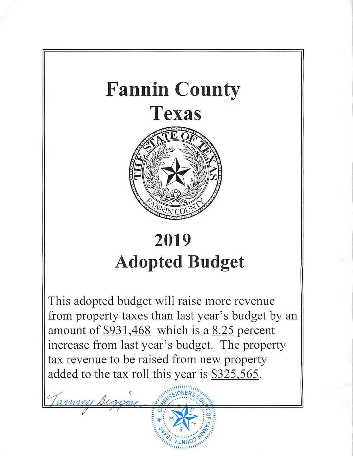

# **2019 Adopted Budget**

This adopted budget will raise more revenue from property taxes than last year's budget by an amount of  $$931,468$  which is a 8.25 percent increase from last year's budget. The property tax revenue to be raised from new property added to the tax roll this year is \$325,565.

Tammy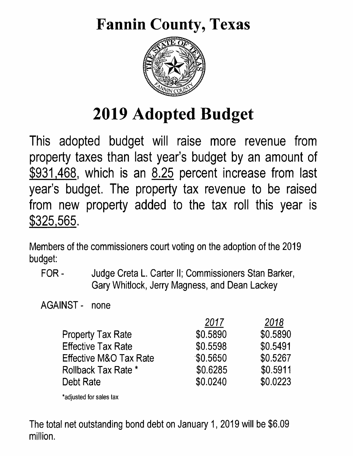# Fannin County, Texas



# 2019 Adopted Budget

This adopted budget will raise more revenue from property taxes than last year's budget by an amount of \$931,468, which is an 8.25 percent increase from last year's budget. The property tax revenue to be raised from new property added to the tax roll this year is \$325,565.

Members of the commissioners court voting on the adoption of the 2019 budget:

FOR - Judge Creta L. Carter II; Commissioners Stan Barker, Gary Whitlock, Jerry Magness, and Dean Lackey

AGAINST - none

|                                   | 2017     | 2018     |
|-----------------------------------|----------|----------|
| <b>Property Tax Rate</b>          | \$0.5890 | \$0.5890 |
| <b>Effective Tax Rate</b>         | \$0.5598 | \$0.5491 |
| <b>Effective M&amp;O Tax Rate</b> | \$0.5650 | \$0.5267 |
| <b>Rollback Tax Rate *</b>        | \$0.6285 | \$0.5911 |
| Debt Rate                         | \$0.0240 | \$0.0223 |
|                                   |          |          |

\*adjusted for sales tax

The total net outstanding bond debt on January 1, 2019 will be \$6.09 million.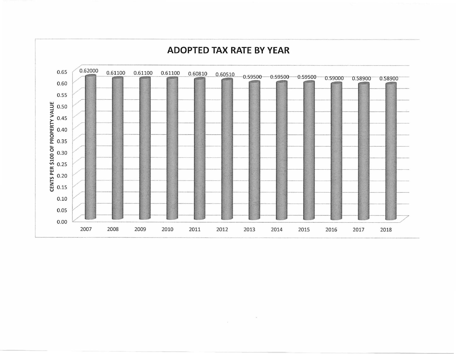

 $\sim 10$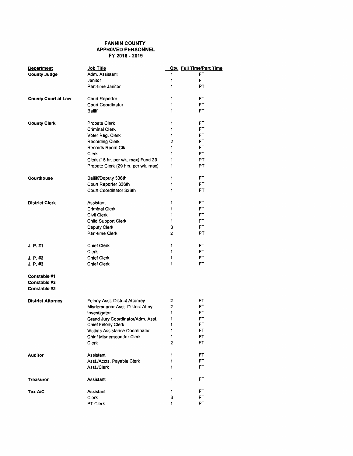### FANNIN COUNTY APPROVED PERSONNEL FY 2018 • 2019

| <b>Department</b>                            | Job Title                           |   | <b>Qty.</b> Full Time/Part Time |
|----------------------------------------------|-------------------------------------|---|---------------------------------|
| <b>County Judge</b>                          | Adm. Assistant                      | 1 | <b>FT</b>                       |
|                                              | Janitor                             | 1 | FT.                             |
|                                              | Part-time Janitor                   | 1 | PТ                              |
| <b>County Court at Law</b>                   | <b>Court Reporter</b>               | 1 | FT                              |
|                                              | <b>Court Coordinator</b>            | 1 | FT                              |
|                                              | Baliff                              | 1 | FT.                             |
| <b>County Clerk</b>                          | <b>Probate Clerk</b>                | 1 | FT                              |
|                                              | <b>Criminal Clerk</b>               | 1 | FT.                             |
|                                              | Voter Reg. Clerk                    | 1 | FT                              |
|                                              | <b>Recording Clerk</b>              | 2 | FT                              |
|                                              | Records Room Cik.                   | 1 | FT                              |
|                                              | Clerk                               | 1 | FT                              |
|                                              | Clerk (15 hr. per wk. max) Fund 20  | 1 | PΤ                              |
|                                              | Probate Clerk (29 hrs. per wk. max) | 1 | PT                              |
| Courthouse                                   | Bailiff/Deputy 336th                | 1 | FT.                             |
|                                              | Court Reporter 336th                | 1 | FT                              |
|                                              | Court Coordinator 336th             | 1 | FT                              |
|                                              |                                     |   |                                 |
| <b>District Clerk</b>                        | Assistant                           | 1 | FT.                             |
|                                              | <b>Criminal Clerk</b>               | 1 | FT                              |
|                                              | Civil Clerk                         | 1 | FT                              |
|                                              | Child Support Clerk                 | 1 | FT                              |
|                                              | <b>Deputy Clerk</b>                 | 3 | FT                              |
|                                              | Part-time Clerk                     | 2 | PТ                              |
| J. P. #1                                     | <b>Chief Clerk</b>                  | 1 | FT                              |
|                                              | Clerk                               | 1 | FT                              |
| J. P. #2                                     | <b>Chief Clerk</b>                  | 1 | FT                              |
| J. P. #3                                     | <b>Chief Clerk</b>                  | 1 | <b>FT</b>                       |
| Constable #1<br>Constable #2<br>Constable #3 |                                     |   |                                 |
| <b>District Attorney</b>                     | Felony Asst. District Attorney      | 2 | FT                              |
|                                              | Misdemeanor Asst. District Attny.   | 2 | FT                              |
|                                              | Investigator                        | 1 | FT                              |
|                                              | Grand Jury Coordinator/Adm. Asst.   | 1 | FT                              |
|                                              | Chief Felony Clerk                  | 1 | FT                              |
|                                              | Victims Assistance Coordinator      | 1 | <b>FT</b>                       |
|                                              | <b>Chief Misdemeandor Clerk</b>     | 1 | <b>FT</b>                       |
|                                              | Clerk                               | 2 | FT                              |
| <b>Auditor</b>                               | Assistant                           | 1 | <b>FT</b>                       |
|                                              | Asst./Accts. Payable Clerk          | 1 | FT                              |
|                                              | Asst./Clerk                         | 1 | FT.                             |
| Treasurer                                    | Assistant                           | 1 | FT                              |
| Tax A/C                                      | Assistant                           | 1 | FT                              |
|                                              | Clerk                               | 3 | FT.                             |
|                                              | PT Clerk                            | 1 | PT                              |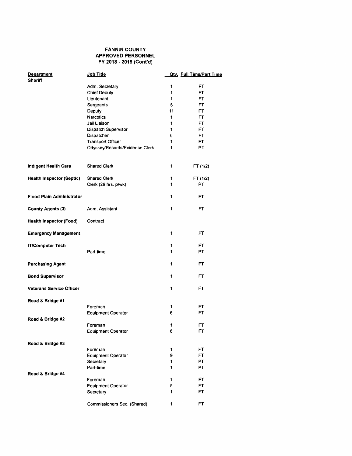### FANNIN COUNTY APPROVED PERSONNEL FY 2018 - 2019 (Cont'd)

| <b>Department</b><br><b>Sheriff</b> | Job Title                      |        | <b>Qty.</b> Full Time/Part Time |
|-------------------------------------|--------------------------------|--------|---------------------------------|
|                                     | Adm. Secretary                 | 1      | FT                              |
|                                     | <b>Chief Deputy</b>            | 1      | FT.                             |
|                                     | Lieutenant                     | 1      | FT.                             |
|                                     | Sergeants                      | 5      | FT.                             |
|                                     | Deputy                         | 11     | FT                              |
|                                     | <b>Narcotics</b>               | 1      | FΤ                              |
|                                     | Jail Liaison                   | 1      | FT                              |
|                                     | Dispatch Supervisor            | 1      | FT                              |
|                                     | Dispatcher                     | 6      | FT                              |
|                                     | <b>Transport Officer</b>       | 1      | FΤ                              |
|                                     | Odyssey/Records/Evidence Clerk | 1      | PT                              |
| Indigent Health Care                | <b>Shared Clerk</b>            | 1      | FT (1/2)                        |
|                                     | <b>Shared Clerk</b>            |        |                                 |
| <b>Health Inspector (Septic)</b>    | Clerk (29 hrs. p/wk)           | 1<br>1 | FT (1/2)<br>PT                  |
| <b>Flood Plain Administrator</b>    |                                | 1      | FΤ                              |
| <b>County Agents (3)</b>            | Adm. Assistant                 | 1      | FT                              |
| Health Inspector (Food)             | Contract                       |        |                                 |
| <b>Emergency Management</b>         |                                | 1      | FT                              |
| <b>IT/Computer Tech</b>             |                                | 1      | FT                              |
|                                     | Part-time                      | 1      | PТ                              |
|                                     |                                |        |                                 |
| <b>Purchasing Agent</b>             |                                | 1      | FΤ                              |
| <b>Bond Supervisor</b>              |                                | 1      | FT                              |
| <b>Veterans Service Officer</b>     |                                | 1      | FT                              |
| Road & Bridge #1                    |                                |        |                                 |
|                                     | Foreman                        | 1      | FΤ                              |
|                                     | <b>Equipment Operator</b>      | 6      | <b>FT</b>                       |
| Road & Bridge #2                    |                                |        |                                 |
|                                     | Foreman                        | ı      | FT                              |
|                                     | <b>Equipment Operator</b>      | 6      | FT                              |
|                                     |                                |        |                                 |
| Road & Bridge #3                    |                                |        |                                 |
|                                     | Foreman                        | 1<br>9 | FT<br>FT.                       |
|                                     | Equipment Operator             |        |                                 |
|                                     | Secretary                      | 1<br>1 | PT                              |
|                                     | Part-time                      |        | PT.                             |
| Road & Bridge #4                    | Foreman                        | 1      | FT.                             |
|                                     | <b>Equipment Operator</b>      | 5      | FT                              |
|                                     |                                | 1      | FT                              |
|                                     | Secretary                      |        |                                 |
|                                     | Commissioners Sec. (Shared)    | 1      | FT.                             |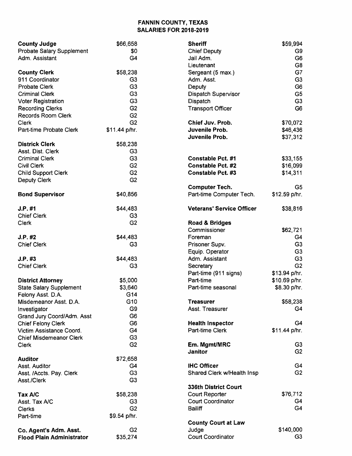# FANNIN COUNTY, TEXAS SALARIES FOR 2018-2019

| <b>County Judge</b>                                   | \$66,658       | <b>Sheriff</b>                   | \$59,994       |
|-------------------------------------------------------|----------------|----------------------------------|----------------|
| Probate Salary Supplement                             | \$0            | <b>Chief Deputy</b>              | G9             |
| Adm. Assistant                                        | G4             | Jail Adm.                        | G <sub>6</sub> |
|                                                       |                | Lieutenant                       | G <sub>8</sub> |
| <b>County Clerk</b>                                   | \$58,238       | Sergeant (5 max.)                | G7             |
| 911 Coordinator                                       | G <sub>3</sub> | Adm. Asst.                       | G <sub>3</sub> |
| <b>Probate Clerk</b>                                  | G <sub>3</sub> | Deputy                           | G <sub>6</sub> |
| <b>Criminal Clerk</b>                                 | G <sub>3</sub> | Dispatch Supervisor              | G <sub>5</sub> |
| <b>Voter Registration</b>                             | G <sub>3</sub> | Dispatch                         | G <sub>3</sub> |
|                                                       | G <sub>2</sub> |                                  | G <sub>6</sub> |
| <b>Recording Clerks</b>                               |                | <b>Transport Officer</b>         |                |
| <b>Records Room Clerk</b>                             | G <sub>2</sub> |                                  |                |
| <b>Clerk</b>                                          | G <sub>2</sub> | Chief Juv. Prob.                 | \$70,072       |
| Part-time Probate Clerk                               | \$11.44 p/hr.  | Juvenile Prob.                   | \$46,436       |
|                                                       |                | Juvenile Prob.                   | \$37,312       |
| <b>Districk Clerk</b>                                 | \$58,238       |                                  |                |
| Asst. Dist. Clerk                                     | G <sub>3</sub> |                                  |                |
| <b>Criminal Clerk</b>                                 | G <sub>3</sub> | <b>Constable Pct. #1</b>         | \$33,155       |
| <b>Civil Clerk</b>                                    | G <sub>2</sub> | <b>Constable Pct. #2</b>         | \$16,099       |
| <b>Child Support Clerk</b>                            | G <sub>2</sub> | <b>Constable Pct. #3</b>         | \$14,311       |
| <b>Deputy Clerk</b>                                   | G <sub>2</sub> |                                  |                |
|                                                       |                | <b>Computer Tech.</b>            | G5             |
| <b>Bond Supervisor</b>                                | \$40,856       | Part-time Computer Tech.         | \$12.59 p/hr.  |
|                                                       |                |                                  |                |
| J.P. #1                                               | \$44,483       | <b>Veterans' Service Officer</b> | \$38,816       |
| <b>Chief Clerk</b>                                    | G <sub>3</sub> |                                  |                |
| Clerk                                                 | G <sub>2</sub> | Road & Bridges                   |                |
|                                                       |                |                                  |                |
|                                                       |                | Commissioner                     | \$62,721       |
| J.P. #2                                               | \$44,483       | Foreman                          | G4             |
| <b>Chief Clerk</b>                                    | G <sub>3</sub> | Prisoner Supv.                   | G <sub>3</sub> |
|                                                       |                | Equip. Operator                  | G <sub>3</sub> |
| J.P. #3                                               | \$44,483       | Adm. Assistant                   | G <sub>3</sub> |
| <b>Chief Clerk</b>                                    | G <sub>3</sub> | Secretary                        | G <sub>2</sub> |
|                                                       |                | Part-time (911 signs)            | \$13.94 p/hr.  |
| <b>District Attorney</b>                              | \$5,000        | Part-time                        | \$10.69 p/hr.  |
| <b>State Salary Supplement</b>                        | \$3,640        | Part-time seasonal               | \$8.30 p/hr.   |
| Felony Asst. D.A.                                     | G14            |                                  |                |
| Misdemeanor Asst. D.A.                                | G10            | <b>Treasurer</b>                 | \$58,238       |
| Investigator                                          | G <sub>9</sub> | Asst. Treasurer                  | G4             |
| Grand Jury Coord/Adm. Asst                            | G <sub>6</sub> |                                  |                |
|                                                       | G <sub>6</sub> | <b>Health Inspector</b>          | G4             |
| <b>Chief Felony Clerk</b><br>Victim Assistance Coord. |                | Part-time Clerk                  | \$11.44 p/hr.  |
|                                                       | G4             |                                  |                |
| <b>Chief Misdemeanor Clerk</b>                        | G <sub>3</sub> |                                  |                |
| Clerk                                                 | G <sub>2</sub> | Em. Mgmt/MRC                     | G <sub>3</sub> |
|                                                       |                | Janitor                          | G <sub>2</sub> |
| <b>Auditor</b>                                        | \$72,658       |                                  |                |
| Asst. Auditor                                         | G <sub>4</sub> | <b>IHC Officer</b>               | G4             |
| Asst. /Accts. Pay. Clerk                              | G <sub>3</sub> | Shared Clerk w/Health Insp       | G <sub>2</sub> |
| Asst./Clerk                                           | G <sub>3</sub> |                                  |                |
|                                                       |                | 336th District Court             |                |
| Tax A/C                                               | \$58,238       | Court Reporter                   | \$76,712       |
| Asst. Tax A/C                                         | G <sub>3</sub> | <b>Court Coordinator</b>         | G4             |
| <b>Clerks</b>                                         | G <sub>2</sub> | <b>Bailiff</b>                   | G4             |
| Part-time                                             | \$9.54 p/hr.   |                                  |                |
|                                                       |                | <b>County Court at Law</b>       |                |
| Co. Agent's Adm. Asst.                                | G <sub>2</sub> | Judge                            | \$140,000      |
| <b>Flood Plain Administrator</b>                      | \$35,274       | <b>Court Coordinator</b>         | G3             |
|                                                       |                |                                  |                |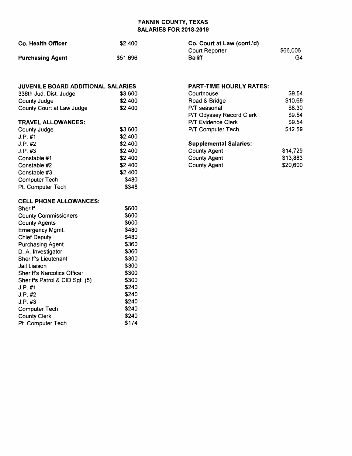## FANNIN COUNTY, TEXAS SALARIES FOR 2018-2019

| <b>Co. Health Officer</b> | \$2,400  | Co. Court at Law (cont.'d) |          |
|---------------------------|----------|----------------------------|----------|
|                           |          | Court Reporter             | \$66,006 |
| <b>Purchasing Agent</b>   | \$51,696 | Bailiff                    | G4       |

| <b>JUVENILE BOARD ADDITIONAL SALARIES</b> |         |
|-------------------------------------------|---------|
| 336th Jud. Dist. Judge                    | \$3.600 |
| County Judge                              | \$2,400 |
| County Court at Law Judge                 | \$2,400 |
| <b>TRAVEL ALLOWANCES:</b>                 |         |
| County Judge                              | \$3,600 |
| $J.P.$ #1                                 | \$2,400 |
| $J.P.$ #2                                 | \$2,400 |
| J.P. #3                                   | \$2,400 |
| Constable #1                              | \$2,400 |
| Constable #2                              | \$2,400 |
| Constable #3                              | \$2,400 |
| <b>Computer Tech</b>                      | \$480   |
| Pt. Computer Tech                         | \$348   |

| <b>Supplemental Salaries:</b> |          |
|-------------------------------|----------|
| <b>County Agent</b>           | \$14,729 |
| <b>County Agent</b>           | \$13,883 |
| <b>County Agent</b>           | \$20,600 |

PART-TIME HOURLY RATES:

\$9.54 \$10.69 \$8.30 \$9.54 \$9.54 \$12.59

P/T Odyssey Record Clerk

P/T Evidence Clerk P/T Computer Tech.

**Courthouse** Road & Bridge P/T seasonal

### CELL PHONE ALLOWANCES:

| Sheriff                        | \$600 |
|--------------------------------|-------|
| <b>County Commissioners</b>    | \$600 |
| <b>County Agents</b>           | \$600 |
| <b>Emergency Mgmt.</b>         | \$480 |
| <b>Chief Deputy</b>            | \$480 |
| <b>Purchasing Agent</b>        | \$360 |
| D. A. Investigator             | \$360 |
| <b>Sheriff's Lieutenant</b>    | \$300 |
| Jail Liaison                   | \$300 |
| Sheriff's Narcotics Officer    | \$300 |
| Sheriffs Patrol & CID Sqt. (5) | \$300 |
| J.P. #1                        | \$240 |
| $J.P.$ #2                      | \$240 |
| J.P. #3                        | \$240 |
| <b>Computer Tech</b>           | \$240 |
| <b>County Clerk</b>            | \$240 |
| Pt. Computer Tech              | \$174 |
|                                |       |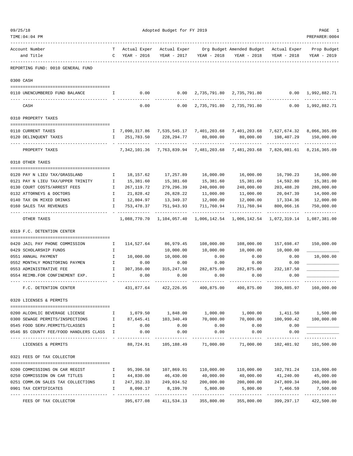| 09/25/18 | TIME: 04: 04 PM                                                                                  |                            |             | Adopted Budget for FY 2019                   |                           |                                                                                 |                                        | PAGE<br>PREPARER: 0004      |
|----------|--------------------------------------------------------------------------------------------------|----------------------------|-------------|----------------------------------------------|---------------------------|---------------------------------------------------------------------------------|----------------------------------------|-----------------------------|
|          | ----------<br>Account Number<br>and Title                                                        | $\mathsf{C}$               | YEAR - 2016 | Actual Exper Actual Exper                    | YEAR - 2017 YEAR - 2018   | Org Budget Amended Budget Actual Exper<br>YEAR - 2018                           | YEAR - 2018                            | Prop Budget<br>YEAR - 2019  |
|          |                                                                                                  |                            |             |                                              |                           |                                                                                 |                                        |                             |
|          | REPORTING FUND: 0010 GENERAL FUND                                                                |                            |             |                                              |                           |                                                                                 |                                        |                             |
|          | 0300 CASH                                                                                        |                            |             |                                              |                           |                                                                                 |                                        |                             |
|          | 0110 UNENCUMBERED FUND BALANCE                                                                   | Ι.                         | 0.00        | 0.00                                         |                           | 2,735,791.80 2,735,791.80 0.00 1,992,882.71                                     |                                        |                             |
|          | CASH                                                                                             |                            | 0.00        | 0.00                                         | 2,735,791.80              | 2,735,791.80 0.00                                                               |                                        | 1,992,882.71                |
|          | 0310 PROPERTY TAXES                                                                              |                            |             |                                              |                           |                                                                                 |                                        |                             |
|          |                                                                                                  |                            |             |                                              |                           |                                                                                 |                                        |                             |
|          | 0110 CURRENT TAXES                                                                               |                            |             |                                              |                           | I 7,090,317.86 7,535,545.17 7,401,203.68 7,401,203.68 7,627,674.32 8,066,365.09 |                                        |                             |
|          | 0120 DELINQUENT TAXES                                                                            | Ι.                         | 251,783.50  | 228,294.77<br>-------------                  | 80,000.00<br>. <u>.</u> . | 80,000.00<br>------------                                                       | 198,407.29<br>------------             | 150,000.00<br>------------- |
|          | PROPERTY TAXES                                                                                   |                            |             | 7, 342, 101.36 7, 763, 839.94 7, 481, 203.68 |                           |                                                                                 | 7,481,203.68 7,826,081.61 8,216,365.09 |                             |
|          | 0318 OTHER TAXES                                                                                 |                            |             |                                              |                           |                                                                                 |                                        |                             |
|          | 0120 PAY N LIEU TAX/GRASSLAND                                                                    | Ι.                         | 18,157.62   | 17,257.89                                    | 16,000.00                 | 16,000.00                                                                       | 16,790.23                              | 16,000.00                   |
|          | 0121 PAY N LIEU TAX/UPPER TRINITY                                                                | $\mathbf{I}$               | 15,381.60   | 15,381.60                                    | 15,381.60                 | 15,381.60                                                                       | 14,592.80                              | 15,381.00                   |
|          | 0130 COURT COSTS/ARREST FEES                                                                     | Ι.                         | 267,119.72  | 279,296.39                                   | 240,000.00                | 240,000.00                                                                      | 203,488.20                             | 280,000.00                  |
|          | 0132 ATTORNEYS & DOCTORS                                                                         | $\mathbb{I}$               | 21,828.42   | 26,828.22                                    | 11,000.00                 | 11,000.00                                                                       | 20,047.39                              | 14,000.00                   |
|          | 0140 TAX ON MIXED DRINKS                                                                         | $\mathbf{I}$               |             | 12,804.97    13,349.37                       | 12,000.00                 | 12,000.00                                                                       | 17,334.36                              | 12,000.00                   |
|          | 0160 SALES TAX REVENUES                                                                          | I.                         | 753,478.37  | 751,943.93                                   | 711,760.94                | 711,760.94                                                                      | 800,066.16                             | 750,000.00                  |
|          | OTHER TAXES                                                                                      |                            |             | 1,088,770.70    1,104,057.40                 |                           | 1,006,142.54 1,006,142.54 1,072,319.14 1,087,381.00                             |                                        |                             |
|          | 0319 F.C. DETENTION CENTER                                                                       |                            |             |                                              |                           |                                                                                 |                                        |                             |
|          | 0420 JAIL PAY PHONE COMMISSION<br>$\blacksquare$                                                 |                            | 114,527.64  | 86,979.45                                    | 108,000.00                | 108,000.00                                                                      | 157,698.47                             | 150,000.00                  |
|          | 0429 SCHOLARSHIP FUNDS                                                                           | Ι.                         |             | 10,000.00                                    | 10,000.00                 | 10,000.00                                                                       | 10,000.00                              |                             |
|          | 0551 ANNUAL PAYMENT                                                                              | $\mathbf{I}$               | 10,000.00   | 10,000.00                                    | 0.00                      | 0.00                                                                            | 0.00                                   | 10,000.00                   |
|          | 0552 MONTHLY MONITORING PAYMEN                                                                   | $\mathbb{I}$               | 0.00        | 0.00                                         | 0.00                      | 0.00                                                                            | 0.00                                   |                             |
|          | 0553 ADMINISTRATIVE FEE                                                                          | Ι.                         | 307,350.00  | 315,247.50                                   | 282,875.00                | 282,875.00                                                                      | 232,187.50                             |                             |
|          | 0554 REIMB.FOR CONFINEMENT EXP.                                                                  | I.                         | 0.00        | 0.00                                         | 0.00                      | 0.00                                                                            | 0.00                                   |                             |
|          | F.C. DETENTION CENTER                                                                            |                            |             |                                              |                           | 431,877.64 422,226.95 400,875.00 400,875.00 399,885.97 160,000.00               |                                        |                             |
|          | 0320 LICENSES & PERMITS                                                                          |                            |             |                                              |                           |                                                                                 |                                        |                             |
|          | 0200 ALCOHLIC BEVERAGE LICENSE                                                                   |                            |             |                                              |                           | $1,079.50$ $1,848.00$ $1,000.00$ $1,000.00$ $1,411.50$ $1,500.00$               |                                        |                             |
|          | 0300 SEWAGE PERMITS/INSPECTIONS                                                                  | $\qquad \qquad \mathbf{I}$ |             | 87,645.41    103,340.49                      | 70,000.00                 | 70,000.00                                                                       | 100,990.42 100,000.00                  |                             |
|          | 0545 FOOD SERV. PERMITS/CLASSES                                                                  | $\mathbb{I}$               | 0.00        | 0.00                                         | 0.00                      | 0.00                                                                            | 0.00                                   |                             |
|          | 0546 \$5 COUNTY FEE/FOOD HANDLERS CLASS I<br>---------------------------                         |                            | 0.00        | 0.00                                         | 0.00                      | 0.00<br>-----------                                                             | 0.00                                   |                             |
|          | LICENSES & PERMITS                                                                               |                            | 88,724.91   | 105,188.49                                   | 71,000.00                 | 71,000.00                                                                       | 102,401.92                             | 101,500.00                  |
|          | 0321 FEES OF TAX COLLECTOR                                                                       |                            |             |                                              |                           |                                                                                 |                                        |                             |
|          | 0200 COMMISSIONS ON CAR REGIST                                                                   | $\mathbf{I}$               |             |                                              |                           |                                                                                 |                                        | 102,781.24 110,000.00       |
|          | 0250 COMMISSION ON CAR TITLES<br>$\mathbf{I}$ and $\mathbf{I}$ and $\mathbf{I}$ and $\mathbf{I}$ |                            |             | 44,830.00 46,430.00                          |                           | 40,000.00 40,000.00                                                             | 41,240.00 45,000.00                    |                             |
|          | 0251 COMM.ON SALES TAX COLLECTIONS I                                                             |                            |             | 247,352.33 249,034.52 200,000.00             |                           |                                                                                 | 200,000.00 247,809.34 260,000.00       |                             |
|          | 0901 TAX CERTIFICATES                                                                            | $\mathbf{I}$               | 8,098.17    | 8,199.70                                     | 5,800.00<br>------------  | 5,800.00                                                                        | 7,466.59                               | 7,500.00<br>------------    |
|          | FEES OF TAX COLLECTOR                                                                            |                            | 395,677.08  | 411,534.13 355,800.00 355,800.00             |                           |                                                                                 | 399,297.17                             | 422,500.00                  |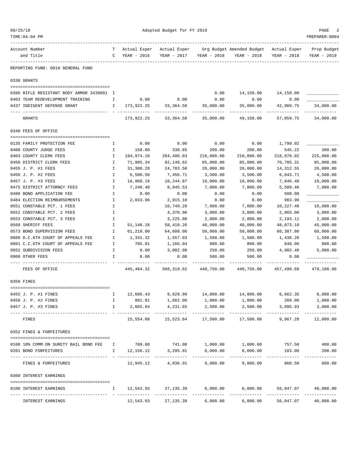| 09/25/18                                  |              |              | Adopted Budget for FY 2019 |                      |                                               |             | PAGE                    |
|-------------------------------------------|--------------|--------------|----------------------------|----------------------|-----------------------------------------------|-------------|-------------------------|
| TIME: 04: 04 PM                           |              |              |                            |                      |                                               |             | PREPARER: 0004          |
| Account Number                            | T.           | Actual Exper | Actual Exper               |                      | Org Budget Amended Budget Actual Exper        |             | Prop Budget             |
| and Title                                 | $\mathbb{C}$ | YEAR - 2016  | YEAR - 2017                | YEAR - 2018          | YEAR - 2018                                   | YEAR - 2018 | YEAR - 2019             |
| REPORTING FUND: 0010 GENERAL FUND         |              |              |                            |                      |                                               |             |                         |
| 0330 GRANTS                               |              |              |                            |                      |                                               |             |                         |
| 0396 RIFLE RESISTANT BODY ARMOR 3439801 I |              |              |                            | 0.00                 | 14,150.00                                     | 14,150.00   |                         |
| 0403 TEAM REDEVELOPMENT TRAINING          | I.           |              | $0.00$ 0.00                | 0.00                 | 0.00                                          | 0.00        |                         |
| 0437 INDIGENT DEFENSE GRANT               | $\mathbf{I}$ | 173,922.25   | 33,364.50                  | 35,000.00            | 35,000.00                                     | 42,909.75   | 34,000.00               |
| GRANTS                                    |              | 173,922.25   | 33,364.50                  | 35,000.00            | 49,150.00                                     | 57,059.75   | 34,000.00               |
| 0340 FEES OF OFFICE                       |              |              |                            |                      |                                               |             |                         |
| 0135 FAMILY PROTECTION FEE                | Ι.           | 0.00         | 0.00                       | 0.00                 | 0.00                                          | 1,799.02    |                         |
| 0400 COUNTY JUDGE FEES                    | $\mathbf{I}$ | 158.00       | 330.85                     | 200.00               | 200.00                                        | 545.22      | 300.00                  |
| 0403 COUNTY CLERK FEES                    | I            | 194,974.16   | 284,496.03                 | 210,000.00           | 210,000.00                                    | 218,078.02  | 225,000.00              |
| 0450 DISTRICT CLERK FEES                  | Ι.           | 71,905.34    | 82,149.62                  | 85,000.00            | 85,000.00                                     | 70,785.31   | 85,000.00               |
| 0455 J. P. #1 FEES                        | Ι.           | 31,300.28    | 24,783.50                  | 20,000.00            | 20,000.00                                     | 14,312.55   | 20,000.00               |
| 0456 J. P. #2 FEES                        | $\mathbf{I}$ | 6,500.50     | 7,456.71                   | 3,500.00             | 3,500.00                                      | 6,043.71    | 4,500.00                |
| 0457 J. P. #3 FEES                        | $\mathbf I$  | 16,968.19    | 10,244.87                  | 10,000.00            | 10,000.00                                     | 7,846.40    | 10,000.00               |
| 0475 DISTRICT ATTORNEY FEES               | Ι.           | 7,240.48     | 8,845.53                   | 7,000.00             | 7,000.00                                      | 5,589.46    | 7,000.00                |
| 0480 BOND APPLICATION FEE                 | Ι.           | 0.00         | 0.00                       | 0.00                 | 0.00                                          | 500.00      |                         |
| 0484 ELECTION REIMBURSEMENTS              | $\mathbf{I}$ | 2,033.96     | 2,915.10                   | 0.00                 | 0.00                                          | 983.90      |                         |
| 0551 CONSTABLE PCT. 1 FEES                | Ι.           |              | 10,749.20                  | 7,000.00             | 7,000.00                                      | 10,227.48   | 10,000.00               |
| 0552 CONSTABLE PCT. 2 FEES                | I            |              | 4,370.98                   | 3,000.00             | 3,000.00                                      | 2,065.00    | 3,000.00                |
| 0553 CONSTABLE PCT. 3 FEES                | I            |              | 3,225.00                   | 2,000.00             | 2,000.00                                      | 2,193.11    | 2,000.00                |
| 0560 SHERIFF FEES                         | I            | 51,148.28    | 58,418.26                  | 40,000.00            | 40,000.00                                     | 48,873.10   | 45,000.00               |
| 0573 BOND SUPERVISION FEES                | I            | 61,218.00    | 64,608.00                  | 50,000.00            | 50,000.00                                     | 60,387.80   | 60,000.00               |
| 0600 D.C.6TH COURT OF APPEALS FEE         | I.           | 1,331.32     | 1,557.03                   | 1,500.00             | 1,500.00                                      | 1,438.20    | 1,500.00                |
| 0601 C.C.6TH COURT OF APPEALS FEE         | Ι.           | 705.81       | 1,166.04                   | 800.00               | 800.00                                        | 840.00      | 800.00                  |
| 0652 SUBDIVISION FEES                     | Ι.           | 0.00         | 3,002.90                   | 250.00               | 250.00                                        | 4,982.40    | 5,000.00                |
| 0900 OTHER FEES                           | I.           | 0.00         | 0.00                       | 500.00               | 500.00                                        | 0.00        |                         |
| FEES OF OFFICE                            |              | 445,484.32   | 568,319.62                 | 440,750.00           | 440,750.00                                    | 457,490.68  | 479,100.00              |
| 0350 FINES                                |              |              |                            |                      |                                               |             |                         |
| 0455 J. P. #1 FINES                       | I.           | 12,686.43    |                            |                      | $9,629.99$ $14,000.00$ $14,000.00$ $6,662.35$ |             | 8,000.00                |
| 0456 J. P. #2 FINES                       | I.           | 801.81       | 1,662.00                   | 1,000.00             | 1,000.00                                      | 209.00      | 1,000.00                |
| 0457 J. P. #3 FINES                       | I.           | 2,065.84     | 4,231.65                   | 2,500.00             | 2,500.00                                      | 3,095.93    | 3,000.00                |
| FINES                                     |              | 15,554.08    | ----------<br>15,523.64    | 17,500.00            | 17,500.00                                     | 9,967.28    | ----------<br>12,000.00 |
| 0352 FINES & FORFEITURES                  |              |              |                            |                      |                                               |             |                         |
|                                           |              |              |                            |                      |                                               |             |                         |
| 0100 10% COMM.ON SURETY BAIL BOND FEE I   | $\mathbf{I}$ | 789.00       | 741.00                     | 1,000.00<br>8,000.00 | 1,000.00                                      | 757.50      | 400.00<br>200.00        |
| 0201 BOND FORFEITURES                     |              | 12,156.12    | 3,295.91                   |                      | 8,000.00                                      | 103.00      |                         |
| FINES & FORFEITURES                       |              | 12,945.12    | 4,036.91                   | 9,000.00             | 9,000.00                                      | 860.50      | 600.00                  |
| 0360 INTEREST EARNINGS                    |              |              |                            |                      |                                               |             |                         |
| 0100 INTEREST EARNINGS                    | I.           |              | 12,543.93 27,135.39        | 6,000.00             | 6,000.00                                      | 56,047.07   | 40,000.00<br>.          |
| INTEREST EARNINGS                         |              | 12,543.93    | 27,135.39                  | 6,000.00             | 6,000.00                                      | 56,047.07   | 40,000.00               |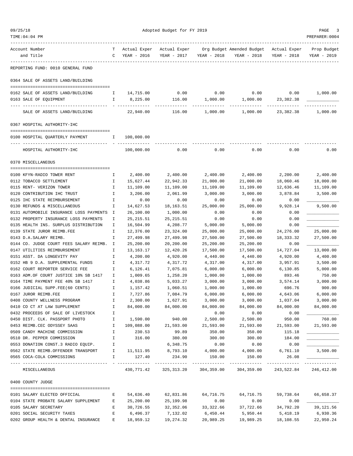| 09/25/18                                                                  |              |                        | Adopted Budget for FY 2019 |                        |                                          |                   | PAGE<br>3                 |
|---------------------------------------------------------------------------|--------------|------------------------|----------------------------|------------------------|------------------------------------------|-------------------|---------------------------|
| TIME:04:04 PM                                                             |              |                        |                            |                        |                                          |                   | PREPARER: 0004            |
| Account Number                                                            | T.           | Actual Exper           | Actual Exper               |                        | Org Budget Amended Budget - Actual Exper |                   | Prop Budget               |
| and Title                                                                 | $\mathbf{C}$ | YEAR - 2016            | YEAR - 2017                | YEAR - 2018            | YEAR - 2018                              | YEAR - 2018       | YEAR - 2019               |
| REPORTING FUND: 0010 GENERAL FUND                                         |              |                        |                            |                        |                                          |                   |                           |
| 0364 SALE OF ASSETS LAND/BUILDING                                         |              |                        |                            |                        |                                          |                   |                           |
| 0162 SALE OF ASSETS LAND/BUILDING                                         | Ι.           | 14,715.00              | 0.00                       | 0.00                   | 0.00                                     | 0.00              | 1,000.00                  |
| 0163 SALE OF EQUIPMENT                                                    | Ι.           | 8,225.00               | 116.00                     | 1,000.00               | 1,000.00                                 | 23,382.38         |                           |
| SALE OF ASSETS LAND/BUILDING                                              |              | 22,940.00              | 116.00                     | 1,000.00               | 1,000.00                                 | 23,382.38         | 1,000.00                  |
| 0367 HOSPITAL AUTHORITY-IHC                                               |              |                        |                            |                        |                                          |                   |                           |
| 0100 HOSPITAL QUARTERLY PAYMENT<br>$\mathbf{I}$ and $\mathbf{I}$          |              | 100,000.00             |                            |                        |                                          |                   |                           |
| HOSPITAL AUTHORITY-IHC                                                    |              | 100,000.00             | 0.00                       | 0.00                   | 0.00                                     | 0.00              | 0.00                      |
| 0370 MISCELLANEOUS                                                        |              |                        |                            |                        |                                          |                   |                           |
| 0100 KFYN-RADIO TOWER RENT                                                | Ι.           | 2,400.00               | 2,400.00                   | 2,400.00               | 2,400.00                                 | 2,200.00          | 2,400.00                  |
| 0112 TOBACCO SETTLEMENT                                                   | I.           | 15,627.44              | 22,942.33                  | 21,000.00              | 21,000.00                                | 18,060.46         | 18,000.00                 |
| 0115 RENT- VERIZON TOWER                                                  | I.           | 11,109.00              | 11,109.00                  | 11,109.00              | 11,109.00                                | 12,636.46         | 11,109.00                 |
| 0120 CONTRIBUTION IHC TRUST                                               | I            | 3,206.00               | 2,061.99                   | 3,000.00               | 3,000.00                                 | 3,878.84          | 3,500.00                  |
| 0125 IHC STATE REIMBURSEMENT                                              | I            | 0.00                   | 0.00                       | 0.00                   | 0.00                                     | 0.00              |                           |
| 0130 REFUNDS & MISCELLANEOUS                                              | Ι.           | 14,627.53              | 18,163.51                  | 25,000.00              | 25,000.00                                | 9,928.14          | 9,500.00                  |
| 0131 AUTOMOBILE INSURANCE LOSS PAYMENTS I                                 |              | 26,100.00              | 1,000.00                   | 0.00                   | 0.00                                     | 0.00              |                           |
| 0132 PROPERTY INSURANCE LOSS PAYMENTS                                     | I            | 25, 215.51             | 25, 215.51                 | 0.00                   | 0.00                                     | 0.00              |                           |
| 0135 HEALTH INS. SURPLUS DISTRIBUTION                                     | I            | 16,504.99              | 4,208.77                   | 5,000.00               | 5,000.00                                 | 0.00              |                           |
| 0139 STATE JUROR REIMB.FEE                                                | I            | 12,376.00              | 23,324.00                  | 25,000.00              | 25,000.00                                | 24,276.00         | 25,000.00                 |
| 0143 D.A.SALARY REIMB.                                                    | I            | 27,499.98              | 27,499.98                  | 27,500.00              | 27,500.00                                | 18,333.32         | 27,500.00                 |
| 0144 CO. JUDGE COURT FEES SALARY REIMB. I<br>0147 UTILITIES REIMBURSEMENT | I            | 25,200.00<br>13,163.17 | 20,200.00<br>12,420.26     | 25,200.00<br>17,500.00 | 25,200.00<br>17,500.00                   | 0.00<br>14,727.04 | 13,000.00                 |
| 0151 ASST. DA LONGEVITY PAY                                               | I.           | 4,200.00               | 4,920.00                   | 4,440.00               | 4,440.00                                 | 4,920.00          | 4,400.00                  |
| 0152 HB 9 D.A. SUPPLEMENTAL FUNDS                                         | Ι.           | 4,317.72               | 4,317.72                   | 4,317.00               | 4,317.00                                 | 3,957.91          | 3,500.00                  |
| 0162 COURT REPORTER SERVICE FEE                                           | Ι.           | 6,126.41               | 7,075.81                   | 6,000.00               | 6,000.00                                 | 6,130.85          | 5,000.00                  |
| 0163 ADM.OF COURT JUSTICE 10% SB 1417                                     | Ι.           | 1,009.65               | 1,258.20                   | 1,000.00               | 1,000.00                                 | 893.46            | 750.00                    |
| 0164 TIME PAYMENT FEE 40% SB 1417                                         | I            | 4,038.86               | 5,033.27                   | 3,000.00               | 3,000.00                                 | 3,574.14          | 3,000.00                  |
| 0166 JUDICIAL SUPP.FEE(60 CENTS)                                          | Ι.           | 1,157.42               | 1,060.51                   | 1,000.00               | 1,000.00                                 | 696.76            | 900.00                    |
| 0167 JUROR REIMB.FEE                                                      | I            | 7,727.86               | 7,084.79                   | 6,000.00               | 6,000.00                                 | 4,643.06          | 6,000.00                  |
| 0408 COUNTY WELLNESS PROGRAM                                              | I            | 2,300.00               | 1,627.91                   | 3,000.00               | 3,000.00                                 | 1,037.04          | 3,000.00                  |
| 0410 CO CT AT LAW SUPPLEMENT                                              | I            | 84,000.00              | 84,000.00                  | 84,000.00              | 84,000.00                                | 84,000.00         | 84,000.00                 |
| 0432 PROCEEDS OF SALE OF LIVESTOCK                                        | I            |                        |                            | 0.00                   | 0.00                                     | 0.00              |                           |
| 0450 DIST. CLK. PASSPORT PHOTO                                            | Ι.           | 1,590.00               | 940.00                     | 2,500.00               | 2,500.00                                 | 950.00            | 760.00                    |
| 0453 REIMB.CEC ODYSSEY SAAS                                               | Ι.           | 109,088.00             | 21,593.00                  | 21,593.00              | 21,593.00                                | 21,593.00         | 21,593.00                 |
| 0509 CANDY MACHINE COMMISSION<br>0510 DR. PEPPER COMMISSION               | Ι.           | 230.53                 | 99.89                      | 350.00                 | 350.00                                   | 115.18            |                           |
| 0553 DONATION CONST.3 RADIO EQUIP.                                        | I<br>Ι.      | 316.00                 | 380.00<br>6,348.75         | 300.00<br>0.00         | 300.00<br>0.00                           | 184.00<br>0.00    |                           |
| 0562 STATE REIMB.OFFENDER TRANSPORT                                       | $\mathbb{I}$ | 11,511.95              | 8,793.10                   | 4,000.00               | 4,000.00                                 | 6,761.10          | 3,500.00                  |
| 0565 COCA-COLA COMMISSIONS                                                | Ι.           | 127.40                 | 234.90                     | 150.00                 | 150.00                                   | 26.08             |                           |
| MISCELLANEOUS                                                             |              | 430,771.42             | 325, 313.20                | 304,359.00             | 304,359.00                               | 243,522.84        | -----------<br>246,412.00 |
| 0400 COUNTY JUDGE                                                         |              |                        |                            |                        |                                          |                   |                           |
| 0101 SALARY ELECTED OFFICIAL                                              | Е            | 54,636.40              | 62,831.86                  | 64,716.75              | 64,716.75                                | 59,738.64         | 66,658.37                 |
| 0104 STATE PROBATE SALARY SUPPLEMENT                                      | Е            | 25,200.00              | 25,199.98                  | 0.00                   | 0.00                                     | 0.00              |                           |
| 0105 SALARY SECRETARY                                                     | Ε            | 30,726.55              | 32,352.06                  | 33, 322.66             | 37,722.66                                | 34,792.20         | 39,121.56                 |
| 0201 SOCIAL SECURITY TAXES                                                | Ε            | 6,496.37               | 7,132.02                   | 6,450.44               | 5,950.44                                 | 5,418.19          | 6,930.36                  |
| 0202 GROUP HEALTH & DENTAL INSURANCE                                      | Е            | 18,959.12              | 19,274.32                  | 20,989.25              | 19,989.25                                | 18,108.55         | 22,950.24                 |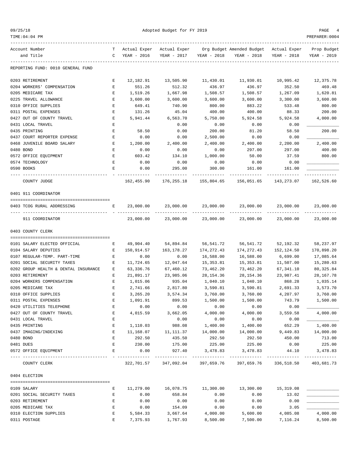| 09/25/18 |  |
|----------|--|
|          |  |

| $TIME:04:04$ PM                                 |                    |              |                                  |             |                                                    |                            | PREPARER: 0004 |
|-------------------------------------------------|--------------------|--------------|----------------------------------|-------------|----------------------------------------------------|----------------------------|----------------|
| Account Number                                  | T.                 | Actual Exper | Actual Exper                     |             | Org Budget Amended Budget Actual Exper Prop Budget |                            |                |
| and Title                                       | C                  | YEAR - 2016  | YEAR - 2017                      | YEAR - 2018 | YEAR - 2018                                        | YEAR - 2018                | YEAR - 2019    |
| REPORTING FUND: 0010 GENERAL FUND               |                    |              |                                  |             |                                                    |                            |                |
| 0203 RETIREMENT                                 | E                  | 12,182.91    | 13,505.90                        | 11,430.01   | 11,930.01                                          | 10,995.42                  | 12,375.78      |
| 0204 WORKERS' COMPENSATION                      | Е                  | 551.26       | 512.32                           | 436.97      | 436.97                                             | 352.50                     | 469.48         |
| 0205 MEDICARE TAX                               | $\mathbf{E}% _{0}$ | 1,519.26     | 1,667.98                         | 1,508.57    | 1,508.57                                           | 1,267.09                   | 1,620.81       |
| 0225 TRAVEL ALLOWANCE                           | Е                  | 3,600.00     | 3,600.00                         | 3,600.00    | 3,600.00                                           | 3,300.00                   | 3,600.00       |
| 0310 OFFICE SUPPLIES                            | E                  | 649.41       | 740.90                           | 800.00      | 883.22                                             | 533.48                     | 800.00         |
| 0311 POSTAL EXPENSES                            | Е                  | 131.26       | 45.04                            | 400.00      | 400.00                                             | 88.33                      | 200.00         |
| 0427 OUT OF COUNTY TRAVEL                       | E                  | 5,941.44     | 6,563.70                         | 5,750.00    | 5,924.58                                           | 5,924.58                   | 4,000.00       |
| 0431 LOCAL TRAVEL                               | Ε                  |              | 0.00                             | 0.00        | 0.00                                               | 0.00                       |                |
| 0435 PRINTING                                   | Е                  | 58.50        | 0.00                             | 200.00      | 81.20                                              | 58.50                      | 200.00         |
| 0437 COURT REPORTER EXPENSE                     | Е                  | 0.00         | 0.00                             | 2,500.00    | 0.00                                               | 0.00                       |                |
| 0468 JUVENILE BOARD SALARY                      | Е                  | 1,200.00     | 2,400.00                         | 2,400.00    | 2,400.00                                           | 2,200.00                   | 2,400.00       |
| 0480 BOND                                       | Е                  | 0.00         | 0.00                             | 0.00        | 297.00                                             | 297.00                     | 400.00         |
| 0572 OFFICE EQUIPMENT                           | $\mathbf{E}$       | 603.42       | 134.10                           | 1,000.00    | 50.00                                              | 37.59                      | 800.00         |
| 0574 TECHNOLOGY                                 | Е                  | 0.00         | 0.00                             | 0.00        | 0.00                                               | 0.00                       |                |
| 0590 BOOKS                                      | Ε                  | 0.00         | 295.00                           | 300.00      | 161.00                                             | 161.00                     |                |
| COUNTY JUDGE                                    |                    | 162,455.90   | 176,255.18                       | 155,804.65  | 156,051.65                                         | 143,273.07                 | 162,526.60     |
| 0401 911 COORDINATOR                            |                    |              |                                  |             |                                                    |                            |                |
| 0403 TCOG RURAL ADDRESSING                      | Е                  | 23,000.00    | 23,000.00<br>-------------       | 23,000.00   | 23,000.00                                          | 23,000.00<br>_____________ | 23,000.00<br>. |
| ---- -----------------------<br>911 COORDINATOR |                    | 23,000.00    | 23,000.00                        | 23,000.00   | 23,000.00                                          | 23,000.00                  | 23,000.00      |
| 0403 COUNTY CLERK                               |                    |              |                                  |             |                                                    |                            |                |
| 0101 SALARY ELECTED OFFICIAL                    | Е                  | 49,904.40    | 54,894.84                        | 56,541.72   | 56,541.72                                          | 52,192.32                  | 58,237.97      |
| 0104 SALARY DEPUTIES                            | E                  | 150,914.57   | 163,178.27                       | 174,272.43  | 174,272.43                                         | 152,124.50                 | 170,898.20     |
| 0107 REGULAR-TEMP. PART-TIME                    | Е                  | 0.00         | 0.00                             | 16,588.00   | 16,588.00                                          | 6,699.00                   | 17,085.64      |
| 0201 SOCIAL SECURITY TAXES                      | Е                  | 11,724.65    | 12,047.64                        | 15,353.81   | 15,353.81                                          | 11,507.00                  | 15,280.63      |
| 0202 GROUP HEALTH & DENTAL INSURANCE            | E                  | 63,336.76    | 67,460.12                        | 73,462.20   | 73,462.20                                          | 67,341.10                  | 80, 325.84     |
| 0203 RETIREMENT                                 | Е                  | 21,891.17    | 23,985.06                        | 28, 154.36  | 28, 154.36                                         | 23,987.41                  | 28, 167. 78    |
| 0204 WORKERS COMPENSATION                       | Е                  | 1,015.06     | 935.04                           | 1,040.10    | 1,040.10                                           | 868.28                     | 1,035.14       |
| 0205 MEDICARE TAX                               | Е                  | 2,741.66     | 2,817.80                         | 3,590.81    | 3,590.81                                           | 2,691.33                   | 3,573.70       |
| 0310 OFFICE SUPPLIES                            |                    | 3,265.20     | 3,574.34                         | 3,760.00    | 3,760.00                                           | 4,207.97                   | 3,760.00       |
| 0311 POSTAL EXPENSES                            | Ε                  | 1,091.91     | 899.53                           | 1,500.00    | 1,500.00                                           | 743.79                     | 1,500.00       |
| 0420 UTILITIES TELEPHONE                        | Ε                  | 0.00         | 0.00                             | 0.00        | 0.00                                               | 0.00                       |                |
| 0427 OUT OF COUNTY TRAVEL                       | Е                  | 4,015.59     | 3,662.05                         | 4,000.00    | 4,000.00                                           | 3,559.58                   | 4,000.00       |
| 0431 LOCAL TRAVEL                               | Ε                  |              | 0.00                             | 0.00        | 0.00                                               | 0.00                       |                |
| 0435 PRINTING                                   | Е                  | 1,110.03     | 988.08                           | 1,400.00    | 1,400.00                                           | 652.29                     | 1,400.00       |
| 0437 IMAGING/INDEXING                           | Ε                  | 11,168.07    | 11,111.37                        | 14,000.00   | 14,000.00                                          | 9,449.83                   | 14,000.00      |
| 0480 BOND                                       | $\mathbf{E}% _{0}$ | 292.50       | 435.50                           | 292.50      | 292.50                                             | 450.00                     | 713.00         |
| 0481 DUES                                       | Е                  | 230.00       | 175.00                           | 225.00      | 225.00                                             | 0.00                       | 225.00         |
| 0572 OFFICE EQUIPMENT                           | E                  | 0.00         | 927.40                           | 3,478.83    | 3,478.83                                           | 44.10                      | 3,478.83       |
| COUNTY CLERK                                    |                    |              | 322,701.57 347,092.04 397,659.76 |             | -------------------------------                    | 397,659.76 336,518.50      | 403,681.73     |
| 0404 ELECTION                                   |                    |              |                                  |             |                                                    |                            |                |
| 0109 SALARY                                     | Е                  | 11,279.00    | 16,078.75                        | 11,300.00   | 13,300.00                                          | 15,319.08                  |                |
| 0201 SOCIAL SECURITY TAXES                      | $\mathbf{E}$       | 0.00         | 658.84                           | 0.00        | 0.00                                               | 13.02                      |                |
| 0203 RETIREMENT                                 | Ε                  | 0.00         | 0.00                             | 0.00        | 0.00                                               | 0.00                       |                |
| 0205 MEDICARE TAX                               | Е                  | 0.00         | 154.09                           | 0.00        | 0.00                                               | 3.05                       |                |
| 0310 ELECTION SUPPLIES                          | Е                  | 5,584.33     | 3,667.64                         | 4,000.00    | 5,600.00                                           | 4,085.08                   | 4,000.00       |
| 0311 POSTAGE                                    | Е                  | 7,375.93     | 1,767.93                         | 8,500.00    | 7,500.00                                           | 7,116.24                   | 8,500.00       |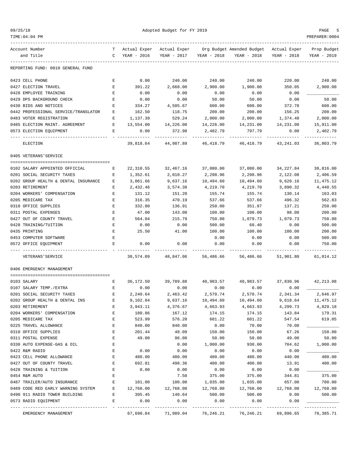| E 1<br>$\sqrt{2}$<br>a<br>$\cdot$ , |  |
|-------------------------------------|--|
|-------------------------------------|--|

| Account Number                       | T.           | Actual Exper |                         |           | Actual Exper Org Budget Amended Budget Actual Exper |             | Prop Budget |
|--------------------------------------|--------------|--------------|-------------------------|-----------|-----------------------------------------------------|-------------|-------------|
| and Title                            | $\mathsf{C}$ | YEAR - 2016  | YEAR - 2017 YEAR - 2018 |           | YEAR - 2018                                         | YEAR - 2018 | YEAR - 2019 |
|                                      |              |              |                         |           |                                                     |             |             |
| REPORTING FUND: 0010 GENERAL FUND    |              |              |                         |           |                                                     |             |             |
| 0423 CELL PHONE                      | Е            | 0.00         | 240.00                  | 240.00    | 240.00                                              | 220.00      | 240.00      |
| 0427 ELECTION TRAVEL                 | Е            | 391.22       | 2,668.00                | 2,900.00  | 1,900.00                                            | 350.05      | 2,900.00    |
| 0428 EMPLOYEE TRAINING               | Е            | 0.00         | 0.00                    | 0.00      | 0.00                                                | 0.00        |             |
| 0429 DPS BACKGROUND CHECK            | E            | 0.00         | 0.00                    | 50.00     | 50.00                                               | 0.00        | 50.00       |
| 0430 BIDS AND NOTICES                | Е            | 334.27       | 4,505.67                | 600.00    | 600.00                                              | 372.78      | 600.00      |
| 0442 PROFESSIONAL SERVICE/TRANSLATOR | Е            | 162.50       | 118.75                  | 200.00    | 200.00                                              | 156.25      | 200.00      |
| 0483 VOTER REGISTRATION              | Е            | 1,137.39     | 529.24                  | 2,000.00  | 2,000.00                                            | 1,374.48    | 2,000.00    |
| 0485 ELECTION MAINT. AGREEMENT       | E            | 13,554.00    | 14,226.00               | 14,226.00 | 14,231.00                                           | 14,231.00   | 15,911.00   |
| 0573 ELECTION EQUIPMENT              | Е            | 0.00         | 372.98                  | 2,402.79  | 797.79                                              | 0.00        | 2,402.79    |
| ELECTION                             |              |              | 39,818.64 44,987.89     | 46,418.79 | 46,418.79 43,241.03                                 |             | 36,803.79   |
| 0405 VETERANS'SERVICE                |              |              |                         |           |                                                     |             |             |
|                                      |              |              |                         |           |                                                     |             |             |
| 0102 SALARY APPOINTED OFFICIAL       | Е            | 22,310.55    | 32,467.16               | 37,080.00 | 37,080.00                                           | 34,227.84   | 38,816.00   |
| 0201 SOCIAL SECURITY TAXES           | Е            | 1,352.61     | 2,010.27                | 2,298.96  | 2,298.96                                            | 2,122.08    | 2,406.59    |
| 0202 GROUP HEALTH & DENTAL INSURANCE | Е            | 3,061.66     | 9,637.16                | 10,494.60 | 10,494.60                                           | 9,620.16    | 11,475.12   |
| 0203 RETIREMENT                      | Е            | 2,432.46     | 3,574.38                | 4,219.70  | 4,219.70                                            | 3,890.32    | 4,440.55    |
| 0204 WORKERS' COMPENSATION           | Е            | 131.12       | 151.20                  | 155.74    | 155.74                                              | 130.14      | 163.03      |
| 0205 MEDICARE TAX                    | E            | 316.35       | 470.19                  | 537.66    | 537.66                                              | 496.32      | 562.83      |
| 0310 OFFICE SUPPLIES                 | Е            | 332.80       | 136.91                  | 250.00    | 351.87                                              | 137.21      | 250.00      |
| 0311 POSTAL EXPENSES                 | Ε            | 47.00        | 143.00                  | 100.00    | 100.00                                              | 98.00       | 200.00      |
| 0427 OUT OF COUNTY TRAVEL            | E            | 564.04       | 215.79                  | 750.00    | 1,079.73                                            | 1,079.73    | 750.00      |
| 0428 TRAINING/TUITION                | Е            | 0.00         | 0.00                    | 500.00    | 68.40                                               | 0.00        | 500.00      |
| 0435 PRINTING                        | Е            | 25.50        | 41.00                   | 100.00    | 100.00                                              | 100.00      | 200.00      |
| 0453 COMPUTER SOFTWARE               | E            |              |                         | 0.00      | 0.00                                                | 0.00        | 500.00      |
| 0572 OFFICE EQUIPMENT                | E.           | 0.00         | 0.00                    | 0.00      | 0.00                                                | 0.00        | 750.00      |
| VETERANS ' SERVICE                   |              | 30,574.09    | 48,847.06               | 56,486.66 | 56,486.66                                           | 51,901.80   | 61,014.12   |
| 0406 EMERGENCY MANAGEMENT            |              |              |                         |           |                                                     |             |             |
|                                      |              |              |                         |           |                                                     |             |             |
| 0103 SALARY                          | Е            | 36,172.50    | 39,789.88               |           | 40,983.57 40,983.57 37,830.96                       |             | 42,213.08   |
| 0107 SALARY TEMP./EXTRA              | Е            | 0.00         | 0.00                    | 0.00      | 0.00                                                | 0.00        |             |
| 0201 SOCIAL SECURITY TAXES           | E            | 2,240.64     | 2,463.42                | 2,570.74  | 2,570.74                                            | 2,341.34    | 2,646.97    |
| 0202 GROUP HEALTH & DENTAL INS       | Е            | 9,102.04     | 9,637.16                | 10,494.60 | 10,494.60                                           | 9,618.64    | 11,475.12   |
| 0203 RETIREMENT                      | E            | 3,943.11     | 4,376.67                | 4,663.93  | 4,663.93                                            | 4,299.73    | 4,829.18    |
| 0204 WORKERS' COMPENSATION           | Ε            | 180.86       | 167.12                  | 174.15    | 174.15                                              | 143.84      | 179.31      |
| 0205 MEDICARE TAX                    | E            | 523.99       | 576.20                  | 601.22    | 601.22                                              | 547.54      | 619.05      |
| 0225 TRAVEL ALLOWANCE                | E            | 840.00       | 840.00                  | 0.00      | 70.00                                               | 70.00       |             |
| 0310 OFFICE SUPPLIES                 | E            | 201.44       | 48.09                   | 150.00    | 150.00                                              | 67.26       | 150.00      |
| 0311 POSTAL EXPENSE                  | Ε            | 49.00        | 96.00                   | 50.00     | 50.00                                               | 49.00       | 50.00       |
| 0330 AUTO EXPENSE-GAS & OIL          | Ε            |              | 0.00                    | 1,000.00  | 930.00                                              | 704.62      | 1,000.00    |
| 0422 R&M RADIO                       | E            | 0.00         | 0.00                    | 0.00      | 0.00                                                | 0.00        |             |
| 0423 CELL PHONE ALLOWANCE            | $\mathbf E$  | 480.00       | 480.00                  | 480.00    | 480.00                                              | 440.00      | 480.00      |
| 0427 OUT OF COUNTY TRAVEL            | E            | 692.81       | 498.36                  | 400.00    | 400.00                                              | 13.91       | 400.00      |
| 0428 TRAINING & TUITION              | E            | 0.00         | 0.00                    | 0.00      | 0.00                                                | 0.00        |             |
| 0454 R&M AUTO                        | Ε            |              | 7.50                    | 375.00    | 375.00                                              | 344.81      | 375.00      |
| 0487 TRAILER/AUTO INSURANCE          | Ε            | 101.00       | 100.00                  | 1,035.00  | 1,035.00                                            | 657.00      | 700.00      |
| 0489 CODE RED EARLY WARNING SYSTEM   | Ε            | 12,768.00    | 12,768.00               | 12,768.00 | 12,768.00                                           | 12,768.00   | 12,768.00   |
| 0490 911 RADIO TOWER BUILDING        | Ε            | 395.45       | 140.64                  | 500.00    | 500.00                                              | 0.00        | 500.00      |
| 0573 RADIO EQUIPMENT                 | Ε            | 0.00         | 0.00                    | 0.00      | 0.00                                                | 0.00        | --------    |
| EMERGENCY MANAGEMENT                 |              | 67,690.84    | 71,989.04               | 76,246.21 | 76,246.21                                           | 69,896.65   | 78,385.71   |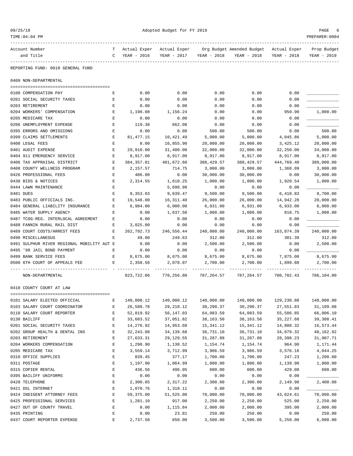| 09/25/1 |  |
|---------|--|
|---------|--|

| Account Number                             | T –          |             |                       |             | Actual Exper Actual Exper Org Budget Amended Budget Actual Exper |             | Prop Budget |
|--------------------------------------------|--------------|-------------|-----------------------|-------------|------------------------------------------------------------------|-------------|-------------|
| and Title                                  | $\mathbf{C}$ | YEAR - 2016 | YEAR - 2017           | YEAR - 2018 | YEAR - 2018                                                      | YEAR - 2018 | YEAR - 2019 |
|                                            |              |             |                       |             |                                                                  |             |             |
| REPORTING FUND: 0010 GENERAL FUND          |              |             |                       |             |                                                                  |             |             |
| 0409 NON-DEPARTMENTAL                      |              |             |                       |             |                                                                  |             |             |
|                                            |              |             |                       |             |                                                                  |             |             |
| 0100 COMPENSATION PAY                      | E.           | 0.00        | 0.00                  | 0.00        | 0.00                                                             | 0.00        |             |
| 0201 SOCIAL SECURITY TAXES                 | Е            | 0.00        | 0.00                  | 0.00        | 0.00                                                             | 0.00        |             |
| 0203 RETIREMENT                            | Е            | 0.00        | 0.00                  | 0.00        | 0.00                                                             | 0.00        |             |
| 0204 WORKERS' COMPENSATION                 | Е            | 1,198.08    | 1,156.24              | 0.00        | 0.00                                                             | 950.90      | 1,000.00    |
| 0205 MEDICARE TAX                          | E            | 0.00        | 0.00                  | 0.00        | 0.00                                                             | 0.00        |             |
| 0206 UNEMPLOYMENT EXPENSE                  | Е            | 119.38      | 662.08                | 0.00        | 0.00                                                             | 0.00        |             |
| 0395 ERRORS AND OMISSIONS                  | Е            | 0.00        | 0.00                  | 500.00      | 500.00                                                           | 0.00        | 500.00      |
| 0399 CLAIMS SETTLEMENTS                    | Е            | 81, 477.15  | 10,421.49             | 5,000.00    | 5,000.00                                                         | 4,045.86    | 5,000.00    |
| 0400 LEGAL FEES                            | Е            | 0.00        | 16,855.90             | 20,000.00   | 20,000.00                                                        | 3,425.12    | 20,000.00   |
| 0401 AUDIT EXPENSE                         | Е            | 29,910.00   | 31,400.00             | 32,000.00   | 32,000.00                                                        | 32,250.00   | 34,000.00   |
| 0404 911 EMERGENCY SERVICE                 | Е            | 8,917.00    | 8,917.00              | 8,917.00    | 8,917.00                                                         | 8,917.00    | 8,917.00    |
| 0406 TAX APPRAISAL DISTRICT                | Е            | 384,357.01  | 401,672.60            | 388, 429.57 | 388,429.57                                                       | 444,769.40  | 389,000.00  |
| 0408 COUNTY WELLNESS PROGRAM               | Е            | 2,157.57    | 714.75                | 3,000.00    | 3,000.00                                                         | 1,368.09    | 3,000.00    |
| 0426 PROFESSIONAL FEES                     | E            | 486.00      | 0.00                  | 30,000.00   | 30,000.00                                                        | 0.00        | 30,000.00   |
| 0430 BIDS & NOTICES                        | Е            | 2,314.55    | 1,610.25              | 1,800.00    | 1,800.00                                                         | 1,920.54    | 1,800.00    |
| 0444 LAWN MAINTENANCE                      | Е            |             | 5,698.98              | 0.00        | 0.00                                                             | 0.00        |             |
| 0481 DUES                                  | Е            | 9,353.03    | 9,639.47              | 9,500.00    | 9,500.00                                                         | 6,410.83    | 9,700.00    |
| 0483 PUBLIC OFFICIALS INS.                 | Е            | 19,548.00   | 16,311.40             | 26,000.00   | 26,000.00                                                        | 14,942.28   | 20,000.00   |
| 0484 GENERAL LIABILITY INSURANCE           | Е            | 6,984.00    | 6,000.00              | 6,931.00    | 6,931.00                                                         | 6,933.00    | 8,000.00    |
| 0485 WATER SUPPLY AGENCY                   | Е            | 0.00        | 1,637.50              | 1,000.00    | 1,000.00                                                         | 818.75      | 1,000.00    |
| 0487 TCOG-REG. INTERLOCAL AGREEMENT        | Е            | 0.00        | 0.00                  | 0.00        | 0.00                                                             | 0.00        |             |
| 0488 FANNIN RURAL RAIL DIST                | Е            | 3,025.00    | 0.00                  | 0.00        | 0.00                                                             | 0.00        |             |
| 0489 COURT COSTS/ARREST FEES               | E            | 262,792.73  | 246,556.44            | 240,000.00  | 240,000.00                                                       | 163,874.39  | 240,000.00  |
| 0490 MISCELLANEOUS                         | Е            | 49.00       | 249.63                | 312.00      | 312.00                                                           | 301.39      | 312.00      |
| 0491 SULPHUR RIVER REGIONAL MOBILITY AUT E |              | 0.00        | 0.00                  | 2,500.00    | 2,500.00                                                         | 0.00        | 2,500.00    |
| 0495 '98 JAIL BOND PAYMENT                 | Е            | 0.00        | 0.00                  | 0.00        | 0.00                                                             | 0.00        |             |
| 0499 BANK SERVICE FEES                     | Е            | 8,675.00    | 8,675.00              | 8,675.00    | 8,675.00                                                         | 7,875.00    | 8,675.00    |
| 0500 6TH COURT OF APPEALS FEE              | Е            | 2,358.56    | 2,078.07              | 2,700.00    | 2,700.00                                                         | 1,899.88    | 2,700.00    |
| NON-DEPARTMENTAL                           |              | 823,722.06  | 770,256.80 787,264.57 |             | 787,264.57                                                       | 700,702.43  | 786,104.00  |
| 0410 COUNTY COURT AT LAW                   |              |             |                       |             |                                                                  |             |             |
|                                            |              |             |                       |             |                                                                  |             |             |
| 0101 SALARY ELECTED OFFICIAL               | Е            | 140,000.12  | 140,000.12            | 140,000.00  | 140,000.00                                                       | 129,230.88  | 140,000.00  |
| 0103 SALARY COURT COORDINATOR              | E            | 26,588.78   | 29,210.12             | 30,290.37   | 30,290.37                                                        | 27,551.83   | 31,199.08   |
| 0110 SALARY COURT REPORTER                 | E            | 52,019.92   | 56,147.03             | 64,083.59   | 64,083.59                                                        | 55,586.85   | 66,006.10   |
| 0130 BAILIFF                               | E            | 33,683.52   | 37,051.82             | 38,163.50   | 38,163.50                                                        | 35, 227.68  | 39,308.41   |
| 0201 SOCIAL SECURITY TAXES                 | E            | 14,276.92   | 14,953.60             | 15, 341. 12 | 15, 341. 12                                                      | 14,888.32   | 16,573.44   |
| 0202 GROUP HEALTH & DENTAL INS             | E            | 32, 243.88  | 34,139.68             | 36,731.10   | 36,731.10                                                        | 34,079.32   | 40,162.92   |
| 0203 RETIREMENT                            | Ε            | 27,633.31   | 29,129.55             | 31,287.88   | 31,287.88                                                        | 28,398.23   | 31,907.71   |
| 0204 WORKERS COMPENSATION                  | E            | 1,290.90    | 1,138.52              | 1,154.74    | 1,154.74                                                         | 964.90      | 1,171.44    |
| 0205 MEDICARE TAX                          | E            | 3,559.14    | 3,712.99              | 3,986.59    | 3,986.59                                                         | 3,576.16    | 4,044.25    |
| 0310 OFFICE SUPPLIES                       | $\mathbf E$  | 839.45      | 377.17                | 1,700.00    | 1,700.00                                                         | 247.23      | 1,200.00    |
| 0311 POSTAGE                               | E            | 1,197.90    | 1,064.99              | 1,800.00    | 1,800.00                                                         | 1,139.90    | 1,800.00    |
| 0315 COPIER RENTAL                         | E            | 436.56      | 496.95                | 600.00      | 600.00                                                           | 429.08      | 600.00      |
| 0395 BAILIFF UNIFORMS                      | E            | 0.00        | 0.00                  | 0.00        | 0.00                                                             | 0.00        |             |
| 0420 TELEPHONE                             | E            | 2,300.05    | 2,317.22              | 2,300.00    | 2,300.00                                                         | 2,149.98    | 2,400.00    |
| 0421 DSL INTERNET                          | E            | 1,070.76    | 1,318.11              | 0.00        | 0.00                                                             | 0.00        |             |
| 0424 INDIGENT ATTORNEY FEES                | E            | 59,375.00   | 51,525.00             | 70,000.00   | 70,000.00                                                        | 43,624.61   | 70,000.00   |
| 0425 PROFESSIONAL SERVICES                 | E            | 1,281.10    | 917.00                | 2,250.00    | 2,250.00                                                         | 525.00      | 2,250.00    |
| 0427 OUT OF COUNTY TRAVEL                  | E            | 0.00        | 1,115.84              | 2,000.00    | 2,000.00                                                         | 395.00      | 2,000.00    |
| 0435 PRINTING                              | E            | 0.00        | 23.81                 | 250.00      | 250.00                                                           | 0.00        | 250.00      |

0437 COURT REPORTER EXPENSE  $\begin{array}{ccccccc}\n 2,737.50 & 650.00 & 3,500.00 & 3,500.00 & 5,500.00 & 5,250.00 & 6,000.00\n\end{array}$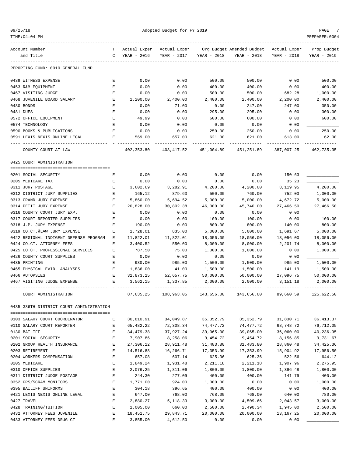| 09/25/18 |
|----------|
|----------|

| TIME:04:04 PM                                |        |                       |                      |             |                           |              | PREPARER: 0004          |
|----------------------------------------------|--------|-----------------------|----------------------|-------------|---------------------------|--------------|-------------------------|
| Account Number                               | т      | Actual Exper          | Actual Exper         |             | Org Budget Amended Budget | Actual Exper | Prop Budget             |
| and Title                                    | C      | YEAR - 2016           | YEAR - 2017          | YEAR - 2018 | YEAR - 2018               | YEAR - 2018  | YEAR - 2019             |
| REPORTING FUND: 0010 GENERAL FUND            |        |                       |                      |             |                           |              |                         |
| 0439 WITNESS EXPENSE                         | Е      | 0.00                  | 0.00                 | 500.00      | 500.00                    | 0.00         | 500.00                  |
| 0453 R&M EQUIPMENT                           | Е      | 0.00                  | 0.00                 | 400.00      | 400.00                    | 0.00         | 400.00                  |
| 0467 VISITING JUDGE                          | Ε      | 0.00                  | 0.00                 | 500.00      | 500.00                    | 682.28       | 1,000.00                |
| 0468 JUVENILE BOARD SALARY                   | Е      | 1,200.00              | 2,400.00             | 2,400.00    | 2,400.00                  | 2,200.00     | 2,400.00                |
| 0480 BONDS                                   | Ε      | 0.00                  | 71.00                | 0.00        | 247.00                    | 247.00       | 350.00                  |
| 0481 DUES                                    | Ε      | 0.00                  | 0.00                 | 295.00      | 295.00                    | 0.00         | 300.00                  |
| 0572 OFFICE EQUIPMENT                        | Ε      | 49.99                 | 0.00                 | 600.00      | 600.00                    | 0.00         | 600.00                  |
| 0574 TECHNOLOGY                              | E      | 0.00                  | 0.00                 | 0.00        | 0.00                      | 0.00         |                         |
| 0590 BOOKS & PUBLICATIONS                    | Ε      | 0.00                  | 0.00                 | 250.00      | 250.00                    | 0.00         | 250.00                  |
| 0591 LEXIS NEXIS ONLINE LEGAL                | Е      | 569.00                | 657.00               | 621.00      | 621.00                    | 613.00       | 62.00                   |
| COUNTY COURT AT LAW                          |        | 402,353.80            | 408,417.52           | 451,004.89  | 451,251.89                | 387,007.25   | 462,735.35              |
| 0425 COURT ADMINISTRATION                    |        |                       |                      |             |                           |              |                         |
|                                              |        |                       |                      |             |                           |              |                         |
| 0201 SOCIAL SECURITY                         | Е      | 0.00                  | 0.00                 | 0.00        | 0.00                      | 150.63       |                         |
| 0205 MEDICARE TAX                            | Е      | 0.00                  | 0.00                 | 0.00        | 0.00                      | 35.23        |                         |
| 0311 JURY POSTAGE                            | Е      | 3,602.69              | 3,282.91             | 4,200.00    | 4,200.00                  | 3,119.95     | 4,200.00                |
| 0312 DISTRICT JURY SUPPLIES                  | E      | 165.12                | 879.63               | 500.00      | 760.00                    | 752.03       | 1,000.00                |
| 0313 GRAND JURY EXPENSE                      | Ε      | 5,860.00              | 5,694.52             | 5,000.00    | 5,000.00                  | 4,672.72     | 5,000.00                |
| 0314 PETIT JURY EXPENSE                      | Е      | 20,828.00             | 30,802.38            | 46,000.00   | 45,740.00                 | 27,466.50    | 27,466.50               |
| 0316 COUNTY COURT JURY EXP.                  | Ε      | 0.00                  | 0.00                 | 0.00        | 0.00                      | 0.00         |                         |
| 0317 COURT REPORTER SUPPLIES                 | Ε      | 0.00                  | 0.00                 | 100.00      | 100.00                    | 0.00         | 100.00                  |
| 0318 J.P. JURY EXPENSE                       | Ε      | 190.00                | 0.00                 | 800.00      | 800.00                    | 140.00       | 800.00                  |
| 0319 CO.CT.@LAW JURY EXPENSE                 | Е      | 1,728.01              | 835.00               | 5,000.00    | 5,000.00                  | 1,691.67     | 5,000.00                |
| 0422 REGIONAL INDIGENT DEFENSE PROGRAM       | Е      | 11,822.01             | 11,822.01            | 18,056.00   | 18,056.00                 | 18,056.00    | 18,056.00               |
| 0424 CO.CT. ATTORNEY FEES                    | Е      | 3,400.52              | 550.00               | 8,000.00    | 8,000.00                  | 2,201.74     | 8,000.00                |
| 0425 CO.CT. PROFESSIONAL SERVICES            | Ε      | 787.50                | 75.00                | 1,000.00    | 1,000.00                  | 0.00         | 1,000.00                |
| 0426 COUNTY COURT SUPPLIES                   | Е      | 0.00                  | 0.00                 | 0.00        | 0.00                      | 0.00         |                         |
| 0435 PRINTING                                | Ε      | 980.00                | 985.00               | 1,500.00    | 1,500.00                  | 985.00       | 1,500.00                |
| 0465 PHYSICAL EVID. ANALYSES                 | Ε      | 1,836.00              | 41.00                | 1,500.00    | 1,500.00                  | 141.19       | 1,500.00                |
| 0466 AUTOPSIES                               | Е      | 32,873.25             | 52,657.75            | 50,000.00   | 50,000.00                 | 27,096.75    | 50,000.00               |
| 0467 VISITING JUDGE EXPENSE                  | Ε      | 3,562.15              | 1,337.85             | 2,000.00    | 2,000.00                  | 3,151.18     | 2,000.00                |
| COURT ADMINISTRATION                         |        | 87,635.25             | 108,963.05           | 143,656.00  | 143,656.00                | 89,660.59    | 125,622.50              |
| 0435 336TH DISTRICT COURT ADMINISTRATION     |        |                       |                      |             |                           |              |                         |
| 0103 SALARY COURT COORDINATOR                | Е      | 30,810.91             | 34,049.87            | 35, 352.79  | 35, 352.79                | 31,830.71    | 36, 413.37              |
| 0110 SALARY COURT REPORTER                   | Е      | 65,482.22             | 72,308.34            | 74,477.72   | 74,477.72                 | 68,748.72    |                         |
| 0130 BAILIFF                                 | E      |                       | 37,927.24            | 39,065.00   | 39,065.00                 | 36,060.00    | 76,712.05<br>40,236.95  |
| 0201 SOCIAL SECURITY                         | E      | 34,479.38<br>7,907.86 | 8,258.06             | 9,454.72    | 9,454.72                  | 8,156.85     | 9,731.67                |
| 0202 GROUP HEALTH INSURANCE                  | E      | 27,306.12             | 28,911.48            | 31,483.80   | 31,483.80                 | 28,860.48    |                         |
| 0203 RETIREMENT                              | E      |                       | 16,266.71            | 17,353.99   | 17,353.99                 | 15,904.92    | 34, 425.36<br>17,956.50 |
| 0204 WORKERS COMPENSATION                    | Ε      | 14,516.88             | 607.14               | 625.36      | 625.36                    |              |                         |
| 0205 MEDICARE                                |        | 657.08                |                      |             |                           | 522.56       | 644.12                  |
| 0310 OFFICE SUPPLIES                         | E<br>E | 1,849.24              | 1,931.48<br>1,811.06 | 2,211.18    | 2,211.18                  | 1,907.96     | 2,275.95                |
|                                              | E      | 2,076.25              |                      | 1,800.00    | 1,800.00                  | 1,396.48     | 1,800.00                |
| 0311 DISTRICT JUDGE POSTAGE                  |        | 244.30                | 277.09               | 400.00      | 400.00                    | 141.79       | 400.00                  |
| 0352 GPS/SCRAM MONITORS                      | Ε      | 1,771.00              | 924.00               | 1,000.00    | 0.00                      | 0.00         | 1,000.00                |
| 0395 BAILIFF UNIFORMS                        | Ε      | 304.18                | 396.65               | 400.00      | 400.00                    | 0.00         | 400.00                  |
| 0421 LEXIS NEXIS ONLINE LEGAL<br>0427 TRAVEL | E<br>E | 647.00                | 768.00               | 768.00      | 768.00                    | 640.00       | 780.00                  |
|                                              | E      | 2,880.27              | 5,118.39             | 3,000.00    | 4,509.66                  | 2,043.57     | 3,000.00                |
| 0428 TRAINING/TUITION                        |        | 1,005.00              | 660.00               | 2,500.00    | 2,490.34                  | 1,945.00     | 2,500.00                |
| 0432 ATTORNEY FEES JUVENILE                  | E      | 18, 451.75            | 29,843.71            | 20,000.00   | 20,000.00                 | 13,167.25    | 20,000.00               |
| 0433 ATTORNEY FEES DRUG CT                   | E      | 3,855.00              | 4,612.50             | 0.00        | 0.00                      | 0.00         |                         |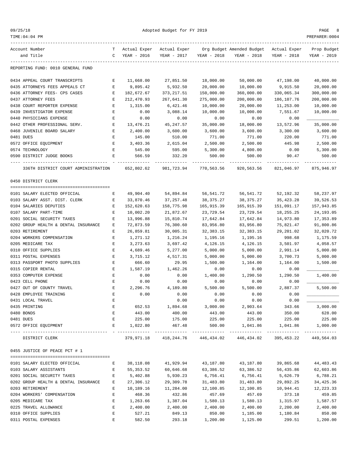| п.<br>$\Omega$ |
|----------------|
|----------------|

| TIME: 04: 04 PM                                               |              |                        |                 |             |                                                                   |             | PREPARER: 0004 |
|---------------------------------------------------------------|--------------|------------------------|-----------------|-------------|-------------------------------------------------------------------|-------------|----------------|
| Account Number                                                | т            | Actual Exper           | Actual Exper    |             | Org Budget Amended Budget Actual Exper                            |             | Prop Budget    |
| and Title                                                     | C            | YEAR - 2016            | YEAR - 2017     | YEAR - 2018 | YEAR - 2018                                                       | YEAR - 2018 | YEAR - 2019    |
| REPORTING FUND: 0010 GENERAL FUND                             |              |                        |                 |             |                                                                   |             |                |
| 0434 APPEAL COURT TRANSCRIPTS                                 | Е            | 11,668.00              | 27,851.50       | 18,000.00   | 50,000.00                                                         | 47,198.00   | 40,000.00      |
| 0435 ATTORNEYS FEES APPEALS CT                                | Е            | 9,895.42               | 5,932.50        | 20,000.00   | 10,000.00                                                         | 9,915.50    | 20,000.00      |
| 0436 ATTORNEY FEES- CPS CASES                                 | Е            | 182,672.67             | 373, 217.51     | 150,000.00  | 360,000.00                                                        | 330,065.34  | 300,000.00     |
| 0437 ATTORNEY FEES                                            | Е            | 212,470.93             | 267,641.30      | 275,000.00  | 200,000.00                                                        | 186, 107.76 | 200,000.00     |
| 0438 COURT REPORTER EXPENSE                                   | Е            | 1,315.00               | 6,421.46        | 10,000.00   | 20,000.00                                                         | 11,253.00   | 10,000.00      |
| 0439 INVESTIGATOR EXPENSE                                     | Е            | 0.00                   | 3,088.14        | 10,000.00   | 10,000.00                                                         | 7,551.67    | 10,000.00      |
| 0440 PHYSICIANS EXPENSE                                       | Е            | 0.00                   | 0.00            | 0.00        | 0.00                                                              | 0.00        |                |
| 0442 OTHER PROFESSIONAL SERV.                                 | Е            | 13,476.21              | 45,247.57       | 35,000.00   | 18,000.00                                                         | 13,572.96   | 35,000.00      |
| 0468 JUVENILE BOARD SALARY                                    | Е            | 2,400.00               | 3,600.00        | 3,600.00    | 3,600.00                                                          | 3,300.00    | 3,600.00       |
| 0481 DUES                                                     | Е            | 145.00                 | 510.00          | 771.00      | 771.00                                                            | 220.00      | 771.00         |
| 0572 OFFICE EQUIPMENT                                         | E            | 3,403.36               | 2,615.04        | 2,500.00    | 2,500.00                                                          | 445.98      | 2,500.00       |
| 0574 TECHNOLOGY                                               | Е            | 545.00                 | 595.00          | 5,300.00    | 4,800.00                                                          | 0.00        | 5,300.00       |
| 0590 DISTRICT JUDGE BOOKS                                     | Е            | 566.59                 | 332.20          | 500.00      | 500.00                                                            | 90.47       | 500.00         |
| 336TH DISTRICT COURT ADMINISTRATION                           |              | 652,802.62             | 981,723.94      | 770,563.56  | 920,563.56                                                        | 821,046.97  | 875,946.97     |
| 0450 DISTRICT CLERK                                           |              |                        |                 |             |                                                                   |             |                |
| 0101 SALARY ELECTED OFFICIAL                                  | Е            | 49,904.40              | 54,894.84       | 56,541.72   | 56,541.72                                                         | 52,192.32   | 58,237.97      |
| 0103 SALARY ASST. DIST. CLERK                                 | Е            | 33,870.46              | 37, 257.48      | 38,375.27   | 38,375.27                                                         | 35, 423. 28 | 39,526.53      |
| 0104 SALARIES DEPUTIES                                        | Е            | 152,620.63             | 158,775.98      | 165,915.39  | 165,915.39                                                        | 151,091.17  | 157,943.85     |
| 0107 SALARY PART-TIME                                         | Е            | 10,002.20              | 21,872.67       | 23,729.54   | 23,729.54                                                         | 18,255.25   | 24,193.05      |
| 0201 SOCIAL SECURITY TAXES                                    | Е            | 13,996.88              | 15,810.74       | 17,642.84   | 17,642.84                                                         | 14,973.80   | 17,353.89      |
| 0202 GROUP HEALTH & DENTAL INSURANCE                          | Е            | 72,873.59              | 76,300.60       | 83,956.80   | 83,956.80                                                         | 75,821.47   | 91,800.86      |
| 0203 RETIREMENT                                               | Е            | 26,859.81              | 30,005.31       | 32, 383. 15 | 32, 383.15                                                        | 29,201.02   | 32,020.72      |
| 0204 WORKERS COMPENSATION                                     | Е            | 1,271.12               | 1,216.24        | 1,195.16    | 1,195.16                                                          | 998.68      | 1,175.59       |
| 0205 MEDICARE TAX                                             | Е            | 3,273.63               | 3,697.42        | 4,126.15    | 4,126.15                                                          | 3,501.97    | 4,058.57       |
| 0310 OFFICE SUPPLIES                                          | Е            | 4,689.46               | 5,277.00        | 5,000.00    | 5,000.00                                                          | 2,991.14    | 5,000.00       |
| 0311 POSTAL EXPENSES                                          | $\mathbf E$  | 3,715.12               | 4,517.31        | 5,000.00    | 5,000.00                                                          | 3,700.73    | 5,000.00       |
| 0313 PASSPORT PHOTO SUPPLIES                                  | $\mathbf E$  | 666.60                 | 29.95           | 1,500.00    | 1,164.00                                                          | 1,164.00    | 1,500.00       |
| 0315 COPIER RENTAL                                            | Е            | 1,587.19               | 1,462.26        | 0.00        | 0.00                                                              | 0.00        |                |
| 0353 COMPUTER EXPENSE                                         | Е            | 0.00                   | 0.00            | 1,400.00    | 1,290.50                                                          | 1,290.50    | 1,400.00       |
| 0423 CELL PHONE                                               | Е            | 0.00                   | 0.00            | 0.00        | 0.00                                                              | 0.00        |                |
| 0427 OUT OF COUNTY TRAVEL                                     | Е            | 2,296.76               | 4,189.80        | 5,500.00    | 5,500.00                                                          | 2,887.37    | 5,500.00       |
| 0428 EMPLOYEE TRAINING                                        |              | 0.00                   | 0.00            | 0.00        | 0.00                                                              | 0.00        |                |
| 0431 LOCAL TRAVEL                                             | E            |                        | 0.00            | 0.00        | 0.00                                                              | 0.00        |                |
| 0435 PRINTING                                                 | E            |                        | 652.53 1,894.68 |             | 3,000.00 2,903.64                                                 | 343.66      | 3,000.00       |
| 0480 BONDS                                                    | E            | 443.00                 | 400.00          | 443.00      | 443.00                                                            | 350.00      | 628.00         |
| 0481 DUES                                                     | E            | 225.00                 | 175.00          | 225.00      | 225.00                                                            | 225.00      | 225.00         |
| 0572 OFFICE EQUIPMENT                                         |              | E 1,022.80             | 467.48          | 500.00      | 1,041.86 1,041.86                                                 |             | 1,000.00       |
| DISTRICT CLERK                                                |              |                        |                 |             | 379,971.18 418,244.76 446,434.02 446,434.02 395,453.22 449,564.03 |             |                |
| 0455 JUSTICE OF PEACE PCT # 1                                 |              |                        |                 |             |                                                                   |             |                |
| 0101 SALARY ELECTED OFFICIAL<br>$\mathbf{E}$ and $\mathbf{E}$ |              | 38,118.08              | 41,929.94       | 43,187.80   | 43,187.80                                                         | 39,865.68   | 44,483.43      |
| 0103 SALARY ASSISTANTS                                        | $\mathbf{E}$ | 55, 353.52             | 60,646.68       | 63,386.52   | 63,386.52                                                         | 56,435.86   | 62,603.86      |
| 0201 SOCIAL SECURITY TAXES                                    | E            | 5,402.88               | 5,930.23        | 6,756.41    | 6,756.41                                                          | 5,626.79    | 6,788.21       |
| 0202 GROUP HEALTH & DENTAL INSURANCE E                        |              | 27,306.12              | 29,309.78       | 31,483.80   | 31,483.80                                                         | 29,892.25   | 34,425.36      |
| 0203 RETIREMENT                                               | Е            | 10,189.16              | 11,284.00       | 12,100.85   | 12,100.85                                                         | 10,944.41   | 12,223.33      |
| 0204 WORKERS' COMPENSATION                                    | $\mathbf{E}$ | 468.36                 | 432.86          | 457.69      | 457.69                                                            | 373.18      | 459.85         |
| 0205 MEDICARE TAX                                             | $\mathbf{E}$ | 1,263.66               | 1,387.04        | 1,580.13    | 1,580.13                                                          | 1,315.97    | 1,587.57       |
| 0225 TRAVEL ALLOWANCE                                         | $\mathbf{E}$ | 2,400.00               | 2,400.00        | 2,400.00    | 2,400.00                                                          | 2,200.00    | 2,400.00       |
| 0310 OFFICE SUPPLIES                                          | $\mathbf{E}$ | 527.21                 | 849.13          | 850.00      | 1,185.00                                                          | 1,180.84    | 850.00         |
| 0311 POSTAL EXPENSES                                          |              | $\mathbf{E}$<br>582.50 |                 |             | 293.18 1,200.00 1,125.00                                          | 299.51      | 1,200.00       |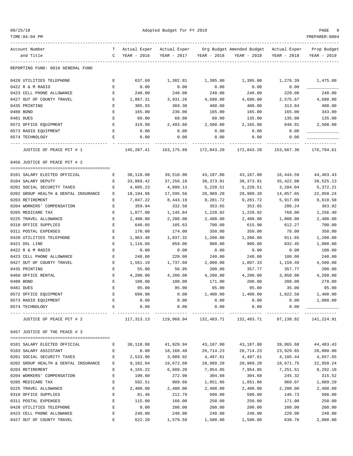| 09/25/18 |
|----------|
|----------|

| TIME: 04: 04 PM                      |             |                 |                         |             |                                        |             | PREPARER: 0004 |
|--------------------------------------|-------------|-----------------|-------------------------|-------------|----------------------------------------|-------------|----------------|
| Account Number                       | T           | Actual Exper    | Actual Exper            |             | Org Budget Amended Budget Actual Exper |             | Prop Budget    |
| and Title                            | C           | YEAR - 2016     | YEAR - 2017             | YEAR - 2018 | YEAR - 2018                            | YEAR - 2018 | YEAR - 2019    |
| REPORTING FUND: 0010 GENERAL FUND    |             |                 |                         |             |                                        |             |                |
| 0420 UTILITIES TELEPHONE             | Е           | 637.69          | 1,382.81                | 1,395.00    | 1,395.00                               | 1,276.39    | 1,475.00       |
| 0422 R & M RADIO                     | Е           | 0.00            | 0.00                    | 0.00        | 0.00                                   | 0.00        |                |
| 0423 CELL PHONE ALLOWANCE            | E           | 240.00          | 240.00                  | 240.00      | 240.00                                 | 220.00      | 240.00         |
| 0427 OUT OF COUNTY TRAVEL            | E           | 1,867.31        | 3,931.26                | 4,680.00    | 4,680.00                               | 2,575.67    | 4,680.00       |
| 0435 PRINTING                        | Е           | 305.93          | 369.38                  | 400.00      | 400.00                                 | 313.84      | 400.00         |
| 0480 BOND                            | Ε           | 165.00          | 236.00                  | 165.00      | 165.00                                 | 165.00      | 343.00         |
| 0481 DUES                            | E           | 60.00           | 60.00                   | 60.00       | 135.00                                 | 135.00      | 135.00         |
| 0572 OFFICE EQUIPMENT                | E           | 319.99          | 2,493.60                | 2,500.00    | 2,165.00                               | 846.91      | 2,500.00       |
| 0573 RADIO EQUIPMENT                 | Е           | 0.00            | 0.00                    | 0.00        | 0.00                                   | 0.00        |                |
| 0574 TECHNOLOGY                      | Е           | 0.00<br>------- | 0.00<br>----------      | 0.00        | 0.00                                   | 0.00        | ---------      |
| JUSTICE OF PEACE PCT # 1             |             | 145,207.41      | 163,175.89              | 172,843.20  | 172,843.20                             | 153,667.30  | 176,794.61     |
| 0456 JUSTICE OF PEACE PCT # 2        |             |                 |                         |             |                                        |             |                |
|                                      |             |                 |                         |             |                                        |             |                |
| 0101 SALARY ELECTED OFFICIAL         | Е           | 38,118.08       | 39,510.90               | 43,187.80   | 43,187.80                              | 16,444.59   | 44,483.43      |
| 0104 SALARY DEPUTY                   | Е           | 33,869.42       | 37,256.18               | 38, 373.91  | 38, 373.91                             | 35,422.08   | 39,525.13      |
| 0201 SOCIAL SECURITY TAXES           | Е           | 4,605.23        | 4,899.13                | 5,220.51    | 5,220.51                               | 3,284.04    | 5,372.21       |
| 0202 GROUP HEALTH & DENTAL INSURANCE | Е           | 18,194.96       | 17,595.56               | 20,989.20   | 20,989.20                              | 14,857.65   | 22,950.24      |
| 0203 RETIREMENT                      | Е           | 7,847.22        | 8,443.19                | 9,281.72    | 9,281.72                               | 5,917.09    | 9,610.58       |
| 0204 WORKERS' COMPENSATION           | Е           | 359.94          | 332.58                  | 353.65      | 353.65                                 | 286.24      | 363.92         |
| 0205 MEDICARE TAX                    | Е           | 1,077.00        | 1,145.84                | 1,220.92    | 1,220.92                               | 768.00      | 1,256.40       |
| 0225 TRAVEL ALLOWANCE                | Е           | 2,400.00        | 2,200.00                | 2,400.00    | 2,400.00                               | 1,000.00    | 2,400.00       |
| 0310 OFFICE SUPPLIES                 | E           | 640.05          | 105.63                  | 700.00      | 615.90                                 | 612.27      | 700.00         |
| 0311 POSTAL EXPENSES                 | E           | 170.00          | 174.00                  | 350.00      | 350.00                                 | 78.00       | 350.00         |
| 0420 UTILITIES TELEPHONE             | E           | 1,963.40        | 1,037.32                | 1,200.00    | 1,200.00                               | 911.65      | 1,200.00       |
| 0421 DSL LINE                        | E           | 1,116.66        | 859.06                  | 900.00      | 900.00                                 | 832.45      | 1,000.00       |
| 0422 R & M RADIO                     | Е           | 0.00            | 0.00                    | 0.00        | 0.00                                   | 0.00        | 100.00         |
| 0423 CELL PHONE ALLOWANCE            | E           | 240.00          | 220.00                  | 240.00      | 240.00                                 | 100.00      | 240.00         |
| 0427 OUT OF COUNTY TRAVEL            | Е           | 1,561.19        | 1,737.60                | 2,000.00    | 1,897.33                               | 1,159.49    | 4,500.00       |
| 0435 PRINTING                        | Е           | 55.00           | 56.95                   | 200.00      | 357.77                                 | 357.77      | 200.00         |
| 0460 OFFICE RENTAL                   | Е           | 4,200.00        | 4,200.00                | 4,200.00    | 4,200.00                               | 3,850.00    | 4,200.00       |
| 0480 BOND                            | Ε           | 100.00          | 100.00                  | 171.00      | 200.00                                 | 200.00      | 278.00         |
| 0481 DUES                            | E           | 95.00           | 95.00                   | 95.00       | 95.00                                  | 35.00       | 95.00          |
| 0572 OFFICE EQUIPMENT                |             | 699.98          | 0.00                    | 1,400.00    | 1,400.00                               | 1,022.50    | 1,400.00       |
| 0573 RADIO EQUIPMENT                 | Е           | 0.00            | 0.00                    | 0.00        | 0.00                                   | 0.00        | 1,000.00       |
| 0574 TECHNOLOGY<br>--------------    | Ε           | 0.00            | 0.00                    | 0.00        | 0.00                                   | 0.00        |                |
| JUSTICE OF PEACE PCT # 2             |             |                 | 117, 313.13 119, 968.94 | 132,483.71  | 132,483.71                             | 87,138.82   | 141,224.91     |
| 0457 JUSTICE OF THE PEACE # 3        |             |                 |                         |             |                                        |             |                |
| 0101 SALARY ELECTED OFFICIAL         | Е           | 38,118.08       | 41,929.94               | 43,187.80   | 43,187.80                              | 39,865.68   | 44, 483. 43    |
| 0103 SALARY ASSISTANT                | Е           | 0.00            | 18,168.48               | 26,714.23   | 26,714.23                              | 23,929.65   | 28,000.00      |
| 0201 SOCIAL SECURITY TAXES           | Е           | 2,533.90        | 3,889.92                | 4,497.61    | 4,497.61                               | 4,105.44    | 4,657.65       |
| 0202 GROUP HEALTH & DENTAL INSURANCE | Е           | 9,102.04        | 19,672.60               | 20,989.20   | 20,989.20                              | 18,671.75   | 22,950.24      |
| 0203 RETIREMENT                      | Е           | 4,155.22        | 6,609.20                | 7,954.85    | 7,954.85                               | 7,251.51    | 8,292.10       |
| 0204 WORKERS' COMPENSATION           | Е           | 190.60          | 272.98                  | 304.68      | 304.68                                 | 245.32      | 315.52         |
| 0205 MEDICARE TAX                    | Е           | 592.51          | 909.66                  | 1,051.86    | 1,051.86                               | 960.07      | 1,089.29       |
| 0225 TRAVEL ALLOWANCE                | Е           | 2,400.00        | 2,400.00                | 2,400.00    | 2,400.00                               | 2,200.00    | 2,400.00       |
| 0310 OFFICE SUPPLIES                 | E           | 81.46           | 212.79                  | 500.00      | 500.00                                 | 146.73      | 500.00         |
| 0311 POSTAL EXPENSES                 | $\mathbf E$ | 115.00          | 166.00                  | 250.00      | 250.00                                 | 171.00      | 250.00         |
| 0420 UTILITIES TELEPHONE             | Ε           | 0.00            | 200.00                  | 200.00      | 200.00                                 | 200.00      | 200.00         |
| 0423 CELL PHONE ALLOWANCE            | E           | 240.00          | 240.00                  | 240.00      | 240.00                                 | 220.00      | 240.00         |
| 0427 OUT OF COUNTY TRAVEL            | Ε           | 622.20          | 1,579.59                | 1,500.00    | 1,500.00                               | 630.76      | 2,000.00       |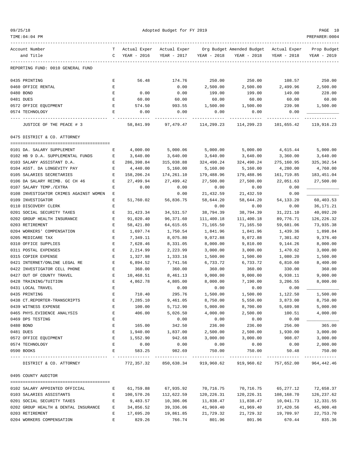| 09/25/18 |  |  |  |
|----------|--|--|--|
|----------|--|--|--|

| TIME: 04: 04 PM                                               |                    |                      |                                  |                          |                                        |                      | PREPARER: 0004       |
|---------------------------------------------------------------|--------------------|----------------------|----------------------------------|--------------------------|----------------------------------------|----------------------|----------------------|
| Account Number                                                | T.                 | Actual Exper         | Actual Exper                     |                          | Org Budget Amended Budget Actual Exper |                      | Prop Budget          |
| and Title                                                     | C                  | YEAR - 2016          | YEAR - 2017                      | YEAR - 2018              | YEAR - 2018                            | YEAR - 2018          | YEAR - 2019          |
| REPORTING FUND: 0010 GENERAL FUND                             |                    |                      |                                  |                          |                                        |                      |                      |
| 0435 PRINTING                                                 | Е                  | 56.48                | 174.76                           | 250.00                   | 250.00                                 | 108.57               | 250.00               |
| 0460 OFFICE RENTAL                                            | Е                  |                      | 0.00                             | 2,500.00                 | 2,500.00                               | 2,499.96             | 2,500.00             |
| 0480 BOND                                                     | E                  | 0.00                 | 0.00                             | 199.00                   | 199.00                                 | 149.00               | 228.00               |
| 0481 DUES                                                     | E                  | 60.00                | 60.00                            | 60.00                    | 60.00                                  | 60.00                | 60.00                |
| 0572 OFFICE EQUIPMENT                                         | E                  | 574.50               | 993.55                           | 1,500.00                 | 1,500.00                               | 239.98               | 1,500.00             |
| 0574 TECHNOLOGY                                               | Е                  | 0.00                 | 0.00                             | 0.00                     | 0.00                                   | 0.00                 |                      |
| JUSTICE OF THE PEACE # 3                                      |                    | 58,841.99            | 97,479.47                        | ----------<br>114,299.23 | 114,299.23                             | 101,655.42           | 119,916.23           |
| 0475 DISTRICT & CO. ATTORNEY                                  |                    |                      |                                  |                          |                                        |                      |                      |
|                                                               |                    |                      |                                  |                          |                                        |                      |                      |
| 0101 DA. SALARY SUPPLEMENT                                    | Е                  | 4,000.00             | 5,000.06                         | 5,000.00                 | 5,000.00                               | 4,615.44             | 5,000.00             |
| 0102 HB 9 D.A. SUPPLEMENTAL FUNDS                             | Е                  | 3,640.00             | 3,640.00                         | 3,640.00                 | 3,640.00                               | 3,360.00             | 3,640.00             |
| 0103 SALARY ASSISTANT D.A.                                    | Е                  | 286,398.84           | 315,038.88                       | 324,490.24               | 324,490.24                             | 275,160.95           | 325, 362.54          |
| 0104 ASST. DA LONGEVITY PAY                                   | Е                  | 4,440.00             | 5,160.00                         | 5,160.00                 | 5,160.00                               | 4,280.00             | 4,760.00             |
| 0105 SALARIES SECRETARIES                                     | Е                  | 158,206.24           | 174,261.10                       | 179,488.96               | 179,488.96                             | 161,719.85           | 183,451.04           |
| 0106 DA SALARY REIMB. GC CH 46                                | Е                  | 27,499.94<br>0.00    | 27,499.42                        | 27,500.00                | 27,500.00                              | 22,051.63            | 27,500.00            |
| 0107 SALARY TEMP./EXTRA                                       | Е                  |                      | 0.00                             | 0.00                     | 0.00                                   | 0.00                 |                      |
| 0108 INVESTIGATOR CRIMES AGAINST WOMEN                        | Е<br>E             |                      | 0.00                             | 21,432.59                | 21,432.59                              | 0.00                 |                      |
| 0109 INVESTIGATOR                                             |                    | 51,760.02            | 56,836.75                        | 58,644.20                | 58,644.20                              | 54, 133. 20          | 60,403.53            |
| 0110 DISCOVERY CLERK                                          | Ε                  |                      |                                  | 0.00                     | 0.00                                   | 0.00                 | 36, 171. 21          |
| 0201 SOCIAL SECURITY TAXES                                    | Е                  | 31,423.34            | 34,531.57                        | 38,794.39                | 38,794.39                              | 31,221.10            | 40,092.20            |
| 0202 GROUP HEALTH INSURANCE                                   | Е                  | 91,020.40            | 96,371.60                        | 111,400.18               | 111,400.18                             | 89,776.71            | 126,226.32           |
| 0203 RETIREMENT                                               | Е                  | 58,421.80            | 64,615.65                        | 71,165.50                | 71,165.50                              | 59,681.06            | 73,935.38            |
| 0204 WORKERS' COMPENSATION                                    | Е                  | 1,697.74             | 1,750.54                         | 1,841.96                 | 1,841.96                               | 1,439.36             | 1,898.84             |
| 0205 MEDICARE TAX                                             | Е                  | 7,349.11             | 8,075.80                         | 9,072.88                 | 9,072.88                               | 7,301.82             | 9,376.40             |
| 0310 OFFICE SUPPLIES                                          | Е                  | 7,628.46             | 8,331.05                         | 8,000.00                 | 9,810.00                               | 9,144.26             | 8,000.00             |
| 0311 POSTAL EXPENSES                                          | Е<br>Е             | 2,214.99             | 2,223.99                         | 3,000.00                 | 3,000.00                               | 1,470.62             | 3,000.00             |
| 0315 COPIER EXPENSE                                           | Ε                  | 1,327.98<br>6,894.52 | 1,333.16                         | 1,500.00<br>6,733.72     | 1,500.00<br>6,733.72                   | 1,080.20             | 1,500.00<br>8,400.00 |
| 0421 INTERNET/ONLINE LEGAL RE<br>0422 INVESTIGATOR CELL PHONE | Е                  | 360.00               | 7,741.56<br>360.00               | 360.00                   | 360.00                                 | 6,810.60<br>330.00   | 360.00               |
|                                                               |                    | 10,468.51            |                                  |                          |                                        | 6,938.11             |                      |
| 0427 OUT OF COUNTY TRAVEL<br>0428 TRAINING/TUITION            | $\mathbf{E}% _{0}$ |                      | 8,461.13                         | 9,000.00                 | 9,000.00                               |                      | 9,000.00<br>8,000.00 |
|                                                               | E<br>E             | 4,862.78             | 4,805.00                         | 8,000.00                 | 7,190.00                               | 3,206.55             |                      |
| 0431 LOCAL TRAVEL<br>0435 PRINTING                            |                    |                      | 0.00<br>295.76                   | 0.00<br>1,500.00         | 0.00<br>1,500.00                       | 0.00<br>1,122.50     | 1,500.00             |
|                                                               | Ε                  | 710.40<br>7,285.10   | 9,461.05                         |                          |                                        |                      |                      |
| 0438 CT.REPORTER-TRANSCRIPTS<br>0439 WITNESS EXPENSE          | E                  | 100.00               | 5,712.90                         | 8,750.00<br>5,000.00     | 5,550.00<br>8,700.00                   | 3,873.00<br>5,689.98 | 8,750.00<br>5,000.00 |
| 0465 PHYS. EVIDENCE ANALYSIS                                  | Ε                  | 406.00               | 5,026.50                         | 4,000.00                 |                                        |                      |                      |
| 0469 DPS TESTING                                              | Ε                  |                      | 0.00                             | 0.00                     | 2,500.00<br>0.00                       | 100.51<br>0.00       | 4,000.00             |
| 0480 BOND                                                     | Е                  | 165.00               | 342.50                           | 236.00                   | 236.00                                 | 256.00               | 365.00               |
| 0481 DUES                                                     | Е                  | 1,940.00             | 1,837.00                         | 2,500.00                 | 2,500.00                               | 1,930.00             | 3,000.00             |
| 0572 OFFICE EQUIPMENT                                         | E                  | 1,552.90             | 942.68                           | 3,000.00                 | 3,000.00                               | 908.07               | 3,000.00             |
| 0574 TECHNOLOGY                                               | E                  | 0.00                 | 0.00                             | 0.00                     | 0.00                                   | 0.00                 | 2,000.00             |
| 0590 BOOKS                                                    | E                  | 583.25               | 982.69                           | 750.00                   | 750.00                                 | 50.48                | 750.00               |
|                                                               |                    |                      |                                  | -------------            |                                        |                      |                      |
| DISTRICT & CO. ATTORNEY                                       |                    |                      | 772,357.32 850,638.34 919,960.62 |                          | 919,960.62                             | 757,652.00           | 964,442.46           |
| 0495 COUNTY AUDITOR                                           |                    |                      |                                  |                          |                                        |                      |                      |
| 0102 SALARY APPOINTED OFFICIAL                                | Е                  | 61,759.88            | 67,935.92                        | 70,716.75                | 70,716.75                              | 65,277.12            | 72,658.37            |
| 0103 SALARIES ASSISTANTS                                      | Е                  | 100,570.26           | 112,622.59                       | 120,226.31               | 120,226.31                             | 108,168.70           | 126,237.62           |
| 0201 SOCIAL SECURITY TAXES                                    | E                  | 9,483.57             | 10,306.06                        | 11,838.47                | 11,838.47                              | 10,041.73            | 12,331.55            |
| 0202 GROUP HEALTH & DENTAL INSURANCE                          | Е                  | 34,856.52            | 39,336.06                        | 41,969.40                | 41,969.40                              | 37,420.56            | 45,900.48            |
| 0203 RETIREMENT                                               | Е                  | 17,695.20            | 19,861.85                        | 21,729.32                | 21,729.32                              | 19,709.97            | 22,753.70            |
| 0204 WORKERS COMPENSATION                                     | E                  | 829.26               | 766.74                           | 801.96                   | 801.96                                 | 670.44               | 835.36               |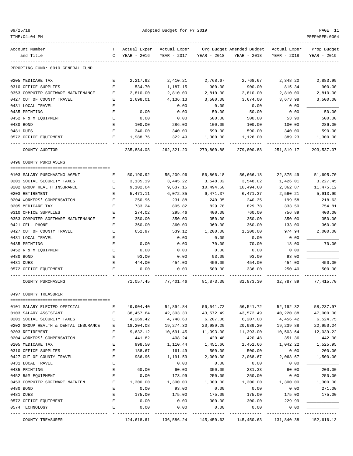| 09/25/18 |  |
|----------|--|
|          |  |

| Account Number<br>and Title                  | $\mathbf{C}$ | YEAR - 2016      | YEAR - 2017                      | YEAR - 2018      | T Actual Exper Actual Exper Org Budget Amended Budget Actual Exper<br>YEAR - 2018 | YEAR - 2018    | Prop Budget<br>YEAR - 2019 |
|----------------------------------------------|--------------|------------------|----------------------------------|------------------|-----------------------------------------------------------------------------------|----------------|----------------------------|
| REPORTING FUND: 0010 GENERAL FUND            |              |                  |                                  |                  |                                                                                   |                |                            |
| 0205 MEDICARE TAX                            | Е            | 2,217.92         | 2,410.21                         | 2,768.67         | 2,768.67                                                                          | 2,348.20       | 2,883.99                   |
| 0310 OFFICE SUPPLIES                         | Е            | 534.70           | 1,187.15                         | 900.00           | 900.00                                                                            | 815.34         | 900.00                     |
| 0353 COMPUTER SOFTWARE MAINTENANCE           | Е            | 2,810.00         | 2,810.00                         | 2,810.00         | 2,810.00                                                                          | 2,810.00       | 2,810.00                   |
| 0427 OUT OF COUNTY TRAVEL                    | Е            | 2,698.01         | 4,136.13                         | 3,500.00         | 3,674.00                                                                          | 3,673.98       | 3,500.00                   |
| 0431 LOCAL TRAVEL                            | Е            |                  | 0.00                             | 0.00             | 0.00                                                                              | 0.00           |                            |
| 0435 PRINTING                                | Е            | 0.00             | 0.00                             | 50.00            | 50.00                                                                             | 0.00           | 50.00                      |
| 0452 R & M EOUIPMENT                         | Е            | 0.00             | 0.00                             | 500.00           | 500.00                                                                            | 53.90          | 500.00                     |
| 0480 BOND                                    | Е            | 100.00           | 286.00                           | 100.00           | 100.00                                                                            | 100.00         | 286.00                     |
| 0481 DUES                                    | Е            | 340.00           | 340.00                           | 590.00           | 590.00                                                                            | 340.00         | 590.00                     |
| 0572 OFFICE EQUIPMENT                        | Е            | 1,988.76         | 322.49                           | 1,300.00         | 1,126.00                                                                          | 389.23         | 1,300.00                   |
| COUNTY AUDITOR                               |              |                  | 235,884.08 262,321.20 279,800.88 |                  | 279,800.88                                                                        | 251,819.17     | 293,537.07                 |
| 0496 COUNTY PURCHASING                       |              |                  |                                  |                  |                                                                                   |                |                            |
|                                              |              |                  |                                  |                  |                                                                                   |                |                            |
| 0103 SALARY PURCHASING AGENT                 | Е            | 50,190.92        | 55,209.96                        | 56,866.18        | 56,666.18                                                                         | 22,875.49      | 51,695.70                  |
| 0201 SOCIAL SECURITY TAXES                   | Е            | 3,135.19         | 3,445.22                         | 3,548.02         | 3,548.02                                                                          | 1,426.01       | 3,227.45                   |
| 0202 GROUP HEALTH INSURANCE                  | Е            | 9,102.04         | 9,637.15                         | 10,494.60        | 10,494.60                                                                         | 2,362.87       | 11,475.12                  |
| 0203 RETIREMENT                              | Е            | 5,471.11         | 6,072.85                         | 6,471.37         | 6,471.37                                                                          | 2,560.21       | 5,913.99                   |
| 0204 WORKERS' COMPENSATION                   | Е            | 250.96           | 231.88                           | 240.35           | 240.35                                                                            | 199.58         | 218.63                     |
| 0205 MEDICARE TAX                            | Е            | 733.24           | 805.82                           | 829.78           | 829.78                                                                            | 333.50         | 754.81                     |
| 0310 OFFICE SUPPLIES                         | Е            | 274.02           | 295.46                           | 400.00           | 760.00                                                                            | 756.89         | 400.00                     |
| 0353 COMPUTER SOFTWARE MAINTENANCE           | Е            | 350.00           | 350.00                           | 350.00           | 350.00                                                                            | 350.00         | 350.00                     |
| 0421 CELL PHONE<br>0427 OUT OF COUNTY TRAVEL | Е            | 360.00<br>652.97 | 360.00                           | 360.00           | 360.00                                                                            | 133.00         | 360.00<br>2,000.00         |
| 0431 LOCAL TRAVEL                            | Е<br>Е       |                  | 539.12<br>0.00                   | 1,200.00<br>0.00 | 1,200.00<br>0.00                                                                  | 974.94<br>0.00 |                            |
| 0435 PRINTING                                | Е            | 0.00             | 0.00                             | 70.00            | 70.00                                                                             | 18.00          | 70.00                      |
| 0452 R & M EQUIPMENT                         | Е            | 0.00             | 0.00                             | 0.00             | 0.00                                                                              | 0.00           |                            |
| 0480 BOND                                    | Е            | 93.00            | 0.00                             | 93.00            | 93.00                                                                             | 93.00          |                            |
| 0481 DUES                                    | Е            | 444.00           | 454.00                           | 450.00           | 454.00                                                                            | 454.00         | 450.00                     |
| 0572 OFFICE EQUIPMENT                        | Е            | 0.00             | 0.00                             | 500.00           | 336.00                                                                            | 250.40         | 500.00                     |
| COUNTY PURCHASING                            |              | 71,057.45        | 77,401.46                        | 81,873.30        | 81,873.30                                                                         | 32,787.89      | 77,415.70                  |
| 0497 COUNTY TREASURER                        |              |                  |                                  |                  |                                                                                   |                |                            |
| 0101 SALARY ELECTED OFFICIAL                 | Е            | 49,904.40        | 54,894.84                        | 56,541.72        | 56,541.72                                                                         | 52,192.32      | 58, 237.97                 |
| 0103 SALARY ASSISTANT                        | Е            | 38,457.64        | 42,303.30                        | 43,572.49        | 43,572.49                                                                         | 40,220.88      | 47,000.00                  |
| 0201 SOCIAL SECURITY TAXES                   | Е            | 4,269.42         | 4,748.60                         | 6,207.08         | 6,207.08                                                                          | 4,456.42       | 6,524.75                   |
| 0202 GROUP HEALTH & DENTAL INSURANCE         | Е            | 18,204.08        | 19,274.30                        | 20,989.20        | 20,989.20                                                                         | 19,239.88      | 22,950.24                  |
| 0203 RETIREMENT                              | Е            | 9,632.12         | 10,691.45                        | 11,393.00        | 11,393.00                                                                         | 10,503.64      | 12,039.22                  |
| 0204 WORKERS' COMPENSATION                   | Е            | 441.82           | 408.24                           | 420.48           | 420.48                                                                            | 351.36         | 442.00                     |
| 0205 MEDICARE TAX                            | Е            | 998.50           | 1,110.44                         | 1,451.66         | 1,451.66                                                                          | 1,042.22       | 1,525.95                   |
| 0310 OFFICE SUPPLIES                         | E            | 188.67           | 161.49                           | 500.00           | 500.00                                                                            | 0.00           | 200.00                     |
| 0427 OUT OF COUNTY TRAVEL                    | E            | 986.96           | 1,191.59                         | 2,000.00         | 2,068.67                                                                          | 2,068.67       | 1,500.00                   |
| 0431 LOCAL TRAVEL                            | E            |                  | 0.00                             | 0.00             | 0.00                                                                              | 0.00           |                            |
| 0435 PRINTING                                | Е            | 60.00            | 60.00                            | 350.00           | 281.33                                                                            | 60.00          | 200.00                     |
| 0452 R&M EQUIPMENT                           | Е            | 0.00             | 173.99                           | 250.00           | 250.00                                                                            | 0.00           | 250.00                     |
| 0453 COMPUTER SOFTWARE MAINTEN               | Е            | 1,300.00         | 1,300.00                         | 1,300.00         | 1,300.00                                                                          | 1,300.00       | 1,300.00                   |
| 0480 BOND                                    | Е            | 0.00             | 93.00                            | 0.00             | 0.00                                                                              | 0.00           | 271.00                     |
| 0481 DUES                                    | E            | 175.00           | 175.00                           | 175.00           | 175.00                                                                            | 175.00         | 175.00                     |
| 0572 OFFICE EQUIPMENT                        | Е            | 0.00             | 0.00                             | 300.00           | 300.00                                                                            | 229.99         |                            |
| 0574 TECHNOLOGY                              | Е            | 0.00             | 0.00                             | 0.00             | 0.00                                                                              | 0.00           |                            |
| COUNTY TREASURER                             |              |                  |                                  |                  | 124,618.61 136,586.24 145,450.63 145,450.63 131,840.38 152,616.13                 |                |                            |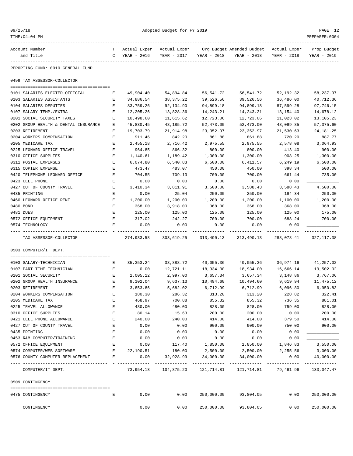| TIME:04:04 PM                                  |              |                    |                    |                    |                                                                 |                      | PREPARER:0004               |
|------------------------------------------------|--------------|--------------------|--------------------|--------------------|-----------------------------------------------------------------|----------------------|-----------------------------|
| Account Number                                 | T.           | Actual Exper       | Actual Exper       |                    | Org Budget Amended Budget - Actual Exper                        |                      | Prop Budget                 |
| and Title                                      | C            | YEAR - 2016        | YEAR - 2017        | YEAR - 2018        | YEAR - 2018                                                     | YEAR - 2018          | YEAR - 2019                 |
| REPORTING FUND: 0010 GENERAL FUND              |              |                    |                    |                    |                                                                 |                      |                             |
| 0499 TAX ASSESSOR-COLLECTOR                    |              |                    |                    |                    |                                                                 |                      |                             |
| 0101 SALARIES ELECTED OFFICIAL                 | Е            | 49,904.40          | 54,894.84          | 56,541.72          | 56,541.72                                                       | 52,192.32            | 58,237.97                   |
| 0103 SALARIES ASSISTANTS                       | Е            | 34,886.54          | 38,375.22          | 39,526.56          | 39,526.56                                                       | 36,486.00            | 40,712.36                   |
| 0104 SALARIES DEPUTIES                         | Е            | 83,759.26          | 92,134.90          | 94,899.18          | 94,899.18                                                       | 87,599.28            | 97,746.15                   |
| 0107 SALARY TEMP./EXTRA                        | Е            | 12,205.26          | 13,828.36          | 14,243.21          | 14,243.21                                                       | 13,154.40            | 14,678.12                   |
| 0201 SOCIAL SECURITY TAXES                     | Е            | 10,498.60          | 11,615.62          | 12,723.06          | 12,723.06                                                       | 11,023.02            | 13,105.23                   |
| 0202 GROUP HEALTH & DENTAL INSURANCE           | Е            | 45,830.45          | 48,185.72          | 52,473.00          | 52,473.00                                                       | 48,099.85            | 57,375.60                   |
| 0203 RETIREMENT                                | Е            | 19,703.79          | 21,914.98          | 23,352.97          | 23,352.97                                                       | 21,530.63            | 24,181.25                   |
| 0204 WORKERS COMPENSATION                      | Е            | 911.46             | 842.20             | 861.88             | 861.88                                                          | 720.20               | 887.77                      |
| 0205 MEDICARE TAX                              | Е            | 2,455.18           | 2,716.42           | 2,975.55           | 2,975.55                                                        | 2,578.08             | 3,064.93                    |
| 0225 LEONARD OFFICE TRAVEL                     | Е            | 964.85             | 866.32             | 800.00             | 800.00                                                          | 413.40               | 900.00                      |
| 0310 OFFICE SUPPLIES                           | Е            | 1,140.61           | 1,189.42           | 1,300.00           | 1,300.00                                                        | 908.25               | 1,300.00                    |
| 0311 POSTAL EXPENSES                           | Ε            | 6,074.80           | 6,540.83           | 6,500.00           | 6,411.57                                                        | 6,249.19             | 6,500.00                    |
| 0315 COPIER EXPENSE                            | Е            | 473.47             | 483.07             | 450.00             | 450.00                                                          | 398.34               | 500.00                      |
| 0420 TELEPHONE LEONARD OFFICE                  | Е            | 704.55             | 709.13             | 700.00             | 700.00                                                          | 661.44               | 735.00                      |
| 0423 CELL PHONE                                | Е            | 0.00               | 0.00               | 0.00               | 0.00                                                            | 0.00                 |                             |
| 0427 OUT OF COUNTY TRAVEL                      | Е            | 3,410.34           | 3,811.91           | 3,500.00           | 3,588.43                                                        | 3,588.43             | 4,500.00                    |
| 0435 PRINTING                                  | Е            | 0.00               | 25.04              | 250.00             | 250.00                                                          | 194.34               | 250.00                      |
| 0460 LEONARD OFFICE RENT                       | Е            | 1,200.00           | 1,200.00           | 1,200.00           | 1,200.00                                                        | 1,100.00             | 1,200.00                    |
| 0480 BOND                                      | Е            | 368.00             | 3,918.00           | 368.00             | 368.00                                                          | 368.00               | 368.00                      |
| 0481 DUES                                      | Е            | 125.00             | 125.00             | 125.00             | 125.00                                                          | 125.00               | 175.00                      |
| 0572 OFFICE EQUIPMENT                          | Е            | 317.02             | 242.27             | 700.00             | 700.00                                                          | 688.24               | 700.00                      |
| 0574 TECHNOLOGY                                | E            | 0.00               | 0.00               | 0.00               | 0.00                                                            | 0.00                 |                             |
| TAX ASSESSOR-COLLECTOR                         |              | 274,933.58         | 303,619.25         | 313,490.13         | 313,490.13                                                      | 288,078.41           | 327, 117.38                 |
| 0503 COMPUTER/IT DEPT.                         |              |                    |                    |                    |                                                                 |                      |                             |
|                                                |              |                    |                    |                    |                                                                 |                      |                             |
| 0103 SALARY-TECHNICIAN                         | Е            | 35, 353. 24        | 38,888.72          | 40,055.36          | 40,055.36                                                       | 36,974.16            | 41,257.02                   |
| 0107 PART TIME TECHNICIAN                      | Е            | 0.00               | 12,721.11          | 18,934.00          | 18,934.00                                                       | 16,666.14            | 19,502.02                   |
| 0201 SOCIAL SECURITY                           | Е            | 2,005.12           | 2,997.00           | 3,657.34           | 3,657.34                                                        | 3,148.86             | 3,767.06                    |
| 0202 GROUP HEALTH INSURANCE<br>0203 RETIREMENT | Е            | 9,102.04           | 9,637.13           | 10,494.60          | 10,494.60<br>6,712.99                                           | 9,619.94<br>6,096.80 | 11,475.12                   |
|                                                | Е            | 3,853.86<br>180.30 | 5,682.02<br>286.32 | 6,712.99<br>313.20 | 313.20                                                          | 228.82               | 6,950.83<br>322.41          |
| 0204 WORKERS COMPENSATION<br>0205 MEDICARE TAX | Е            | 468.97             | 700.88             | 855.32             | 855.32                                                          | 736.35               | 881.01                      |
| 0225 TRAVEL ALLOWANCE                          | Ε            | 480.00             | 480.00             | 828.00             | 828.00                                                          | 759.00               | 828.00                      |
| 0310 OFFICE SUPPLIES                           | Е            | 80.14              | 15.63              | 200.00             | 200.00                                                          | 0.00                 | 200.00                      |
| 0421 CELL PHONE ALLOWANCE                      | Е            | 240.00             | 240.00             | 414.00             | 414.00                                                          | 379.50               | 414.00                      |
| 0427 OUT OF COUNTY TRAVEL                      | E            | 0.00               | 0.00               | 900.00             | 900.00                                                          | 750.00               | 900.00                      |
| 0435 PRINTING                                  | E            | 0.00               | 0.00               | 0.00               | 0.00                                                            | 0.00                 |                             |
| 0453 R&M COMPUTER/TRAINING                     | E            | 0.00               | 0.00               | 0.00               | 0.00                                                            | 0.00                 |                             |
| 0572 OFFICE EQUIPMENT                          | E            | 0.00               | 117.40             | 1,850.00           | 1,850.00                                                        | 1,846.83             | 3,550.00                    |
| 0574 COMPUTER/WEB SOFTWARE                     | $\mathbf{E}$ | 22,190.51          | 180.00             | 2,500.00           | 2,500.00                                                        | 2,255.56             | 3,000.00                    |
| 0576 COUNTY COMPUTER REPLACEMENT               | E            | 0.00               | 32,928.99          | 34,000.00          | 34,000.00                                                       | 0.00                 | 40,000.00                   |
| COMPUTER/IT DEPT.                              |              |                    |                    |                    | 73,954.18 104,875.20 121,714.81 121,714.81 79,461.96 133,047.47 |                      |                             |
| 0509 CONTINGENCY                               |              |                    |                    |                    |                                                                 |                      |                             |
|                                                |              |                    |                    |                    |                                                                 |                      |                             |
| 0475 CONTINGENCY                               | Е            | 0.00               | 0.00               |                    | 250,000.00 93,804.05 0.00                                       |                      | 250,000.00<br>------------- |
| CONTINGENCY                                    |              |                    | 0.00<br>0.00       |                    | 250,000.00 93,804.05                                            | 0.00                 | 250,000.00                  |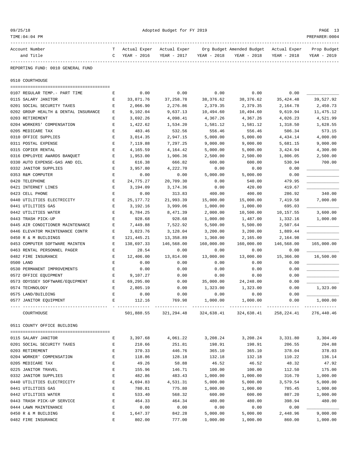| Account Number                       | т | Actual Exper | Actual Exper |             | Org Budget Amended Budget Actual Exper                      |                        | Prop Budget |
|--------------------------------------|---|--------------|--------------|-------------|-------------------------------------------------------------|------------------------|-------------|
| and Title                            | C | YEAR - 2016  | YEAR - 2017  | YEAR - 2018 | YEAR - 2018                                                 | YEAR - 2018            | YEAR - 2019 |
|                                      |   |              |              |             |                                                             |                        |             |
| REPORTING FUND: 0010 GENERAL FUND    |   |              |              |             |                                                             |                        |             |
| 0510 COURTHOUSE                      |   |              |              |             |                                                             |                        |             |
|                                      |   |              |              |             |                                                             |                        |             |
| 0107 REGULAR TEMP. - PART TIME       | Е | 0.00         | 0.00         | 0.00        | 0.00                                                        | 0.00                   |             |
| 0115 SALARY JANITOR                  | Е | 33,871.76    | 37,258.78    | 38, 376.62  | 38, 376.62                                                  | 35, 424.48             | 39,527.92   |
| 0201 SOCIAL SECURITY TAXES           | E | 2,066.90     | 2,276.86     | 2,379.35    | 2,379.35                                                    | 2,164.78               | 2,450.73    |
| 0202 GROUP HEALTH & DENTAL INSURANCE | Ε | 9,102.04     | 9,637.13     | 10,494.60   | 10,494.60                                                   | 9,619.94               | 11,475.12   |
| 0203 RETIREMENT                      | Ε | 3,692.26     | 4,098.41     | 4,367.26    | 4,367.26                                                    | 4,026.23               | 4,521.99    |
| 0204 WORKERS' COMPENSATION           | Е | 1,422.62     | 1,534.20     | 1,581.12    | 1,581.12                                                    | 1,318.50               | 1,628.55    |
| 0205 MEDICARE TAX                    | Ε | 483.46       | 532.56       | 556.46      | 556.46                                                      | 506.34                 | 573.15      |
| 0310 OFFICE SUPPLIES                 | Ε | 3,014.35     | 2,947.15     | 5,000.00    | 5,000.00                                                    | 4,434.14               | 4,000.00    |
| 0311 POSTAL EXPENSE                  | Ε | 7,119.88     | 7,297.25     | 9,000.00    | 9,000.00                                                    | 5,681.15               | 9,000.00    |
| 0315 COPIER RENTAL                   | E | 4,165.59     | 4,164.42     | 5,000.00    | 5,000.00                                                    | 3,424.94               | 4,300.00    |
| 0316 EMPLOYEE AWARDS BANQUET         | E | 1,953.00     | 1,906.36     | 2,500.00    | 2,500.00                                                    | 1,806.05               | 2,500.00    |
| 0330 AUTO EXPENSE-GAS AND OIL        | Ε | 616.38       | 666.82       | 600.00      | 600.00                                                      | 530.94                 | 700.00      |
| 0332 JANITOR SUPPLIES                | Ε | 3,957.80     | 4,222.70     | 0.00        | 0.00                                                        | 0.00                   |             |
| 0353 R&M COMPUTER                    | Ε | 0.00         | 0.00         | 5,000.00    | 5,000.00                                                    | 0.00                   |             |
| 0420 TELEPHONE                       | Ε | 24,775.27    | 20,709.30    | 0.00        | 540.00                                                      | 479.95                 |             |
| 0421 INTERNET LINES                  | E | 3,194.09     | 3,174.36     | 0.00        | 420.00                                                      | 419.67                 |             |
| 0423 CELL PHONE                      | E | 0.00         | 313.83       | 400.00      | 400.00                                                      | 286.92                 | 340.00      |
| 0440 UTILITIES ELECTRICITY           | Ε | 25, 177. 72  | 21,993.39    | 15,000.00   | 15,000.00                                                   | 7,419.58               | 7,000.00    |
| 0441 UTILITIES GAS                   | Е | 3,192.16     | 3,999.06     | 1,000.00    | 1,000.00                                                    | 695.03                 |             |
| 0442 UTILITIES WATER                 | Ε | 8,784.25     | 8,471.39     | 2,000.00    | 10,500.00                                                   | 10,157.55              | 3,600.00    |
| 0443 TRASH PICK-UP                   | E | 928.68       | 928.68       | 1,000.00    | 1,487.00                                                    | 1,332.16               | 1,000.00    |
| 0445 AIR CONDITIONER MAINTENANCE     | E | 7,449.88     | 7,522.92     | 5,500.00    | 5,500.00                                                    | 2,507.64               |             |
| 0446 ELEVATOR MAINTENANCE CONTR      | Ε | 3,023.76     | 3,128.04     | 3,200.00    | 3,200.00                                                    | 1,889.44               |             |
| 0450 R & M BUILDINGS                 | Е | 121,445.21   | 13,358.89    | 1,360.00    | 2,165.00                                                    | 2,164.98               |             |
| 0453 COMPUTER SOFTWARE MAINTEN       | Ε | 138,697.33   | 146,568.00   | 160,000.00  | 160,000.00                                                  | 146,568.00             | 165,000.00  |
| 0463 RENTAL PERSONNEL PAGER          | Ε | 28.54        | 0.00         | 0.00        | 0.00                                                        | 0.00                   |             |
| 0482 FIRE INSURANCE                  | E | 12,406.00    | 13,814.00    | 13,000.00   | 13,000.00                                                   | 15,366.00              | 16,500.00   |
| 0500 LAND                            | Ε | 0.00         | 0.00         | 0.00        | 0.00                                                        | 0.00                   |             |
| 0530 PERMANENT IMPROVEMENTS          | Ε | 0.00         | 0.00         | 0.00        | 0.00                                                        | 0.00                   |             |
| 0572 OFFICE EQUIPMENT                | Е | 9,107.27     | 0.00         | 0.00        | 0.00                                                        | 0.00                   |             |
| 0573 ODYSSEY SOFTWARE/EQUIPMENT      | Ε | 69,295.00    | 0.00         | 35,000.00   | 24, 248.00                                                  | 0.00                   |             |
| 0574 TECHNOLOGY                      | Е | 2,805.19     | 0.00         | 1,323.00    | 1,323.00                                                    | 0.00                   | 1,323.00    |
| 0575 LAND/BUILDING                   | E | 0.00         | 0.00         | 0.00        | 0.00                                                        | 0.00                   |             |
|                                      | E |              |              | 1,000.00    | 1,000.00                                                    |                        |             |
| 0577 JANITOR EQUIPMENT               |   | 112.16       | 769.98       |             |                                                             | 0.00<br>______________ | 1,000.00    |
| COURTHOUSE                           |   | 501,888.55   |              |             | 321, 294.48 324, 638.41 324, 638.41 258, 224.41 276, 440.46 |                        |             |
| 0511 COUNTY OFFICE BUILDING          |   |              |              |             |                                                             |                        |             |
|                                      |   |              |              |             |                                                             |                        |             |
| 0115 SALARY JANITOR                  | Е | 3,397.68     | 4,061.22     | 3,208.24    | 3,208.24                                                    | 3,331.80               | 3,304.49    |
| 0201 SOCIAL SECURITY TAXES           | Е | 210.66       | 251.81       | 198.91      | 198.91                                                      | 206.55                 | 204.88      |
| 0203 RETIREMENT                      | Ε | 370.33       | 446.76       | 365.10      | 365.10                                                      | 378.04                 | 378.03      |
| 0204 WORKER' COMPENSATION            | Е | 118.86       | 128.18       | 132.18      | 132.18                                                      | 110.22                 | 136.14      |
| 0205 MEDICARE TAX                    | Ε | 49.26        | 58.88        | 46.52       | 46.52                                                       | 48.32                  | 47.92       |
| 0225 JANITOR TRAVEL                  | Ε | 155.96       | 146.71       | 100.00      | 100.00                                                      | 112.50                 | 175.00      |
| 0332 JANITOR SUPPLIES                | Ε | 482.86       | 483.43       | 1,000.00    | 1,000.00                                                    | 316.70                 | 1,000.00    |
| 0440 UTILITIES ELECTRICITY           | Ε | 4,694.83     | 4,531.31     | 5,000.00    | 5,000.00                                                    | 3,579.54               | 5,000.00    |
| 0441 UTILITIES GAS                   | Ε | 780.81       | 775.80       | 1,000.00    | 1,000.00                                                    | 785.45                 | 1,000.00    |
| 0442 UTILITIES WATER                 | Ε | 533.40       | 568.32       | 600.00      | 600.00                                                      | 807.20                 | 1,000.00    |
| 0443 TRASH PICK-UP SERVICE           | Ε | 464.33       | 464.34       | 480.00      | 480.00                                                      | 398.94                 | 480.00      |
| 0444 LAWN MAINTENANCE                | Ε | 0.00         | 0.00         | 0.00        | 0.00                                                        | 0.00                   |             |
| 0450 R & M BUILDING                  | Е | 1,647.37     | 842.28       | 5,000.00    | 5,000.00                                                    | 2,448.96               | 9,000.00    |

0482 FIRE INSURANCE E 802.00 777.00 1,000.00 1,000.00 860.00 1,000.00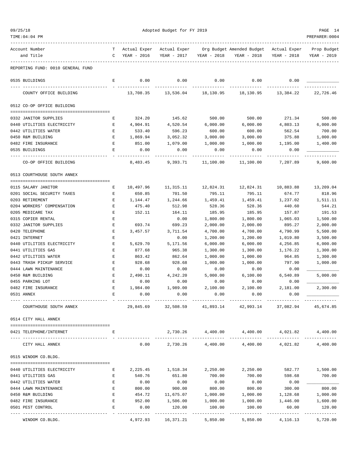| 09/25/18 |  |
|----------|--|
|          |  |
|          |  |

| TIME:04:04 PM                     |         |                             |                             |                  |                                                         |                  | PREPARER:0004              |
|-----------------------------------|---------|-----------------------------|-----------------------------|------------------|---------------------------------------------------------|------------------|----------------------------|
| Account Number<br>and Title       | T.<br>C | Actual Exper<br>YEAR - 2016 | Actual Exper<br>YEAR - 2017 | YEAR - 2018      | Org Budget Amended Budget - Actual Exper<br>YEAR - 2018 | YEAR - 2018      | Prop Budget<br>YEAR - 2019 |
| REPORTING FUND: 0010 GENERAL FUND |         |                             |                             |                  |                                                         |                  |                            |
| 0535 BUILDINGS                    | E       | 0.00                        | 0.00                        | 0.00             | 0.00                                                    | 0.00             |                            |
| COUNTY OFFICE BUILDING            |         | 13,708.35                   | 13,536.04                   | 18,130.95        | 18,130.95                                               | 13,384.22        | 22,726.46                  |
| 0512 CO-OP OFFICE BUILDING        |         |                             |                             |                  |                                                         |                  |                            |
| 0332 JANITOR SUPPLIES             | Е       | 324.20                      | 145.62                      | 500.00           | 500.00                                                  | 271.34           | 500.00                     |
| 0440 UTILITIES ELECTRICITY        | Е       | 4,904.91                    | 4,520.54                    | 6,000.00         | 6,000.00                                                | 4,803.13         | 6,000.00                   |
| 0442 UTILITIES WATER              | Е       | 533.40                      | 596.23                      | 600.00           | 600.00                                                  | 562.54           | 700.00                     |
| 0450 R&M BUILDING                 | Е       | 1,869.94                    | 3,052.32                    | 3,000.00         | 3,000.00                                                | 375.88           | 1,000.00                   |
| 0482 FIRE INSURANCE               | Е       | 851.00                      | 1,079.00                    | 1,000.00         | 1,000.00                                                | 1,195.00         | 1,400.00                   |
| 0535 BUILDINGS                    | Ε       | 0.00                        | 0.00                        | 0.00             | 0.00                                                    | 0.00             |                            |
| CO-OP OFFICE BUILDING             |         | 8,483.45                    | 9,393.71                    | 11,100.00        | 11,100.00                                               | 7,207.89         | 9,600.00                   |
| 0513 COURTHOUSE SOUTH ANNEX       |         |                             |                             |                  |                                                         |                  |                            |
|                                   |         |                             |                             |                  |                                                         |                  |                            |
| 0115 SALARY JANITOR               | Е       | 10,497.96                   | 11,315.11                   | 12,824.31        | 12,824.31                                               | 10,883.88        | 13,209.04                  |
| 0201 SOCIAL SECURITY TAXES        | Е       | 650.85                      | 701.50                      | 795.11           | 795.11                                                  | 674.77           | 818.96                     |
| 0203 RETIREMENT                   | Е       | 1,144.47                    | 1,244.66                    | 1,459.41         | 1,459.41                                                | 1,237.02         | 1,511.11                   |
| 0204 WORKERS' COMPENSATION        | Е       | 475.40                      | 512.98                      | 528.36           | 528.36                                                  | 440.60           | 544.21                     |
| 0205 MEDICARE TAX                 | Ε       | 152.11                      | 164.11                      | 185.95           | 185.95                                                  | 157.87           | 191.53                     |
| 0315 COPIER RENTAL                | Ε       |                             | 0.00                        | 1,800.00         | 1,800.00                                                | 1,065.03         | 1,500.00                   |
| 0332 JANITOR SUPPLIES             | Е       | 693.74                      | 699.23                      | 2,000.00         | 2,000.00                                                | 895.27           | 2,000.00                   |
| 0420 TELEPHONE                    | E       | 3,457.57                    | 3,711.54                    | 4,700.00         | 4,700.00                                                | 4,790.99         | 5,500.00                   |
| 0421 INTERNET                     | E       |                             | 0.00                        | 1,200.00         | 1,200.00                                                | 1,019.80         | 3,500.00                   |
| 0440 UTILITIES ELECTRICITY        | Ε       | 5,629.70                    | 5,171.56                    | 6,000.00         | 6,000.00                                                | 4,256.85         | 6,000.00                   |
| 0441 UTILITIES GAS                | Ε       | 877.68                      | 965.38                      | 1,300.00         | 1,300.00                                                | 1,176.22         | 1,300.00                   |
| 0442 UTILITIES WATER              | Ε       | 863.42                      | 862.64                      | 1,000.00         | 1,000.00                                                | 964.85           | 1,300.00                   |
| 0443 TRASH PICKUP SERVICE         | E       | 928.68                      | 928.68                      | 1,000.00         | 1,000.00                                                | 797.90           | 1,000.00                   |
| 0444 LAWN MAINTENANCE             | Ε       | 0.00                        | 0.00                        | 0.00             | 0.00                                                    | 0.00             |                            |
| 0450 R&M BUILDING                 | Е       | 2,490.11                    | 4,242.20                    | 5,000.00         | 6,100.00                                                | 6,540.89         | 5,000.00                   |
| 0455 PARKING LOT                  | Е       | 0.00                        | 0.00                        | 0.00             | 0.00                                                    | 0.00             |                            |
| 0482 FIRE INSURANCE<br>0531 ANNEX | Е       | 1,984.00<br>0.00            | 1,989.00<br>0.00            | 2,100.00<br>0.00 | 2,100.00<br>0.00                                        | 2,181.00<br>0.00 | 2,300.00                   |
|                                   |         |                             |                             |                  |                                                         |                  |                            |
| COURTHOUSE SOUTH ANNEX            |         |                             | 29,845.69 32,508.59         | 41,893.14        | 42,993.14                                               | 37,082.94        | 45,674.85                  |
| 0514 CITY HALL ANNEX              |         |                             |                             |                  |                                                         |                  |                            |
| 0421 TELEPHONE/INTERNET           | Ε       |                             |                             |                  | 2,730.26 4,400.00 4,400.00 4,021.82                     |                  | 4,400.00                   |
| CITY HALL ANNEX                   |         | 0.00                        |                             |                  | 2,730.26 4,400.00 4,400.00 4,021.82                     |                  | 4,400.00                   |
| 0515 WINDOM CO.BLDG.              |         |                             |                             |                  |                                                         |                  |                            |
| 0440 UTILITIES ELECTRICITY        | Е       | 2,225.45                    | 1,518.34                    | 2,250.00         | 2,250.00                                                | 582.77           | 1,500.00                   |
| 0441 UTILITIES GAS                | Е       | 540.76                      | 651.80                      | 700.00           | 700.00                                                  | 598.68           | 700.00                     |
| 0442 UTILITIES WATER              | Ε       | 0.00                        | 0.00                        | 0.00             | 0.00                                                    | 0.00             |                            |
| 0444 LAWN MAINTENANCE             | Ε       | 800.00                      | 900.00                      | 800.00           | 800.00                                                  | 300.00           | 800.00                     |
| 0450 R&M BUILDING                 | E       | 454.72                      | 11,675.07                   | 1,000.00         | 1,000.00                                                | 1,128.68         | 1,000.00                   |
| 0482 FIRE INSURANCE               | E       | 952.00                      | 1,506.00                    | 1,000.00         | 1,000.00                                                | 1,446.00         | 1,600.00                   |
| 0501 PEST CONTROL                 | Ε       | 0.00                        | 120.00                      | 100.00           | 100.00                                                  | 60.00            | 120.00                     |
|                                   |         |                             | --------------              | -------------    |                                                         |                  | -------------              |

WINDOM CO.BLDG. 4,972.93 16,371.21 5,850.00 5,850.00 4,116.13 5,720.00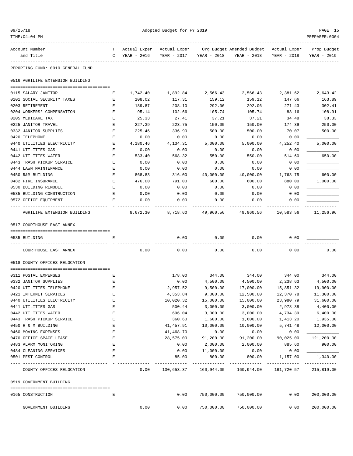| TIME:04:04 PM                            |                    |               |            |                         |                                                                                |                         | PREPARER: 0004 |
|------------------------------------------|--------------------|---------------|------------|-------------------------|--------------------------------------------------------------------------------|-------------------------|----------------|
| Account Number                           |                    |               |            |                         | T Actual Exper Actual Exper Org Budget Amended Budget Actual Exper Prop Budget |                         |                |
| and Title<br>--------------------------- |                    | C YEAR - 2016 |            | YEAR - 2017 YEAR - 2018 | YEAR - 2018                                                                    | YEAR - 2018             | YEAR - 2019    |
| REPORTING FUND: 0010 GENERAL FUND        |                    |               |            |                         |                                                                                |                         |                |
| 0516 AGRILIFE EXTENSION BUILDING         |                    |               |            |                         |                                                                                |                         |                |
| 0115 SALARY JANITOR                      | Е                  | 1,742.40      |            | 1,892.84 2,566.43       | 2,566.43                                                                       | 2,381.62                | 2,643.42       |
| 0201 SOCIAL SECURITY TAXES               | Е                  | 108.02        | 117.31     | 159.12                  | 159.12                                                                         | 147.66                  | 163.89         |
| 0203 RETIREMENT                          | E                  | 189.87        | 208.10     | 292.06                  | 292.06                                                                         | 271.43                  | 302.41         |
| 0204 WORKERS' COMPENSATION               | Е                  | 95.14         | 102.66     | 105.74                  | 105.74                                                                         | 88.16                   | 108.91         |
| 0205 MEDICARE TAX                        | Е                  | 25.33         | 27.41      | 37.21                   | 37.21                                                                          | 34.48                   | 38.33          |
| 0225 JANITOR TRAVEL                      | Е                  | 227.39        | 223.75     | 150.00                  | 150.00                                                                         | 174.39                  | 250.00         |
| 0332 JANITOR SUPPLIES                    | Е                  | 225.46        | 336.90     | 500.00                  | 500.00                                                                         | 70.07                   | 500.00         |
| 0420 TELEPHONE                           | Е                  | 0.00          | 0.00       | 0.00                    | 0.00                                                                           | 0.00                    |                |
| 0440 UTILITIES ELECTRICITY               | $\mathbf{E}$       | 4,180.46      | 4,134.31   | 5,000.00                | 5,000.00                                                                       | 4,252.40                | 5,000.00       |
| 0441 UTILITIES GAS                       | E                  | 0.00          | 0.00       | 0.00                    | 0.00                                                                           | 0.00                    |                |
| 0442 UTILITIES WATER                     | Е                  | 533.40        | 568.32     | 550.00                  | 550.00                                                                         | 514.60                  | 650.00         |
| 0443 TRASH PICKUP SERVICE                | Е                  | 0.00          | 0.00       | 0.00                    | 0.00                                                                           | 0.00                    |                |
| 0444 LAWN MAINTENANCE                    | Е                  | 0.00          | 0.00       | 0.00                    | 0.00                                                                           | 0.00                    |                |
| 0450 R&M BUILDING                        | Е                  | 868.83        | 316.00     | 40,000.00               | 40,000.00                                                                      | 1,768.75                | 600.00         |
| 0482 FIRE INSURANCE                      | Е                  | 476.00        | 791.00     | 600.00                  | 600.00                                                                         | 880.00                  | 1,000.00       |
| 0530 BUILDING REMODEL                    | Е                  | 0.00          | 0.00       | 0.00                    | 0.00                                                                           | 0.00                    |                |
| 0535 BUILDING CONSTRUCTION               | Е                  | 0.00          | 0.00       | 0.00                    | 0.00                                                                           | 0.00                    |                |
| 0572 OFFICE EQUIPMENT                    | E                  | 0.00          | 0.00       | 0.00                    | 0.00                                                                           | 0.00                    |                |
|                                          |                    |               |            |                         |                                                                                |                         |                |
| AGRILIFE EXTENSION BUILDING              |                    | 8,672.30      |            |                         | 8,718.60 49,960.56 49,960.56                                                   | 10,583.56               | 11,256.96      |
| 0517 COURTHOUSE EAST ANNEX               |                    |               |            |                         |                                                                                |                         |                |
| 0535 BUILDING                            | Е                  |               | 0.00       | 0.00                    | 0.00                                                                           | 0.00                    |                |
| COURTHOUSE EAST ANNEX                    |                    | 0.00          | 0.00       | 0.00                    | 0.00                                                                           | 0.00                    | 0.00           |
| 0518 COUNTY OFFICES RELOCATION           |                    |               |            |                         |                                                                                |                         |                |
| 0311 POSTAL EXPENSES                     | E                  |               | 178.00     | 344.00                  | 344.00                                                                         | 344.00                  | 344.00         |
| 0332 JANITOR SUPPLIES                    | $\mathbf{E}% _{0}$ |               | 0.00       | 4,500.00                | 4,500.00                                                                       | 2,238.63                | 4,500.00       |
| 0420 UTILITIES TELEPHONE                 | Е                  |               | 2,957.52   | 9,500.00                |                                                                                | 17,000.00   15,851.32   | 19,900.00      |
| 0421 INTERNET SERVICES                   | Ε                  |               | 4,353.84   | 9,000.00                | 12,500.00                                                                      | 12,370.78               | 11,300.00      |
| 0440 UTILITIES ELECTRICITY               | Ε                  |               | 10,020.32  | 15,000.00               | 15,000.00                                                                      | 23,980.79               | 31,600.00      |
| 0441 UTILITIES GAS                       | Ε                  |               | 500.44     | 3,000.00                | 3,000.00                                                                       | 2,978.38                | 4,400.00       |
| 0442 UTILITIES WATER                     | E                  |               | 696.04     | 3,000.00                | 3,000.00                                                                       | 4,734.39                | 6,400.00       |
| 0443 TRASH PICKUP SERVICE                | Е                  |               | 360.60     | 1,600.00                | 1,600.00                                                                       | 1,413.20                | 1,935.00       |
| 0450 R & M BUILDING                      | Ε                  |               | 41,457.91  | 10,000.00               | 10,000.00                                                                      | 5,741.48                | 12,000.00      |
| 0460 MOVING EXPENSES                     | Е                  |               | 41,468.70  | 0.00                    | 0.00                                                                           | 0.00                    |                |
| 0470 OFFICE SPACE LEASE                  | Е                  |               | 28,575.00  | 91,200.00               | 91,200.00                                                                      | 90,025.00               | 121,200.00     |
| 0483 ALARM MONITORING                    | Е                  |               | 0.00       | 2,000.00                | 2,000.00                                                                       | 885.60                  | 900.00         |
|                                          |                    |               |            |                         |                                                                                |                         |                |
| 0484 CLEANING SERVICES                   | E                  |               | 0.00       | 11,000.00               | 0.00                                                                           | 0.00                    |                |
| 0501 PEST CONTROL                        | Е                  |               | 85.00      | 800.00                  | 800.00                                                                         | 1,157.00<br>----------- | 1,340.00       |
| COUNTY OFFICES RELOCATION                |                    | 0.00          | 130,653.37 | 160,944.00              | 160,944.00                                                                     | 161,720.57              | 215,819.00     |
| 0519 GOVERNMENT BUILDING                 |                    |               |            |                         |                                                                                |                         |                |
| 0165 CONSTRUCTION                        | Е                  |               | 0.00       | 750,000.00              | 750,000.00                                                                     | 0.00                    | 200,000.00     |
| GOVERNMENT BUILDING                      |                    | 0.00          | 0.00       | 750,000.00              | 750,000.00                                                                     | 0.00                    | 200,000.00     |

09/25/18 Adopted Budget for FY 2019 PAGE 15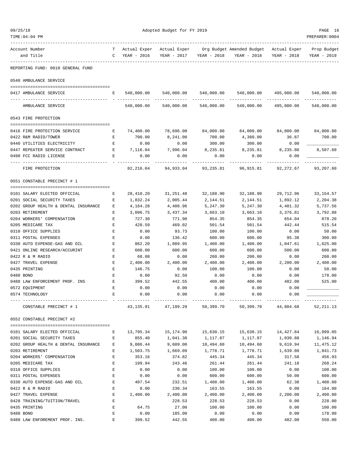| 09/25/18                                                        | Adopted Budget for FY 2019 |                  |                                  |                        |                                        |                  |                       |
|-----------------------------------------------------------------|----------------------------|------------------|----------------------------------|------------------------|----------------------------------------|------------------|-----------------------|
| TIME: 04: 04 PM                                                 |                            |                  |                                  |                        |                                        |                  | PREPARER: 0004        |
| Account Number                                                  | т                          | Actual Exper     | Actual Exper                     |                        | Org Budget Amended Budget Actual Exper |                  | Prop Budget           |
| and Title                                                       | C                          | YEAR - 2016      | YEAR - 2017                      | YEAR - 2018            | YEAR - 2018                            | YEAR - 2018      | YEAR - 2019           |
| REPORTING FUND: 0010 GENERAL FUND                               |                            |                  |                                  |                        |                                        |                  |                       |
| 0540 AMBULANCE SERVICE                                          |                            |                  |                                  |                        |                                        |                  |                       |
|                                                                 |                            |                  |                                  |                        |                                        |                  |                       |
| 0417 AMBULANCE SERVICE                                          | Е                          |                  | 540,000.00 540,000.00 540,000.00 |                        | 540,000.00                             |                  | 495,000.00 540,000.00 |
| AMBULANCE SERVICE                                               |                            | 540,000.00       | 540,000.00                       | 540,000.00             | 540,000.00                             | 495,000.00       | 540,000.00            |
| 0543 FIRE PROTECTION                                            |                            |                  |                                  |                        |                                        |                  |                       |
| 0416 FIRE PROTECTION SERVICE                                    | Е                          | 74,400.00        | 78,696.00                        | 84,000.00              | 84,000.00                              | 84,000.00        | 84,000.00             |
| 0422 R&M RADIO/TOWER                                            | E                          | 700.00           | 8,241.00                         | 700.00                 | 4,380.00                               | 36.87            | 700.00                |
| 0440 UTILITIES ELECTRICITY                                      | Е                          | 0.00             | 0.00                             | 300.00                 | 300.00                                 | 0.00             |                       |
| 0447 REPEATER SERVICE CONTRACT<br>$\mathbf{E}$ and $\mathbf{E}$ |                            | 7,116.04         | 7,996.04                         | 8,235.81               | 8,235.81                               | 8,235.80         | 8,507.60              |
| 0490 FCC RADIO LICENSE                                          | Е                          | 0.00             | 0.00                             | 0.00                   | 0.00                                   | 0.00             |                       |
|                                                                 |                            |                  |                                  |                        |                                        |                  |                       |
| FIRE PROTECTION                                                 |                            | 82,216.04        | 94,933.04                        | 93, 235.81             | 96,915.81                              | 92,272.67        | 93,207.60             |
| 0551 CONSTABLE PRECINCT # 1                                     |                            |                  |                                  |                        |                                        |                  |                       |
| 0101 SALARY ELECTED OFFICIAL                                    | Е                          | 28,410.20        | 31,251.48                        | 32,188.90              | 32,188.90                              | 29,712.96        | 33,154.57             |
| 0201 SOCIAL SECURITY TAXES                                      | Е                          | 1,832.24         | 2,005.44                         | 2,144.51               | 2,144.51                               | 1,892.12         | 2,204.38              |
| 0202 GROUP HEALTH & DENTAL INSURANCE                            | Е                          | 4,164.28         | 4,408.96                         | 5,247.30               | 5,247.30                               | 4,401.32         | 5,737.56              |
| 0203 RETIREMENT                                                 | Е                          | 3,096.75         | 3,437.34                         | 3,663.10               | 3,663.10                               | 3,376.81         | 3,792.88              |
| 0204 WORKERS' COMPENSATION                                      | Е                          | 727.30           | 771.90                           | 854.35                 | 854.35                                 | 654.04           | 878.20                |
| 0205 MEDICARE TAX                                               | Ε                          | 428.59           | 469.02                           | 501.54                 | 501.54                                 | 442.44           | 515.54                |
| 0310 OFFICE SUPPLIES                                            | Ε                          | 0.00             | 93.73                            | 100.00                 | 100.00                                 | 0.00             | 50.00                 |
| 0311 POSTAL EXPENSES                                            | E                          | 0.00             | 136.42                           | 600.00                 | 600.00                                 | 95.38            | 300.00                |
| 0330 AUTO EXPENSE-GAS AND OIL                                   | E                          | 862.20           | 1,089.95                         | 1,400.00               | 1,400.00                               | 1,047.61         | 1,625.00              |
| 0421 ONLINE RESEARCH/ACCURINT                                   | Е                          | 600.00           | 600.00                           | 600.00                 | 600.00                                 | 500.00           | 600.00                |
| 0422 R & M RADIO                                                | Ε                          | 68.08            | 0.00                             | 200.00                 | 200.00                                 | 0.00             | 200.00                |
| 0427 TRAVEL EXPENSE                                             | Ε                          | 2,400.00         | 2,400.00                         | 2,400.00               | 2,400.00                               | 2,200.00         | 2,400.00              |
| 0435 PRINTING                                                   | Е                          | 146.75           | 0.00                             | 100.00                 | 100.00                                 | 0.00             | 50.00                 |
| 0480 BOND                                                       | Ε                          | 0.00             | 92.50                            | 0.00                   | 0.00                                   | 0.00             | 178.00                |
| 0488 LAW ENFORCEMENT PROF. INS                                  | Е                          | 399.52           | 442.55                           | 400.00                 | 400.00                                 | 482.00           | 525.00                |
| 0572 EQUIPMENT                                                  | Ε                          | 0.00             | 0.00                             | 0.00                   | 0.00                                   | 0.00             |                       |
| 0574 TECHNOLOGY                                                 | Е                          | 0.00             | 0.00                             | 0.00<br>-------------- | 0.00                                   | 0.00             |                       |
| CONSTABLE PRECINCT # 1                                          |                            |                  | 43, 135.91 47, 199.29            | 50,399.70              | 50,399.70                              | 44,804.68        | 52, 211.13            |
| 0552 CONSTABLE PRECINCT #2                                      |                            |                  |                                  |                        |                                        |                  |                       |
|                                                                 |                            |                  |                                  |                        |                                        |                  |                       |
| 0101 SALARY ELECTED OFFICIAL                                    | Е                          | 13,795.34        | 15,174.90                        | 15,630.15              | 15,630.15                              | 14,427.84        | 16,099.05             |
| 0201 SOCIAL SECURITY TAXES                                      | Е                          | 855.40           | 1,041.38                         | 1,117.87               | 1,117.87                               | 1,030.88         | 1,146.94              |
| 0202 GROUP HEALTH & DENTAL INSURANCE<br>0203 RETIREMENT         | E                          | 9,086.44         | 9,609.00                         | 10,494.60              | 10,494.60                              | 9,619.94         | 11, 475.12            |
|                                                                 | Ε                          | 1,503.75         | 1,669.09                         | 1,778.71               | 1,778.71                               | 1,639.80         | 1,841.73              |
| 0204 WORKERS' COMPENSATION<br>0205 MEDICARE TAX                 | Ε<br>Ε                     | 353.16<br>199.94 | 374.82<br>243.46                 | 445.34<br>261.44       | 445.34<br>261.44                       | 317.58<br>241.18 | 456.93<br>268.24      |
| 0310 OFFICE SUPPLIES                                            | Ε                          | 0.00             | 0.00                             | 100.00                 | 100.00                                 | 0.00             | 100.00                |
| 0311 POSTAL EXPENSES                                            | $\mathbf E$                | 0.00             | 0.00                             | 600.00                 | 600.00                                 | 50.00            | 600.00                |
| 0330 AUTO EXPENSE-GAS AND OIL                                   | Ε                          | 407.54           | 232.51                           | 1,400.00               | 1,400.00                               | 62.38            | 1,400.00              |
| 0422 R & M RADIO                                                | Ε                          | 0.00             | 230.34                           | 163.55                 | 163.55                                 | 0.00             | 164.00                |
| 0427 TRAVEL EXPENSE                                             | Ε                          | 2,400.00         | 2,400.00                         | 2,400.00               | 2,400.00                               | 2,200.00         | 2,400.00              |
| 0428 TRAINING/TUITION/TRAVEL                                    | Ε                          |                  | 228.53                           | 228.53                 | 228.53                                 | 0.00             | 228.00                |
| 0435 PRINTING                                                   | Ε                          | 64.75            | 27.00                            | 100.00                 | 100.00                                 | 0.00             | 100.00                |
| 0480 BOND                                                       | Ε                          | 0.00             | 185.00                           | 0.00                   | 0.00                                   | 0.00             | 178.00                |
|                                                                 |                            |                  |                                  |                        |                                        |                  |                       |

0488 LAW ENFOREMENT PROF. INS. E 399.52 442.55 400.00 400.00 482.00 550.00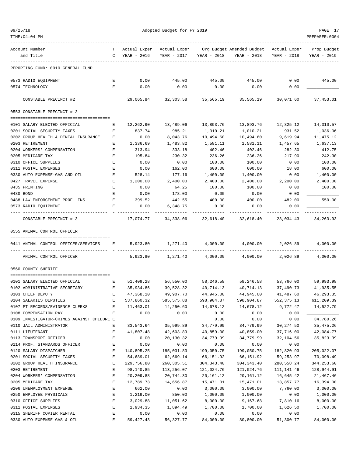| 09/25/18                                   | Adopted Budget for FY 2019                     |                |                               |               |                                                        |             | PAGE 17     |
|--------------------------------------------|------------------------------------------------|----------------|-------------------------------|---------------|--------------------------------------------------------|-------------|-------------|
| TIME: 04: 04 PM                            |                                                | PREPARER: 0004 |                               |               |                                                        |             |             |
| Account Number                             | T.                                             | Actual Exper   | Actual Exper                  |               | Org Budget Amended Budget Actual Exper                 |             | Prop Budget |
| and Title                                  |                                                | C YEAR - 2016  | YEAR - 2017                   | YEAR - 2018   | YEAR - 2018                                            | YEAR - 2018 | YEAR - 2019 |
| REPORTING FUND: 0010 GENERAL FUND          |                                                |                |                               |               |                                                        |             |             |
| 0573 RADIO EQUIPMENT                       | E                                              | 0.00           | 445.00                        | 445.00 445.00 |                                                        | 0.00        | 445.00      |
| 0574 TECHNOLOGY                            | Е                                              | 0.00           | 0.00                          | 0.00          | 0.00                                                   | 0.00        |             |
| CONSTABLE PRECINCT #2                      |                                                | ---------      |                               | ----------    | 29,065.84 32,303.58 35,565.19 35,565.19                | 30,071.60   | 37,453.01   |
| 0553 CONSTABLE PRECINCT # 3                |                                                |                |                               |               |                                                        |             |             |
| 0101 SALARY ELECTED OFFICIAL               | E                                              | 12,262.90      | 13,489.06                     | 13,893.76     | 13,893.76                                              | 12,825.12   | 14,310.57   |
| 0201 SOCIAL SECURITY TAXES                 | Е                                              | 837.74         | 985.21                        | 1,010.21      | 1,010.21                                               | 931.52      | 1,036.06    |
| 0202 GROUP HEALTH & DENTAL INSURANCE       | Е                                              | 0.00           | 8,043.76                      | 10,494.60     | 10,494.60                                              | 9,619.94    | 11,475.12   |
| 0203 RETIREMENT                            | Е                                              | 1,336.69       | 1,483.82                      | 1,581.11      | 1,581.11                                               | 1,457.65    | 1,637.13    |
| 0204 WORKERS' COMPENSATION                 | Е                                              | 313.94         | 333.18                        | 402.46        | 402.46                                                 | 282.30      | 412.75      |
| 0205 MEDICARE TAX                          | Е                                              | 195.84         | 230.32                        | 236.26        | 236.26                                                 | 217.90      | 242.30      |
| 0310 OFFICE SUPPLIES                       | Е                                              | 0.00           | 0.00                          | 100.00        | 100.00                                                 | 0.00        | 100.00      |
| 0311 POSTAL EXPENSES                       | Ε                                              | 0.00           | 162.00                        | 600.00        | 600.00                                                 | 18.00       | 600.00      |
| 0330 AUTO EXPENSE-GAS AND OIL              | Е                                              | 528.14         | 177.16                        | 1,400.00      | 1,400.00                                               | 0.00        | 1,400.00    |
| 0427 TRAVEL EXPENSE                        | Е                                              | 1,200.00       | 2,400.00                      | 2,400.00      | 2,400.00                                               | 2,200.00    | 2,400.00    |
| 0435 PRINTING                              | Е                                              | 0.00           | 64.25                         | 100.00        | 100.00                                                 | 0.00        | 100.00      |
| 0480 BOND                                  | E                                              | 0.00           | 178.00                        | 0.00          | 0.00                                                   | 0.00        |             |
| 0488 LAW ENFORCEMENT PROF. INS             | E                                              | 399.52         | 442.55                        | 400.00        | 400.00                                                 | 482.00      | 550.00      |
| 0573 RADIO EQUIPMENT                       | Е                                              | 0.00           | 6,348.75                      | 0.00          | 0.00                                                   | 0.00        |             |
|                                            |                                                |                | -----------                   | .             |                                                        |             | . <u>.</u>  |
| CONSTABLE PRECINCT # 3                     |                                                |                | 17,074.77 34,338.06 32,618.40 |               | 32,618.40                                              | 28,034.43   | 34,263.93   |
| 0555 ANIMAL CONTROL OFFICER                |                                                |                |                               |               |                                                        |             |             |
| 0441 ANIMAL CONTROL OFFICER/SERVICES E     |                                                |                |                               |               | $5,923.80$ $1,271.40$ $4,000.00$ $4,000.00$ $2,026.89$ |             | 4,000.00    |
|                                            |                                                |                |                               |               |                                                        |             |             |
| ANIMAL CONTROL OFFICER                     |                                                | 5,923.80       | 1,271.40                      | 4,000.00      | 4,000.00                                               | 2,026.89    | 4,000.00    |
| 0560 COUNTY SHERIFF                        |                                                |                |                               |               |                                                        |             |             |
| 0101 SALARY ELECTED OFFICIAL               | $\mathbf{E}$ and $\mathbf{E}$ and $\mathbf{E}$ |                |                               |               | 51,409.28 56,550.00 58,246.58 58,246.58 53,766.00      |             | 59,993.98   |
| 0102 ADMINISTRATIVE SECRETARY              | Ε                                              | 35,934.86      | 39,528.32                     | 40,714.13     | 40,714.13                                              | 37,490.73   | 41,935.55   |
| 0103 CHIEF DEPUTY                          | Ε                                              | 47,368.10      | 49,907.70                     | 44,945.00     | 44,945.00                                              | 41,487.60   | 46, 293.35  |
| 0104 SALARIES DEPUTIES                     | E                                              | 537,860.32     | 585, 575.88                   | 598,904.87    | 598,904.87                                             | 552, 375.13 | 611,209.39  |
| 0107 PT RECORDS/EVIDENCE CLERKS            | $\mathbf E$                                    | 11,463.01      | 14,250.60                     | 14,678.12     | 14,678.12                                              | 9,772.47    | 14,522.79   |
| 0108 COMPENSATION PAY                      | Ε                                              | 0.00           | 0.00                          | 0.00          | 0.00                                                   | 0.00        |             |
| 0109 INVESTIGATOR-CRIMES AGAINST CHILDRE E |                                                |                |                               | 0.00          | 0.00                                                   | 0.00        | 34,780.26   |
| 0110 JAIL ADMINISTRATOR                    | Е                                              | 33,543.64      | 35,999.89                     | 34,779.99     | 34,779.99                                              | 30, 274.50  | 35, 475.26  |
| 0111 LIEUTENANT                            | E                                              | 41,807.48      | 42,603.89                     | 40,859.00     | 40,859.00                                              | 37,716.00   | 42,084.77   |
| 0113 TRANSPORT OFFICER                     | $\mathbf E$                                    | 0.00           | 20,130.32                     | 34,779.99     | 34,779.99                                              | 32,104.56   | 35,823.39   |
| 0114 PROF. STANDARDS OFFICER               | $\mathbf E$                                    | 0.00           | 0.00                          | 0.00          | 0.00                                                   | 0.00        |             |
| 0120 SALARY DISPATCHER                     | E                                              | 140,895.25     | 185,031.83                    | 199,050.75    | 199,050.75                                             | 182,820.93  | 205,022.07  |
| 0201 SOCIAL SECURITY TAXES                 | Ε                                              | 54,689.01      | 62,669.14                     | 66, 151.92    | 66,151.92                                              | 59, 253.97  | 70,098.49   |
| 0202 GROUP HEALTH INSURANCE                | Ε                                              | 229,756.80     | 260, 305.51                   | 304, 343.40   | 304, 343.40                                            | 280,558.24  | 344,253.60  |
| 0203 RETIREMENT                            | E                                              | 98,140.85      | 113,256.07                    | 121,024.76    | 121,024.76                                             | 111, 141.46 | 128,944.91  |
| 0204 WORKERS' COMPENSATION                 | $\mathbf E$                                    | 20,209.88      | 20,744.30                     | 20,161.12     | 20, 161. 12                                            | 16,645.42   | 21,467.46   |
| 0205 MEDICARE TAX                          | $\mathbf E$                                    | 12,789.73      | 14,656.87                     | 15,471.01     | 15,471.01                                              | 13,857.77   | 16,394.00   |
| 0206 UNEMPLOYMENT EXPENSE                  | E                                              | 662.00         | 0.00                          | 3,000.00      | 3,000.00                                               | 7,760.00    | 3,000.00    |
| 0250 EMPLOYEE PHYSICALS                    | E                                              | 1,219.00       | 850.00                        | 1,000.00      | 1,000.00                                               | 0.00        | 1,000.00    |
| 0310 OFFICE SUPPLIES                       | E                                              | 3,029.88       | 11,051.62                     | 8,000.00      | 9,167.68                                               | 7,810.16    | 8,000.00    |
| 0311 POSTAL EXPENSES                       | E                                              | 1,934.35       | 1,894.49                      | 1,700.00      | 1,700.00                                               | 1,626.50    | 1,700.00    |

0315 SHERIFF COPIER RENTAL E 0.00 0.00 0.00 0.00 0.00 \_\_\_\_\_\_\_\_\_\_\_\_\_ 0330 AUTO EXPENSE GAS & OIL E 59,427.43 56,327.77 84,000.00 80,800.00 51,300.77 84,000.00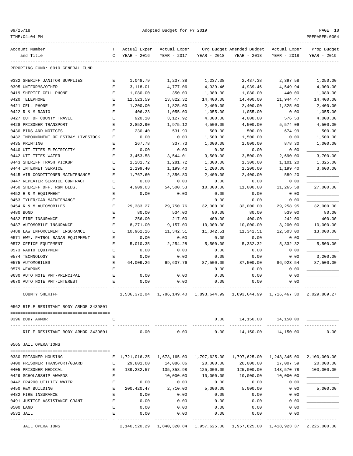| 09/25/18 |  |
|----------|--|
|          |  |

| Account Number                                       | т      | Actual Exper              | Actual Exper                    |                   | Org Budget Amended Budget | Actual Exper              | Prop Budget  |
|------------------------------------------------------|--------|---------------------------|---------------------------------|-------------------|---------------------------|---------------------------|--------------|
| and Title                                            | C      | YEAR - 2016               | YEAR - 2017                     | YEAR - 2018       | YEAR - 2018               | $YEAR - 2018$             | YEAR - 2019  |
| REPORTING FUND: 0010 GENERAL FUND                    |        |                           |                                 |                   |                           |                           |              |
| 0332 SHERIFF JANITOR SUPPLIES                        | Е      | 1,048.79                  | 1,237.38                        | 1,237.38          | 2,437.38                  | 2,397.58                  | 1,250.00     |
| 0395 UNIFORMS/OTHER                                  | Е      | 3,118.01                  | 4,777.06                        | 4,939.46          | 4,939.46                  | 4,549.94                  | 4,900.00     |
| 0419 SHERIFF CELL PHONE                              | Ε      | 1,080.00                  | 350.00                          | 1,080.00          | 1,080.00                  | 440.00                    | 1,080.00     |
| 0420 TELEPHONE                                       | Ε      | 12,523.59                 | 13,822.32                       | 14,400.00         | 14,400.00                 | 11,944.47                 | 14,400.00    |
| 0421 CELL PHONE                                      | E      | 1,200.00                  | 1,825.00                        | 2,400.00          | 2,400.00                  | 1,825.00                  | 2,400.00     |
| 0422 R & M RADIO                                     | E      | 406.23                    | 1,055.00                        | 1,055.00          | 1,055.00                  | 0.00                      | 1,055.00     |
| 0427 OUT OF COUNTY TRAVEL                            | Ε      | 920.10                    | 3,127.92                        | 4,000.00          | 4,000.00                  | 576.53                    | 4,000.00     |
| 0428 PRISONER TRANSPORT                              | Ε      | 2,852.90                  | 1,975.12                        | 4,500.00          | 4,500.00                  | 5,574.09                  | 4,500.00     |
| 0430 BIDS AND NOTICES                                | E      | 230.40                    | 531.90                          | 500.00            | 500.00                    | 674.99                    | 500.00       |
| 0432 IMPOUNDMENT OF ESTRAY LIVESTOCK                 | E      | 0.00                      | 0.00                            | 1,500.00          | 1,500.00                  | 0.00                      | 1,500.00     |
| 0435 PRINTING                                        | Е      | 267.78                    | 337.73                          | 1,000.00          | 1,000.00                  | 878.30                    | 1,000.00     |
| 0440 UTILITIES ELECTRICITY                           | E      | 0.00                      | 0.00                            | 0.00              | 0.00                      | 0.00                      |              |
| 0442 UTILITIES WATER                                 | Ε      | 3,453.58                  | 3,544.01                        | 3,500.00          | 3,500.00                  | 2,690.00                  | 3,700.00     |
| 0443 SHERIFF TRASH PICKUP                            | E      | 1,281.72                  | 1,281.72                        | 1,300.00          | 1,300.00                  | 1,101.20                  | 1,325.00     |
| 0444 INTERNET SERVICE                                | Ε      | 1,199.40                  | 1,199.40                        | 1,200.00          | 1,200.00                  | 1,199.40                  | 3,600.00     |
| 0445 AIR CONDITIONER MAINTENANCE                     | Ε      | 1,767.60                  | 2,356.80                        | 2,400.00          | 2,400.00                  | 589.20                    |              |
| 0447 REPEATER SERVICE CONTRACT                       | Ε      | 0.00                      | 0.00                            | 0.00              | 0.00                      | 0.00                      |              |
| 0450 SHERIFF OFF. R&M BLDG.                          | Ε      | 4,909.03                  | 54,500.53                       | 10,000.00         | 11,000.00                 | 11,265.58                 | 27,000.00    |
| 0452 R & M EQUIPMENT                                 | E      | 0.00                      | 0.00                            | 0.00              | 0.00                      | 0.00                      |              |
| 0453 TYLER/CAD MAINTENANCE                           | Ε      |                           |                                 | 0.00              | 0.00                      | 0.00                      |              |
| 0454 R & M AUTOMOBILES                               | Ε      | 29,383.27                 | 29,750.76                       | 32,000.00         | 32,000.00                 | 29, 258.95                | 32,000.00    |
| 0480 BOND                                            | E      | 80.00                     | 534.00                          | 80.00             | 80.00                     | 539.00                    | 80.00        |
| 0482 FIRE INSURANCE                                  | E      | 256.00                    | 217.00                          | 400.00            | 400.00                    | 242.00                    | 400.00       |
| 0487 AUTOMOBILE INSURANCE                            | E      | 8,271.00                  | 9,157.00                        | 10,000.00         | 10,000.00                 | 8,200.00                  | 10,000.00    |
| 0488 LAW ENFORCEMENT INSURANCE                       | Ε      | 10,962.16                 | 11,342.51                       | 11,342.51         | 11,342.51                 | 12,503.00                 | 13,000.00    |
| 0571 HWY. PATROL RADAR EQUIPMENT                     | Ε      | 0.00                      | 0.00                            | 0.00              | 0.00                      | 0.00                      |              |
| 0572 OFFICE EQUIPMENT                                | Ε      | 5,010.35                  | 2,254.28                        | 5,500.00          | 5,332.32                  | 5,332.32                  | 5,500.00     |
| 0573 RADIO EQUIPMENT                                 | E      | 0.00                      | 0.00                            | 0.00              | 0.00                      | 0.00                      |              |
| 0574 TECHNOLOGY                                      | Ε      | 0.00                      | 0.00                            | 0.00              | 0.00                      | 0.00                      | 3,200.00     |
| 0575 AUTOMOBILES                                     | Е<br>E | 64,009.26                 | 69,637.76                       | 87,500.00         | 87,500.00                 | 86,923.54                 | 87,500.00    |
| 0579 WEAPONS                                         |        |                           |                                 | 0.00              | 0.00                      | 0.00                      |              |
| 0630 AUTO NOTE PMT-PRINCIPAL                         | Ε      | 0.00                      | 0.00                            | 0.00              | 0.00                      | 0.00                      |              |
| 0670 AUTO NOTE PMT-INTEREST                          | Ε      | 0.00                      | 0.00                            | 0.00              | 0.00                      | 0.00                      |              |
| COUNTY SHERIFF                                       |        | 1,536,372.04              | 1,786,149.40                    | 1,893,644.99      | 1,893,644.99              | 1,716,467.30              | 2,029,889.27 |
| 0562 RIFLE RESISTANT BODY ARMOR 3439801              |        |                           |                                 |                   |                           |                           |              |
|                                                      |        |                           |                                 |                   |                           |                           |              |
| 0396 BODY ARMOR                                      | Ε      |                           |                                 | 0.00              | 14,150.00                 | 14,150.00                 |              |
| RIFLE RESISTANT BODY ARMOR 3439801                   |        | 0.00                      | 0.00                            | 0.00              | 14,150.00                 | 14,150.00                 | 0.00         |
| 0565 JAIL OPERATIONS                                 |        |                           |                                 |                   |                           |                           |              |
|                                                      |        |                           |                                 |                   |                           |                           |              |
| 0380 PRISONER HOUSING                                | Е      | 1,721,016.25 1,678,165.00 |                                 | 1,797,625.00      | 1,797,625.00              | 1,248,345.00              | 2,100,000.00 |
| 0400 PRISONER TRANSPORT/GUARD                        | Ε      | 29,801.00                 | 14,086.86                       | 20,000.00         | 20,000.00                 | 17,007.59                 | 20,000.00    |
| 0405 PRISONER MEDICAL                                | Е      | 189,282.57                | 135,358.98                      | 125,000.00        | 125,000.00                | 143,570.78                | 100,000.00   |
| 0429 SCHOLARSHIP AWARDS<br>0442 CR4200 UTILITY WATER | Ε<br>E | 0.00                      | 10,000.00<br>0.00               | 10,000.00<br>0.00 | 10,000.00<br>0.00         | 10,000.00<br>0.00         |              |
| 0450 R&M BUILDING                                    | E      | 200,420.47                | 2,710.00                        | 5,000.00          | 5,000.00                  | 0.00                      | 5,000.00     |
| 0482 FIRE INSURANCE                                  | Ε      | 0.00                      | 0.00                            | 0.00              | 0.00                      | 0.00                      |              |
| 0491 JUSTICE ASSISTANCE GRANT                        | E      | 0.00                      | 0.00                            | 0.00              | 0.00                      | 0.00                      |              |
| 0500 LAND                                            | E      | 0.00                      | 0.00                            | 0.00              | 0.00                      | 0.00                      |              |
| 0532 JAIL                                            | E      | 0.00                      | 0.00                            | 0.00              | 0.00                      | 0.00                      |              |
|                                                      |        |                           |                                 |                   |                           |                           |              |
| <b>JAIL OPERATIONS</b>                               |        |                           | 2, 140, 520. 29 1, 840, 320. 84 | 1,957,625.00      |                           | 1,957,625.00 1,418,923.37 | 2,225,000.00 |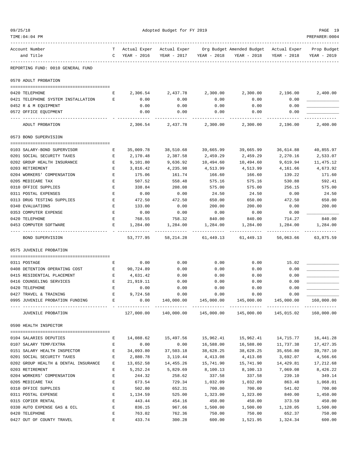| 09/25/18                               |                    |             | Adopted Budget for FY 2019 |             |                                                |             | PAGE 19        |  |
|----------------------------------------|--------------------|-------------|----------------------------|-------------|------------------------------------------------|-------------|----------------|--|
| TIME:04:04 PM                          |                    |             |                            |             |                                                |             | PREPARER: 0004 |  |
| Account Number                         | T.                 |             | Actual Exper Actual Exper  |             | Org Budget Amended Budget Actual Exper         |             | Prop Budget    |  |
| and Title                              | $\mathbb{C}$       | YEAR - 2016 | YEAR - 2017                | YEAR - 2018 | YEAR - 2018                                    | YEAR - 2018 | YEAR - 2019    |  |
| REPORTING FUND: 0010 GENERAL FUND      |                    |             |                            |             |                                                |             |                |  |
| 0570 ADULT PROBATION                   |                    |             |                            |             |                                                |             |                |  |
| 0420 TELEPHONE                         | Е                  | 2,306.54    | 2,437.78                   | 2,300.00    | 2,300.00                                       | 2,196.00    | 2,400.00       |  |
| 0421 TELEPHONE SYSTEM INSTALLATION     | Е                  | 0.00        | 0.00                       | 0.00        | 0.00                                           | 0.00        |                |  |
| 0452 R & M EQUIPMENT                   |                    | 0.00        | 0.00                       | 0.00        | 0.00                                           | 0.00        |                |  |
| 0572 OFFICE EQUIPMENT                  |                    | 0.00        | 0.00                       | 0.00        | 0.00                                           | 0.00        |                |  |
| ADULT PROBATION                        |                    | 2,306.54    | 2,437.78                   | 2,300.00    | 2,300.00                                       | 2,196.00    | 2,400.00       |  |
| 0573 BOND SUPERVISION                  |                    |             |                            |             |                                                |             |                |  |
| 0103 SALARY-BOND SUPERVISOR            | Е                  | 35,009.78   | 38,510.68                  | 39,665.99   | 39,665.99                                      | 36,614.88   | 40,855.97      |  |
| 0201 SOCIAL SECURITY TAXES             | E                  | 2,170.48    | 2,387.58                   | 2,459.29    | 2,459.29                                       | 2,270.16    | 2,533.07       |  |
| 0202 GROUP HEALTH INSURANCE            | E                  | 9,101.80    | 9,636.92                   | 10,494.60   | 10,494.60                                      | 9,619.94    | 11,475.12      |  |
| 0203 RETIREMENT                        | Е                  | 3,816.42    | 4,235.98                   | 4,513.99    | 4,513.99                                       | 4,161.66    | 4,673.92       |  |
| 0204 WORKERS' COMPENSATION             | $\mathbf E$        | 175.06      | 161.74                     | 166.60      | 166.60                                         | 139.22      | 171.60         |  |
| 0205 MEDICARE TAX                      | Ε                  | 507.52      | 558.48                     | 575.16      | 575.16                                         | 530.88      | 592.41         |  |
| 0310 OFFICE SUPPLIES                   | E                  | 338.84      | 208.08                     | 575.00      | 575.00                                         | 256.15      | 575.00         |  |
| 0311 POSTAL EXPENSES                   | Ε                  | 0.00        | 0.00                       | 24.50       | 24.50                                          | 0.00        | 24.50          |  |
| 0313 DRUG TESTING SUPPLIES             | Е                  | 472.50      | 472.50                     | 650.00      | 650.00                                         | 472.50      | 650.00         |  |
| 0340 EVALUATIONS                       | Е                  | 133.00      | 0.00                       | 200.00      | 200.00                                         | 0.00        | 200.00         |  |
| 0353 COMPUTER EXPENSE                  | E                  | 0.00        | 0.00                       | 0.00        | 0.00                                           | 0.00        |                |  |
| 0420 TELEPHONE                         | Е                  | 768.55      | 758.32                     | 840.00      | 840.00                                         | 714.27      | 840.00         |  |
| 0453 COMPUTER SOFTWARE                 | Е                  | 1,284.00    | 1,284.00                   | 1,284.00    | 1,284.00                                       | 1,284.00    | 1,284.00       |  |
| BOND SUPERVISION                       |                    | 53,777.95   | 58, 214.28                 | 61,449.13   | 61,449.13                                      | 56,063.66   | 63,875.59      |  |
| 0575 JUVENILE PROBATION                |                    |             |                            |             |                                                |             |                |  |
| 0311 POSTAGE                           | Ε                  | 0.00        | 0.00                       | 0.00        | 0.00                                           | 15.02       |                |  |
| 0408 DETENTION OPERATING COST          | $\mathbf{E}$       | 90,724.89   | 0.00                       | 0.00        | 0.00                                           | 0.00        |                |  |
| 0415 RESIDENTIAL PLACEMENT             | Е                  | 4,631.42    | 0.00                       | 0.00        | 0.00                                           | 0.00        |                |  |
| 0416 COUNSELING SERVICES               | E                  | 21,919.11   | 0.00                       | 0.00        | 0.00                                           | 0.00        |                |  |
| 0420 TELEPHONE                         | Е                  | 0.00        | 0.00                       | 0.00        | 0.00                                           | 0.00        |                |  |
| 0427 TRAVEL & TRAINING                 | E                  | 9,724.58    | 0.00                       | 0.00        | 0.00                                           | 0.00        |                |  |
| 0995 JUVENILE PROBATION FUNDING E      |                    | 0.00        | 140,000.00                 | 145,000.00  | 145,000.00                                     | 145,000.00  | 160,000.00     |  |
| JUVENILE PROBATION                     |                    | 127,000.00  |                            |             | 140,000.00  145,000.00  145,000.00  145,015.02 |             | 160,000.00     |  |
| 0590 HEALTH INSPECTOR                  |                    |             |                            |             |                                                |             |                |  |
| 0104 SALARIES DEPUTIES                 | Е                  | 14,088.62   | 15,497.56                  | 15,962.41   | 15,962.41                                      | 14,715.77   | 16,441.28      |  |
| 0107 SALARY TEMP/EXTRA                 | $\mathbf{E}$       | 0.00        | 0.00                       | 16,588.00   | 16,588.00                                      | 11,737.38   | 17,427.35      |  |
| 0151 SALARY HEALTH INSPECTOR           | E                  | 34,093.80   | 37,503.18                  | 38,628.25   | 38,628.25                                      | 35,656.80   | 39,787.10      |  |
| 0201 SOCIAL SECURITY TAXES             | E                  | 2,880.78    | 3,119.44                   | 4,413.08    | 4,413.08                                       | 3,692.07    | 4,566.66       |  |
| 0202 GROUP HEALTH & DENTAL INSURANCE E |                    | 13,652.58   | 14,455.26                  | 15,741.90   | 15,741.90                                      | 14,429.81   | 17,212.68      |  |
| 0203 RETIREMENT                        | E                  | 5,252.24    | 5,829.69                   | 8,100.13    | 8,100.13                                       | 7,069.08    | 8,426.22       |  |
| 0204 WORKERS' COMPENSATION             | E                  | 244.32      | 258.62                     | 337.58      | 337.58                                         | 239.10      | 349.14         |  |
| 0205 MEDICARE TAX                      | $\mathbf E$        | 673.54      | 729.34                     | 1,032.09    | 1,032.09                                       | 863.48      | 1,068.01       |  |
| 0310 OFFICE SUPPLIES                   | Е                  | 502.80      | 652.31                     | 700.00      | 700.00                                         | 541.02      | 700.00         |  |
| 0311 POSTAL EXPENSE                    | $\mathbf{E}% _{0}$ | 1,134.59    | 525.00                     | 1,323.00    | 1,323.00                                       | 840.00      | 1,450.00       |  |
| 0315 COPIER RENTAL                     | Е                  | 443.44      | 454.16                     | 450.00      | 450.00                                         | 373.59      | 450.00         |  |
| 0330 AUTO EXPENSE GAS & OIL            | Е                  | 836.15      | 967.66                     | 1,500.00    | 1,500.00                                       | 1,128.05    | 1,500.00       |  |
| 0420 TELEPHONE                         | Е                  | 763.02      | 762.36                     | 750.00      | 750.00                                         | 652.37      | 750.00         |  |
| 0427 OUT OF COUNTY TRAVEL              | E                  | 433.74      | 300.28                     | 600.00      | 1,521.95                                       | 1,324.34    | 600.00         |  |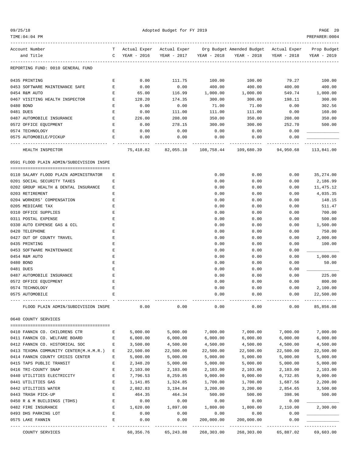|  | 09/25/1 |  |
|--|---------|--|
|--|---------|--|

| $TIME:04:04$ PM                          |              |                               |                     |                         |                                                                              |                            | PREPARER: 0004 |
|------------------------------------------|--------------|-------------------------------|---------------------|-------------------------|------------------------------------------------------------------------------|----------------------------|----------------|
| Account Number                           | T.           |                               |                     |                         | Actual Exper Actual Exper Org Budget Amended Budget Actual Exper Prop Budget |                            |                |
| and Title                                | C            | YEAR - 2016                   |                     | YEAR - 2017 YEAR - 2018 | YEAR - 2018                                                                  | YEAR - 2018                | YEAR - 2019    |
| REPORTING FUND: 0010 GENERAL FUND        |              |                               |                     |                         |                                                                              |                            |                |
| 0435 PRINTING                            | Е            | 0.00                          | 111.75              | 100.00                  | 100.00                                                                       | 79.27                      | 100.00         |
| 0453 SOFTWARE MAINTENANCE SAFE           | E            | 0.00                          | 0.00                | 400.00                  | 400.00                                                                       | 400.00                     | 400.00         |
| 0454 R&M AUTO                            | $\mathbf{E}$ | 65.00                         | 116.99              | 1,000.00                | 1,000.00                                                                     | 549.74                     | 1,000.00       |
| 0467 VISITING HEALTH INSPECTOR           | Е            | 128.20                        | 174.35              | 300.00                  | 300.00                                                                       | 198.11                     | 300.00         |
| 0480 BOND                                | E            | 0.00                          | 0.00                | 71.00                   | 71.00                                                                        | 0.00                       | 302.56         |
| 0481 DUES                                | E            | 0.00                          | 111.00              | 111.00                  | 111.00                                                                       | 0.00                       | 160.00         |
| 0487 AUTOMOBILE INSURANCE                | Е            | 226.00                        | 208.00              | 350.00                  | 350.00                                                                       | 208.00                     | 350.00         |
| 0572 OFFICE EQUIPMENT                    | Е            | 0.00                          | 278.15              | 300.00                  | 300.00                                                                       | 252.70                     | 500.00         |
| 0574 TECHNOLOGY                          | Е            | 0.00                          | 0.00                | 0.00                    | 0.00                                                                         | 0.00                       |                |
| 0575 AUTOMOBILE/PICKUP                   | E            | 0.00                          | 0.00                | 0.00                    | 0.00                                                                         | 0.00                       |                |
| ---- -------------<br>HEALTH INSPECTOR   |              | ----------------<br>75,418.82 | ------------        | -------------           | --------------<br>82,055.10  108,758.44  109,680.39                          | -------------<br>94,950.68 | 113,841.00     |
|                                          |              |                               |                     |                         |                                                                              |                            |                |
| 0591 FLOOD PLAIN ADMIN/SUBDIVISION INSPE |              |                               |                     |                         |                                                                              |                            |                |
| 0110 SALARY FLOOD PLAIN ADMINISTRATOR    | Е            |                               |                     | 0.00                    | 0.00                                                                         | 0.00                       | 35,274.00      |
| 0201 SOCIAL SECURITY TAXES               | Е            |                               |                     | 0.00                    | 0.00                                                                         | 0.00                       | 2,186.99       |
| 0202 GROUP HEALTH & DENTAL INSURANCE     | Е            |                               |                     | 0.00                    | 0.00                                                                         | 0.00                       | 11,475.12      |
| 0203 RETIREMENT                          | Ε            |                               |                     | 0.00                    | 0.00                                                                         | 0.00                       | 4,035.35       |
| 0204 WORKERS' COMPENSATION               | Ε            |                               |                     | 0.00                    | 0.00                                                                         | 0.00                       | 148.15         |
| 0205 MEDICARE TAX                        | Ε            |                               |                     | 0.00                    | 0.00                                                                         | 0.00                       | 511.47         |
| 0310 OFFICE SUPPLIES                     | Ε            |                               |                     | 0.00                    | 0.00                                                                         | 0.00                       | 700.00         |
| 0311 POSTAL EXPENSE                      | Е            |                               |                     | 0.00                    | 0.00                                                                         | 0.00                       | 500.00         |
| 0330 AUTO EXPENSE GAS & OIL              | E            |                               |                     | 0.00                    | 0.00                                                                         | 0.00                       | 1,500.00       |
| 0420 TELEPHONE                           | E            |                               |                     | 0.00                    | 0.00                                                                         | 0.00                       | 750.00         |
| 0427 OUT OF COUNTY TRAVEL                | Ε            |                               |                     | 0.00                    | 0.00                                                                         | 0.00                       | 2,000.00       |
| 0435 PRINTING                            | Е            |                               |                     | 0.00                    | 0.00                                                                         | 0.00                       | 100.00         |
| 0453 SOFTWARE MAINTENANCE                | Е            |                               |                     | 0.00                    | 0.00                                                                         | 0.00                       |                |
| 0454 R&M AUTO                            | E            |                               |                     | 0.00                    | 0.00                                                                         | 0.00                       | 1,000.00       |
| 0480 BOND                                | E            |                               |                     | 0.00                    | 0.00                                                                         | 0.00                       | 50.00          |
| 0481 DUES                                | E            |                               |                     | 0.00                    | 0.00                                                                         | 0.00                       |                |
| 0487 AUTOMOBILE INSURANCE                | Ε            |                               |                     | 0.00                    | 0.00                                                                         | 0.00                       | 225.00         |
| 0572 OFFICE EQUIPMENT                    | Ε            |                               |                     | 0.00                    | 0.00                                                                         | 0.00                       | 800.00         |
| 0574 TECHNOLOGY                          | E            |                               |                     | 0.00                    | 0.00                                                                         | 0.00                       | 2,100.00       |
| 0575 AUTOMOBILE                          |              |                               |                     | 0.00                    | 0.00                                                                         | 0.00                       | 22,500.00      |
| FLOOD PLAIN ADMIN/SUBDIVISION INSPE      |              | 0.00                          | 0.00                | 0.00                    | 0.00                                                                         | 0.00                       | 85,856.08      |
| 0640 COUNTY SERVICES                     |              |                               |                     |                         |                                                                              |                            |                |
| 0410 FANNIN CO. CHILDRENS CTR            | Е            | 5,000.00                      | 5,000.00            | 7,000.00                | 7,000.00                                                                     | 7,000.00                   | 7,000.00       |
| 0411 FANNIN CO. WELFARE BOARD            | Е            | 6,000.00                      | 6,000.00            | 6,000.00                | 6,000.00                                                                     | 6,000.00                   | 6,000.00       |
| 0412 FANNIN CO. HISTORICAL SOC           | Е            | 3,500.00                      | 4,500.00            | 4,500.00                | 4,500.00                                                                     | 4,500.00                   | 4,500.00       |
| 0413 TEXOMA COMMUNITY CENTER(M.H.M.R.) E |              | 22,500.00                     | 22,500.00           | 22,500.00               | 22,500.00                                                                    | 22,500.00                  | 22,500.00      |
| 0414 FANNIN COUNTY CRISIS CENTER         | Ε            | 5,000.00                      | 5,000.00            | 5,000.00                | 5,000.00                                                                     | 5,000.00                   | 5,000.00       |
| 0415 TAPS PUBLIC TRANSIT                 | Ε            | 2,348.20                      | 5,000.00            | 5,000.00                | 5,000.00                                                                     | 5,000.00                   | 5,000.00       |
| 0416 TRI-COUNTY SNAP                     | Е            | 2,103.00                      | 2,103.00            | 2,103.00                | 2,103.00                                                                     | 2,103.00                   | 2,103.00       |
| 0440 UTILITIES ELECTRICITY               | Е            | 7,796.53                      | 8,259.85            | 9,000.00                | 9,000.00                                                                     | 6,732.85                   | 9,000.00       |
| 0441 UTILITIES GAS                       | Е            | 1,141.85                      | 1,324.85            | 1,700.00                | 1,700.00                                                                     | 1,687.56                   | 2,200.00       |
| 0442 UTILITIES WATER                     | Е            | 2,882.83                      | 3,194.84            | 3,200.00                | 3,200.00                                                                     | 2,854.65                   | 3,500.00       |
| 0443 TRASH PICK-UP                       | Е            | 464.35                        | 464.34              | 500.00                  | 500.00                                                                       | 398.96                     | 500.00         |
| 0450 R & M BUILDINGS (TDHS)              | Е            | 0.00                          | 0.00                | 0.00                    | 0.00                                                                         | 0.00                       |                |
| 0482 FIRE INSURANCE                      | Е            | 1,620.00                      | 1,897.00            | 1,800.00                | 1,800.00                                                                     | 2,110.00                   | 2,300.00       |
| 0493 DHS PARKING LOT                     | $\mathbf E$  | 0.00                          | 0.00                | 0.00                    | 0.00                                                                         | 0.00                       |                |
| 0575 LAKE FANNIN                         | Е            | 0.00                          | 0.00                | 200,000.00              | 200,000.00                                                                   | 0.00                       |                |
| COUNTY SERVICES                          |              |                               | 60,356.76 65,243.88 | 268,303.00              |                                                                              | 268,303.00 65,887.02       | 69,603.00      |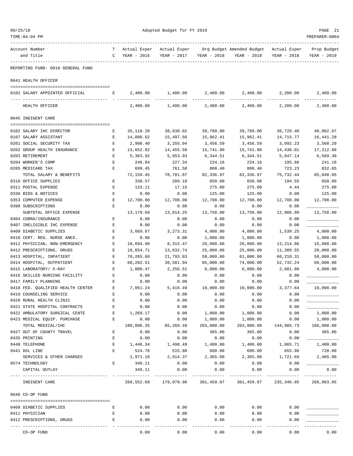| 09/25/18                                          |                   | Adopted Budget for FY 2019  |                             |                       |                                                        |                        |                            |  |
|---------------------------------------------------|-------------------|-----------------------------|-----------------------------|-----------------------|--------------------------------------------------------|------------------------|----------------------------|--|
| TIME:04:04 PM                                     |                   |                             |                             |                       |                                                        |                        | PREPARER: 0004             |  |
| Account Number<br>and Title                       | т<br>$\mathsf{C}$ | Actual Exper<br>YEAR - 2016 | Actual Exper<br>YEAR - 2017 | YEAR - 2018           | Org Budget Amended Budget Actual Exper<br>YEAR - 2018  | YEAR - 2018            | Prop Budget<br>YEAR - 2019 |  |
| REPORTING FUND: 0010 GENERAL FUND                 |                   |                             |                             |                       |                                                        |                        |                            |  |
| 0641 HEALTH OFFICER                               |                   |                             |                             |                       |                                                        |                        |                            |  |
| 0102 SALARY APPOINTED OFFICIAL                    | Е                 | 2,400.00                    | 1,400.00                    | 2,400.00              |                                                        | 2,400.00 2,200.00      | 2,400.00                   |  |
| HEALTH OFFICER                                    |                   | 2,400.00                    | 1,400.00                    | 2,400.00              | 2,400.00                                               | 2,200.00               | 2,400.00                   |  |
| 0645 INDIGENT CARE                                |                   |                             |                             |                       |                                                        |                        |                            |  |
|                                                   |                   |                             |                             |                       |                                                        |                        |                            |  |
| 0102 SALARY IHC DIRECTOR<br>0107 SALARY ASSISTANT | Е<br>Е            | 35,118.20<br>14,088.62      | 38,630.02<br>15,497.56      | 39,789.00             | 39,789.00<br>15,962.41                                 | 36,728.40<br>14,715.77 | 40,982.67<br>16,441.28     |  |
| 0201 SOCIAL SECURITY TAX                          | Е                 | 2,990.40                    | 3,255.94                    | 15,962.41<br>3,456.59 | 3,456.59                                               | 3,092.23               | 3,560.29                   |  |
| 0202 GROUP HEALTH INSURANCE                       | Е                 | 13,652.82                   | 14,455.50                   | 15,741.90             | 15,741.90                                              | 14,430.01              | 17,212.68                  |  |
| 0203 RETIREMENT                                   | Е                 | 5,363.92                    | 5,953.93                    | 6,344.51              | 6,344.51                                               | 5,847.14               | 6,569.30                   |  |
| 0204 WORKER'S COMP                                | Е                 | 246.04                      | 227.34                      | 234.16                | 234.16                                                 | 195.66                 | 241.18                     |  |
| 0205 MEDICARE TAX                                 | E                 | 699.45                      | 761.58                      | 808.40                | 808.40                                                 | 723.23                 | 832.65                     |  |
| TOTAL SALARY & BENEFITS                           |                   | 72,159.45                   | 78,781.87                   | 82,336.97             | 82,336.97                                              | 75,732.44              | 85,840.05                  |  |
| 0310 OFFICE SUPPLIES                              | Е                 | 338.57                      | 289.10                      | 650.00                | 650.00                                                 | 194.55                 | 650.00                     |  |
| 0311 POSTAL EXPENSE                               | Е                 | 133.11                      | 17.15                       | 275.00                | 275.00                                                 | 4.44                   | 275.00                     |  |
| 0330 BIDS & NOTICES                               | Е                 | 0.00                        | 0.00                        | 125.00                | 125.00                                                 | 0.00                   | 125.00                     |  |
| 0353 COMPUTER EXPENSE                             | Е                 | 12,708.00                   | 12,708.00                   | 12,708.00             | 12,708.00                                              | 12,708.00              | 12,708.00                  |  |
| 0390 SUBSCRIPTIONS                                | $\mathbf E$       | 0.00                        | 0.00                        | 0.00                  | 0.00                                                   | 0.00                   |                            |  |
| SUBTOTAL OFFICE EXPENSE                           |                   | 13, 179.68                  | 13,014.25                   | 13,758.00             | 13,758.00                                              | 12,906.99              | 13,758.00                  |  |
| 0404 COBRA/INSURANCE                              | Е                 | 0.00                        | 0.00                        | 0.00                  | 0.00                                                   | 0.00                   |                            |  |
| 0407 INELIGIBLE IHC EXPENSE                       | Е                 | 0.00                        | 0.00                        | 0.00                  | 0.00                                                   | 0.00                   |                            |  |
| 0409 DIABETIC SUPPLIES                            | Е                 | 3,669.67                    | 3,273.31                    | 4,000.00              | 4,000.00                                               | 1,539.25               | 4,000.00                   |  |
| 0410 CERT. REG. NURSE ANES.                       | E                 | 0.00                        | 0.00                        | 1,000.00              | 1,000.00                                               | 0.00                   | 1,000.00                   |  |
| 0411 PHYSICIAN, NON-EMERGENCY                     | Е                 | 18,694.98                   | 8,315.47                    | 20,000.00             | 20,000.00                                              | 13, 214.86             | 15,000.00                  |  |
| 0412 PRESCRIPTIONS, DRUGS                         | Е                 | 18,654.71                   | 13,632.74                   | 25,000.00             | 25,000.00                                              | 11,309.55              | 20,000.00                  |  |
| 0413 HOSPITAL, INPATIENT                          | Е                 | 70,265.60                   | 21,793.03                   | 50,000.00             | 61,000.00                                              | 60,210.31              | 50,000.00                  |  |
| 0414 HOSPITAL, OUTPATIENT                         | Е                 | 60,202.51                   | 30,581.94                   | 85,000.00             | 74,000.00                                              | 52,732.24              | 60,000.00                  |  |
| 0415 LABORATORY/ X-RAY                            | Е                 | 1,088.47                    | 2,256.51                    | 6,000.00              | 6,000.00                                               | 2,601.88               | 4,000.00                   |  |
| 0416 SKILLED NURSING FACILITY                     | Е                 | 0.00                        | 0.00                        | 0.00                  | 0.00                                                   | 0.00                   |                            |  |
| 0417 FAMILY PLANNING                              | E                 | 0.00                        | 0.00                        | 0.00                  | 0.00                                                   | 0.00                   |                            |  |
| 0418 FED. QUALIFIED HEALTH CENTER                 | Ε                 | 7,051.24                    | 5,416.49                    | 10,000.00             | 10,000.00                                              | 3,377.64               | 10,000.00                  |  |
| 0419 COUNSELING SERVICE                           | Е                 | 0.00                        | 0.00                        | 0.00                  | 0.00                                                   | 0.00                   |                            |  |
| 0420 RURAL HEALTH CLINIC                          | Е                 | 0.00                        | 0.00                        | 0.00                  | 0.00                                                   | 0.00                   |                            |  |
| 0421 STATE HOSPITAL CONTRACTS                     | $\mathbf E$       | 0.00                        | 0.00                        | 0.00                  | 0.00                                                   | 0.00                   |                            |  |
| 0422 AMBULATORY SURGICAL CENTE                    | Е                 | 1,269.17                    | 0.00                        | 1,000.00              | 1,000.00                                               | 0.00                   | 1,000.00                   |  |
| 0423 MEDICAL EQUIP. PURCHASE                      | Е                 | 0.00                        | 0.00                        | 1,000.00              | 1,000.00                                               | 0.00                   | 1,000.00                   |  |
| TOTAL MEDICAL/IHC                                 |                   | 180,896.35                  | 85, 269.49                  | 203,000.00            | 203,000.00                                             | 144,985.73             | 166,000.00                 |  |
| 0427 OUT OF COUNTY TRAVEL                         | Е                 | 0.00                        | 0.00                        | 365.00                | 365.00                                                 | 0.00                   | 365.00                     |  |
| 0435 PRINTING                                     | Е                 | 0.00                        | 0.00                        | 0.00                  | 0.00                                                   | 0.00                   |                            |  |
| 0440 TELEPHONE                                    | $\mathbf{E}$      | 1,446.34                    | 1,498.49                    | 1,400.00              | 1,400.00                                               | 1,065.71               | 1,400.00                   |  |
| 0441 DSL LINE                                     | $\mathbf E$       | 524.76                      | 515.88                      | 600.00                | 600.00                                                 | 655.98                 | 720.00                     |  |
| SERVICES & OTHER CHARGES                          |                   | 1,971.10                    | 2,014.37                    | 2,365.00              | 2,365.00                                               | 1,721.69               | 2,485.00                   |  |
| 0574 TECHNOLOGY                                   | Е                 | 346.11                      | 0.00                        | 0.00                  | 0.00                                                   | 0.00                   |                            |  |
| CAPITAL OUTLAY                                    |                   | 346.11                      | 0.00                        | 0.00                  | 0.00                                                   | 0.00                   | 0.00                       |  |
| --------<br>INDIGENT CARE                         |                   | _______________             | ------------                |                       | 268,552.69 179,079.98 301,459.97 301,459.97 235,346.85 |                        | ----------<br>268,083.05   |  |
| 0646 CO-OP FUND                                   |                   |                             |                             |                       |                                                        |                        |                            |  |
|                                                   |                   |                             |                             |                       |                                                        |                        |                            |  |
| 0409 DIABETIC SUPPLIES                            | Е                 | 0.00                        | 0.00                        | 0.00                  | 0.00                                                   | 0.00                   |                            |  |
| 0411 PHYSICIAN                                    | $\mathbf{E}$      | 0.00                        | 0.00                        | 0.00                  | 0.00                                                   | 0.00                   |                            |  |
| 0412 PRESCRIPTIONS, DRUGS                         | Е                 | 0.00                        | 0.00                        | 0.00                  | 0.00                                                   | 0.00                   |                            |  |
| CO-OP FUND                                        |                   | 0.00                        | 0.00                        | 0.00                  | 0.00                                                   | 0.00                   | 0.00                       |  |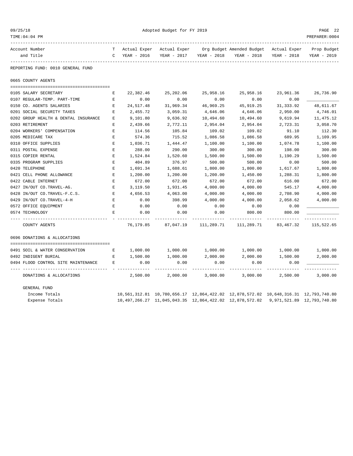| 09/25/18<br>TIME: 04: 04 PM          |             | Adopted Budget for FY 2019  |                             |                                                                                                |             |                                                       |                            |  |  |
|--------------------------------------|-------------|-----------------------------|-----------------------------|------------------------------------------------------------------------------------------------|-------------|-------------------------------------------------------|----------------------------|--|--|
| Account Number<br>and Title          | т<br>C      | Actual Exper<br>YEAR - 2016 | Actual Exper<br>YEAR - 2017 | YEAR - 2018                                                                                    | YEAR - 2018 | Org Budget Amended Budget Actual Exper<br>YEAR - 2018 | Prop Budget<br>YEAR - 2019 |  |  |
| REPORTING FUND: 0010 GENERAL FUND    |             |                             |                             |                                                                                                |             |                                                       |                            |  |  |
| 0665 COUNTY AGENTS                   |             |                             |                             |                                                                                                |             |                                                       |                            |  |  |
| 0105 SALARY SECRETARY                | Ε           | 22,382.46                   | 25,202.06                   | 25,958.16                                                                                      | 25,958.16   | 23,961.36                                             | 26,736.90                  |  |  |
| 0107 REGULAR-TEMP. PART-TIME         | Ε           | 0.00                        | 0.00                        | 0.00                                                                                           | 0.00        | 0.00                                                  |                            |  |  |
| 0150 CO. AGENTS SALARIES             | Е           | 24,517.48                   | 31,969.34                   | 46,969.25                                                                                      | 45,919.25   | 31, 333.92                                            | 48,611.67                  |  |  |
| 0201 SOCIAL SECURITY TAXES           | E           | 2,455.72                    | 3,059.31                    | 4,646.06                                                                                       | 4,646.06    | 2,950.00                                              | 4,746.01                   |  |  |
| 0202 GROUP HEALTH & DENTAL INSURANCE | E           | 9,101.80                    | 9,636.92                    | 10,494.60                                                                                      | 10,494.60   | 9,619.94                                              | 11, 475.12                 |  |  |
| 0203 RETIREMENT                      | E           | 2,439.66                    | 2,772.11                    | 2,954.04                                                                                       | 2,954.04    | 2,723.31                                              | 3,058.70                   |  |  |
| 0204 WORKERS' COMPENSATION           | E           | 114.56                      | 105.84                      | 109.02                                                                                         | 109.02      | 91.10                                                 | 112.30                     |  |  |
| 0205 MEDICARE TAX                    | $\mathbf E$ | 574.36                      | 715.52                      | 1,086.58                                                                                       | 1,086.58    | 689.95                                                | 1,109.95                   |  |  |
| 0310 OFFICE SUPPLIES                 | E           | 1,036.71                    | 1,444.47                    | 1,100.00                                                                                       | 1,100.00    | 1,074.78                                              | 1,100.00                   |  |  |
| 0311 POSTAL EXPENSE                  | E           | 288.00                      | 290.00                      | 300.00                                                                                         | 300.00      | 198.00                                                | 300.00                     |  |  |
| 0315 COPIER RENTAL                   | E           | 1,524.84                    | 1,520.60                    | 1,500.00                                                                                       | 1,500.00    | 1,190.29                                              | 1,500.00                   |  |  |
| 0335 PROGRAM SUPPLIES                | E           | 404.89                      | 376.97                      | 500.00                                                                                         | 500.00      | 0.00                                                  | 500.00                     |  |  |
| 0420 TELEPHONE                       | E           | 1,691.34                    | 1,688.61                    | 1,800.00                                                                                       | 1,800.00    | 1,617.67                                              | 1,800.00                   |  |  |
| 0421 CELL PHONE ALLOWANCE            | E           | 1,200.00                    | 1,200.00                    | 1,200.00                                                                                       | 1,450.00    | 1,288.31                                              | 1,800.00                   |  |  |
| 0422 CABLE INTERNET                  | E           | 672.00                      | 672.00                      | 672.00                                                                                         | 672.00      | 616.00                                                | 672.00                     |  |  |
| 0427 IN/OUT CO.TRAVEL-AG.            | Ε           | 3,119.50                    | 1,931.45                    | 4,000.00                                                                                       | 4,000.00    | 545.17                                                | 4,000.00                   |  |  |
| 0428 IN/OUT CO.TRAVEL-F.C.S.         | E           | 4,656.53                    | 4,063.00                    | 4,000.00                                                                                       | 4,000.00    | 2,708.90                                              | 4,000.00                   |  |  |
| 0429 IN/OUT CO. TRAVEL-4-H           | Ε           | 0.00                        | 398.99                      | 4,000.00                                                                                       | 4,000.00    | 2,058.62                                              | 4,000.00                   |  |  |
| 0572 OFFICE EQUIPMENT                | Е           | 0.00                        | 0.00                        | 0.00                                                                                           | 0.00        | 0.00                                                  |                            |  |  |
| 0574 TECHNOLOGY                      | F.          | 0.00                        | 0.00                        | 0.00                                                                                           | 800.00      | 800.00                                                |                            |  |  |
|                                      |             |                             |                             |                                                                                                |             |                                                       | ---------                  |  |  |
| COUNTY AGENTS                        |             | 76,179.85                   | 87,047.19                   | 111,289.71                                                                                     | 111,289.71  | 83, 467. 32                                           | 115,522.65                 |  |  |
| 0696 DONATIONS & ALLOCATIONS         |             |                             |                             |                                                                                                |             |                                                       |                            |  |  |
| 0491 SOIL & WATER CONSERVATION       | Е           | 1,000.00                    | 1,000.00                    | 1,000.00                                                                                       | 1,000.00    | 1,000.00                                              | 1,000.00                   |  |  |
| 0492 INDIGENT BURIAL                 | E           | 1,500.00                    | 1,000.00                    | 2,000.00                                                                                       | 2,000.00    | 1,500.00                                              | 2,000.00                   |  |  |
| 0494 FLOOD CONTROL SITE MAINTENANCE  | E           | 0.00                        | 0.00                        | 0.00                                                                                           | 0.00        | 0.00                                                  |                            |  |  |
| DONATIONS & ALLOCATIONS              |             | 2,500.00                    | 2,000.00                    | 3,000.00                                                                                       | 3,000.00    | 2,500.00                                              | 3,000.00                   |  |  |
| GENERAL FUND                         |             |                             |                             |                                                                                                |             |                                                       |                            |  |  |
| Income Totals                        |             |                             |                             | 10,561,312.81 10,780,656.17 12,864,422.02 12,878,572.02 10,648,316.31 12,793,740.80            |             |                                                       |                            |  |  |
| Expense Totals                       |             |                             |                             | 10, 497, 266.27 11, 045, 043.35 12, 864, 422.02 12, 878, 572.02 9, 971, 521.89 12, 793, 740.80 |             |                                                       |                            |  |  |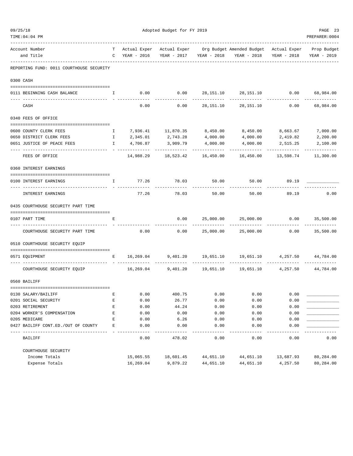| 09/25/18                                 |              | Adopted Budget for FY 2019      |                             |                            |                                                                    |                           |                            |  |
|------------------------------------------|--------------|---------------------------------|-----------------------------|----------------------------|--------------------------------------------------------------------|---------------------------|----------------------------|--|
| TIME:04:04 PM                            |              |                                 |                             |                            |                                                                    |                           | PREPARER: 0004             |  |
| Account Number<br>and Title              |              | T Actual Exper<br>C YEAR - 2016 | YEAR - 2017 YEAR - 2018     |                            | Actual Exper Org Budget Amended Budget Actual Exper<br>YEAR - 2018 | YEAR - 2018               | Prop Budget<br>YEAR - 2019 |  |
| REPORTING FUND: 0011 COURTHOUSE SECURITY |              |                                 |                             |                            |                                                                    |                           |                            |  |
| 0300 CASH                                |              |                                 |                             |                            |                                                                    |                           |                            |  |
| 0111 BEGINNING CASH BALANCE              | I.           |                                 |                             |                            |                                                                    |                           |                            |  |
| CASH                                     |              | 0.00                            |                             | 0.00 28,151.10             | 28,151.10                                                          | 0.00                      | .<br>68,984.00             |  |
| 0340 FEES OF OFFICE                      |              |                                 |                             |                            |                                                                    |                           |                            |  |
| 0600 COUNTY CLERK FEES                   | $\mathbf{I}$ |                                 | 7,936.41 11,870.35          | 8,450.00                   |                                                                    | 8,450.00 8,663.67         | 7,000.00                   |  |
| 0650 DISTRICT CLERK FEES                 | $\mathbb{I}$ | 2,345.01                        | 2,743.28                    | 4,000.00                   | 4,000.00                                                           | 2,419.82                  | 2,200.00                   |  |
| 0651 JUSTICE OF PEACE FEES               | $\mathbb{I}$ | 4,706.87                        | 3,909.79                    | 4,000.00                   | 4,000.00                                                           | 2,515.25                  | 2,100.00                   |  |
| -- ------------------<br>FEES OF OFFICE  |              | ----------<br>14,988.29         | --------------<br>18,523.42 | -------------<br>16,450.00 | ----------<br>16,450.00                                            | ------------<br>13,598.74 | -----------<br>11,300.00   |  |
| 0360 INTEREST EARNINGS                   |              |                                 |                             |                            |                                                                    |                           |                            |  |
| 0100 INTEREST EARNINGS                   | Ι.           |                                 | 77.26 78.03 50.00           |                            | 50.00                                                              | 89.19                     |                            |  |
| INTEREST EARNINGS                        |              | 77.26                           | 78.03                       |                            | 50.00 50.00 89.19                                                  |                           | 0.00                       |  |
| 0435 COURTHOUSE SECURITY PART TIME       |              |                                 |                             |                            |                                                                    |                           |                            |  |
| 0107 PART TIME                           | Е            |                                 | 0.00                        | 25,000.00                  | 25,000.00                                                          | 0.00                      | 35,500.00                  |  |
| COURTHOUSE SECURITY PART TIME            |              | 0.00                            | 0.00                        | 25,000.00                  | -------------<br>25,000.00                                         | 0.00                      | ----------<br>35,500.00    |  |
| 0510 COURTHOUSE SECURITY EQUIP           |              |                                 |                             |                            |                                                                    |                           |                            |  |
| 0571 EQUIPMENT                           |              | $\mathbf{E}$ and $\mathbf{E}$   |                             |                            | 16,269.04 9,401.20 19,651.10 19,651.10 4,257.50 44,784.00          |                           |                            |  |
| COURTHOUSE SECURITY EQUIP                |              |                                 |                             |                            | 16,269.04  9,401.20  19,651.10  19,651.10  4,257.50  44,784.00     |                           |                            |  |
| 0560 BAILIFF                             |              |                                 |                             |                            |                                                                    |                           |                            |  |
| 0130 SALARY/BAILIFF                      | Е            | 0.00                            | 400.75                      | 0.00                       | 0.00                                                               | 0.00                      |                            |  |
| 0201 SOCIAL SECURITY                     | E            | 0.00                            | 26.77                       | 0.00                       | 0.00                                                               | 0.00                      |                            |  |
| 0203 RETIREMENT                          | E            | 0.00                            | 44.24                       | 0.00                       | 0.00                                                               | 0.00                      |                            |  |
| 0204 WORKER'S COMPENSATION               | E            | 0.00                            | 0.00                        | 0.00                       | 0.00                                                               | 0.00                      |                            |  |
| 0205 MEDICARE                            | E            | 0.00                            | 6.26                        | 0.00                       | 0.00                                                               | 0.00                      |                            |  |
| 0427 BAILIFF CONT.ED./OUT OF COUNTY      | E            | 0.00                            | 0.00                        | 0.00                       | 0.00                                                               | 0.00                      |                            |  |
| BAILIFF                                  |              | 0.00                            | 478.02                      | 0.00                       | 0.00                                                               | 0.00                      | 0.00                       |  |
| COURTHOUSE SECURITY                      |              |                                 |                             |                            |                                                                    |                           |                            |  |
| Income Totals                            |              | 15,065.55                       | 18,601.45                   | 44,651.10                  | 44,651.10                                                          | 13,687.93                 | 80,284.00                  |  |
| Expense Totals                           |              | 16,269.04                       | 9,879.22                    | 44,651.10                  | 44,651.10                                                          | 4,257.50                  | 80,284.00                  |  |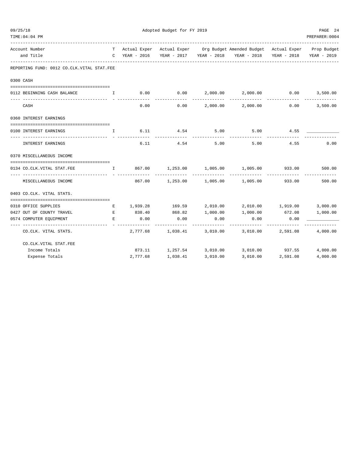| 09/25/18 | TIME: 04: 04 PM                            |                   |             | Adopted Budget for FY 2019 |                         |                                                                                               |             | PAGE 24<br>PREPARER: 0004 |
|----------|--------------------------------------------|-------------------|-------------|----------------------------|-------------------------|-----------------------------------------------------------------------------------------------|-------------|---------------------------|
|          | Account Number<br>and Title                | C                 | YEAR - 2016 |                            | YEAR - 2017 YEAR - 2018 | T Actual Exper Actual Exper Org Budget Amended Budget Actual Exper Prop Budget<br>YEAR - 2018 | YEAR - 2018 | YEAR - 2019               |
|          | REPORTING FUND: 0012 CO.CLK.VITAL STAT.FEE |                   |             |                            |                         |                                                                                               |             |                           |
|          | 0300 CASH                                  |                   |             |                            |                         |                                                                                               |             |                           |
|          | 0112 BEGINNING CASH BALANCE                | I                 | 0.00        | 0.00                       | 2,000.00                | 2,000.00                                                                                      | 0.00        | 3,500.00                  |
|          | CASH                                       |                   | 0.00        | 0.00                       | 2,000.00                | 2,000.00                                                                                      | 0.00        | 3,500.00                  |
|          | 0360 INTEREST EARNINGS                     |                   |             |                            |                         |                                                                                               |             |                           |
|          | 0100 INTEREST EARNINGS                     | I.                | 6.11        | 4.54                       | 5.00                    | 5.00                                                                                          | 4.55        |                           |
|          | INTEREST EARNINGS                          |                   | 6.11        | 4.54                       | 5.00                    | 5.00                                                                                          | 4.55        | 0.00                      |
|          | 0370 MISCELLANEOUS INCOME                  |                   |             |                            |                         |                                                                                               |             |                           |
|          | 0134 CO. CLK. VITAL STAT. FEE              | $I \qquad \qquad$ | 867.00      | 1,253.00                   | 1,005.00                | 1,005.00                                                                                      | 933.00      | 500.00                    |
|          | MISCELLANEOUS INCOME                       |                   | 867.00      | 1,253.00                   |                         | 1,005.00 1,005.00                                                                             | 933.00      | 500.00                    |
|          | 0403 CO.CLK. VITAL STATS.                  |                   |             |                            |                         |                                                                                               |             |                           |
|          | 0310 OFFICE SUPPLIES                       | Е                 |             | 1,939.28 169.59            | 2,010.00                | 2,010.00 1,919.00                                                                             |             | 3,000.00                  |
|          | 0427 OUT OF COUNTY TRAVEL                  | Е                 | 838.40      | 868.82                     | 1,000.00                | 1,000.00                                                                                      | 672.08      | 1,000.00                  |
|          | 0574 COMPUTER EQUIPMENT                    | E                 | 0.00        | 0.00                       | 0.00                    | 0.00<br>--------                                                                              | 0.00        |                           |
|          | CO.CLK. VITAL STATS.                       |                   | 2,777.68    | 1,038.41                   | 3,010.00                | 3,010.00                                                                                      | 2,591.08    | 4,000.00                  |
|          | CO. CLK. VITAL STAT. FEE                   |                   |             |                            |                         |                                                                                               |             |                           |
|          | Income Totals                              |                   |             | 873.11 1,257.54            | 3,010.00                | 3,010.00 937.55                                                                               |             | 4,000.00                  |
|          | Expense Totals                             |                   | 2,777.68    | 1,038.41                   | 3,010.00                | 3,010.00                                                                                      | 2,591.08    | 4,000.00                  |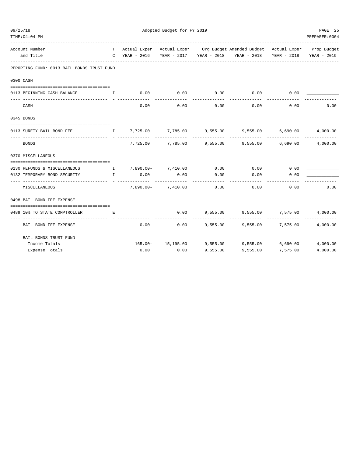| 09/25/18                                                              |                                                                 |           | Adopted Budget for FY 2019 |                     |                                                                                |          |                |  |
|-----------------------------------------------------------------------|-----------------------------------------------------------------|-----------|----------------------------|---------------------|--------------------------------------------------------------------------------|----------|----------------|--|
| TIME: 04: 04 PM                                                       |                                                                 |           |                            |                     |                                                                                |          | PREPARER: 0004 |  |
| Account Number                                                        |                                                                 |           |                            |                     | T Actual Exper Actual Exper Org Budget Amended Budget Actual Exper Prop Budget |          |                |  |
| and Title<br>------------------                                       |                                                                 |           |                            |                     | C YEAR - 2016 YEAR - 2017 YEAR - 2018 YEAR - 2018 YEAR - 2018 YEAR - 2019      |          |                |  |
| REPORTING FUND: 0013 BAIL BONDS TRUST FUND                            |                                                                 |           |                            |                     |                                                                                |          |                |  |
| 0300 CASH                                                             |                                                                 |           |                            |                     |                                                                                |          |                |  |
| 0113 BEGINNING CASH BALANCE                                           | $\mathbf{I}$ and $\mathbf{I}$ and $\mathbf{I}$ and $\mathbf{I}$ | 0.00      |                            |                     | $0.00$ $0.00$ $0.00$ $0.00$                                                    | 0.00     |                |  |
| CASH                                                                  |                                                                 | 0.00      | 0.00                       | -----------<br>0.00 | . <u>.</u> .<br>0.00                                                           | 0.00     | 0.00           |  |
| 0345 BONDS                                                            |                                                                 |           |                            |                     |                                                                                |          |                |  |
| 0113 SURETY BAIL BOND FEE                                             |                                                                 |           |                            |                     | 1    7,725.00     7,785.00     9,555.00     9,555.00     6,690.00     4,000.00 |          |                |  |
| -----------------------------<br>BONDS                                |                                                                 |           |                            |                     | 7,725.00 7,785.00 9,555.00 9,555.00 6,690.00                                   |          | 4,000.00       |  |
| 0370 MISCELLANEOUS                                                    |                                                                 |           |                            |                     |                                                                                |          |                |  |
| 0130 REFUNDS & MISCELLANEOUS 1 7,890.00- 7,410.00 0.00 0.00 0.00 0.00 |                                                                 |           |                            |                     |                                                                                |          |                |  |
| 0132 TEMPORARY BOND SECURITY<br>________________________              | $\mathbf{I}$                                                    | 0.00      | 0.00                       | 0.00                | 0.00                                                                           | 0.00     |                |  |
| MISCELLANEOUS                                                         |                                                                 | 7,890.00- |                            | 7,410.00 0.00       | 0.00                                                                           | 0.00     | 0.00           |  |
| 0498 BAIL BOND FEE EXPENSE                                            |                                                                 |           |                            |                     |                                                                                |          |                |  |
| 0489 10% TO STATE COMPTROLLER                                         | E                                                               |           | 0.00                       |                     | 9,555.00 9,555.00 7,575.00                                                     |          | 4,000.00       |  |
|                                                                       |                                                                 |           |                            |                     |                                                                                |          |                |  |
| BAIL BOND FEE EXPENSE                                                 |                                                                 |           | 0.00                       |                     | $0.00$ 9,555.00 9,555.00 7,575.00                                              |          | 4,000.00       |  |
| BAIL BONDS TRUST FUND                                                 |                                                                 |           |                            |                     |                                                                                |          |                |  |
| Income Totals                                                         |                                                                 |           |                            |                     | 165.00- 15,195.00 9,555.00 9,555.00 6,690.00                                   |          | 4,000.00       |  |
| Expense Totals                                                        |                                                                 | 0.00      | 0.00                       | 9.555.00            | 9,555.00                                                                       | 7,575.00 | 4,000.00       |  |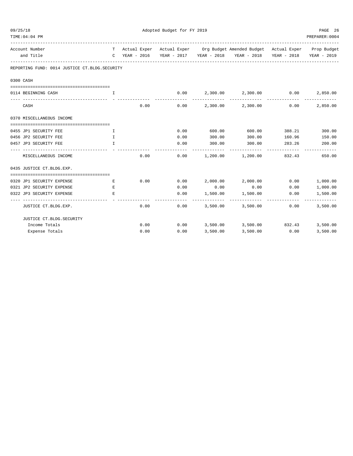| Adopted Budget for FY 2019<br>09/25/18        |              |      |      |          |                                                                                | PAGE 26 |                |
|-----------------------------------------------|--------------|------|------|----------|--------------------------------------------------------------------------------|---------|----------------|
| TIME: 04: 04 PM                               |              |      |      |          |                                                                                |         | PREPARER: 0004 |
| Account Number                                |              |      |      |          | T Actual Exper Actual Exper Org Budget Amended Budget Actual Exper Prop Budget |         |                |
| and Title                                     |              |      |      |          | C YEAR - 2016 YEAR - 2017 YEAR - 2018 YEAR - 2018 YEAR - 2018                  |         | YEAR - 2019    |
| REPORTING FUND: 0014 JUSTICE CT.BLDG.SECURITY |              |      |      |          |                                                                                |         |                |
| 0300 CASH                                     |              |      |      |          |                                                                                |         |                |
| 0114 BEGINNING CASH                           | <b>I</b>     |      |      |          | $0.00$ 2,300.00 2,300.00 0.00 2,850.00                                         |         |                |
| CASH                                          |              | 0.00 |      |          | $0.00$ 2,300.00 2,300.00                                                       | 0.00    | 2,850.00       |
| 0370 MISCELLANEOUS INCOME                     |              |      |      |          |                                                                                |         |                |
|                                               |              |      |      |          |                                                                                |         |                |
| 0455 JP1 SECURITY FEE                         | I.           |      | 0.00 | 600.00   | 600.00                                                                         |         | 388.21 300.00  |
| 0456 JP2 SECURITY FEE                         | $\mathbb{T}$ |      | 0.00 | 300.00   | 300.00                                                                         | 160.96  | 150.00         |
| 0457 JP3 SECURITY FEE                         | I.           |      | 0.00 | 300.00   | 300.00                                                                         | 283.26  | 200.00         |
| MISCELLANEOUS INCOME                          |              | 0.00 | 0.00 |          | 1,200.00 1,200.00 832.43                                                       |         | 650.00         |
| 0435 JUSTICE CT.BLDG.EXP.                     |              |      |      |          |                                                                                |         |                |
| 0320 JP1 SECURITY EXPENSE                     | E            | 0.00 |      |          | $0.00$ 2,000.00 2,000.00 0.00                                                  |         | 1,000.00       |
| 0321 JP2 SECURITY EXPENSE                     | E.           |      | 0.00 | 0.00     | 0.00                                                                           | 0.00    | 1,000.00       |
| 0322 JP3 SECURITY EXPENSE                     | E.           |      | 0.00 | 1,500.00 | 1,500.00                                                                       | 0.00    | 1,500.00       |
| JUSTICE CT.BLDG.EXP.                          |              | 0.00 | 0.00 | 3,500.00 | ----------<br>3,500.00                                                         | 0.00    | 3,500.00       |
| JUSTICE CT.BLDG.SECURITY                      |              |      |      |          |                                                                                |         |                |
| Income Totals                                 |              | 0.00 |      |          | $0.00$ $3,500.00$ $3,500.00$ $832.43$ $3,500.00$                               |         |                |
| Expense Totals                                |              | 0.00 | 0.00 | 3,500.00 | 3,500.00                                                                       | 0.00    | 3,500.00       |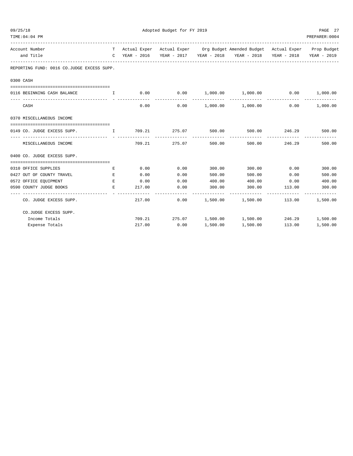| 09/25/18  | TIME: 04: 04 PM                               |                                                |        | Adopted Budget for FY 2019 |          |                                                                                                                                     |                                | PAGE 27<br>PREPARER: 0004 |
|-----------|-----------------------------------------------|------------------------------------------------|--------|----------------------------|----------|-------------------------------------------------------------------------------------------------------------------------------------|--------------------------------|---------------------------|
|           | Account Number<br>and Title                   |                                                |        |                            |          | T Actual Exper Actual Exper Org Budget Amended Budget Actual Exper Prop Budget<br>C YEAR - 2016 YEAR - 2017 YEAR - 2018 YEAR - 2018 |                                | YEAR - 2018 YEAR - 2019   |
|           | REPORTING FUND: 0016 CO.JUDGE EXCESS SUPP.    |                                                |        |                            |          |                                                                                                                                     |                                |                           |
| 0300 CASH |                                               |                                                |        |                            |          |                                                                                                                                     |                                |                           |
|           | 0116 BEGINNING CASH BALANCE                   | $\mathbf{I}$ and $\mathbf{I}$ and $\mathbf{I}$ |        |                            |          | $0.00$ $0.00$ $1,000.00$ $1,000.00$ $0.00$ $1,000.00$                                                                               |                                |                           |
|           | CASH                                          |                                                | 0.00   |                            |          | $0.00$ 1,000.00 1,000.00                                                                                                            | 0.00                           | 1,000.00                  |
|           | 0370 MISCELLANEOUS INCOME                     |                                                |        |                            |          |                                                                                                                                     |                                |                           |
|           | 0149 CO. JUDGE EXCESS SUPP. T 1 709.21 275.07 |                                                |        |                            | 500.00   |                                                                                                                                     | 500.00 246.29                  | 500.00                    |
|           | MISCELLANEOUS INCOME                          |                                                |        | 709.21 275.07              | 500.00   |                                                                                                                                     | -------------<br>500.00 246.29 | 500.00                    |
|           | 0400 CO. JUDGE EXCESS SUPP.                   |                                                |        |                            |          |                                                                                                                                     |                                |                           |
|           | 0310 OFFICE SUPPLIES                          | Е                                              | 0.00   | 0.00                       | 300.00   | 300.00                                                                                                                              | 0.00                           | 300.00                    |
|           | 0427 OUT OF COUNTY TRAVEL                     | E                                              | 0.00   | 0.00                       | 500.00   | 500.00                                                                                                                              | 0.00                           | 500.00                    |
|           | 0572 OFFICE EQUIPMENT                         | E                                              | 0.00   | 0.00                       | 400.00   | 400.00                                                                                                                              | 0.00                           | 400.00                    |
|           | 0590 COUNTY JUDGE BOOKS                       | E.                                             | 217.00 | 0.00                       | 300.00   | 300.00                                                                                                                              | 113.00                         | 300.00                    |
|           | CO. JUDGE EXCESS SUPP.                        |                                                | 217.00 | 0.00                       |          | 1,500.00 1,500.00                                                                                                                   | 113.00                         | 1,500.00                  |
|           | CO.JUDGE EXCESS SUPP.                         |                                                |        |                            |          |                                                                                                                                     |                                |                           |
|           | Income Totals                                 |                                                |        |                            |          | $709.21 \qquad \qquad 275.07 \qquad \qquad 1,500.00 \qquad \qquad 1,500.00 \qquad \qquad 246.29 \qquad \qquad 1,500.00$             |                                |                           |
|           | Expense Totals                                |                                                | 217.00 | 0.00                       | 1,500.00 | 1,500.00                                                                                                                            | 113.00                         | 1,500.00                  |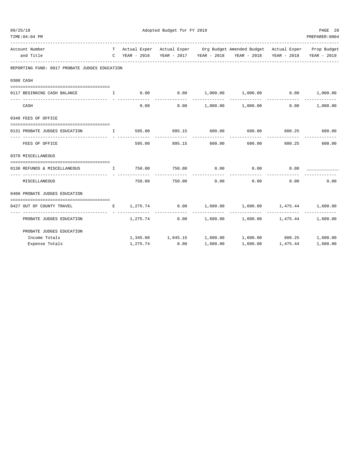| 09/25/18                                                      | Adopted Budget for FY 2019 |               |                        |                                                                                |                              |                 |  |
|---------------------------------------------------------------|----------------------------|---------------|------------------------|--------------------------------------------------------------------------------|------------------------------|-----------------|--|
| TIME: 04: 04 PM                                               |                            |               |                        |                                                                                |                              | PREPARER: 0004  |  |
| Account Number                                                |                            |               |                        | T Actual Exper Actual Exper Org Budget Amended Budget Actual Exper Prop Budget |                              |                 |  |
| and Title                                                     |                            |               |                        | C YEAR - 2016 YEAR - 2017 YEAR - 2018 YEAR - 2018 YEAR - 2018                  |                              | YEAR - 2019     |  |
| REPORTING FUND: 0017 PROBATE JUDGES EDUCATION                 |                            |               |                        |                                                                                |                              |                 |  |
| 0300 CASH                                                     |                            |               |                        |                                                                                |                              |                 |  |
|                                                               |                            |               |                        |                                                                                |                              |                 |  |
| 0117 BEGINNING CASH BALANCE THE I                             |                            |               |                        | $0.00$ $0.00$ $1,000.00$ $1,000.00$ $0.00$ $1,000.00$                          |                              |                 |  |
| CASH                                                          | 0.00                       |               |                        | $0.00$ 1,000.00 1,000.00                                                       |                              | $0.00$ 1,000.00 |  |
| 0340 FEES OF OFFICE                                           |                            |               |                        |                                                                                |                              |                 |  |
| 0131 PROBATE JUDGES EDUCATION                                 |                            |               |                        | $\mathbf{I}$ 595.00 895.15 600.00 600.00 600.25 600.00                         |                              |                 |  |
| FEES OF OFFICE                                                |                            | ------------  | _____________          | 595.00 895.15 600.00 600.00                                                    | 600.25                       | 600.00          |  |
| 0370 MISCELLANEOUS                                            |                            |               |                        |                                                                                |                              |                 |  |
| 0130 REFUNDS & MISCELLANEOUS $I$ 750.00 750.00 0.00 0.00 0.00 |                            |               |                        |                                                                                | 0.00                         |                 |  |
| MISCELLANEOUS                                                 |                            | 750.00 750.00 | --------------<br>0.00 | -------------<br>0.00                                                          | 0.00                         | 0.00            |  |
| 0400 PROBATE JUDGES EDUCATION                                 |                            |               |                        |                                                                                |                              |                 |  |
| 0427 OUT OF COUNTY TRAVEL                                     |                            |               |                        | $E$ 1,275.74 0.00 1,600.00 1,600.00 1,475.44 1,600.00<br>--------------        | -------------- ------------- |                 |  |
| PROBATE JUDGES EDUCATION                                      | 1,275.74                   |               |                        | $0.00$ 1,600.00 1,600.00 1,475.44 1,600.00                                     |                              |                 |  |
| PROBATE JUDGES EDUCATION                                      |                            |               |                        |                                                                                |                              |                 |  |
| Income Totals                                                 |                            |               |                        | $1,345.00$ $1,645.15$ $1,600.00$ $1,600.00$ $600.25$ $1,600.00$                |                              |                 |  |
| Expense Totals                                                | 1,275.74                   | 0.00          | 1,600.00               |                                                                                | 1,600.00 1,475.44            | 1,600.00        |  |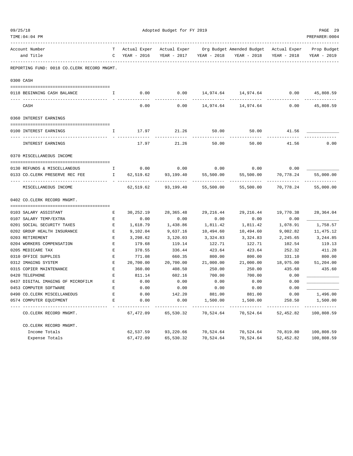|  | TIME:04:04 PM                                                       |                                                                                                     |                   |                     |                   |                                                                                                                       |                   | PREPARER: 0004 |
|--|---------------------------------------------------------------------|-----------------------------------------------------------------------------------------------------|-------------------|---------------------|-------------------|-----------------------------------------------------------------------------------------------------------------------|-------------------|----------------|
|  | Account Number<br>and Title<br>------------------------------------ |                                                                                                     | C YEAR - 2016     |                     |                   | T Actual Exper Actual Exper Org Budget Amended Budget Actual Exper Prop Budget<br>YEAR - 2017 YEAR - 2018 YEAR - 2018 | YEAR - 2018       | YEAR - 2019    |
|  | REPORTING FUND: 0018 CO.CLERK RECORD MNGMT.                         |                                                                                                     |                   |                     |                   |                                                                                                                       |                   |                |
|  | 0300 CASH                                                           |                                                                                                     |                   |                     |                   |                                                                                                                       |                   |                |
|  | 0118 BEGINNING CASH BALANCE                                         | $\mathbf{T}$                                                                                        |                   |                     |                   | $0.00$ $0.00$ $14,974.64$ $14,974.64$ $0.00$ $45,808.59$                                                              |                   |                |
|  | CASH                                                                |                                                                                                     | 0.00              | ---------<br>0.00   |                   | 14,974.64 14,974.64                                                                                                   | 0.00              | 45,808.59      |
|  | 0360 INTEREST EARNINGS                                              |                                                                                                     |                   |                     |                   |                                                                                                                       |                   |                |
|  | 0100 INTEREST EARNINGS                                              | $\mathbf{I}$                                                                                        |                   | 17.97 21.26 50.00   |                   | 50.00                                                                                                                 | 41.56             |                |
|  | INTEREST EARNINGS                                                   |                                                                                                     | 17.97             | 21.26               | 50.00             | 50.00                                                                                                                 | 41.56             | 0.00           |
|  | 0370 MISCELLANEOUS INCOME                                           |                                                                                                     |                   |                     |                   |                                                                                                                       |                   |                |
|  | 0130 REFUNDS & MISCELLANEOUS                                        |                                                                                                     | I 0.00 0.00       |                     |                   | $0.00$ 0.00                                                                                                           | 0.00              |                |
|  | 0133 CO.CLERK PRESERVE REC FEE THE T                                |                                                                                                     |                   | 62,519.62 93,199.40 | 55,500.00         | 55,500.00                                                                                                             | 70,778.24         | 55,000.00      |
|  |                                                                     |                                                                                                     |                   |                     |                   |                                                                                                                       | . <u>.</u>        |                |
|  | MISCELLANEOUS INCOME                                                |                                                                                                     | 62,519.62         | 93,199.40           | 55,500.00         | 55,500.00                                                                                                             | 70,778.24         | 55,000.00      |
|  | 0402 CO.CLERK RECORD MNGMT.                                         |                                                                                                     |                   |                     |                   |                                                                                                                       |                   |                |
|  |                                                                     |                                                                                                     |                   |                     |                   |                                                                                                                       |                   |                |
|  | 0103 SALARY ASSISTANT<br>0107 SALARY TEMP/EXTRA                     | E<br>$\mathbf{E}% _{t}\left  \mathbf{1}\right\rangle =\mathbf{1}_{t}\left  \mathbf{1}\right\rangle$ | 30,252.19<br>0.00 | 28,365.48           | 29,216.44<br>0.00 | 29,216.44<br>0.00                                                                                                     | 19,770.38<br>0.00 | 28,364.04      |
|  | 0201 SOCIAL SECURITY TAXES                                          | E                                                                                                   | 1,618.79          | 0.00<br>1,438.86    | 1,811.42          | 1,811.42                                                                                                              | 1,078.91          | 1,758.57       |
|  | 0202 GROUP HEALTH INSURANCE                                         | E                                                                                                   | 9,102.04          | 9,637.16            | 10,494.60         | 10,494.60                                                                                                             | 9,002.82          | 11,475.12      |
|  | 0203 RETIREMENT                                                     | Е                                                                                                   | 3,298.62          | 3,120.03            | 3,324.83          | 3,324.83                                                                                                              | 2,245.65          | 3,244.85       |
|  | 0204 WORKERS COMPENSATION                                           | Е                                                                                                   | 179.68            | 119.14              | 122.71            | 122.71                                                                                                                | 102.54            | 119.13         |
|  | 0205 MEDICARE TAX                                                   | $\mathbf{E}% _{t}\left  \mathbf{1}\right\rangle =\mathbf{1}_{t}\left  \mathbf{1}\right\rangle$      | 378.55            | 336.44              | 423.64            | 423.64                                                                                                                | 252.32            | 411.28         |
|  | 0310 OFFICE SUPPLIES                                                | $\mathbf{E}% _{t}\left  \mathbf{1}\right\rangle =\mathbf{1}_{t}\left  \mathbf{1}\right\rangle$      | 771.08            | 660.35              | 800.00            | 800.00                                                                                                                | 331.10            | 800.00         |
|  | 0312 IMAGING SYSTEM                                                 | $\mathbf{E}% _{t}\left  \mathbf{1}\right\rangle =\mathbf{1}_{t}\left  \mathbf{1}\right\rangle$      | 20,700.00         | 20,700.00           | 21,000.00         | 21,000.00                                                                                                             | 18,975.00         | 51,204.00      |
|  | 0315 COPIER MAINTENANCE                                             | Е                                                                                                   | 360.00            | 408.50              | 250.00            | 250.00                                                                                                                | 435.60            | 435.60         |
|  | 0420 TELEPHONE                                                      | Е                                                                                                   | 811.14            | 602.16              | 700.00            | 700.00                                                                                                                | 0.00              |                |
|  | 0437 DIGITAL IMAGING OF MICROFILM                                   | E                                                                                                   | 0.00              | 0.00                | 0.00              | 0.00                                                                                                                  | 0.00              |                |
|  | 0453 COMPUTER SOFTWARE                                              | $\mathbf{E}% _{0}$                                                                                  | 0.00              | 0.00                | 0.00              | 0.00                                                                                                                  | 0.00              |                |
|  | 0490 CO. CLERK MISCELLANEOUS                                        | Е                                                                                                   | 0.00              | 142.20              | 881.00            | 881.00                                                                                                                | 0.00              | 1,496.00       |
|  | 0574 COMPUTER EQUIPMENT                                             | Е                                                                                                   | 0.00              | 0.00                | 1,500.00          | 1,500.00                                                                                                              | 258.50            | 1,500.00       |
|  | CO. CLERK RECORD MNGMT.                                             |                                                                                                     | 67,472.09         | 65,530.32           | 70,524.64         | 70,524.64                                                                                                             | 52, 452.82        | 100,808.59     |
|  | CO. CLERK RECORD MNGMT.                                             |                                                                                                     |                   |                     |                   |                                                                                                                       |                   |                |
|  | Income Totals                                                       |                                                                                                     | 62,537.59         | 93,220.66           | 70,524.64         | 70,524.64                                                                                                             | 70,819.80         | 100,808.59     |
|  | Expense Totals                                                      |                                                                                                     | 67,472.09         | 65,530.32           | 70,524.64         | 70,524.64                                                                                                             | 52,452.82         | 100,808.59     |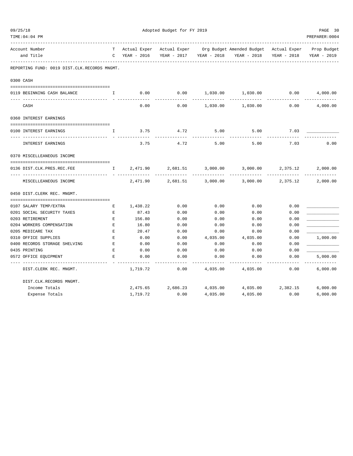| 09/25/18<br>TIME: 04: 04 PM |                                              |                    | Adopted Budget for FY 2019 |              |             |                                        |             |                |  |  |
|-----------------------------|----------------------------------------------|--------------------|----------------------------|--------------|-------------|----------------------------------------|-------------|----------------|--|--|
|                             |                                              |                    |                            |              |             |                                        |             | PREPARER: 0004 |  |  |
|                             | Account Number                               | T                  | Actual Exper               | Actual Exper |             | Org Budget Amended Budget Actual Exper |             | Prop Budget    |  |  |
|                             | and Title                                    | C                  | YEAR - 2016                | YEAR - 2017  | YEAR - 2018 | YEAR - 2018                            | YEAR - 2018 | YEAR - 2019    |  |  |
|                             | REPORTING FUND: 0019 DIST.CLK.RECORDS MNGMT. |                    |                            |              |             |                                        |             |                |  |  |
|                             | 0300 CASH                                    |                    |                            |              |             |                                        |             |                |  |  |
|                             | 0119 BEGINNING CASH BALANCE                  | I.                 | 0.00                       | 0.00         | 1,030.00    | 1,030.00                               | 0.00        | 4,000.00       |  |  |
|                             |                                              |                    |                            |              |             |                                        |             |                |  |  |
|                             | CASH                                         |                    | 0.00                       | 0.00         | 1,030.00    | 1,030.00                               | 0.00        | 4,000.00       |  |  |
|                             | 0360 INTEREST EARNINGS                       |                    |                            |              |             |                                        |             |                |  |  |
|                             |                                              |                    |                            |              |             |                                        |             |                |  |  |
|                             | 0100 INTEREST EARNINGS                       | I                  | 3.75                       | 4.72         | 5.00        | 5.00                                   | 7.03        |                |  |  |
|                             | INTEREST EARNINGS                            |                    | 3.75                       | 4.72         | 5.00        | 5.00                                   | 7.03        | 0.00           |  |  |
|                             | 0370 MISCELLEANEOUS INCOME                   |                    |                            |              |             |                                        |             |                |  |  |
|                             |                                              |                    |                            |              |             |                                        |             |                |  |  |
|                             | 0136 DIST.CLK.PRES.REC.FEE                   | $\mathbf{I}$       | 2,471.90                   | 2,681.51     | 3,000.00    | 3,000.00                               | 2,375.12    | 2,000.00       |  |  |
|                             | MISCELLEANEOUS INCOME                        |                    | 2,471.90                   | 2,681.51     | 3,000.00    | 3,000.00                               | 2,375.12    | 2,000.00       |  |  |
|                             | 0450 DIST.CLERK REC. MNGMT.                  |                    |                            |              |             |                                        |             |                |  |  |
|                             |                                              |                    |                            |              |             |                                        |             |                |  |  |
|                             | 0107 SALARY TEMP/EXTRA                       | Е                  | 1,438.22                   | 0.00         | 0.00        | 0.00                                   | 0.00        |                |  |  |
|                             | 0201 SOCIAL SECURITY TAXES                   | $\mathbf E$        | 87.43                      | 0.00         | 0.00        | 0.00                                   | 0.00        |                |  |  |
|                             | 0203 RETIREMENT                              | Е                  | 156.80                     | 0.00         | 0.00        | 0.00                                   | 0.00        |                |  |  |
|                             | 0204 WORKERS COMPENSATION                    | $\mathbf{E}% _{0}$ | 16.80                      | 0.00         | 0.00        | 0.00                                   | 0.00        |                |  |  |
|                             | 0205 MEDICARE TAX                            | $\mathbf E$        | 20.47                      | 0.00         | 0.00        | 0.00                                   | 0.00        |                |  |  |
|                             | 0310 OFFICE SUPPLIES                         | $\mathbf E$        | 0.00                       | 0.00         | 4,035.00    | 4,035.00                               | 0.00        | 1,000.00       |  |  |
|                             | 0400 RECORDS STORAGE SHELVING                | Е                  | 0.00                       | 0.00         | 0.00        | 0.00                                   | 0.00        |                |  |  |
|                             | 0435 PRINTING                                | E                  | 0.00                       | 0.00         | 0.00        | 0.00                                   | 0.00        |                |  |  |
|                             | 0572 OFFICE EQUIPMENT                        | E                  | 0.00                       | 0.00         | 0.00        | 0.00                                   | 0.00        | 5,000.00       |  |  |
|                             | DIST.CLERK REC. MNGMT.                       |                    | 1,719.72                   | 0.00         | 4,035.00    | 4,035.00                               | 0.00        | .<br>6,000.00  |  |  |
|                             | DIST.CLK.RECORDS MNGMT.                      |                    |                            |              |             |                                        |             |                |  |  |
|                             | Income Totals                                |                    | 2,475.65                   | 2,686.23     | 4,035.00    | 4,035.00                               | 2,382.15    | 6,000.00       |  |  |
|                             | Expense Totals                               |                    | 1,719.72                   | 0.00         | 4,035.00    | 4,035.00                               | 0.00        | 6,000.00       |  |  |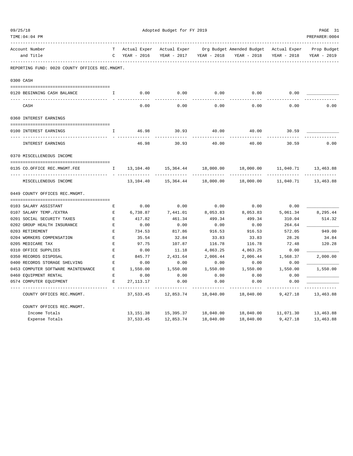| 09/25/18 |                                                |               | Adopted Budget for FY 2019 |              |             |                                        |             |                           |  |  |
|----------|------------------------------------------------|---------------|----------------------------|--------------|-------------|----------------------------------------|-------------|---------------------------|--|--|
|          | TIME: 04: 04 PM                                |               |                            |              |             |                                        |             | PREPARER: 0004            |  |  |
|          | Account Number                                 |               | Actual Exper               | Actual Exper |             | Org Budget Amended Budget Actual Exper |             | Prop Budget               |  |  |
|          | and Title                                      | $\mathcal{C}$ | YEAR - 2016                | YEAR - 2017  | YEAR - 2018 | YEAR - 2018                            | YEAR - 2018 | YEAR - 2019               |  |  |
|          | REPORTING FUND: 0020 COUNTY OFFICES REC.MNGMT. |               |                            |              |             |                                        |             |                           |  |  |
|          | 0300 CASH                                      |               |                            |              |             |                                        |             |                           |  |  |
|          | 0120 BEGINNING CASH BALANCE                    | I             | 0.00                       | 0.00         | 0.00        | 0.00                                   | 0.00        |                           |  |  |
|          | CASH                                           |               | 0.00                       | 0.00         | 0.00        | 0.00                                   | 0.00        | 0.00                      |  |  |
|          | 0360 INTEREST EARNINGS                         |               |                            |              |             |                                        |             |                           |  |  |
|          | 0100 INTEREST EARNINGS                         | I.            | 46.98                      | 30.93        | 40.00       | 40.00                                  | 30.59       |                           |  |  |
|          | INTEREST EARNINGS                              |               | 46.98                      | 30.93        | 40.00       | 40.00                                  | 30.59       | 0.00                      |  |  |
|          | 0370 MISCELLENEOUS INCOME                      |               |                            |              |             |                                        |             |                           |  |  |
|          | 0135 CO.OFFICE REC.MNGMT.FEE                   | $\mathbb{I}$  | 13,104.40                  | 15,364.44    | 18,000.00   | 18,000.00                              | 11,040.71   | 13,463.88                 |  |  |
|          | --- -----------------<br>MISCELLENEOUS INCOME  |               | 13,104.40                  | 15,364.44    | 18,000.00   | 18,000.00                              | 11,040.71   | ------------<br>13,463.88 |  |  |
|          | 0449 COUNTY OFFICES REC.MNGMT.                 |               |                            |              |             |                                        |             |                           |  |  |
|          | 0103 SALARY ASSISTANT                          | E             | 0.00                       | 0.00         | 0.00        | 0.00                                   | 0.00        |                           |  |  |
|          | 0107 SALARY TEMP./EXTRA                        | Е             | 6,738.87                   | 7,441.01     | 8,053.83    | 8,053.83                               | 5,061.34    | 8,295.44                  |  |  |
|          | 0201 SOCIAL SECURITY TAXES                     | E             | 417.82                     | 461.34       | 499.34      | 499.34                                 | 310.04      | 514.32                    |  |  |
|          | 0202 GROUP HEALTH INSURANCE                    | E             | 0.00                       | 0.00         | 0.00        | 0.00                                   | 264.64      |                           |  |  |
|          | 0203 RETIREMENT                                | E             | 734.53                     | 817.86       | 916.53      | 916.53                                 | 572.05      | 949.00                    |  |  |
|          | 0204 WORKERS COMPENSATION                      | E             | 35.54                      | 32.84        | 33.83       | 33.83                                  | 28.26       | 34.84                     |  |  |
|          | 0205 MEDICARE TAX                              | F.            | 97.75                      | 107.87       | 116.78      | 116.78                                 | 72.48       | 120.28                    |  |  |
|          | 0310 OFFICE SUPPLIES                           | E             | 0.00                       | 11.18        | 4,863.25    | 4,863.25                               | 0.00        |                           |  |  |
|          | 0350 RECORDS DISPOSAL                          | E             | 845.77                     | 2,431.64     | 2,006.44    | 2,006.44                               | 1,568.37    | 2,000.00                  |  |  |
|          | 0400 RECORDS STORAGE SHELVING                  | E             | 0.00                       | 0.00         | 0.00        | 0.00                                   | 0.00        |                           |  |  |
|          | 0453 COMPUTER SOFTWARE MAINTENANCE             | E             | 1,550.00                   | 1,550.00     | 1,550.00    | 1,550.00                               | 1,550.00    | 1,550.00                  |  |  |
|          | 0460 EQUIPMENT RENTAL                          | E             | 0.00                       | 0.00         | 0.00        | 0.00                                   | 0.00        |                           |  |  |
|          | 0574 COMPUTER EOUIPMENT                        | E             | 27, 113. 17                | 0.00         | 0.00        | 0.00                                   | 0.00        |                           |  |  |
|          | COUNTY OFFICES REC.MNGMT.                      |               | 37,533.45                  | 12,853.74    | 18,040.00   | 18,040.00                              | 9,427.18    | 13,463.88                 |  |  |
|          | COUNTY OFFICES REC.MNGMT.                      |               |                            |              |             |                                        |             |                           |  |  |
|          | Income Totals                                  |               | 13, 151.38                 | 15,395.37    | 18,040.00   | 18,040.00                              | 11,071.30   | 13,463.88                 |  |  |
|          | Expense Totals                                 |               | 37,533.45                  | 12,853.74    | 18,040.00   | 18,040.00                              | 9,427.18    | 13,463.88                 |  |  |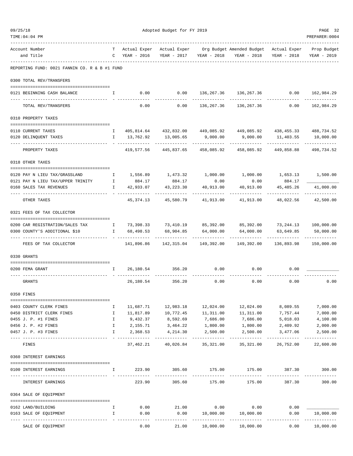| TIME:04:04 PM                                                                                  |                    |                                                |                                                       |                                    |                                                                                |                            | PREPARER: 0004                        |
|------------------------------------------------------------------------------------------------|--------------------|------------------------------------------------|-------------------------------------------------------|------------------------------------|--------------------------------------------------------------------------------|----------------------------|---------------------------------------|
| Account Number                                                                                 |                    |                                                |                                                       |                                    | T Actual Exper Actual Exper Org Budget Amended Budget Actual Exper Prop Budget |                            |                                       |
| and Title                                                                                      |                    | C YEAR - 2016                                  |                                                       | YEAR - 2017 YEAR - 2018            | YEAR - 2018                                                                    | YEAR - 2018                | YEAR - 2019                           |
| REPORTING FUND: 0021 FANNIN CO. R & B #1 FUND                                                  |                    |                                                |                                                       |                                    |                                                                                |                            |                                       |
| 0300 TOTAL REV/TRANSFERS                                                                       |                    |                                                |                                                       |                                    |                                                                                |                            |                                       |
| 0121 BEGINNING CASH BALANCE                                                                    |                    | $\mathbf{I}$ and $\mathbf{I}$ and $\mathbf{I}$ |                                                       |                                    | $0.00$ $0.00$ $136,267.36$ $136,267.36$ $0.00$ $162,984.29$                    |                            |                                       |
| TOTAL REV/TRANSFERS                                                                            |                    | 0.00                                           | 0.00                                                  |                                    | ------------ -------------<br>136,267.36 136,267.36                            | 0.00                       | -----------<br>162,984.29             |
| 0310 PROPERTY TAXES                                                                            |                    |                                                |                                                       |                                    |                                                                                |                            |                                       |
| 0110 CURRENT TAXES                                                                             |                    |                                                |                                                       |                                    | 1 405,814.64 432,832.00 449,085.92 449,085.92 438,455.33 488,734.52            |                            |                                       |
| 0120 DELINQUENT TAXES                                                                          |                    | I 13,762.92                                    | 13,005.65                                             | 9,000.00                           | 9,000.00                                                                       | 11,403.55                  | 10,000.00                             |
| PROPERTY TAXES                                                                                 |                    |                                                | 419,577.56 445,837.65 458,085.92                      |                                    |                                                                                | 458,085.92 449,858.88      | 498,734.52                            |
| 0318 OTHER TAXES                                                                               |                    |                                                |                                                       |                                    |                                                                                |                            |                                       |
| 0120 PAY N LIEU TAX/GRASSLAND                                                                  | $\mathbf{I}$       |                                                | 1,556.89 1,473.32                                     |                                    | $1,000.00$ $1,000.00$                                                          |                            | 1,653.13 1,500.00                     |
| 0121 PAY N LIEU TAX/UPPER TRINITY                                                              | $\mathbf{I}$       | 884.17                                         | 884.17                                                | 0.00                               | 0.00                                                                           | 884.17                     |                                       |
| 0160 SALES TAX REVENUES                                                                        |                    | I 42,933.07                                    |                                                       |                                    | 43, 223.30 40, 913.00 40, 913.00 45, 485.26 41, 000.00                         |                            |                                       |
| OTHER TAXES                                                                                    |                    |                                                |                                                       |                                    | 45, 374.13 45, 580.79 41, 913.00 41, 913.00 48, 022.56 42, 500.00              |                            |                                       |
| 0321 FEES OF TAX COLLECTOR                                                                     |                    |                                                |                                                       |                                    |                                                                                |                            |                                       |
| 0200 CAR REGISTRATION/SALES TAX 1 73,398.33 73,410.19 85,392.00 85,392.00 73,244.13 100,000.00 |                    |                                                |                                                       |                                    |                                                                                |                            |                                       |
| 0300 COUNTY'S ADDITIONAL \$10                                                                  |                    | I 68,498.53                                    | 68,904.85                                             | 64,000.00 64,000.00<br>----------- | -----------                                                                    | 63,649.85<br>. <u>.</u>    | 50,000.00                             |
| --- ----------------<br>FEES OF TAX COLLECTOR                                                  |                    |                                                |                                                       |                                    | 141,896.86    142,315.04    149,392.00    149,392.00                           |                            | ------------<br>136,893.98 150,000.00 |
| 0330 GRANTS                                                                                    |                    |                                                |                                                       |                                    |                                                                                |                            |                                       |
| 0200 FEMA GRANT                                                                                |                    | 1 26,180.54 356.20                             |                                                       | 0.00                               | 0.00                                                                           | 0.00                       |                                       |
| GRANTS                                                                                         |                    |                                                | 26, 180.54 356.20                                     | 0.00                               | 0.00                                                                           | 0.00                       | 0.00                                  |
| 0350 FINES                                                                                     |                    |                                                |                                                       |                                    |                                                                                |                            |                                       |
| 0403 COUNTY CLERK FINES                                                                        | Ι.                 | 11,687.71                                      | 12,983.18                                             | 12,024.00                          | 12,024.00                                                                      | 8,089.55                   | 7,000.00                              |
| 0450 DISTRICT CLERK FINES                                                                      | $\mathbf{I}$       | 11,817.89                                      | 10,772.45                                             | 11,311.00                          | 11,311.00                                                                      | 7,757.44                   | 7,000.00                              |
| 0455 J. P. #1 FINES                                                                            | $\mathbf{I}$       | 9,432.37                                       | 8,592.69                                              | 7,686.00                           | 7,686.00                                                                       | 5,018.03                   | 4,100.00                              |
| 0456 J. P. #2 FINES<br>0457 J. P. #3 FINES                                                     | $\mathbf{I}$<br>I. | 2,368.53                                       | 2, 155.71 3, 464.22<br>4,214.30                       | 1,800.00<br>2,500.00               | 1,800.00<br>2,500.00                                                           | 2,409.92<br>3,477.06       | 2,000.00<br>2,500.00                  |
| FINES                                                                                          |                    | ________________                               | ------------------------------<br>37,462.21 40,026.84 | 35,321.00                          | -------------<br>35,321.00                                                     | -------------<br>26,752.00 | -------------<br>22,600.00            |
| 0360 INTEREST EARNINGS                                                                         |                    |                                                |                                                       |                                    |                                                                                |                            |                                       |
|                                                                                                |                    |                                                |                                                       |                                    |                                                                                |                            |                                       |
| 0100 INTEREST EARNINGS                                                                         | $\mathbf{I}$       |                                                | 223.90 305.60<br>-------------                        | -------------                      | 175.00 175.00 387.30<br>--------------                                         | -------------              | 300.00                                |
| INTEREST EARNINGS                                                                              |                    | 223.90                                         | 305.60                                                | 175.00                             | 175.00                                                                         | 387.30                     | 300.00                                |
| 0364 SALE OF EQUIPMENT                                                                         |                    |                                                |                                                       |                                    |                                                                                |                            |                                       |
| 0162 LAND/BUILDING                                                                             | $\mathbf{I}$       | 0.00                                           | 21.00                                                 | 0.00                               | 0.00                                                                           | 0.00                       |                                       |
| 0163 SALE OF EQUIPMENT                                                                         | $\mathbf{I}$       | 0.00                                           | 0.00                                                  | 10,000.00                          | 10,000.00                                                                      | 0.00                       | 10,000.00                             |
| SALE OF EQUIPMENT                                                                              |                    | 0.00                                           | .<br>21.00                                            | .<br>10,000.00                     | 10,000.00                                                                      | 0.00                       | ------------<br>10,000.00             |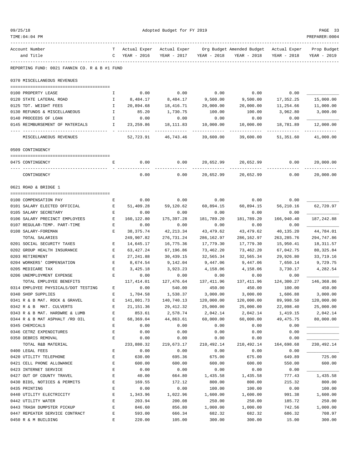| TIME:04:04 PM                                                  |                    |                    |                     |                    |                                                     |                          | PREPARER: 0004           |
|----------------------------------------------------------------|--------------------|--------------------|---------------------|--------------------|-----------------------------------------------------|--------------------------|--------------------------|
| Account Number                                                 | T.                 | Actual Exper       |                     |                    | Actual Exper Org Budget Amended Budget Actual Exper |                          | Prop Budget              |
| and Title                                                      |                    | C YEAR - 2016      | YEAR - 2017         | YEAR - 2018        | YEAR - 2018                                         | YEAR - 2018              | YEAR - 2019              |
| REPORTING FUND: 0021 FANNIN CO. R & B #1 FUND                  |                    |                    |                     |                    |                                                     |                          |                          |
| 0370 MISCELLANEOUS REVENUES                                    |                    |                    |                     |                    |                                                     |                          |                          |
|                                                                |                    |                    |                     | 0.00               |                                                     |                          |                          |
| 0100 PROPERTY LEASE<br>0120 STATE LATERAL ROAD                 | I.<br>$\mathbf{I}$ | 0.00<br>8,484.17   | 0.00<br>8,484.17    | 9,500.00           | 0.00<br>9,500.00                                    | 0.00<br>17,352.25        | 15,000.00                |
| 0125 TDT. WEIGHT FEES                                          | $\mathbb{I}$       | 20,894.68          | 18,416.71           | 20,000.00          | 20,000.00                                           | 11,254.66                | 11,000.00                |
| 0130 REFUNDS & MISCELLANEOUS                                   | $\mathbbm{1}$      | 85.20              | 1,730.75            | 100.00             | 100.00                                              | 3,962.80                 | 3,000.00                 |
| 0140 PROCEEDS OF LOAN                                          | $\mathbb{I}$       | 0.00               | 0.00                | 0.00               | 0.00                                                | 0.00                     |                          |
| 0145 REIMBURSEMENT OF MATERIALS I                              |                    | 23,259.86          | 18,111.83           | 10,000.00          | 10,000.00                                           | 18,781.89                | 12,000.00                |
| MISCELLANEOUS REVENUES                                         |                    |                    | 52,723.91 46,743.46 | 39,600.00          | 39,600.00                                           | -----------<br>51,351.60 | -----------<br>41,000.00 |
| 0509 CONTINGENCY                                               |                    |                    |                     |                    |                                                     |                          |                          |
| 0475 CONTINGENCY                                               | Е                  | 0.00               | 0.00                |                    | 20,652.99 20,652.99 0.00                            |                          | 20,000.00                |
| CONTINGENCY                                                    |                    | 0.00               | 0.00                | 20,652.99          | 20,652.99                                           | 0.00                     | 20,000.00                |
| 0621 ROAD & BRIDGE 1                                           |                    |                    |                     |                    |                                                     |                          |                          |
|                                                                |                    |                    |                     |                    |                                                     |                          |                          |
| 0100 COMPENSATION PAY                                          | Е                  | 0.00               | 0.00                | 0.00               | 0.00                                                | 0.00                     |                          |
| 0101 SALARY ELECTED OFFICIAL                                   | E                  | 51,409.28          | 59,120.62           | 60,894.15          | 60,894.15                                           | 56,210.16                | 62,720.97                |
| 0105 SALARY SECRETARY                                          | Е                  | 0.00               | 0.00                | 0.00               | 0.00                                                | 0.00                     |                          |
| 0106 SALARY PRECINCT EMPLOYEES<br>0107 REGULAR-TEMP. PART-TIME | E<br>E             | 160,122.80<br>0.00 | 175,397.28<br>0.00  | 181,789.20<br>0.00 | 181,789.20<br>0.00                                  | 166,940.40<br>0.00       | 187,242.88               |
| 0108 SALARY-FOREMAN                                            | Е                  | 38,375.74          | 42,213.34           | 43,479.62          | 43,479.62                                           | 40,135.20                | 44,784.01                |
| TOTAL SALARIES                                                 |                    | 249,907.82         | 276,731.24          | 286,162.97         | 286,162.97                                          | 263, 285.76              | 294,747.86               |
| 0201 SOCIAL SECURITY TAXES                                     | Е                  | 14,645.17          | 16,775.36           | 17,779.30          | 17,779.30                                           | 15,950.41                | 18,311.57                |
| 0202 GROUP HEALTH INSURANCE                                    | E                  | 63,427.24          | 67,196.86           | 73,462.20          | 73,462.20                                           | 67,042.75                | 80, 325.84               |
| 0203 RETIREMENT                                                | Е                  | 27,241.88          | 30,439.15           | 32,565.34          | 32,565.34                                           | 29,926.80                | 33,719.16                |
| 0204 WORKERS' COMPENSATION                                     | Е                  | 8,674.54           | 9,142.04            | 9,447.06           | 9,447.06                                            | 7,650.14                 | 9,729.75                 |
| 0205 MEDICARE TAX                                              | Е                  | 3,425.18           | 3,923.23            | 4,158.06           | 4,158.06                                            | 3,730.17                 | 4,282.54                 |
| 0206 UNEMPLOYMENT EXPENSE                                      | E                  | 0.00               | 0.00                | 0.00               | 0.00                                                | 0.00                     |                          |
| TOTAL EMPLOYEE BENEFITS                                        |                    | 117,414.01         | 127,476.64          |                    | 137, 411.96 137, 411.96                             | 124,300.27               | 146,368.86               |
| 0314 EMPLOYEE PHYSICALS/DOT TESTING                            | Е                  | 0.00               | 540.00              | 450.00             | 450.00                                              | 100.00                   | 450.00                   |
| 0340 SHOP SUPPLIES                                             | Е                  | 1,704.58           | 1,538.37            | 3,000.00           | 3,000.00                                            | 1,606.88                 | 3,000.00                 |
| 0341 R & B MAT. ROCK & GRAVEL                                  | E                  | 141,801.73         | 140,740.13          | 120,000.00         | 120,000.00                                          | 89,998.50                | 120,000.00               |
| 0342 R & B MAT. CULVERTS                                       | E                  | 21, 151.36         | 29, 412.32          | 25,000.00          | 25,000.00                                           | 22,098.40                | 25,000.00                |
| 0343 R & B MAT. HARDWRE & LUMB                                 | $\mathbf E$        | 853.61             | 2,578.74            | 2,042.14           | 2,042.14                                            | 1,419.15                 | 2,042.14                 |
| 0344 R & B MAT ASPHALT /RD OIL                                 | E                  | 68,369.04          | 44,863.61           | 60,000.00          | 60,000.00                                           | 49, 475.75               | 80,000.00                |
| 0345 CHEMICALS                                                 | E                  | 0.00               | 0.00                | 0.00               | 0.00                                                | 0.00                     |                          |
| 0346 CETRZ EXPENDITURES<br>0350 DEBRIS REMOVAL                 | E<br>E             | 0.00               | 0.00                | 0.00<br>0.00       | 0.00                                                | 0.00<br>0.00             |                          |
| TOTAL R&B MATERIAL                                             |                    | 0.00<br>233,880.32 | 0.00<br>219,673.17  | 210, 492.14        | 0.00<br>210,492.14                                  | 164,698.68               | 230,492.14               |
| 0400 LEGAL FEES                                                | E                  | 0.00               | 0.00                | 0.00               | 0.00                                                | 0.00                     |                          |
| 0420 UTILITY TELEPHONE                                         | E                  | 630.00             | 695.36              | 675.00             | 675.00                                              | 649.89                   | 725.00                   |
| 0421 CELL PHONE ALLOWANCE                                      | E                  | 600.00             | 600.00              | 600.00             | 600.00                                              | 550.00                   | 600.00                   |
| 0423 INTERNET SERVICE                                          | $\mathbf E$        | 0.00               | 0.00                | 0.00               | 0.00                                                | 0.00                     |                          |
| 0427 OUT OF COUNTY TRAVEL                                      | E                  | 40.00              | 664.80              | 1,435.58           | 1,435.58                                            | 777.43                   | 1,435.58                 |
| 0430 BIDS, NOTICES & PERMITS                                   | E                  | 169.55             | 172.12              | 800.00             | 800.00                                              | 215.32                   | 800.00                   |
| 0435 PRINTING                                                  | E                  | 0.00               | 0.00                | 100.00             | 100.00                                              | 0.00                     | 100.00                   |
| 0440 UTILITY ELECTRICITY                                       | E                  | 1,343.96           | 1,022.96            | 1,600.00           | 1,600.00                                            | 991.38                   | 1,600.00                 |
| 0442 UTILITY WATER                                             | E                  | 203.94             | 200.08              | 250.00             | 250.00                                              | 185.72                   | 250.00                   |
| 0443 TRASH DUMPSTER PICKUP                                     | E                  | 846.60             | 856.80              | 1,000.00           | 1,000.00                                            | 742.56                   | 1,000.00                 |
| 0447 REPEATER SERVICE CONTRACT                                 | $\mathbf E$        | 593.00             | 666.34              | 682.32             | 682.32                                              | 686.32                   | 708.97                   |
| 0450 R & M BUILDING                                            | E                  | 220.00             | 105.00              | 300.00             | 300.00                                              | 15.00                    | 300.00                   |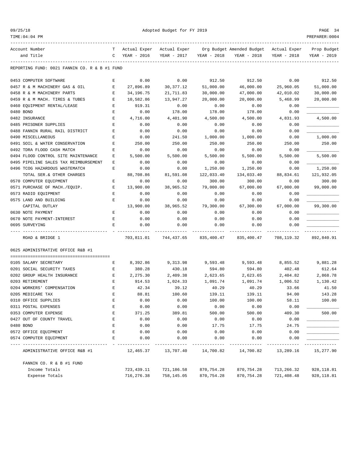TIME:04:04 PM PREPARER:0004

Adopted Budget for FY 2019 PAGE 34

| Account Number                                | т | Actual Exper | Actual Exper |             | Org Budget Amended Budget | Actual Exper | Prop Budget |
|-----------------------------------------------|---|--------------|--------------|-------------|---------------------------|--------------|-------------|
| and Title                                     | C | YEAR - 2016  | YEAR - 2017  | YEAR - 2018 | YEAR - 2018               | YEAR - 2018  | YEAR - 2019 |
| REPORTING FUND: 0021 FANNIN CO. R & B #1 FUND |   |              |              |             |                           |              |             |
| 0453 COMPUTER SOFTWARE                        | Ε | 0.00         | 0.00         | 912.50      | 912.50                    | 0.00         | 912.50      |
| 0457 R & M MACHINERY GAS & OIL                | Е | 27,896.89    | 30, 377.12   | 51,000.00   | 46,000.00                 | 25,960.05    | 51,000.00   |
| 0458 R & M MACHINERY PARTS                    | Е | 34, 196. 75  | 21,711.83    | 30,000.00   | 47,000.00                 | 42,010.02    | 30,000.00   |
| 0459 R & M MACH. TIRES & TUBES                | Е | 10,582.86    | 13,947.27    | 20,000.00   | 20,000.00                 | 5,468.99     | 20,000.00   |
| 0460 EQUIPMENT RENTAL/LEASE                   | Ε | 919.31       | 0.00         | 0.00        | 0.00                      | 0.00         |             |
| 0480 BOND                                     | E | 0.00         | 178.00       | 178.00      | 178.00                    | 0.00         |             |
| 0482 INSURANCE                                | E | 4,716.00     | 4,401.90     | 4,500.00    | 4,500.00                  | 4,831.93     | 4,500.00    |
| 0485 PRISONER SUPPLIES                        | E | 0.00         | 0.00         | 0.00        | 0.00                      | 0.00         |             |
| 0488 FANNIN RURAL RAIL DISTRICT               | E | 0.00         | 0.00         | 0.00        | 0.00                      | 0.00         |             |
| 0490 MISCELLANEOUS                            | E | 0.00         | 241.50       | 1,000.00    | 1,000.00                  | 0.00         | 1,000.00    |
| 0491 SOIL & WATER CONSERVATION                | Ε | 250.00       | 250.00       | 250.00      | 250.00                    | 250.00       | 250.00      |
| 0492 TDRA FLOOD CASH MATCH                    | E | 0.00         | 0.00         | 0.00        | 0.00                      | 0.00         |             |
| 0494 FLOOD CONTROL SITE MAINTENANCE           | E | 5,500.00     | 5,500.00     | 5,500.00    | 5,500.00                  | 5,500.00     | 5,500.00    |
| 0495 PIPELINE SALES TAX REIMBURSEMENT         | Ε | 0.00         | 0.00         | 0.00        | 0.00                      | 0.00         |             |
| 0496 TCOG HAZARDOUS WASTEMATCH                | E | 0.00         | 0.00         | 1,250.00    | 1,250.00                  | 0.00         | 1,250.00    |
| TOTAL SER.& OTHER CHARGES                     |   | 88,708.86    | 81,591.08    | 122,033.40  | 134,033.40                | 88,834.61    | 121,932.05  |
| 0570 COMPUTER EQUIPMENT                       | Ε | 0.00         | 0.00         | 300.00      | 300.00                    | 0.00         | 300.00      |
| 0571 PURCHASE OF MACH./EQUIP.                 | Е | 13,900.00    | 38,965.52    | 79,000.00   | 67,000.00                 | 67,000.00    | 99,000.00   |
| 0573 RADIO EQUIPMENT                          | Ε | 0.00         | 0.00         | 0.00        | 0.00                      | 0.00         |             |
| 0575 LAND AND BUILDING                        | E | 0.00         | 0.00         | 0.00        | 0.00                      | 0.00         |             |
| CAPITAL OUTLAY                                |   | 13,900.00    | 38,965.52    | 79,300.00   | 67,300.00                 | 67,000.00    | 99,300.00   |
| 0630 NOTE PAYMENT                             | Е | 0.00         | 0.00         | 0.00        | 0.00                      | 0.00         |             |
| 0670 NOTE PAYMENT-INTEREST                    | Ε | 0.00         | 0.00         | 0.00        | 0.00                      | 0.00         |             |
| 0695 SURVEYING                                | E | 0.00         | 0.00         | 0.00        | 0.00                      | 0.00         |             |
| ROAD & BRIDGE 1                               |   | 703,811.01   | 744,437.65   | 835,400.47  | 835,400.47                | 708,119.32   | 892,840.91  |
| 0625 ADMINISTRATIVE OFFICE R&B #1             |   |              |              |             |                           |              |             |
| 0105 SALARY SECRETARY                         | Ε | 8,392.86     | 9,313.98     | 9,593.48    | 9,593.48                  | 8,855.52     | 9,881.28    |
| 0201 SOCIAL SECURITY TAXES                    | Ε | 380.28       | 430.18       | 594.80      | 594.80                    | 402.48       | 612.64      |
| 0202 GROUP HEALTH INSURANCE                   | Е | 2,275.30     | 2,409.38     | 2,623.65    | 2,623.65                  | 2,404.82     | 2,868.78    |
| 0203 RETIREMENT                               | Ε | 914.53       | 1,024.33     | 1,091.74    | 1,091.74                  | 1,006.52     | 1,130.42    |
| 0204 WORKERS' COMPENSATION                    | E | 42.34        | 39.12        | 40.29       | 40.29                     | 33.66        | 41.50       |
| 0205 MEDICARE TAX                             | E | 88.81        | 100.60       | 139.11      | 139.11                    | 94.00        | 143.28      |
| 0310 OFFICE SUPPLIES                          | Ε | 0.00         | 0.00         | 100.00      | 100.00                    | 58.11        | 100.00      |
| 0311 POSTAL EXPENSES                          | E | 0.00         | 0.00         | 0.00        | 0.00                      | 0.00         |             |
| 0353 COMPUTER EXPENSE                         | E | 371.25       | 389.81       | 500.00      | 500.00                    | 409.30       | 500.00      |
| 0427 OUT OF COUNTY TRAVEL                     | E | 0.00         | 0.00         | 0.00        | 0.00                      | 0.00         |             |
| 0480 BOND                                     | E | 0.00         | 0.00         | 17.75       | 17.75                     | 24.75        |             |
| 0572 OFFICE EQUIPMENT                         | E | 0.00         | 0.00         | 0.00        | 0.00                      | 0.00         |             |
| 0574 COMPUTER EQUIPMENT                       | Ε | 0.00         | 0.00         | 0.00        | 0.00                      | 0.00         |             |
| ADMINISTRATIVE OFFICE R&B #1                  |   | 12,465.37    | 13,707.40    | 14,700.82   | 14,700.82                 | 13,289.16    | 15,277.90   |
| FANNIN CO. R & B #1 FUND                      |   |              |              |             |                           |              |             |
| Income Totals                                 |   | 723, 439.11  | 721,186.58   | 870,754.28  | 870,754.28                | 713,266.32   | 928, 118.81 |
| Expense Totals                                |   | 716,276.38   | 758,145.05   | 870,754.28  | 870,754.28                | 721,408.48   | 928, 118.81 |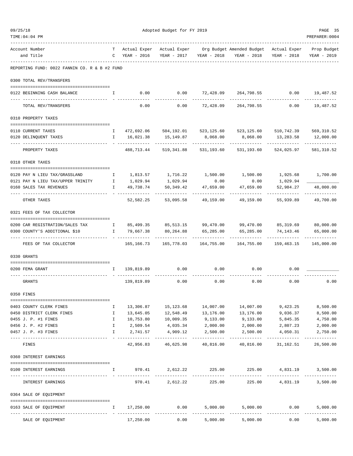| 09/25/18<br>TIME: 04: 04 PM                                |                  | Adopted Budget for FY 2019  |                                     |                   |                                                       |                           |                            |  |
|------------------------------------------------------------|------------------|-----------------------------|-------------------------------------|-------------------|-------------------------------------------------------|---------------------------|----------------------------|--|
|                                                            |                  |                             |                                     |                   |                                                       |                           | PREPARER: 0004             |  |
| Account Number<br>and Title                                | T<br>$\mathbf C$ | Actual Exper<br>YEAR - 2016 | Actual Exper<br>YEAR - 2017         | YEAR - 2018       | Org Budget Amended Budget Actual Exper<br>YEAR - 2018 | YEAR - 2018               | Prop Budget<br>YEAR - 2019 |  |
| REPORTING FUND: 0022 FANNIN CO. R & B #2 FUND              |                  |                             |                                     |                   |                                                       |                           |                            |  |
| 0300 TOTAL REV/TRANSFERS                                   |                  |                             |                                     |                   |                                                       |                           |                            |  |
| 0122 BEGINNING CASH BALANCE                                | Ι.               | 0.00                        | 0.00                                | 72,428.09         | 264,798.55                                            | 0.00                      | 19,487.52<br>.             |  |
| TOTAL REV/TRANSFERS                                        |                  | 0.00                        | 0.00                                | 72,428.09         | 264,798.55                                            | 0.00                      | 19,487.52                  |  |
| 0310 PROPERTY TAXES                                        |                  |                             |                                     |                   |                                                       |                           |                            |  |
| 0110 CURRENT TAXES                                         | Ι.               | 472,692.06                  |                                     |                   | 504,192.01    523,125.60    523,125.60                | 510,742.39                | 569,310.52                 |  |
| 0120 DELINQUENT TAXES                                      | Ι.               | 16,021.38                   | 15,149.87                           | 8,068.00          | 8,068.00                                              | 13,283.58                 | 12,000.00                  |  |
| PROPERTY TAXES                                             |                  | 488,713.44                  | 519,341.88                          | 531,193.60        | 531,193.60                                            | -----------<br>524,025.97 | 581, 310.52                |  |
| 0318 OTHER TAXES                                           |                  |                             |                                     |                   |                                                       |                           |                            |  |
| 0120 PAY N LIEU TAX/GRASSLAND                              | Ι.               |                             | 1,813.57 1,716.22                   | 1,500.00          | 1,500.00                                              | 1,925.68                  | 1,700.00                   |  |
| 0121 PAY N LIEU TAX/UPPER TRINITY                          | $\mathbb{I}$     | 1,029.94                    | 1,029.94                            | 0.00              | 0.00                                                  | 1,029.94                  |                            |  |
| 0160 SALES TAX REVENUES                                    | $\mathbf{I}$     | 49,738.74                   | 50,349.42                           | 47,659.00         | 47,659.00                                             | 52,984.27                 | 48,000.00                  |  |
| OTHER TAXES                                                |                  | 52,582.25                   | 53,095.58                           | 49,159.00         | 49,159.00                                             | . <u>.</u><br>55,939.89   | 49,700.00                  |  |
| 0321 FEES OF TAX COLLECTOR                                 |                  |                             |                                     |                   |                                                       |                           |                            |  |
| 0200 CAR REGISTRATION/SALES TAX                            | $\mathbf{I}$     |                             | 85,499.35 85,513.15 99,470.00       |                   |                                                       | 99,470.00 85,319.69       | 80,000.00                  |  |
| 0300 COUNTY'S ADDITIONAL \$10                              | I.               | 79,667.38                   | 80,264.88                           | 65,285.00         | 65,285.00                                             | 74,143.46                 | 65,000.00                  |  |
| FEES OF TAX COLLECTOR                                      |                  | .<br>165,166.73             | 165,778.03                          | 164,755.00        | 164,755.00                                            | 159,463.15                | .<br>145,000.00            |  |
| 0330 GRANTS                                                |                  |                             |                                     |                   |                                                       |                           |                            |  |
|                                                            |                  |                             |                                     |                   |                                                       |                           |                            |  |
| 0200 FEMA GRANT                                            | Ι.               | 139,819.89                  | 0.00                                | 0.00              | 0.00                                                  | 0.00                      |                            |  |
| GRANTS                                                     |                  | 139,819.89                  | 0.00                                | 0.00              | 0.00                                                  | 0.00                      | 0.00                       |  |
| 0350 FINES                                                 |                  |                             |                                     |                   |                                                       |                           |                            |  |
| 0403 COUNTY CLERK FINES                                    | Ι.               |                             | 13,306.87    15,123.68    14,007.00 |                   | 14,007.00                                             | 9,423.25                  | 8,500.00                   |  |
| 0450 DISTRICT CLERK FINES                                  | $\mathbf{I}$     | 13,645.05                   | 12,548.49                           | 13,176.00         | 13,176.00                                             | 9,036.37                  | 8,500.00                   |  |
| 0455 J. P. #1 FINES                                        | $\mathbf{I}$     | 10,753.80                   | 10,009.35                           | 9,133.00          | 9,133.00                                              | 5,845.35                  | 4,750.00                   |  |
| 0456 J. P. #2 FINES                                        | $\mathbf{I}$     | 2,509.54                    |                                     | 4,035.34 2,000.00 | 2,000.00                                              | 2,807.23                  | 2,000.00                   |  |
| 0457 J. P. #3 FINES                                        | $\mathbf{I}$     | 2,741.57<br>.               | 4,909.12 2,500.00<br>-------------  | --------------    | 2,500.00<br>------------                              | 4,050.31<br>. <u>.</u>    | 2,750.00<br>----------     |  |
| FINES                                                      |                  | 42,956.83                   | 46,625.98                           | 40,816.00         | 40,816.00                                             | 31,162.51                 | 26,500.00                  |  |
| 0360 INTEREST EARNINGS                                     |                  |                             |                                     |                   |                                                       |                           |                            |  |
| 0100 INTEREST EARNINGS<br>-------------------------------- | $\mathbf{I}$     | 970.41                      |                                     | 2,612.22 225.00   | 225.00                                                | 4,831.19                  | 3,500.00                   |  |
| INTEREST EARNINGS                                          |                  | 970.41                      |                                     | 2,612.22 225.00   |                                                       | 225.00 4,831.19           | 3,500.00                   |  |
| 0364 SALE OF EQUIPMENT                                     |                  |                             |                                     |                   |                                                       |                           |                            |  |
| 0163 SALE OF EOUIPMENT                                     | I.               | 17,250.00                   | 0.00                                | 5,000.00          | 5,000.00                                              | 0.00                      | 5,000.00                   |  |
| SALE OF EQUIPMENT                                          |                  | 17,250.00                   | 0.00                                | 5,000.00          | 5,000.00                                              | 0.00                      | 5,000.00                   |  |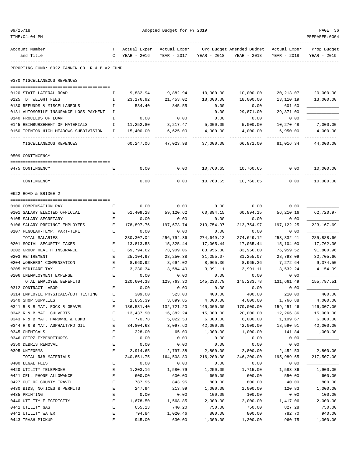| 09/25/18 |                                                 |                     | PAGE 36                |                        |                        |                                        |                     |             |  |
|----------|-------------------------------------------------|---------------------|------------------------|------------------------|------------------------|----------------------------------------|---------------------|-------------|--|
|          | TIME:04:04 PM                                   |                     |                        |                        |                        |                                        |                     |             |  |
|          | Account Number                                  | т                   | Actual Exper           | Actual Exper           |                        | Org Budget Amended Budget Actual Exper |                     | Prop Budget |  |
|          | and Title                                       | C                   | YEAR - 2016            | YEAR - 2017            | YEAR - 2018            | YEAR - 2018                            | YEAR - 2018         | YEAR - 2019 |  |
|          | REPORTING FUND: 0022 FANNIN CO. R & B #2 FUND   |                     |                        |                        |                        |                                        |                     |             |  |
|          | 0370 MISCELLANEOUS REVENUES                     |                     |                        |                        |                        |                                        |                     |             |  |
|          |                                                 |                     | 9,882.94               | 9,882.94               | 10,000.00              | 10,000.00                              |                     |             |  |
|          | 0120 STATE LATERAL ROAD<br>0125 TDT WEIGHT FEES | Ι.<br>$\mathbbm{I}$ | 23,176.92              | 21,453.02              | 18,000.00              | 18,000.00                              | 20,213.07           | 20,000.00   |  |
|          | 0130 REFUNDS & MISCELLANEOUS                    | Ι.                  | 534.40                 | 845.55                 | 0.00                   | 0.00                                   | 13,110.19<br>601.60 | 13,000.00   |  |
|          | 0131 AUTOMOBILE INSURANCE LOSS PAYMENT          | I.                  |                        |                        | 0.00                   | 29,871.00                              | 29,871.00           |             |  |
|          | 0140 PROCEEDS OF LOAN                           | I                   | 0.00                   | 0.00                   | 0.00                   | 0.00                                   | 0.00                |             |  |
|          | 0145 REIMBURSEMENT OF MATERIALS                 | Ι.                  | 11,252.80              | 8,217.47               | 5,000.00               | 5,000.00                               | 10,270.48           | 7,000.00    |  |
|          | 0150 TRENTON HIGH MEADOWS SUBDIVISION           | Ι.                  | 15,400.00              | 6,625.00               | 4,000.00               | 4,000.00                               | 6,950.00            | 4,000.00    |  |
|          |                                                 |                     |                        |                        |                        |                                        |                     |             |  |
|          | MISCELLANEOUS REVENUES                          |                     | 60,247.06              | 47,023.98              | 37,000.00              | 66,871.00                              | 81,016.34           | 44,000.00   |  |
|          | 0509 CONTINGENCY                                |                     |                        |                        |                        |                                        |                     |             |  |
|          | 0475 CONTINGENCY                                | Ε                   | 0.00                   | 0.00                   | 10,760.65              | 10,760.65                              | 0.00                | 10,000.00   |  |
|          | CONTINGENCY                                     |                     | 0.00                   | 0.00                   | 10,760.65              | 10,760.65                              | 0.00                | 10,000.00   |  |
|          | 0622 ROAD & BRIDGE 2                            |                     |                        |                        |                        |                                        |                     |             |  |
|          | 0100 COMPENSATION PAY                           | Ε                   | 0.00                   | 0.00                   | 0.00                   | 0.00                                   | 0.00                |             |  |
|          | 0101 SALARY ELECTED OFFICIAL                    | Е                   | 51,409.28              | 59,120.62              | 60,894.15              | 60,894.15                              | 56,210.16           | 62,720.97   |  |
|          | 0105 SALARY SECRETARY                           | Ε                   | 0.00                   | 0.00                   | 0.00                   | 0.00                                   | 0.00                |             |  |
|          | 0106 SALARY PRECINCT EMPLOYEES                  | E                   | 178,897.76             | 197,673.74             | 213,754.97             | 213,754.97                             | 197, 122. 25        | 223, 167.69 |  |
|          | 0107 REGULAR-TEMP. PART-TIME                    | Е                   | 0.00                   | 0.00                   | 0.00                   | 0.00                                   | 0.00                |             |  |
|          | TOTAL SALARIES                                  |                     | 230, 307.04            | 256,794.36             | 274,649.12             | 274,649.12                             | 253, 332.41         | 285,888.66  |  |
|          | 0201 SOCIAL SECURITY TAXES                      | Е                   | 13,813.53              | 15,325.44              | 17,065.44              | 17,065.44                              | 15,104.00           | 17,762.30   |  |
|          | 0202 GROUP HEALTH INSURANCE                     | Е                   | 69,794.62              | 73,909.06              | 83,956.80              | 83,956.80                              | 76,959.52           | 91,800.96   |  |
|          | 0203 RETIREMENT                                 | Е                   | 25,104.97              | 28, 250.38             | 31,255.07              | 31,255.07                              | 28,793.09           | 32,705.66   |  |
|          | 0204 WORKERS' COMPENSATION                      | Ε                   | 8,660.92               | 8,694.02               | 8,965.36               | 8,965.36                               | 7,272.64            | 9,374.50    |  |
|          | 0205 MEDICARE TAX                               | E                   | 3,230.34               | 3,584.40               | 3,991.11               | 3,991.11                               | 3,532.24            | 4,154.09    |  |
|          | 0206 UNEMPLOYMENT EXPENSE                       | E                   | 0.00                   | 0.00                   | 0.00                   | 0.00                                   | 0.00                |             |  |
|          | TOTAL EMPLOYEE BENEFITS                         |                     | 120,604.38             | 129,763.30             | 145,233.78             | 145,233.78                             | 131,661.49          | 155,797.51  |  |
|          | 0312 CONTRACT LABOR                             | Е                   | 0.00                   | 0.00                   | 0.00                   | 0.00                                   | 0.00                |             |  |
|          | 0314 EMPLOYEE PHYSICALS/DOT TESTING             | Ε                   | 309.00                 | 523.00                 | 400.00                 | 400.00                                 | 210.00              | 400.00      |  |
|          | 0340 SHOP SUPPLIES                              | E                   | 1,855.39               | 3,899.85               | 4,000.00               | 4,000.00                               | 1,766.88            | 4,000.00    |  |
|          | 0341 R & B MAT. ROCK & GRAVEL                   | $\mathbf E$         | 186,531.40             | 132,721.20             | 145,000.00             | 170,000.00                             | 159,451.46          | 146,307.00  |  |
|          | 0342 R & B MAT. CULVERTS                        | E                   | 13,437.90              | 16,382.24              | 15,000.00              | 20,000.00                              | 12,266.36           | 15,000.00   |  |
|          | 0343 R & B MAT. HARDWRE & LUMB                  | E                   | 770.78                 | 5,022.53               | 6,000.00               | 6,000.00                               | 1,109.67            | 6,000.00    |  |
|          | 0344 R & B MAT. ASPHALT/RD OIL                  | E                   | 34,804.63              | 3,097.60               | 42,000.00              | 42,000.00                              | 18,590.91           | 42,000.00   |  |
|          | 0345 CHEMICALS                                  | Ε                   | 228.00                 | 65.00                  | 1,000.00               | 1,000.00                               | 141.84              | 1,000.00    |  |
|          | 0346 CETRZ EXPENDITURES                         | $\mathbf E$         | 0.00                   | 0.00                   | 0.00                   | 0.00                                   | 0.00                |             |  |
|          | 0350 DEBRIS REMOVAL                             | $\mathbf E$         | 0.00                   | 0.00                   | 0.00                   | 0.00                                   | 0.00                |             |  |
|          | 0395 UNIFORMS<br>TOTAL R&B MATERIALS            | E                   | 2,914.65<br>240,851.75 | 2,797.38<br>164,508.80 | 2,800.00<br>216,200.00 | 2,800.00<br>246,200.00                 | 2,452.53            | 2,800.00    |  |
|          | 0400 LEGAL FEES                                 | Ε                   | 0.00                   | 0.00                   | 0.00                   | 0.00                                   | 195,989.65<br>0.00  | 217,507.00  |  |
|          | 0420 UTILITY TELEPHONE                          | E                   | 1,203.16               | 1,580.79               | 1,250.00               | 1,715.00                               | 1,583.36            | 1,900.00    |  |
|          | 0421 CELL PHONE ALLOWANCE                       | $\mathbf E$         | 600.00                 | 600.00                 | 600.00                 | 600.00                                 | 550.00              | 600.00      |  |
|          | 0427 OUT OF COUNTY TRAVEL                       | E                   | 787.95                 | 843.95                 | 800.00                 | 800.00                                 | 40.00               | 800.00      |  |
|          | 0430 BIDS, NOTICES & PERMITS                    | E                   | 247.94                 | 213.99                 | 1,000.00               | 1,000.00                               | 120.83              | 1,000.00    |  |
|          | 0435 PRINTING                                   | E                   | 0.00                   | 0.00                   | 100.00                 | 100.00                                 | 0.00                | 100.00      |  |
|          | 0440 UTILITY ELECTRICITY                        | Ε                   | 1,678.50               | 1,568.85               | 2,000.00               | 2,000.00                               | 1,417.06            | 2,000.00    |  |
|          | 0441 UTILITY GAS                                | $\mathbf E$         | 655.23                 | 740.20                 | 750.00                 | 750.00                                 | 827.28              | 750.00      |  |

0442 UTILITY WATER E 794.84 1,020.46 800.00 800.00 782.70 940.00 0443 TRASH PICKUP E 945.00 630.00 1,300.00 1,300.00 960.75 1,300.00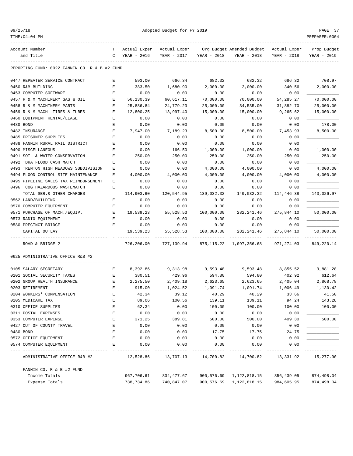TIME:04:04 PM PREPARER:0004

Adopted Budget for FY 2019 PAGE 37

| Account Number                                | т           | Actual Exper | Actual Exper |             | Org Budget Amended Budget | Actual Exper | Prop Budget |
|-----------------------------------------------|-------------|--------------|--------------|-------------|---------------------------|--------------|-------------|
| and Title                                     | C           | YEAR - 2016  | YEAR - 2017  | YEAR - 2018 | YEAR - 2018               | YEAR - 2018  | YEAR - 2019 |
| REPORTING FUND: 0022 FANNIN CO. R & B #2 FUND |             |              |              |             |                           |              |             |
|                                               |             |              |              |             |                           |              |             |
| 0447 REPEATER SERVICE CONTRACT                | Е           | 593.00       | 666.34       | 682.32      | 682.32                    | 686.32       | 708.97      |
| 0450 R&M BUILDING                             | Е           | 383.50       | 1,680.90     | 2,000.00    | 2,000.00                  | 340.56       | 2,000.00    |
| 0453 COMPUTER SOFTWARE                        | Ε           | 0.00         | 0.00         | 0.00        | 0.00                      | 0.00         |             |
| 0457 R & M MACHINERY GAS & OIL                | Ε           | 56,130.39    | 60,617.11    | 70,000.00   | 70,000.00                 | 54, 285. 27  | 70,000.00   |
| 0458 R & M MACHINERY PARTS                    | E           | 25,886.84    | 24,779.23    | 25,000.00   | 34,535.00                 | 31,882.70    | 25,000.00   |
| 0459 R & M MACH. TIRES & TUBES                | $\mathbf E$ | 12,800.25    | 13,997.40    | 15,000.00   | 15,000.00                 | 9,265.62     | 15,000.00   |
| 0460 EQUIPMENT RENTAL/LEASE                   | Е           | 0.00         | 0.00         | 0.00        | 0.00                      | 0.00         |             |
| 0480 BOND                                     | Ε           | 0.00         | 0.00         | 0.00        | 0.00                      | 0.00         | 178.00      |
| 0482 INSURANCE                                | Ε           | 7,947.00     | 7,189.23     | 8,500.00    | 8,500.00                  | 7,453.93     | 8,500.00    |
| 0485 PRISONER SUPPLIES                        | E           | 0.00         | 0.00         | 0.00        | 0.00                      | 0.00         |             |
| 0488 FANNIN RURAL RAIL DISTRICT               | E           | 0.00         | 0.00         | 0.00        | 0.00                      | 0.00         |             |
| 0490 MISCELLANEOUS                            | Ε           | 0.00         | 166.50       | 1,000.00    | 1,000.00                  | 0.00         | 1,000.00    |
| 0491 SOIL & WATER CONSERVATION                | Е           | 250.00       | 250.00       | 250.00      | 250.00                    | 250.00       | 250.00      |
| 0492 TDRA FLOOD CASH MATCH                    | Ε           | 0.00         | 0.00         | 0.00        | 0.00                      | 0.00         |             |
| 0493 TRENTON HIGH MEADOWS SUBDIVISION         | Ε           | 0.00         | 0.00         | 4,000.00    | 4,000.00                  | 0.00         | 4,000.00    |
| 0494 FLOOD CONTROL SITE MAINTENANCE           | Ε           | 4,000.00     | 4,000.00     | 4,000.00    | 4,000.00                  | 4,000.00     | 4,000.00    |
| 0495 PIPELINE SALES TAX REIMBURSEMENT         | E           | 0.00         | 0.00         | 0.00        | 0.00                      | 0.00         |             |
| 0496 TCOG HAZARDOUS WASTEMATCH                | Ε           | 0.00         | 0.00         | 0.00        | 0.00                      | 0.00         |             |
| TOTAL SER. & OTHER CHARGES                    |             | 114,903.60   | 120,544.95   | 139,032.32  | 149,032.32                | 114,446.38   | 140,026.97  |
| 0562 LAND/BUILDING                            | Е           | 0.00         | 0.00         | 0.00        | 0.00                      | 0.00         |             |
| 0570 COMPUTER EQUIPMENT                       | Ε           | 0.00         | 0.00         | 0.00        | 0.00                      | 0.00         |             |
| 0571 PURCHASE OF MACH./EQUIP.                 | Е           | 19,539.23    | 55,528.53    | 100,000.00  | 282, 241.46               | 275,844.10   | 50,000.00   |
| 0573 RADIO EQUIPMENT                          | Ε           | 0.00         | 0.00         | 0.00        | 0.00                      | 0.00         |             |
| 0580 PRECINCT BRIDGE                          | Е           | 0.00         | 0.00         | 0.00        | 0.00                      | 0.00         |             |
| CAPITAL OUTLAY                                |             | 19,539.23    | 55,528.53    | 100,000.00  | 282, 241.46               | 275,844.10   | 50,000.00   |
|                                               |             |              |              |             |                           |              |             |
| ROAD & BRIDGE 2                               |             | 726,206.00   | 727,139.94   | 875,115.22  | 1,097,356.68              | 971,274.03   | 849, 220.14 |
| 0625 ADMINISTRATIVE OFFICE R&B #2             |             |              |              |             |                           |              |             |
| 0105 SALARY SECRETARY                         | Е           | 8,392.86     | 9,313.98     | 9,593.48    | 9,593.48                  | 8,855.52     | 9,881.28    |
| 0201 SOCIAL SECURITY TAXES                    | Ε           | 380.51       | 429.96       | 594.80      | 594.80                    | 402.92       | 612.64      |
| 0202 GROUP HEALTH INSURANCE                   | Е           | 2,275.50     | 2,409.18     | 2,623.65    | 2,623.65                  | 2,405.04     | 2,868.78    |
| 0203 RETIREMENT                               | Ε           | 915.00       | 1,024.52     | 1,091.74    | 1,091.74                  | 1,006.49     | 1,130.42    |
| 0204 WORKERS' COMPENSATION                    | E           | 42.34        | 39.12        | 40.29       | 40.29                     | 33.66        | 41.50       |
| 0205 MEDICARE TAX                             | Ε           | 89.06        | 100.56       | 139.11      | 139.11                    | 94.24        | 143.28      |
| 0310 OFFICE SUPPLIES                          | Ε           | 62.34        | 0.00         | 100.00      | 100.00                    | 100.00       | 100.00      |
| 0311 POSTAL EXPENSES                          | E           | 0.00         | 0.00         | 0.00        | 0.00                      | 0.00         |             |
|                                               | E           |              |              |             |                           | 409.30       | 500.00      |
| 0353 COMPUTER EXPENSE                         |             | 371.25       | 389.81       | 500.00      | 500.00                    |              |             |
| 0427 OUT OF COUNTY TRAVEL                     | Е           | 0.00         | 0.00         | 0.00        | 0.00                      | 0.00         |             |
| 0480 BOND                                     | Ε           | 0.00         | 0.00         | 17.75       | 17.75                     | 24.75        |             |
| 0572 OFFICE EQUIPMENT                         | Е           | 0.00         | 0.00         | 0.00        | 0.00                      | 0.00         |             |
| 0574 COMPUTER EQUIPMENT                       | Ε           | 0.00         | 0.00         | 0.00        | 0.00                      | 0.00         |             |
| ADMINISTRATIVE OFFICE R&B #2                  |             | 12,528.86    |              |             | 14,700.82                 | 13,331.92    | 15,277.90   |
| FANNIN CO. R & B #2 FUND                      |             |              |              |             |                           |              |             |
| Income Totals                                 |             | 967,706.61   | 834,477.67   |             | 900,576.69 1,122,818.15   | 856,439.05   | 874,498.04  |

Expense Totals 738,734.86 740,847.07 900,576.69 1,122,818.15 984,605.95 874,498.04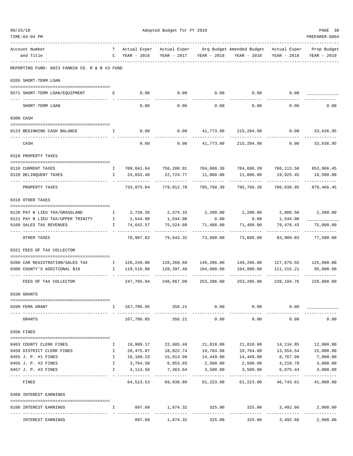| TIME:04:04 PM                                                      |              |                      |                         |                  |                           |                         | PREPARER: 0004          |
|--------------------------------------------------------------------|--------------|----------------------|-------------------------|------------------|---------------------------|-------------------------|-------------------------|
| Account Number                                                     | т            | Actual Exper         | Actual Exper            |                  | Org Budget Amended Budget | Actual Exper            | Prop Budget             |
| and Title                                                          | C            | YEAR - 2016          | YEAR - 2017             | YEAR - 2018      | YEAR - 2018               | YEAR - 2018             | YEAR - 2019             |
| REPORTING FUND: 0023 FANNIN CO. R & B #3 FUND                      |              |                      |                         |                  |                           |                         |                         |
| 0205 SHORT-TERM LOAN                                               |              |                      |                         |                  |                           |                         |                         |
| 0571 SHORT-TERM LOAN/EQUIPMENT                                     | Е            | 0.00                 | 0.00                    | 0.00             | 0.00                      | 0.00                    |                         |
|                                                                    |              |                      |                         |                  |                           |                         |                         |
| SHORT-TERM LOAN                                                    |              | 0.00                 | 0.00                    | 0.00             | 0.00                      | 0.00                    | 0.00                    |
| 0300 CASH                                                          |              |                      |                         |                  |                           |                         |                         |
| 0123 BEGINNING CASH BALANCE                                        | I.           | 0.00                 | 0.00                    | 41,773.98        | 215,204.98                | 0.00                    | 33,636.95               |
| CASH                                                               |              | 0.00                 | 0.00                    | 41,773.98        | 215,204.98                | 0.00                    | 33,636.95               |
| 0310 PROPERTY TAXES                                                |              |                      |                         |                  |                           |                         |                         |
| 0110 CURRENT TAXES                                                 | $\mathbf{I}$ | 709,041.64           | 756,288.01              | 784,688.39       | 784,688.39                | 766,113.50              | 853,966.45              |
| 0120 DELINQUENT TAXES                                              | I.           | 24,033.40            | 22,724.77               | 11,080.00        | 11,080.00                 | 19,925.45               | 16,500.00               |
| PROPERTY TAXES                                                     |              | 733,075.04           | 779,012.78              | 795,768.39       | 795,768.39                | 786,038.95              | 870,466.45              |
| 0318 OTHER TAXES                                                   |              |                      |                         |                  |                           |                         |                         |
|                                                                    |              |                      |                         |                  |                           |                         |                         |
| 0120 PAY N LIEU TAX/GRASSLAND<br>0121 PAY N LIEU TAX/UPPER TRINITY | Ι.<br>I.     | 2,720.35<br>1,544.90 | 2,574.33<br>1,544.90    | 2,200.00<br>0.00 | 2,200.00<br>0.00          | 2,888.50<br>1,544.90    | 2,500.00                |
| 0160 SALES TAX REVENUES                                            | I            | 74,642.57            | 75,524.09               | 71,488.00        | 71,488.00                 | 79,476.43               | 75,000.00               |
| OTHER TAXES                                                        |              | 78,907.82            | 79,643.32               | 73,688.00        | 73,688.00                 | 83,909.83               | ----------<br>77,500.00 |
| 0321 FEES OF TAX COLLECTOR                                         |              |                      |                         |                  |                           |                         |                         |
| 0200 CAR REGISTRATION/SALES TAX                                    | $\mathbf{I}$ | 128,249.06           | 128,269.69              | 149,206.00       | 149,206.00                | 127,979.55              | 125,000.00              |
| 0300 COUNTY'S ADDITIONAL \$10                                      | Ι.           | 119,516.88           | 120,397.40              | 104,000.00       | 104,000.00                | 111, 215. 21            | 95,000.00               |
| FEES OF TAX COLLECTOR                                              |              | 247,765.94           | 248,667.09              | 253,206.00       | 253,206.00                | 239, 194. 76            | 220,000.00              |
|                                                                    |              |                      |                         |                  |                           |                         |                         |
| 0330 GRANTS                                                        |              |                      |                         |                  |                           |                         |                         |
| 0200 FEMA GRANT                                                    | Ι.           | 167,786.05           | 356.21                  | 0.00             | 0.00                      | 0.00                    |                         |
| GRANTS                                                             |              | 167,786.05           | 356.21                  | 0.00             | 0.00                      | 0.00                    | 0.00                    |
| 0350 FINES                                                         |              |                      |                         |                  |                           |                         |                         |
| 0403 COUNTY CLERK FINES                                            | Ι.           | 19,999.17            | 22,685.49               | 21,010.00        | 21,010.00                 | 14,134.85               | 12,000.00               |
| 0450 DISTRICT CLERK FINES                                          | Ι.           | 20,475.07            | 18,822.74               | 19,764.00        | 19,764.00                 | 13,554.54               | 15,000.00               |
| 0455 J. P. #1 FINES                                                | I.           |                      | 16,160.23 15,013.99     | 14,449.00        | 14,449.00                 | 8,767.99                | 7,000.00                |
| 0456 J. P. #2 FINES                                                | Ι.           | 3,764.50             | 6,053.03                | 2,500.00         | 2,500.00                  | 4,210.79                | 3,000.00                |
| 0457 J. P. #3 FINES                                                | I.           | 4,114.56             | 7,363.64<br>----------- | 3,500.00<br>.    | 3,500.00                  | 6,075.44<br>----------- | 4,000.00<br>----------- |
| FINES                                                              |              | 64,513.53            | 69,938.89               | 61,223.00        | 61,223.00                 | 46,743.61               | 41,000.00               |
| 0360 INTEREST EARNINGS                                             |              |                      |                         |                  |                           |                         |                         |
| 0100 INTEREST EARNINGS                                             | I.           | 897.68               | 1,874.32                | 325.00           | 325.00                    | 3,492.66                | 2,000.00                |
| INTEREST EARNINGS                                                  |              | 897.68               | 1,874.32                | 325.00           | 325.00                    | 3,492.66                | 2,000.00                |

09/25/18 PAGE 38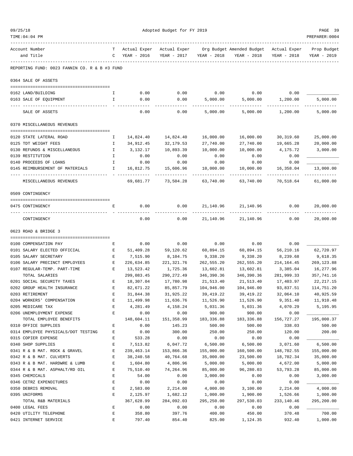| TIME: 04: 04 PM                                            |              |                                 |                             |                            |                                                                                   |                          | PREPARER:0004              |
|------------------------------------------------------------|--------------|---------------------------------|-----------------------------|----------------------------|-----------------------------------------------------------------------------------|--------------------------|----------------------------|
| Account Number<br>and Title                                |              | T Actual Exper<br>C YEAR - 2016 | Actual Exper<br>YEAR - 2017 |                            | Org Budget Amended Budget - Actual Exper - Prop Budget<br>YEAR - 2018 YEAR - 2018 | YEAR - 2018              | YEAR - 2019                |
| REPORTING FUND: 0023 FANNIN CO. R & B #3 FUND              |              |                                 |                             |                            |                                                                                   |                          |                            |
| 0364 SALE OF ASSETS                                        |              |                                 |                             |                            |                                                                                   |                          |                            |
| 0162 LAND/BUILDING                                         | Ι.           | 0.00                            | 0.00                        | 0.00                       | 0.00                                                                              | 0.00                     |                            |
| 0163 SALE OF EQUIPMENT                                     | I.           | 0.00                            | 0.00                        | 5,000.00                   |                                                                                   | 5,000.00 1,200.00        | 5,000.00                   |
| SALE OF ASSETS                                             |              | 0.00                            | -------<br>0.00             | 5,000.00                   | . _ _ _ _ _ _ _ _ _ _ _<br>5,000.00                                               | 1,200.00                 | ------------<br>5,000.00   |
| 0370 MISCELLANEOUS REVENUES                                |              |                                 |                             |                            |                                                                                   |                          |                            |
| 0120 STATE LATERAL ROAD                                    | Ι.           | 14,824.40                       | 14,824.40                   | 16,000.00                  | 16,000.00                                                                         | 30,319.60                | 25,000.00                  |
| 0125 TDT WEIGHT FEES                                       | $\mathbf{I}$ | 34,912.45                       | 32,179.53                   | 27,740.00                  | 27,740.00                                                                         | 19,665.28                | 20,000.00                  |
| 0130 REFUNDS & MISCELLANEOUS                               | $\mathbf{I}$ | 3,132.17                        | 10,893.39                   | 10,000.00                  | 10,000.00                                                                         | 4,175.72                 | 3,000.00                   |
| 0139 RESTITUTION                                           | $\mathbb{I}$ | 0.00                            | 0.00                        | 0.00                       | 0.00                                                                              | 0.00                     |                            |
| 0140 PROCEEDS OF LOANS                                     | $\mathbb{I}$ | 0.00                            | 0.00                        | 0.00                       | 0.00                                                                              | 0.00                     |                            |
| 0145 REIMBURSEMENT OF MATERIALS                            | $\mathbb{I}$ | 16,812.75                       | 15,606.96                   | 10,000.00                  | 10,000.00                                                                         | 16,358.04                | 13,000.00                  |
| MISCELLANEOUS REVENUES                                     |              | 69,681.77                       | ------------<br>73,504.28   | -------------<br>63,740.00 | 63,740.00                                                                         | -----------<br>70,518.64 | -------------<br>61,000.00 |
| 0509 CONTINGENCY                                           |              |                                 |                             |                            |                                                                                   |                          |                            |
|                                                            | E            | 0.00                            | 0.00                        |                            | 21, 140.96 21, 140.96 0.00                                                        |                          | 20,000.00                  |
| 0475 CONTINGENCY<br>---- ---------                         |              |                                 |                             |                            | ------------ --------------                                                       |                          |                            |
| CONTINGENCY                                                |              | 0.00                            | 0.00                        |                            | 21, 140.96 21, 140.96                                                             | 0.00                     | 20,000.00                  |
| 0623 ROAD & BRIDGE 3                                       |              |                                 |                             |                            |                                                                                   |                          |                            |
| 0100 COMPENSATION PAY                                      | Е            | 0.00                            | 0.00                        | 0.00                       | 0.00                                                                              | 0.00                     |                            |
| 0101 SALARY ELECTED OFFICIAL                               | E            | 51,409.28                       | 59,120.62                   | 60,894.15                  | 60,894.15                                                                         | 56,210.16                | 62,720.97                  |
| 0105 SALARY SECRETARY                                      | Е            | 7,515.90                        | 8,104.75                    | 9,338.20                   | 9,338.20                                                                          | 8,239.68                 | 9,618.35                   |
| 0106 SALARY PRECINCT EMPLOYEES                             | Е            | 226,634.85                      | 221,321.76                  | 262,555.20                 | 262,555.20                                                                        | 214,164.45               | 269,123.88                 |
| 0107 REGULAR-TEMP. PART-TIME                               | Е            | 13,523.42                       | 1,725.36                    | 13,602.81                  | 13,602.81                                                                         | 3,385.04                 | 16,277.96                  |
| TOTAL SALARIES                                             |              | 299,083.45                      | 290,272.49                  | 346,390.36                 | 346,390.36                                                                        | 281,999.33               | 357,741.16                 |
| 0201 SOCIAL SECURITY TAXES                                 | Е            | 18,307.04                       | 17,780.98                   | 21,513.40                  | 21,513.40                                                                         | 17,403.97                | 22,217.15                  |
| 0202 GROUP HEALTH INSURANCE                                | Е            | 82,671.22                       | 85,857.79                   | 104,946.00                 | 104,946.00                                                                        | 93,837.51                | 114,751.20                 |
| 0203 RETIREMENT                                            |              | 31,844.38                       | 31,925.22                   | 39,419.22                  | 39,419.22                                                                         | 32,064.10                | 40,925.59                  |
| 0204 WORKERS' COMPENSATION                                 | Е            | 11,499.98                       | 11,636.76                   | 11,526.90                  | 11,526.90                                                                         | 9,351.40                 | 11,910.48                  |
| 0205 MEDICARE TAX                                          | $\mathbf E$  | 4,281.49                        | 4,158.24                    | 5,031.36                   | 5,031.36                                                                          | 4,070.29                 | 5,195.95                   |
| 0206 UNEMPLOYMENT EXPENSE                                  | E            | 0.00                            | 0.00                        | 900.00                     | 900.00                                                                            | 0.00                     |                            |
| TOTAL EMPLOYEE BENEFITS                                    | $\mathbf{E}$ | 148,604.11                      | 151,358.99                  | 183,336.88                 | 183,336.88                                                                        | 156,727.27               | 195,000.37                 |
| 0310 OFFICE SUPPLIES                                       | E            | 0.00                            | 145.23<br>300.00            | 500.00<br>250.00           | 500.00<br>250.00                                                                  | 338.03<br>120.00         | 500.00<br>200.00           |
| 0314 EMPLOYEE PHYSICALS/DOT TESTING<br>0315 COPIER EXPENSE | Ε            | 0.00<br>533.28                  | 0.00                        | 0.00                       | 0.00                                                                              | 0.00                     |                            |
| 0340 SHOP SUPPLIES                                         | E            | 7,513.82                        | 6,047.72                    | 6,500.00                   | 6,500.00                                                                          | 3,071.60                 | 6,500.00                   |
| 0341 R & B MAT. ROCK & GRAVEL                              | E            | 239, 463. 14                    | 153,866.36                  | 155,000.00                 | 160,500.00                                                                        | 148,702.55               | 155,000.00                 |
| 0342 R & B MAT. CULVERTS                                   | E            | 38,240.58                       | 40,764.68                   | 35,000.00                  | 23,500.00                                                                         | 18,702.34                | 35,000.00                  |
| 0343 R & B MAT. HARDWRE & LUMB                             | E            | 1,604.80                        | 4,806.96                    | 5,000.00                   | 5,000.00                                                                          | 4,672.00                 | 5,000.00                   |
| 0344 R & B MAT. ASPHALT/RD OIL                             | $\mathbf E$  | 75,510.40                       | 74,264.96                   | 85,000.00                  | 96,280.03                                                                         | 53,793.28                | 85,000.00                  |
| 0345 CHEMICALS                                             | E            | 54.00                           | 0.00                        | 3,000.00                   | 0.00                                                                              | 0.00                     | 3,000.00                   |
| 0346 CETRZ EXPENDITURES                                    | E            | 0.00                            | 0.00                        | 0.00                       | 0.00                                                                              | 0.00                     |                            |
| 0350 DEBRIS REMOVAL                                        | E            | 2,583.00                        | 2,214.00                    | 4,000.00                   | 3,100.00                                                                          | 2,214.00                 | 4,000.00                   |
| 0395 UNIFORMS                                              | Ε            | 2,125.97                        | 1,682.12                    | 1,000.00                   | 1,900.00                                                                          | 1,526.66                 | 1,000.00                   |
| TOTAL R&B MATERIALS                                        |              | 367,628.99                      | 284,092.03                  | 295,250.00                 | 297,530.03                                                                        | 233, 140.46              | 295,200.00                 |
| 0400 LEGAL FEES                                            | Ε            | 0.00                            | 0.00                        | 0.00                       | 0.00                                                                              | 0.00                     |                            |
| 0420 UTILITY TELEPHONE                                     | E            | 358.80                          | 397.76                      | 400.00                     | 450.00                                                                            | 370.48                   | 700.00                     |
| 0421 INTERNET SERVICE                                      | $\mathbf E$  | 797.40                          | 854.40                      | 825.00                     | 1,124.35                                                                          | 932.40                   | 1,000.00                   |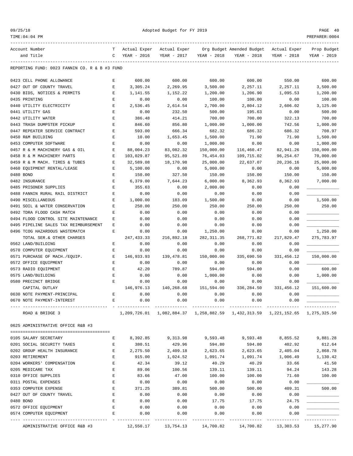| 09/25/1 |  |
|---------|--|
|---------|--|

| 09/25/18<br>TIME: 04: 04 PM                                  | Adopted Budget for FY 2019                                                                     |                       |                        |                        |                                                                  |                        |                        |
|--------------------------------------------------------------|------------------------------------------------------------------------------------------------|-----------------------|------------------------|------------------------|------------------------------------------------------------------|------------------------|------------------------|
| Account Number                                               | т                                                                                              | Actual Exper          | Actual Exper           |                        | Org Budget Amended Budget                                        | Actual Exper           | Prop Budget            |
| and Title                                                    | C                                                                                              | YEAR - 2016           | YEAR - 2017            | YEAR - 2018            | YEAR - 2018                                                      | YEAR - 2018            | YEAR - 2019            |
| REPORTING FUND: 0023 FANNIN CO. R & B #3 FUND                |                                                                                                |                       |                        |                        |                                                                  |                        |                        |
| 0423 CELL PHONE ALLOWANCE                                    | Ε                                                                                              | 600.00                | 600.00                 | 600.00                 | 600.00                                                           | 550.00                 | 600.00                 |
| 0427 OUT OF COUNTY TRAVEL                                    | $\mathbf E$                                                                                    | 3,305.24              | 2,269.95               | 3,500.00               | 2,257.11                                                         | 2,257.11               | 3,500.00               |
| 0430 BIDS, NOTICES & PERMITS                                 | Е                                                                                              | 1,141.55              | 1,152.22               | 1,200.00               | 1,206.90                                                         | 1,095.53               | 1,200.00               |
| 0435 PRINTING                                                | E                                                                                              | 0.00                  | 0.00                   | 100.00                 | 100.00                                                           | 0.00                   | 100.00                 |
| 0440 UTILITY ELECTRICITY                                     | E                                                                                              | 2,536.45              | 2,614.54               | 2,700.00               | 2,804.12                                                         | 2,606.02               | 3,125.00               |
| 0441 UTILITY GAS                                             | E                                                                                              | 0.00                  | 232.50                 | 500.00                 | 195.63                                                           | 0.00                   | 500.00                 |
| 0442 UTILITY WATER                                           | E                                                                                              | 386.48                | 414.21                 | 700.00                 | 700.00                                                           | 322.13                 | 700.00                 |
| 0443 TRASH DUMPSTER PICKUP                                   | Ε                                                                                              | 846.60                | 856.80                 | 1,000.00               | 1,000.00                                                         | 742.56                 | 1,000.00               |
| 0447 REPEATER SERVICE CONTRACT                               | E                                                                                              | 593.00                | 666.34                 | 682.32                 | 686.32                                                           | 686.32                 | 708.97                 |
| 0450 R&M BUILDING                                            | E                                                                                              | 10.00                 | 1,653.45               | 1,500.00               | 71.90                                                            | 71.90                  | 1,500.00               |
| 0453 COMPUTER SOFTWARE                                       | E                                                                                              | 0.00                  | 0.00                   | 1,000.00               | 0.00                                                             | 0.00                   | 1,000.00               |
| 0457 R & M MACHINERY GAS & OIL                               | Ε                                                                                              | 88,004.23             | 83,082.32              | 150,000.00             | 116,460.47                                                       | 82,941.26              | 150,000.00             |
| 0458 R & M MACHINERY PARTS<br>0459 R & M MACH. TIRES & TUBES | Ε<br>Е                                                                                         | 103,029.87            | 95,521.89<br>18,170.98 | 76,454.03<br>25,000.00 | 109,715.02<br>22,637.07                                          | 96,254.67<br>20,236.16 | 70,000.00<br>25,000.00 |
| 0460 EQUIPMENT RENTAL/LEASE                                  | Е                                                                                              | 32,589.08<br>5,100.00 | 0.00                   | 5,000.00               | 0.00                                                             | 0.00                   | 5,000.00               |
| 0480 BOND                                                    | E                                                                                              | 150.00                | 327.50                 | 150.00                 | 150.00                                                           | 150.00                 | 150.00                 |
| 0482 INSURANCE                                               | E                                                                                              | 6,379.00              | 7,644.23               | 6,000.00               | 8,362.93                                                         | 8,362.93               | 7,000.00               |
| 0485 PRISONER SUPPLIES                                       | E                                                                                              | 355.63                | 0.00                   | 2,000.00               | 0.00                                                             | 0.00                   |                        |
| 0488 FANNIN RURAL RAIL DISTRICT                              | Ε                                                                                              | 0.00                  | 0.00                   | 0.00                   | 0.00                                                             | 0.00                   |                        |
| 0490 MISCELLANEOUS                                           | Ε                                                                                              | 1,000.00              | 183.09                 | 1,500.00               | 0.00                                                             | 0.00                   | 1,500.00               |
| 0491 SOIL & WATER CONSERVATION                               | E                                                                                              | 250.00                | 250.00                 | 250.00                 | 250.00                                                           | 250.00                 | 250.00                 |
| 0492 TDRA FLOOD CASH MATCH                                   | Ε                                                                                              | 0.00                  | 0.00                   | 0.00                   | 0.00                                                             | 0.00                   |                        |
| 0494 FLOOD CONTROL SITE MAINTENANCE                          | Ε                                                                                              | 0.00                  | 0.00                   | 0.00                   | 0.00                                                             | 0.00                   |                        |
| 0495 PIPELINE SALES TAX REIMBURSEMENT                        | Ε                                                                                              | 0.00                  | 0.00                   | 0.00                   | 0.00                                                             | 0.00                   |                        |
| 0496 TCOG HAZARDOUS WASTEMATCH                               | Ε                                                                                              | 0.00                  | 0.00                   | 1,250.00               | 0.00                                                             | 0.00                   | 1,250.00               |
| TOTAL SER. & OTHER CHARGES                                   |                                                                                                | 247, 433.33           | 216,892.18             | 282, 311.35            | 268,771.82                                                       | 217,829.47             | 275,783.97             |
| 0562 LAND/BUILDING                                           | Ε                                                                                              | 0.00                  | 0.00                   | 0.00                   | 0.00                                                             | 0.00                   |                        |
| 0570 COMPUTER EQUIPMENT                                      | Ε                                                                                              | 0.00                  | 0.00                   | 0.00                   | 0.00                                                             | 0.00                   |                        |
| 0571 PURCHASE OF MACH./EQUIP.                                | Е                                                                                              | 146,933.93            | 139, 478.81            | 150,000.00             | 335,690.50                                                       | 331, 456.12            | 150,000.00             |
| 0572 OFFICE EQUIPMENT                                        | Е                                                                                              | 0.00                  | 0.00                   | 0.00                   | 0.00                                                             | 0.00                   |                        |
| 0573 RADIO EQUIPMENT                                         | E                                                                                              | 42.20                 | 789.87                 | 594.00                 | 594.00                                                           | 0.00                   | 600.00                 |
| 0575 LAND/BUILDING                                           | E                                                                                              | 0.00                  | 0.00                   | 1,000.00               | 0.00                                                             | 0.00                   | 1,000.00               |
| 0580 PRECINCT BRIDGE                                         | E                                                                                              | 0.00                  | 0.00                   | 0.00                   | 0.00                                                             | 0.00                   |                        |
| CAPITAL OUTLAY                                               |                                                                                                | 146,976.13            | 140,268.68             | 151,594.00             | 336,284.50                                                       | 331,456.12             | 151,600.00             |
| 0630 NOTE PAYMENT-PRINCIPAL                                  | Е                                                                                              | 0.00                  | 0.00                   | 0.00                   | 0.00                                                             | 0.00                   |                        |
| 0670 NOTE PAYMENT-INTEREST                                   | E                                                                                              | 0.00                  | 0.00<br>-------------  | 0.00<br>-------------  | 0.00<br>-------------                                            | 0.00                   |                        |
| ROAD & BRIDGE 3                                              |                                                                                                |                       |                        |                        | 1,209,726.01 1,082,884.37 1,258,882.59 1,432,313.59 1,221,152.65 |                        | 1,275,325.50           |
| 0625 ADMINISTRATIVE OFFICE R&B #3                            |                                                                                                |                       |                        |                        |                                                                  |                        |                        |
| 0105 SALARY SECRETARY                                        | Е                                                                                              | 8,392.85              | 9,313.98               | 9,593.48               | 9,593.48                                                         | 8,855.52               | 9,881.28               |
| 0201 SOCIAL SECURITY TAXES                                   | $\mathbf E$                                                                                    | 380.51                | 429.96                 | 594.80                 | 594.80                                                           | 402.92                 | 612.64                 |
| 0202 GROUP HEALTH INSURANCE                                  | $\mathbf{E}% _{t}\left  \mathbf{1}\right\rangle =\mathbf{1}_{t}\left  \mathbf{1}\right\rangle$ | 2,275.50              | 2,409.18               | 2,623.65               | 2,623.65                                                         | 2,405.04               | 2,868.78               |
| 0203 RETIREMENT                                              | E                                                                                              | 915.00                | 1,024.52               | 1,091.74               | 1,091.74                                                         | 1,006.49               | 1,130.42               |
| 0204 WORKERS' COMPENSATION                                   | Ε                                                                                              | 42.34                 | 39.12                  | 40.29                  | 40.29                                                            | 33.66                  | 41.50                  |
| 0205 MEDICARE TAX                                            | E                                                                                              | 89.06                 | 100.56                 | 139.11                 | 139.11                                                           | 94.24                  | 143.28                 |
| 0310 OFFICE SUPPLIES                                         | Ε                                                                                              | 83.66                 | 47.00                  | 100.00                 | 100.00                                                           | 71.60                  | 100.00                 |
| 0311 POSTAL EXPENSES                                         | E                                                                                              | 0.00                  | 0.00                   | 0.00                   | 0.00                                                             | 0.00                   |                        |
| 0353 COMPUTER EXPENSE                                        | Е                                                                                              | 371.25                | 389.81                 | 500.00                 | 500.00                                                           | 409.31                 | 500.00                 |
| 0427 OUT OF COUNTY TRAVEL                                    | Е                                                                                              | 0.00                  | 0.00                   | 0.00                   | 0.00                                                             | 0.00                   |                        |
| 0480 BOND                                                    | Е                                                                                              | 0.00                  | 0.00                   | 17.75                  | 17.75                                                            | 24.75                  |                        |
| 0572 OFFICE EQUIPMENT                                        | E                                                                                              | 0.00                  | 0.00                   | 0.00                   | 0.00                                                             | 0.00                   |                        |
| 0574 COMPUTER EQUIPMENT                                      | E                                                                                              | 0.00                  | 0.00                   | 0.00                   | 0.00                                                             | 0.00                   |                        |
|                                                              |                                                                                                |                       |                        |                        |                                                                  |                        |                        |

ADMINISTRATIVE OFFICE R&B #3 12,550.17 13,754.13 14,700.82 14,700.82 13,303.53 15,277.90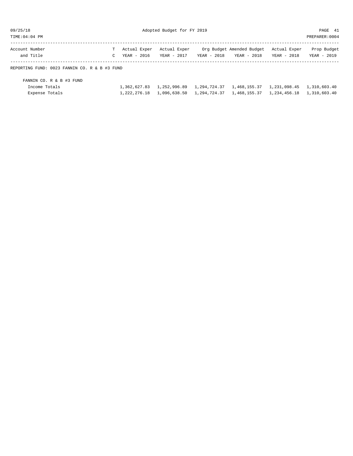TIME:04:04 PM PREPARER:0004

| Account Number |  | T Actual Exper Actual Exper | Org Budget Amended Budget Actual Exper Prop Budget                        |  |
|----------------|--|-----------------------------|---------------------------------------------------------------------------|--|
| and Title      |  |                             | C YEAR - 2016 YEAR - 2017 YEAR - 2018 YEAR - 2018 YEAR - 2018 YEAR - 2019 |  |
|                |  |                             |                                                                           |  |

REPORTING FUND: 0023 FANNIN CO. R & B #3 FUND

| FANNIN CO. R & B #3 FUND |  |  |                                                                                           |  |
|--------------------------|--|--|-------------------------------------------------------------------------------------------|--|
| Income Totals            |  |  | 1, 362, 627.83 1, 252, 996.89 1, 294, 724.37 1, 468, 155.37 1, 231, 098.45 1, 310, 603.40 |  |
| Expense Totals           |  |  | 1,222,276.18 1,096,638.50 1,294,724.37 1,468,155.37 1,234,456.18 1,310,603.40             |  |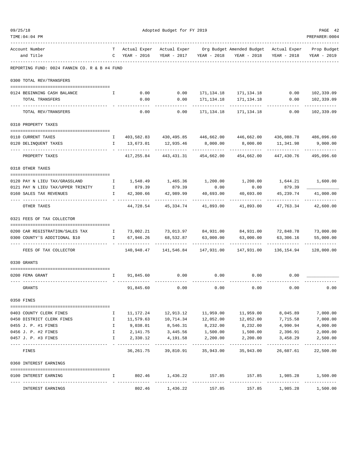| TIME: 04: 04 PM                               |                                                           |                               |      |                               |                                     |                                                                    |                        | PREPARER: 0004             |
|-----------------------------------------------|-----------------------------------------------------------|-------------------------------|------|-------------------------------|-------------------------------------|--------------------------------------------------------------------|------------------------|----------------------------|
| Account Number<br>and Title                   | T.                                                        | Actual Exper<br>C YEAR - 2016 |      | YEAR - 2017                   | YEAR - 2018                         | Actual Exper Org Budget Amended Budget Actual Exper<br>YEAR - 2018 | YEAR - 2018            | Prop Budget<br>YEAR - 2019 |
| REPORTING FUND: 0024 FANNIN CO. R & B #4 FUND |                                                           |                               |      |                               |                                     |                                                                    |                        |                            |
| 0300 TOTAL REV/TRANSFERS                      |                                                           |                               |      |                               |                                     |                                                                    |                        |                            |
| 0124 BEGINNING CASH BALANCE                   | I.                                                        | 0.00                          |      | 0.00                          |                                     | 171, 134. 18    171, 134. 18                                       | 0.00                   | 102,339.09                 |
| TOTAL TRANSFERS                               |                                                           |                               | 0.00 | 0.00                          | 171,134.18                          | 171,134.18                                                         | 0.00                   | 102,339.09                 |
| TOTAL REV/TRANSFERS                           |                                                           |                               | 0.00 | 0.00                          | 171,134.18                          | 171,134.18                                                         | 0.00                   | 102,339.09                 |
| 0310 PROPERTY TAXES                           |                                                           |                               |      |                               |                                     |                                                                    |                        |                            |
| 0110 CURRENT TAXES                            | $\mathbb{I}$                                              |                               |      |                               |                                     | 403,582.83 430,495.85 446,662.00 446,662.00 436,088.78 486,096.60  |                        |                            |
| 0120 DELINQUENT TAXES                         | $\mathbf{I}$                                              | 13,673.01                     |      | 12,935.46                     | 8,000.00                            | 8,000.00                                                           | 11,341.98              | 9,000.00                   |
| PROPERTY TAXES                                |                                                           | 417,255.84                    |      | 443,431.31                    | 454,662.00                          | 454,662.00                                                         | 447,430.76             | 495,096.60                 |
| 0318 OTHER TAXES                              |                                                           |                               |      |                               |                                     |                                                                    |                        |                            |
| 0120 PAY N LIEU TAX/GRASSLAND                 | Ι.                                                        |                               |      | 1,548.49 1,465.36             |                                     | 1,200.00  1,200.00  1,644.21  1,600.00                             |                        |                            |
| 0121 PAY N LIEU TAX/UPPER TRINITY             | $\mathbb{Z}^{\mathbb{Z}}$ . The $\mathbb{Z}^{\mathbb{Z}}$ | 879.39                        |      | 879.39                        | 0.00                                | 0.00                                                               | 879.39                 |                            |
| 0160 SALES TAX REVENUES                       | Ι.                                                        | 42,300.66                     |      | 42,989.99                     | 40,693.00                           | 40,693.00                                                          | 45,239.74              | 41,000.00                  |
| OTHER TAXES                                   |                                                           | 44,728.54                     |      | 45,334.74                     | 41,893.00                           | 41,893.00                                                          | 47,763.34              | 42,600.00                  |
| 0321 FEES OF TAX COLLECTOR                    |                                                           |                               |      |                               |                                     |                                                                    |                        |                            |
| 0200 CAR REGISTRATION/SALES TAX               | $\mathbf{I}$ and $\mathbf{I}$                             |                               |      | 73,002.21 73,013.97 84,931.00 |                                     | 84,931.00                                                          | 72,848.78 73,000.00    |                            |
| 0300 COUNTY'S ADDITIONAL \$10                 | $\mathbf{I}$                                              | 67,946.26                     |      | 68,532.87                     | 63,000.00                           | 63,000.00                                                          | 63,306.16              | 55,000.00                  |
| FEES OF TAX COLLECTOR                         |                                                           | 140,948.47                    |      | 141,546.84                    | 147,931.00                          | 147,931.00                                                         | 136,154.94             | 128,000.00                 |
| 0330 GRANTS                                   |                                                           |                               |      |                               |                                     |                                                                    |                        |                            |
| 0200 FEMA GRANT                               | I.                                                        | 91,845.60                     |      | 0.00                          | 0.00                                | 0.00                                                               | 0.00                   |                            |
| GRANTS                                        |                                                           | 91,845.60                     |      | 0.00                          | 0.00                                | 0.00                                                               | 0.00                   | 0.00                       |
| 0350 FINES                                    |                                                           |                               |      |                               |                                     |                                                                    |                        |                            |
| 0403 COUNTY CLERK FINES                       | Ι.                                                        | 11,172.24                     |      |                               | 12,913.12 11,959.00                 | 11,959.00                                                          | 8,045.89               | 7,000.00                   |
| 0450 DISTRICT CLERK FINES                     | $\mathbb{I}$                                              | 11,579.63                     |      |                               | 10,714.34   12,052.00               | 12,052.00                                                          | 7,715.58               | 7,000.00                   |
| 0455 J. P. #1 FINES                           | Ι.                                                        | 9,038.01                      |      |                               | 8,546.31 8,232.00                   | 8,232.00                                                           | 4,990.94               | 4,000.00                   |
| 0456 J. P. #2 FINES                           | $\mathbf I$                                               |                               |      | 2,141.75 3,445.56 1,500.00    |                                     | 1,500.00                                                           | 2,396.91               | 2,000.00                   |
| 0457 J. P. #3 FINES                           | $\mathbf{I}$                                              | 2,330.12                      |      | 4,191.58<br>-------------     | 2,200.00<br>-----------             | 2,200.00<br>----------                                             | 3,458.29<br>---------- | 2,500.00<br>-----------    |
| FINES                                         |                                                           |                               |      |                               | 36, 261. 75 39, 810. 91 35, 943. 00 | 35,943.00                                                          | 26,607.61              | 22,500.00                  |
| 0360 INTEREST EARNINGS                        |                                                           |                               |      |                               |                                     |                                                                    |                        |                            |
| 0100 INTEREST EARNING                         | Ι.                                                        |                               |      |                               |                                     | 802.46 1,436.22 157.85 157.85 1,985.28                             |                        | 1,500.00<br>-----------    |
| INTEREST EARNINGS                             |                                                           | 802.46                        |      | 1,436.22                      | 157.85                              | 157.85                                                             | 1,985.28               | 1,500.00                   |

09/25/18 PAGE 42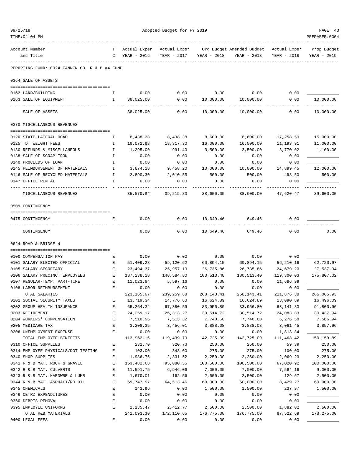| 09/25/18                                                       |                                                                                                | Adopted Budget for FY 2019 |                         |                         |                                        |                         |                         |  |
|----------------------------------------------------------------|------------------------------------------------------------------------------------------------|----------------------------|-------------------------|-------------------------|----------------------------------------|-------------------------|-------------------------|--|
| TIME: 04: 04 PM                                                |                                                                                                |                            |                         |                         |                                        |                         | PREPARER: 0004          |  |
| Account Number                                                 | т                                                                                              | Actual Exper               | Actual Exper            |                         | Org Budget Amended Budget Actual Exper |                         | Prop Budget             |  |
| and Title                                                      | C                                                                                              | YEAR - 2016                | YEAR - 2017             | YEAR - 2018             | YEAR - 2018                            | YEAR - 2018             | YEAR - 2019             |  |
| REPORTING FUND: 0024 FANNIN CO. R & B #4 FUND                  |                                                                                                |                            |                         |                         |                                        |                         |                         |  |
| 0364 SALE OF ASSETS                                            |                                                                                                |                            |                         |                         |                                        |                         |                         |  |
|                                                                |                                                                                                |                            |                         |                         |                                        |                         |                         |  |
| 0162 LAND/BUILDING<br>0163 SALE OF EQUIPMENT                   | I.<br>$\mathbf{I}$                                                                             | 0.00<br>38,025.00          | 0.00<br>0.00            | 0.00<br>10,000.00       | 0.00<br>10,000.00                      | 0.00<br>0.00            | 10,000.00               |  |
|                                                                |                                                                                                |                            |                         |                         |                                        |                         |                         |  |
| SALE OF ASSETS                                                 |                                                                                                | 38,025.00                  | 0.00                    | 10,000.00               | 10,000.00                              | 0.00                    | 10,000.00               |  |
| 0370 MISCELLANEOUS REVENUES                                    |                                                                                                |                            |                         |                         |                                        |                         |                         |  |
| 0120 STATE LATERAL ROAD                                        | I.                                                                                             | 8,438.38                   | 8,438.38                | 8,600.00                | 8,600.00                               | 17,258.59               | 15,000.00               |  |
| 0125 TDT WEIGHT FEES                                           | Ι.                                                                                             | 19,072.98                  | 18,317.30               | 16,000.00               | 16,000.00                              | 11,193.91               | 11,000.00               |  |
| 0130 REFUNDS & MISCELLANEOUS                                   | $\mathbf{I}$                                                                                   | 1,295.00                   | 991.40                  | 3,500.00                | 3,500.00                               | 3,770.02                | 1,100.00                |  |
| 0138 SALE OF SCRAP IRON                                        | Ι.                                                                                             | 0.00                       | 0.00                    | 0.00                    | 0.00                                   | 0.00                    |                         |  |
| 0140 PROCEEDS OF LOAN                                          | Ι.                                                                                             | 0.00                       | 0.00                    | 0.00                    | 0.00                                   | 0.00                    |                         |  |
| 0145 REIMBURSEMENT OF MATERIALS                                | $\mathbf{I}$                                                                                   | 3,874.18                   | 9,458.20                | 10,000.00               | 10,000.00                              | 14,899.45               | 12,000.00               |  |
| 0146 SALE OF RECYCLED MATERIALS                                | $\mathbb{I}$                                                                                   | 2,890.30                   | 2,010.55                | 500.00                  | 500.00                                 | 498.50                  | 500.00                  |  |
| 0147 OFFICE RENTAL                                             | I.                                                                                             | 0.00                       | 0.00                    | 0.00                    | 0.00                                   | 0.00                    |                         |  |
| MISCELLANEOUS REVENUES                                         |                                                                                                | 35,570.84                  | 39,215.83 38,600.00     |                         | 38,600.00                              | 47,620.47               | 39,600.00               |  |
| 0509 CONTINGENCY                                               |                                                                                                |                            |                         |                         |                                        |                         |                         |  |
|                                                                |                                                                                                |                            |                         |                         |                                        |                         |                         |  |
| 0475 CONTINGENCY                                               | Е                                                                                              | 0.00                       | 0.00                    | 10,649.46               | 649.46                                 | 0.00                    |                         |  |
| CONTINGENCY                                                    |                                                                                                | 0.00                       | 0.00                    | 10,649.46               | 649.46                                 | 0.00                    | 0.00                    |  |
| 0624 ROAD & BRIDGE 4                                           |                                                                                                |                            |                         |                         |                                        |                         |                         |  |
|                                                                |                                                                                                |                            |                         |                         |                                        |                         |                         |  |
| 0100 COMPENSATION PAY                                          | Е                                                                                              | 0.00                       | 0.00                    | 0.00                    | 0.00                                   | 0.00                    |                         |  |
| 0101 SALARY ELECTED OFFICIAL<br>0105 SALARY SECRETARY          | E<br>Е                                                                                         | 51,409.28<br>23,494.37     | 59,120.62               | 60,894.15               | 60,894.15                              | 56,210.16               | 62,720.97               |  |
|                                                                | $\mathbf{E}% _{t}\left  \mathbf{1}\right\rangle =\mathbf{1}_{t}\left  \mathbf{1}\right\rangle$ | 137,238.18                 | 25,957.10<br>148,584.80 | 26,735.86<br>180,513.40 | 26,735.86<br>180,513.40                | 24,679.20<br>119,300.03 | 27,537.94<br>175,807.02 |  |
| 0106 SALARY PRECINCT EMPLOYEES<br>0107 REGULAR-TEMP. PART-TIME | E                                                                                              | 11,023.84                  | 5,597.16                | 0.00                    | 0.00                                   | 11,686.99               |                         |  |
| 0108 LABOR REIMBURSEMENT                                       | Ε                                                                                              | 0.00                       | 0.00                    | 0.00                    | 0.00                                   | 0.00                    |                         |  |
| TOTAL SALARIES                                                 |                                                                                                | 223, 165.67                | 239,259.68              | 268,143.41              | 268,143.41                             | 211,876.38              | 266,065.93              |  |
| 0201 SOCIAL SECURITY TAXES                                     | $\mathbf E$                                                                                    | 13,719.34                  | 14,776.60               | 16,624.89               | 16,624.89                              | 13,090.89               | 16,496.09               |  |
| 0202 GROUP HEALTH INSURANCE                                    | $\mathbf E$                                                                                    | 65,264.34                  | 67,380.59               | 83,956.80               | 83,956.80                              | 63,141.83               | 91,800.96               |  |
| 0203 RETIREMENT                                                | $\mathbf E$                                                                                    | 24, 259.17                 | 26, 313. 27             | 30,514.72               | 30,514.72                              | 24,083.83               | 30,437.94               |  |
| 0204 WORKERS' COMPENSATION                                     | $\mathbf E$                                                                                    | 7,510.96                   | 7,513.32                | 7,740.60                | 7,740.60                               | 6,276.58                | 7,566.94                |  |
| 0205 MEDICARE TAX                                              | $\mathbf E$                                                                                    | 3,208.35                   | 3,456.01                | 3,888.08                | 3,888.08                               | 3,061.45                | 3,857.96                |  |
| 0206 UNEMPLOYMENT EXPENSE                                      | Е                                                                                              | 0.00                       | 0.00                    | 0.00                    | 0.00                                   | 1,813.84                |                         |  |
| TOTAL EMPLOYEE BENEFITS                                        |                                                                                                | 113,962.16                 | 119,439.79              | 142,725.09              | 142,725.09                             | 111,468.42              | 150,159.89              |  |
| 0310 OFFICE SUPPLIES                                           | $\mathbf{E}% _{t}\left  \mathbf{1}\right\rangle =\mathbf{1}_{t}\left  \mathbf{1}\right\rangle$ | 231.70                     | 320.73                  | 250.00                  | 250.00                                 | 59.39                   | 250.00                  |  |
| 0314 EMPLOYEE PHYSICALS/DOT TESTING                            | $\mathbf E$                                                                                    | 103.00                     | 343.00                  | 275.00                  | 275.00                                 | 100.00                  | 275.00                  |  |
| 0340 SHOP SUPPLIES                                             | $\mathbf{E}% _{t}\left  \mathbf{1}\right\rangle =\mathbf{1}_{t}\left  \mathbf{1}\right\rangle$ | 1,986.76                   | 2,331.52                | 2,250.00                | 2,250.00                               | 2,069.29                | 2,250.00                |  |
| 0341 R & B MAT. ROCK & GRAVEL                                  | E                                                                                              | 153,482.68                 | 95,080.55               | 100,500.00              | 100,500.00                             | 67,020.92               | 100,000.00              |  |
| 0342 R & B MAT. CULVERTS                                       | $\mathbf{E}% _{t}\left  \mathbf{1}\right\rangle =\mathbf{1}_{t}\left  \mathbf{1}\right\rangle$ | 11,591.75                  | 6,946.06                | 7,000.00                | 7,000.00                               | 7,594.16                | 9,000.00                |  |
| 0343 R & B MAT. HARDWRE & LUMB                                 | $\mathbf E$                                                                                    | 1,670.01                   | 162.56                  | 2,500.00                | 2,500.00                               | 129.67                  | 2,500.00                |  |
| 0344 R & B MAT. ASPHALT/RD OIL                                 | $\mathbf{E}% _{t}\left  \mathbf{1}\right\rangle =\mathbf{1}_{t}\left  \mathbf{1}\right\rangle$ | 69,747.97                  | 64, 513.46              | 60,000.00               | 60,000.00                              | 8,429.27                | 60,000.00               |  |
| 0345 CHEMICALS                                                 | $\mathbf{E}% _{t}\left  \mathbf{1}\right\rangle =\mathbf{1}_{t}\left  \mathbf{1}\right\rangle$ | 143.96                     | 0.00                    | 1,500.00                | 1,500.00                               | 237.97                  | 1,500.00                |  |
| 0346 CETRZ EXPENDITURES                                        | $\mathbf E$                                                                                    | 0.00                       | 0.00                    | 0.00                    | 0.00                                   | 0.00                    |                         |  |
| 0350 DEBRIS REMOVAL                                            | $\mathbf E$                                                                                    | 0.00                       | 0.00                    | 0.00                    | 0.00                                   | 0.00                    |                         |  |
| 0395 EMPLOYEE UNIFORMS                                         | $\mathbf{E}% _{0}$                                                                             | 2,135.47                   | 2,412.77                | 2,500.00                | 2,500.00                               | 1,882.02                | 2,500.00                |  |
| TOTAL R&B MATERIALS                                            |                                                                                                | 241,093.30                 | 172,110.65              | 176,775.00              | 176,775.00                             | 87,522.69               | 178,275.00              |  |
| 0400 LEGAL FEES                                                | E                                                                                              | 0.00                       | 0.00                    | 0.00                    | 0.00                                   | 0.00                    |                         |  |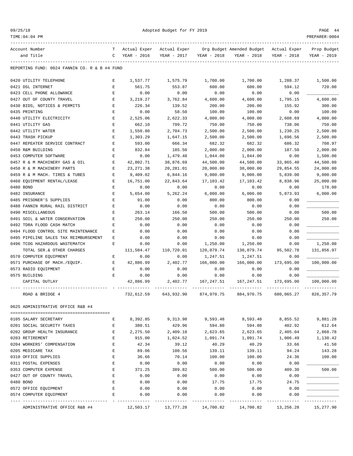| 09/25/18 |  |
|----------|--|
|          |  |

TIME:04:04 PM PREPARER:0004

Adopted Budget for FY 2019 PAGE 44

| Account Number                                | т           | Actual Exper | Actual Exper |             | Org Budget Amended Budget | Actual Exper | Prop Budget |
|-----------------------------------------------|-------------|--------------|--------------|-------------|---------------------------|--------------|-------------|
| and Title                                     | C           | YEAR - 2016  | YEAR - 2017  | YEAR - 2018 | YEAR - 2018               | YEAR - 2018  | YEAR - 2019 |
|                                               |             |              |              |             |                           |              |             |
| REPORTING FUND: 0024 FANNIN CO. R & B #4 FUND |             |              |              |             |                           |              |             |
| 0420 UTILITY TELEPHONE                        | Е           | 1,537.77     | 1,575.79     | 1,700.00    | 1,700.00                  | 1,288.37     | 1,500.00    |
| 0421 DSL INTERNET                             | E           | 561.75       | 553.87       | 600.00      | 600.00                    | 594.12       | 720.00      |
| 0423 CELL PHONE ALLOWANCE                     | Е           | 0.00         | 0.00         | 0.00        | 0.00                      | 0.00         |             |
| 0427 OUT OF COUNTY TRAVEL                     | Е           | 3, 219. 27   | 3,762.84     | 4,600.00    | 4,600.00                  | 1,795.15     | 4,600.00    |
| 0430 BIDS, NOTICES & PERMITS                  | E           | 226.34       | 139.52       | 200.00      | 200.00                    | 155.92       | 300.00      |
| 0435 PRINTING                                 | E           | 0.00         | 58.50        | 100.00      | 100.00                    | 0.00         | 100.00      |
| 0440 UTILITY ELECTRICITY                      | E           | 2,525.06     | 2,622.33     | 4,000.00    | 4,000.00                  | 2,608.69     | 4,000.00    |
| 0441 UTILITY GAS                              | Е           | 662.10       | 799.72       | 750.00      | 750.00                    | 738.06       | 750.00      |
| 0442 UTILITY WATER                            | E           | 1,550.80     | 2,704.73     | 2,500.00    | 2,500.00                  | 1,230.25     | 2,500.00    |
| 0443 TRASH PICKUP                             | Ε           | 1,303.29     | 1,647.15     | 2,500.00    | 2,500.00                  | 1,696.56     | 2,500.00    |
| 0447 REPEATER SERVICE CONTRACT                | Ε           | 593.00       | 666.34       | 682.32      | 682.32                    | 686.32       | 708.97      |
| 0450 R&M BUILDING                             | E           | 832.84       | 185.50       | 2,000.00    | 2,000.00                  | 187.50       | 2,000.00    |
| 0453 COMPUTER SOFTWARE                        | Ε           | 0.00         | 1,479.48     | 1,044.00    | 1,044.00                  | 0.00         | 1,500.00    |
| 0457 R & M MACHINERY GAS & OIL                | Е           | 42,802.71    | 38,876.69    | 44,500.00   | 44,500.00                 | 33,865.40    | 44,500.00   |
| 0458 R & M MACHINERY PARTS                    | Ε           | 23, 271.38   | 20,281.01    | 20,000.00   | 30,000.00                 | 29,854.55    | 24,000.00   |
| 0459 R & M MACH. TIRES & TUBES                | E           | 9,409.02     | 6,844.16     | 9,000.00    | 9,000.00                  | 5,839.00     | 9,000.00    |
| 0460 EOUIPMENT RENTAL/LEASE                   | Ε           | 16,751.00    | 22,843.64    | 17,103.42   | 17,103.42                 | 8,838.96     | 25,000.00   |
| 0480 BOND                                     | E           | 0.00         | 0.00         | 0.00        | 0.00                      | 0.00         | 178.00      |
| 0482 INSURANCE                                | E           | 5,654.00     | 5,262.24     | 6,000.00    | 6,000.00                  | 5,873.93     | 6,000.00    |
| 0485 PRISONER'S SUPPLIES                      | E           | 91.00        | 0.00         | 800.00      | 800.00                    | 0.00         |             |
| 0488 FANNIN RURAL RAIL DISTRICT               | Ε           | 0.00         | 0.00         | 0.00        | 0.00                      | 0.00         |             |
| 0490 MISCELLANEOUS                            | Ε           | 263.14       | 166.50       | 500.00      | 500.00                    | 0.00         | 500.00      |
| 0491 SOIL & WATER CONSERVATION                | E           | 250.00       | 250.00       | 250.00      | 250.00                    | 250.00       | 250.00      |
| 0492 TDRA FLOOD CASH MATCH                    | Ε           | 0.00         | 0.00         | 0.00        | 0.00                      | 0.00         |             |
| 0494 FLOOD CONTROL SITE MAINTENANCE           | Ε           | 0.00         | 0.00         | 0.00        | 0.00                      | 0.00         |             |
| 0495 PIPELINE SALES TAX REIMBURSEMENT         | Ε           | 0.00         | 0.00         | 0.00        | 0.00                      | 0.00         |             |
| 0496 TCOG HAZARDOUS WASTEMATCH                | E           | 0.00         | 0.00         | 1,250.00    | 1,250.00                  | 0.00         | 1,250.00    |
| TOTAL SER.& OTHER CHARGES                     |             | 111,504.47   | 110,720.01   | 120,079.74  | 130,079.74                | 95,502.78    | 131,856.97  |
| 0570 COMPUTER EQUIPMENT                       | Е           | 0.00         | 0.00         | 1,247.51    | 1,247.51                  | 0.00         |             |
| 0571 PURCHASE OF MACH./EQUIP.                 | Е           | 42,886.99    | 2,402.77     | 166,000.00  | 166,000.00                | 173,695.00   | 100,000.00  |
| 0573 RADIO EQUIPMENT                          | $\mathbf E$ | 0.00         | 0.00         | 0.00        | 0.00                      | 0.00         |             |
| 0575 BUILDING                                 | Е           | 0.00         | 0.00         | 0.00        | 0.00                      | 0.00         |             |
| CAPITAL OUTLAY                                |             | 42,886.99    | 2,402.77     | 167,247.51  | 167,247.51                | 173,695.00   | 100,000.00  |
| ROAD & BRIDGE 4                               |             | 732,612.59   | 643,932.90   | 874,970.75  | 884,970.75                | 680,065.27   | 826, 357.79 |
| 0625 ADMINISTRATIVE OFFICE R&B #4             |             |              |              |             |                           |              |             |
|                                               |             |              |              |             |                           |              |             |
| 0105 SALARY SECRETARY                         | Е           | 8,392.85     | 9,313.98     | 9,593.48    | 9,593.48                  | 8,855.52     | 9,881.28    |
| 0201 SOCIAL SECURITY TAXES                    | E           | 380.51       | 429.96       | 594.80      | 594.80                    | 402.92       | 612.64      |
| 0202 GROUP HEALTH INSURANCE                   | E           | 2,275.50     | 2,409.18     | 2,623.65    | 2,623.65                  | 2,405.04     | 2,868.78    |
| 0203 RETIREMENT                               | E           | 915.00       | 1,024.52     | 1,091.74    | 1,091.74                  | 1,006.49     | 1,130.42    |
| 0204 WORKERS' COMPENSATION                    | E           | 42.34        | 39.12        | 40.29       | 40.29                     | 33.66        | 41.50       |
| 0205 MEDICARE TAX                             | E           | 89.06        | 100.56       | 139.11      | 139.11                    | 94.24        | 143.28      |
| 0310 OFFICE SUPPLIES                          | E           | 36.66        | 70.14        | 100.00      | 100.00                    | 24.36        | 100.00      |
| 0311 POSTAL EXPENSES                          | E           | 0.00         | 0.00         | 0.00        | 0.00                      | 0.00         |             |
| 0353 COMPUTER EXPENSE                         | E           | 371.25       | 389.82       | 500.00      | 500.00                    | 409.30       | 500.00      |
| 0427 OUT OF COUNTY TRAVEL                     | E           | 0.00         | 0.00         | 0.00        | 0.00                      | 0.00         |             |
| 0480 BOND                                     | E           | 0.00         | 0.00         | 17.75       | 17.75                     | 24.75        |             |
| 0572 OFFICE EQUIPMENT                         | E           | 0.00         | 0.00         | 0.00        | 0.00                      | 0.00         |             |
| 0574 COMPUTER EQUIPMENT                       | E           | 0.00         | 0.00         | 0.00        | 0.00                      | 0.00         | ---------   |
| ADMINISTRATIVE OFFICE R&B #4                  |             | 12,503.17    | 13,777.28    | 14,700.82   | 14,700.82                 | 13,256.28    | 15,277.90   |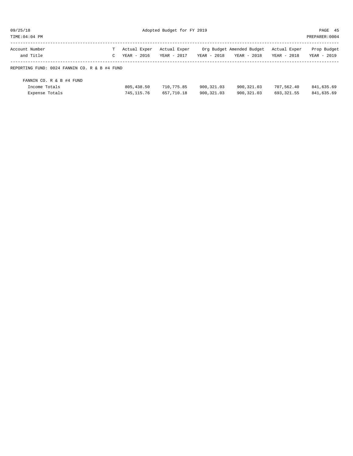| 09/25/18      | Adopte |  |
|---------------|--------|--|
| TIME:04:04 PM |        |  |
|               |        |  |

| Account Number<br>and Title                   | T. | Actual Exper<br>YEAR - 2016 | Actual Exper<br>YEAR - 2017 | YEAR - 2018  | Org Budget Amended Budget<br>YEAR - 2018 | Actual Exper<br>YEAR - 2018 | Prop Budget<br>YEAR - 2019 |  |  |
|-----------------------------------------------|----|-----------------------------|-----------------------------|--------------|------------------------------------------|-----------------------------|----------------------------|--|--|
|                                               |    |                             |                             |              |                                          |                             |                            |  |  |
| REPORTING FUND: 0024 FANNIN CO. R & B #4 FUND |    |                             |                             |              |                                          |                             |                            |  |  |
|                                               |    |                             |                             |              |                                          |                             |                            |  |  |
| FANNIN CO. R & B #4 FUND                      |    |                             |                             |              |                                          |                             |                            |  |  |
| Income Totals                                 |    | 805, 438.50                 | 710,775.85                  | 900,321.03   | 900,321.03                               | 707,562.40                  | 841,635.69                 |  |  |
| Expense Totals                                |    | 745, 115.76                 | 657,710.18                  | 900, 321, 03 | 900, 321, 03                             | 693, 321.55                 | 841,635.69                 |  |  |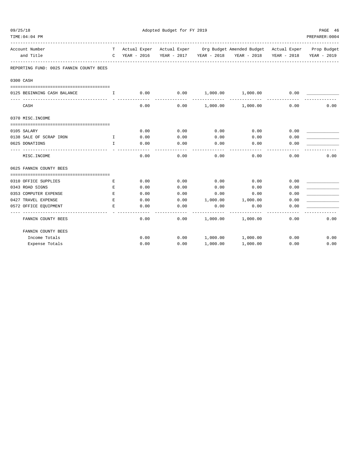| 09/25/18 |                                         |                                                | Adopted Budget for FY 2019 |      |          |                                                                              |             |                |  |
|----------|-----------------------------------------|------------------------------------------------|----------------------------|------|----------|------------------------------------------------------------------------------|-------------|----------------|--|
|          | TIME: 04: 04 PM                         |                                                |                            |      |          |                                                                              |             | PREPARER: 0004 |  |
|          | Account Number                          | T.                                             |                            |      |          | Actual Exper Actual Exper Org Budget Amended Budget Actual Exper Prop Budget |             |                |  |
|          | and Title                               | $\mathsf{C}$                                   | YEAR - 2016                |      |          | YEAR - 2017 YEAR - 2018 YEAR - 2018                                          | YEAR - 2018 | YEAR - 2019    |  |
|          | REPORTING FUND: 0025 FANNIN COUNTY BEES |                                                |                            |      |          |                                                                              |             |                |  |
|          | 0300 CASH                               |                                                |                            |      |          |                                                                              |             |                |  |
|          |                                         |                                                |                            |      |          |                                                                              |             |                |  |
|          | 0125 BEGINNING CASH BALANCE             | $\mathbf{I}$ and $\mathbf{I}$ and $\mathbf{I}$ | 0.00                       |      |          | $0.00$ $1,000.00$ $1,000.00$                                                 | 0.00        |                |  |
|          | CASH                                    |                                                | 0.00                       | 0.00 |          | 1,000.00 1,000.00                                                            | 0.00        | 0.00           |  |
|          | 0370 MISC. INCOME                       |                                                |                            |      |          |                                                                              |             |                |  |
|          | 0105 SALARY                             |                                                | 0.00                       | 0.00 | 0.00     | 0.00                                                                         | 0.00        |                |  |
|          | 0138 SALE OF SCRAP IRON                 | $\mathbf{I}$                                   | 0.00                       | 0.00 | 0.00     | 0.00                                                                         | 0.00        |                |  |
|          | 0625 DONATIONS                          | $\mathbf{I}$                                   | 0.00                       | 0.00 | 0.00     | 0.00                                                                         | 0.00        |                |  |
|          | MISC.INCOME                             |                                                | 0.00                       | 0.00 | 0.00     | 0.00                                                                         | 0.00        | 0.00           |  |
|          | 0625 FANNIN COUNTY BEES                 |                                                |                            |      |          |                                                                              |             |                |  |
|          |                                         |                                                |                            |      |          |                                                                              |             |                |  |
|          | 0310 OFFICE SUPPLIES                    | Е                                              | 0.00                       | 0.00 | 0.00     | 0.00                                                                         | 0.00        |                |  |
|          | 0343 ROAD SIGNS                         | Е                                              | 0.00                       | 0.00 | 0.00     | 0.00                                                                         | 0.00        |                |  |
|          | 0353 COMPUTER EXPENSE                   | Ε                                              | 0.00                       | 0.00 | 0.00     | 0.00                                                                         | 0.00        |                |  |
|          | 0427 TRAVEL EXPENSE                     | E                                              | 0.00                       | 0.00 | 1,000.00 | 1,000.00                                                                     | 0.00        |                |  |
|          | 0572 OFFICE EQUIPMENT                   | E.                                             | 0.00                       | 0.00 | 0.00     | 0.00                                                                         | 0.00        |                |  |
|          | FANNIN COUNTY BEES                      |                                                | 0.00                       | 0.00 | 1,000.00 | 1,000.00                                                                     | 0.00        | 0.00           |  |
|          | FANNIN COUNTY BEES                      |                                                |                            |      |          |                                                                              |             |                |  |
|          | Income Totals                           |                                                | 0.00                       | 0.00 |          | $1,000.00$ $1,000.00$                                                        | 0.00        | 0.00           |  |
|          | Expense Totals                          |                                                | 0.00                       | 0.00 | 1,000.00 | 1,000.00                                                                     | 0.00        | 0.00           |  |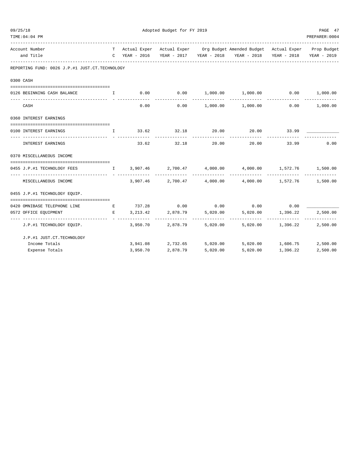| 09/25/18 |                                                                |                                                | Adopted Budget for FY 2019 |                       |          |                                                                                                     |                   |                |  |
|----------|----------------------------------------------------------------|------------------------------------------------|----------------------------|-----------------------|----------|-----------------------------------------------------------------------------------------------------|-------------------|----------------|--|
|          | TIME: 04: 04 PM                                                |                                                |                            |                       |          |                                                                                                     |                   | PREPARER: 0004 |  |
|          | Account Number                                                 |                                                |                            |                       |          | T Actual Exper Actual Exper Org Budget Amended Budget Actual Exper Prop Budget                      |                   |                |  |
|          | and Title                                                      |                                                | C YEAR - 2016              |                       |          | YEAR - 2017 YEAR - 2018 YEAR - 2018 YEAR - 2018                                                     |                   | YEAR - 2019    |  |
|          | REPORTING FUND: 0026 J.P.#1 JUST.CT.TECHNOLOGY                 |                                                |                            |                       |          |                                                                                                     |                   |                |  |
|          | 0300 CASH                                                      |                                                |                            |                       |          |                                                                                                     |                   |                |  |
|          |                                                                |                                                |                            |                       |          |                                                                                                     |                   |                |  |
|          | 0126 BEGINNING CASH BALANCE                                    | $\mathbf{I}$ and $\mathbf{I}$ and $\mathbf{I}$ | 0.00                       |                       |          | $0.00$ $1,000.00$ $1,000.00$ $0.00$ $1,000.00$                                                      |                   |                |  |
|          | CASH                                                           |                                                | 0.00                       | 0.00                  |          | $1,000.00$ $1,000.00$ 0.00 $1,000.00$                                                               |                   |                |  |
|          | 0360 INTEREST EARNINGS                                         |                                                |                            |                       |          |                                                                                                     |                   |                |  |
|          | 0100 INTEREST EARNINGS                                         | and the state of the state of the state of the |                            |                       |          | $33.62$ $32.18$ $20.00$ $20.00$ $33.99$                                                             |                   |                |  |
|          |                                                                |                                                |                            |                       |          |                                                                                                     |                   |                |  |
|          | INTEREST EARNINGS                                              |                                                |                            | 33.62 32.18           | 20.00    | 20.00                                                                                               | 33.99             | 0.00           |  |
|          | 0370 MISCELLANEOUS INCOME                                      |                                                |                            |                       |          |                                                                                                     |                   |                |  |
|          | 0455 J.P.#1 TECHNOLOGY FEES                                    |                                                |                            |                       |          | $1 \qquad 3,907.46 \qquad 2,700.47 \qquad 4,000.00 \qquad 4,000.00 \qquad 1,572.76 \qquad 1,500.00$ |                   |                |  |
|          | MISCELLANEOUS INCOME                                           |                                                | 3,907.46                   | 2,700.47              |          | -----------<br>4,000.00 4,000.00 1,572.76 1,500.00                                                  |                   |                |  |
|          | 0455 J.P.#1 TECHNOLOGY EQUIP.                                  |                                                |                            |                       |          |                                                                                                     |                   |                |  |
|          | 0420 OMNIBASE TELEPHONE LINE                                   |                                                |                            |                       |          | $E$ 737.28 0.00 0.00 0.00 0.00 0.00                                                                 |                   |                |  |
|          | 0572 OFFICE EOUIPMENT                                          | $\mathbf{E}$ and $\mathbf{E}$ and $\mathbf{E}$ |                            | 3, 213. 42 2, 878. 79 | 5,020.00 |                                                                                                     | 5,020.00 1,396.22 | 2,500.00       |  |
|          | ----------------------------------<br>J.P.#1 TECHNOLOGY EQUIP. |                                                |                            | 3,950.70 2,878.79     | 5,020.00 |                                                                                                     | 5,020.00 1,396.22 | 2,500.00       |  |
|          | J.P.#1 JUST.CT.TECHNOLOGY                                      |                                                |                            |                       |          |                                                                                                     |                   |                |  |
|          | Income Totals                                                  |                                                |                            |                       |          | $3,941.08$ $2,732.65$ $5,020.00$ $5,020.00$ $1,606.75$ $2,500.00$                                   |                   |                |  |
|          | Expense Totals                                                 |                                                | 3,950.70                   | 2,878.79              | 5,020.00 | 5,020.00                                                                                            | 1,396.22          | 2,500.00       |  |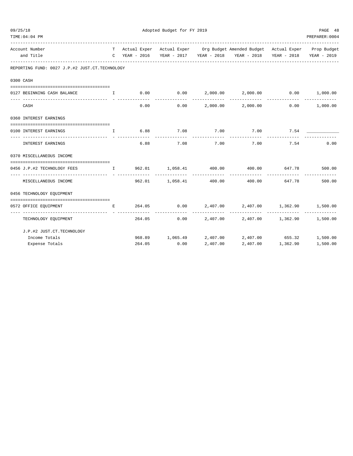| 09/25/18 |                                                                                                                                                                                                                                |                            | Adopted Budget for FY 2019 |                        |           |                                                                                |                   |                 |  |  |
|----------|--------------------------------------------------------------------------------------------------------------------------------------------------------------------------------------------------------------------------------|----------------------------|----------------------------|------------------------|-----------|--------------------------------------------------------------------------------|-------------------|-----------------|--|--|
|          | TIME: 04: 04 PM                                                                                                                                                                                                                |                            |                            |                        |           |                                                                                |                   | PREPARER: 0004  |  |  |
|          | Account Number                                                                                                                                                                                                                 |                            |                            |                        |           | T Actual Exper Actual Exper Org Budget Amended Budget Actual Exper Prop Budget |                   |                 |  |  |
|          | and Title                                                                                                                                                                                                                      |                            |                            |                        |           | C YEAR - 2016 YEAR - 2017 YEAR - 2018 YEAR - 2018 YEAR - 2018                  |                   | YEAR - 2019     |  |  |
|          | REPORTING FUND: 0027 J.P.#2 JUST.CT.TECHNOLOGY                                                                                                                                                                                 |                            |                            |                        |           |                                                                                |                   |                 |  |  |
|          | 0300 CASH                                                                                                                                                                                                                      |                            |                            |                        |           |                                                                                |                   |                 |  |  |
|          |                                                                                                                                                                                                                                |                            |                            |                        |           |                                                                                |                   |                 |  |  |
|          | 0127 BEGINNING CASH BALANCE                                                                                                                                                                                                    | and the state of the Table |                            |                        |           | $0.00$ $0.00$ $2,000.00$ $2,000.00$ $0.00$ $1,000.00$                          |                   |                 |  |  |
|          | CASH                                                                                                                                                                                                                           |                            | 0.00                       |                        |           | $0.00$ 2,000.00 2,000.00                                                       |                   | $0.00$ 1,000.00 |  |  |
|          | 0360 INTEREST EARNINGS                                                                                                                                                                                                         |                            |                            |                        |           |                                                                                |                   |                 |  |  |
|          | 0100 INTEREST EARNINGS                                                                                                                                                                                                         | $\mathbf{I}$               |                            | 6.88 7.08 7.00         |           | 7.00 7.54                                                                      |                   |                 |  |  |
|          | INTEREST EARNINGS                                                                                                                                                                                                              |                            | 6.88                       |                        | 7.08 7.00 | 7.00                                                                           | 7.54              | 0.00            |  |  |
|          | 0370 MISCELLANEOUS INCOME                                                                                                                                                                                                      |                            |                            |                        |           |                                                                                |                   |                 |  |  |
|          | 0456 J.P.#2 TECHNOLOGY FEES THE RESULTED SOLUTED SOLUTED AT A SOLUTED ASSAULTED AND THE SOLUTED ASSAULTED AND THE SOLUTED ASSAULTED AND A SOLUTED ASSAULTED AT A SOLUTED ASSAULTED AT A SOLUTED ASSAULTED AT A SOLUTED ASSAULT |                            |                            |                        |           |                                                                                |                   |                 |  |  |
|          | MISCELLANEOUS INCOME                                                                                                                                                                                                           |                            |                            | 962.01 1,058.41 400.00 |           |                                                                                | 400.00 647.78     | 500.00          |  |  |
|          | 0456 TECHNOLOGY EQUIPMENT                                                                                                                                                                                                      |                            |                            |                        |           |                                                                                |                   |                 |  |  |
|          | 0572 OFFICE EQUIPMENT                                                                                                                                                                                                          |                            |                            |                        |           | E 264.05 0.00 2,407.00 2,407.00 1,362.90 1,500.00                              |                   |                 |  |  |
|          | ------------------------------<br>TECHNOLOGY EQUIPMENT                                                                                                                                                                         |                            |                            | 264.05                 |           | $0.00$ 2,407.00 2,407.00 1,362.90 1,500.00                                     | _____________     |                 |  |  |
|          | J.P.#2 JUST.CT.TECHNOLOGY                                                                                                                                                                                                      |                            |                            |                        |           |                                                                                |                   |                 |  |  |
|          | Income Totals                                                                                                                                                                                                                  |                            |                            |                        |           | 968.89 1,065.49 2,407.00 2,407.00 655.32 1,500.00                              |                   |                 |  |  |
|          | Expense Totals                                                                                                                                                                                                                 |                            | 264.05                     | 0.00                   | 2,407.00  |                                                                                | 2,407.00 1,362.90 | 1,500.00        |  |  |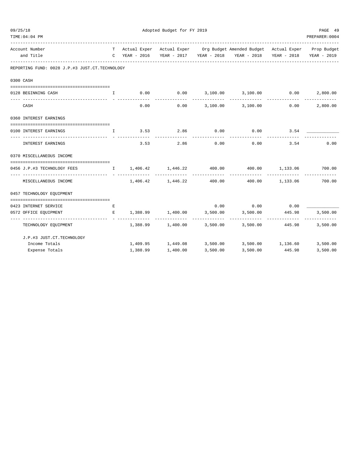| 09/25/18 | TIME: 04: 04 PM                                |                                        | PAGE 49<br>PREPARER: 0004 |                    |             |                                                                                                                                   |                 |                           |
|----------|------------------------------------------------|----------------------------------------|---------------------------|--------------------|-------------|-----------------------------------------------------------------------------------------------------------------------------------|-----------------|---------------------------|
|          | Account Number<br>and Title                    |                                        | C YEAR - 2016             |                    |             | T Actual Exper Actual Exper Org Budget Amended Budget Actual Exper Prop Budget<br>YEAR - 2017 YEAR - 2018 YEAR - 2018 YEAR - 2018 |                 | YEAR - 2019               |
|          | REPORTING FUND: 0028 J.P.#3 JUST.CT.TECHNOLOGY |                                        |                           |                    |             |                                                                                                                                   |                 |                           |
|          | 0300 CASH                                      |                                        |                           |                    |             |                                                                                                                                   |                 |                           |
|          | 0128 BEGINNING CASH                            | $\mathbf{I}$                           | 0.00                      |                    |             | $0.00$ $3,100.00$ $3,100.00$ $0.00$                                                                                               |                 | 2,800.00                  |
|          | CASH                                           |                                        | 0.00                      |                    | ----------- | $0.00$ $3,100.00$ $3,100.00$ $0.00$                                                                                               |                 | -------------<br>2,800.00 |
|          | 0360 INTEREST EARNINGS                         |                                        |                           |                    |             |                                                                                                                                   |                 |                           |
|          | 0100 INTEREST EARNINGS                         | $\mathbf{I}$ . The set of $\mathbf{I}$ |                           | $3.53$ $2.86$ 0.00 |             | $0.00$ 3.54                                                                                                                       |                 |                           |
|          | INTEREST EARNINGS                              |                                        | 3.53                      | 2.86               | 0.00        | 0.00                                                                                                                              | 3.54            | 0.00                      |
|          | 0370 MISCELLANEOUS INCOME                      |                                        |                           |                    |             |                                                                                                                                   |                 |                           |
|          | 0456 J.P.#3 TECHNOLOGY FEES                    |                                        |                           |                    |             | $I = 1,406.42$ $1,446.22$ $400.00$ $400.00$ $1,133.06$ $700.00$                                                                   |                 |                           |
|          | MISCELLANEOUS INCOME                           |                                        |                           | 1,406.42 1,446.22  | 400.00      |                                                                                                                                   | 400.00 1,133.06 | -------------<br>700.00   |
|          | 0457 TECHNOLOGY EQUIPMENT                      |                                        |                           |                    |             |                                                                                                                                   |                 |                           |
|          | 0423 INTERNET SERVICE                          | Е                                      |                           |                    |             | $0.00$ $0.00$ $0.00$ $0.00$                                                                                                       |                 |                           |
|          | 0572 OFFICE EQUIPMENT                          | E                                      |                           |                    |             | $1,388.99$ $1,400.00$ $3,500.00$ $3,500.00$ $445.98$                                                                              |                 | 3,500.00                  |
|          | TECHNOLOGY EQUIPMENT                           |                                        |                           |                    |             | $1,388.99$ $1,400.00$ $3,500.00$ $3,500.00$ $445.98$                                                                              |                 | 3,500.00                  |
|          | J.P.#3 JUST.CT.TECHNOLOGY                      |                                        |                           |                    |             |                                                                                                                                   |                 |                           |
|          | Income Totals                                  |                                        |                           |                    |             | $1,409.95$ $1,449.08$ $3,500.00$ $3,500.00$ $1,136.60$                                                                            |                 | 3,500.00                  |
|          | Expense Totals                                 |                                        | 1,388.99                  | 1,400.00           | 3,500.00    | 3,500.00                                                                                                                          | 445.98          | 3,500.00                  |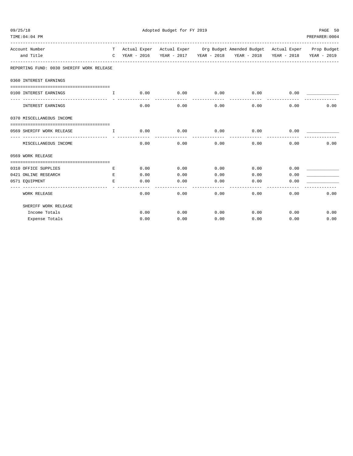| 09/25/18                                  |                               |      | Adopted Budget for FY 2019 |                      |                                                                                |                       | PAGE 50        |
|-------------------------------------------|-------------------------------|------|----------------------------|----------------------|--------------------------------------------------------------------------------|-----------------------|----------------|
| TIME: 04: 04 PM                           |                               |      |                            |                      |                                                                                |                       | PREPARER: 0004 |
| Account Number                            |                               |      |                            |                      | T Actual Exper Actual Exper Org Budget Amended Budget Actual Exper Prop Budget |                       |                |
| and Title                                 |                               |      |                            |                      | C YEAR - 2016 YEAR - 2017 YEAR - 2018 YEAR - 2018 YEAR - 2018                  |                       | YEAR - 2019    |
| REPORTING FUND: 0030 SHERIFF WORK RELEASE |                               |      |                            |                      |                                                                                |                       |                |
| 0360 INTEREST EARNINGS                    |                               |      |                            |                      |                                                                                |                       |                |
| 0100 INTEREST EARNINGS                    | $\mathbf{T}$                  |      |                            |                      | $0.00$ $0.00$ $0.00$ $0.00$ $0.00$ $0.00$ $0.00$ $0.00$                        |                       |                |
| INTEREST EARNINGS                         |                               | 0.00 | 0.00                       | ------------<br>0.00 | --------------<br>0.00                                                         | -------------<br>0.00 | 0.00           |
| 0370 MISCELLANEOUS INCOME                 |                               |      |                            |                      |                                                                                |                       |                |
|                                           |                               |      |                            |                      |                                                                                |                       |                |
| 0569 SHERIFF WORK RELEASE                 | and the contract of the Table | 0.00 | $0.00$ 0.00                | ------------         | 0.00<br>-------------                                                          | 0.00                  |                |
| MISCELLANEOUS INCOME                      |                               | 0.00 | 0.00                       | 0.00                 |                                                                                | 0.00<br>0.00          | 0.00           |
| 0569 WORK RELEASE                         |                               |      |                            |                      |                                                                                |                       |                |
|                                           |                               |      |                            |                      |                                                                                |                       |                |
| 0310 OFFICE SUPPLIES                      | E.                            | 0.00 | 0.00                       | 0.00                 | 0.00                                                                           | 0.00                  |                |
| 0421 ONLINE RESEARCH                      | E                             | 0.00 | 0.00                       | 0.00                 | 0.00                                                                           | 0.00                  |                |
| 0571 EQUIPMENT                            | E.                            | 0.00 | 0.00                       | 0.00                 | 0.00<br>---------                                                              | 0.00                  |                |
| <b>WORK RELEASE</b>                       |                               | 0.00 | 0.00                       | 0.00                 | 0.00                                                                           | 0.00                  | 0.00           |
| SHERIFF WORK RELEASE                      |                               |      |                            |                      |                                                                                |                       |                |
| Income Totals                             |                               | 0.00 | 0.00                       | 0.00                 |                                                                                | $0.00$ $0.00$         | 0.00           |
| Expense Totals                            |                               | 0.00 | 0.00                       | 0.00                 | 0.00                                                                           | 0.00                  | 0.00           |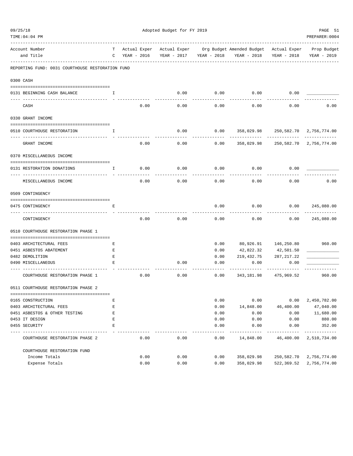|           | TIME:04:04 PM                                    |        |                             |      |                             |      |              |                                          |                             | PREPARER: 0004             |
|-----------|--------------------------------------------------|--------|-----------------------------|------|-----------------------------|------|--------------|------------------------------------------|-----------------------------|----------------------------|
|           | Account Number<br>and Title                      | т<br>C | Actual Exper<br>YEAR - 2016 |      | Actual Exper<br>YEAR - 2017 |      | YEAR - 2018  | Org Budget Amended Budget<br>YEAR - 2018 | Actual Exper<br>YEAR - 2018 | Prop Budget<br>YEAR - 2019 |
|           | REPORTING FUND: 0031 COURTHOUSE RESTORATION FUND |        |                             |      |                             |      |              |                                          |                             |                            |
| 0300 CASH |                                                  |        |                             |      |                             |      |              |                                          |                             |                            |
|           | 0131 BEGINNING CASH BALANCE                      | Ι.     |                             |      |                             | 0.00 | 0.00         | 0.00                                     | 0.00                        |                            |
|           | CASH                                             |        |                             | 0.00 |                             | 0.00 | 0.00         | 0.00                                     | 0.00                        | 0.00                       |
|           | 0330 GRANT INCOME                                |        |                             |      |                             |      |              |                                          |                             |                            |
|           | 0510 COURTHOUSE RESTORATION                      | I      |                             |      |                             | 0.00 | 0.00         | 358,029.98                               |                             | 250,582.70 2,756,774.00    |
|           | GRANT INCOME                                     |        |                             | 0.00 |                             | 0.00 | 0.00         | 358,029.98                               | 250,582.70                  | 2,756,774.00               |
|           | 0370 MISCELLANEOUS INCOME                        |        |                             |      |                             |      |              |                                          |                             |                            |
|           | 0131 RESTORATION DONATIONS                       | I.     |                             | 0.00 |                             | 0.00 | 0.00         | 0.00                                     | 0.00                        |                            |
|           | MISCELLANEOUS INCOME                             |        |                             | 0.00 |                             | 0.00 | 0.00         | 0.00                                     | 0.00                        | 0.00                       |
|           | 0509 CONTINGENCY                                 |        |                             |      |                             |      |              |                                          |                             |                            |
|           | 0475 CONTINGENCY                                 | Е      |                             |      |                             |      | 0.00         | 0.00                                     | 0.00                        | 245,080.00                 |
|           | CONTINGENCY                                      |        |                             | 0.00 |                             | 0.00 | 0.00         | 0.00                                     | 0.00                        | 245,080.00                 |
|           | 0510 COURTHOUSE RESTORATION PHASE 1              |        |                             |      |                             |      |              |                                          |                             |                            |
|           | 0403 ARCHITECTURAL FEES                          | Ε      |                             |      |                             |      | 0.00         |                                          | 80,926.91 146,250.80        | 960.00                     |
|           | 0451 ASBESTOS ABATEMENT                          | Ε      |                             |      |                             |      | 0.00         | 42,822.32                                | 42,501.50                   |                            |
|           | 0482 DEMOLITION                                  | Ε      |                             |      |                             |      | 0.00         | 219,432.75                               | 287, 217.22                 |                            |
|           | 0490 MISCELLANEOUS                               | E      |                             |      |                             | 0.00 | 0.00         | 0.00                                     | 0.00                        |                            |
|           | COURTHOUSE RESTORATION PHASE 1                   |        |                             | 0.00 |                             | 0.00 | 0.00         | 343,181.98                               | 475,969.52                  | 960.00                     |
|           | 0511 COURTHOUSE RESTORATION PHASE 2              |        |                             |      |                             |      |              |                                          |                             |                            |
|           | 0165 CONSTRUCTION                                | Ε      |                             |      |                             |      | 0.00         | 0.00                                     | 0.00                        | 2,450,782.00               |
|           | 0403 ARCHITECTURAL FEES                          | E      |                             |      |                             |      | 0.00         | 14,848.00                                | 46,400.00                   | 47,040.00                  |
|           | 0451 ASBESTOS & OTHER TESTING                    | E      |                             |      |                             |      | 0.00         | 0.00                                     | 0.00                        | 11,680.00                  |
|           | 0453 IT DESIGN                                   | E      |                             |      |                             |      | 0.00         | 0.00                                     | 0.00                        | 880.00                     |
|           | 0455 SECURITY                                    | E      |                             |      |                             |      | 0.00<br>---- | 0.00                                     | 0.00                        | 352.00<br>-----------      |
|           | COURTHOUSE RESTORATION PHASE 2                   |        |                             | 0.00 |                             | 0.00 | 0.00         | 14,848.00                                | 46,400.00                   | 2,510,734.00               |
|           | COURTHOUSE RESTORATION FUND                      |        |                             |      |                             |      |              |                                          |                             |                            |
|           | Income Totals                                    |        |                             | 0.00 |                             | 0.00 | 0.00         | 358,029.98                               | 250,582.70                  | 2,756,774.00               |
|           | Expense Totals                                   |        |                             | 0.00 |                             | 0.00 | 0.00         | 358,029.98                               | 522,369.52                  | 2,756,774.00               |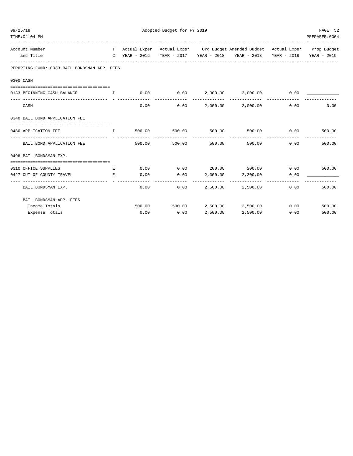| 09/25/18                                                                                                                                                             |              | Adopted Budget for FY 2019 |                                |               |                                                                                |      |                |  |  |  |
|----------------------------------------------------------------------------------------------------------------------------------------------------------------------|--------------|----------------------------|--------------------------------|---------------|--------------------------------------------------------------------------------|------|----------------|--|--|--|
| TIME: 04: 04 PM                                                                                                                                                      |              |                            |                                |               |                                                                                |      | PREPARER: 0004 |  |  |  |
| Account Number                                                                                                                                                       |              |                            |                                |               | T Actual Exper Actual Exper Org Budget Amended Budget Actual Exper Prop Budget |      |                |  |  |  |
| and Title                                                                                                                                                            |              |                            |                                |               | C YEAR - 2016 YEAR - 2017 YEAR - 2018 YEAR - 2018 YEAR - 2018 YEAR - 2019      |      |                |  |  |  |
| REPORTING FUND: 0033 BAIL BONDSMAN APP. FEES                                                                                                                         |              |                            |                                |               |                                                                                |      |                |  |  |  |
| 0300 CASH                                                                                                                                                            |              |                            |                                |               |                                                                                |      |                |  |  |  |
|                                                                                                                                                                      |              |                            |                                |               |                                                                                |      |                |  |  |  |
| 0133 BEGINNING CASH BALANCE<br>and the contract of the Table                                                                                                         |              |                            |                                |               | $0.00$ $0.00$ $2,000.00$ $2,000.00$ $0.00$                                     |      |                |  |  |  |
| CASH                                                                                                                                                                 |              | 0.00                       |                                |               | $0.00$ 2,000.00 2,000.00                                                       | 0.00 | 0.00           |  |  |  |
| 0340 BAIL BOND APPLICATION FEE                                                                                                                                       |              |                            |                                |               |                                                                                |      |                |  |  |  |
| 0480 APPLICATION FEE                                                                                                                                                 | $\mathbf{T}$ |                            | 500.00 500.00 500.00           |               |                                                                                |      |                |  |  |  |
| BAIL BOND APPLICATION FEE                                                                                                                                            |              | 500.00                     | _____________<br>500.00 500.00 | ------------- | --------------<br>500.00                                                       | 0.00 | 500.00         |  |  |  |
| 0498 BAIL BONDSMAN EXP.                                                                                                                                              |              |                            |                                |               |                                                                                |      |                |  |  |  |
|                                                                                                                                                                      |              |                            |                                |               | $0.00$ $0.00$ $200.00$ $200.00$ $0.00$ $0.00$ $500.00$                         |      |                |  |  |  |
| 0310 OFFICE SUPPLIES<br>the contract of the contract of the Contract of the Contract of the Contract of the Contract of the Contract of<br>0427 OUT OF COUNTY TRAVEL | E            | 0.00                       |                                |               | $0.00$ 2,300.00 2,300.00                                                       | 0.00 |                |  |  |  |
| BAIL BONDSMAN EXP.                                                                                                                                                   |              |                            | 0.00<br>0.00                   |               | 2,500.00 2,500.00                                                              | 0.00 | 500.00         |  |  |  |
| BAIL BONDSMAN APP. FEES                                                                                                                                              |              |                            |                                |               |                                                                                |      |                |  |  |  |
| Income Totals                                                                                                                                                        |              |                            |                                |               | 500.00 500.00 2,500.00 2,500.00                                                |      | 0.00<br>500.00 |  |  |  |
| Expense Totals                                                                                                                                                       |              |                            | $0.00$ 0.00                    | 2,500.00      | 2,500.00                                                                       | 0.00 | 500.00         |  |  |  |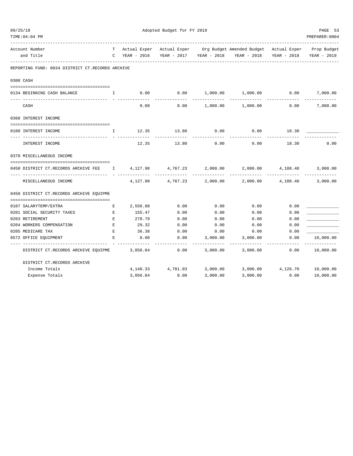| 09/25/18 |                                                  |              | Adopted Budget for FY 2019 |                         |            |                                                                                               |                             |                         |  |
|----------|--------------------------------------------------|--------------|----------------------------|-------------------------|------------|-----------------------------------------------------------------------------------------------|-----------------------------|-------------------------|--|
|          | TIME: 04: 04 PM                                  |              |                            |                         |            |                                                                                               |                             | PREPARER: 0004          |  |
|          |                                                  |              |                            |                         |            |                                                                                               |                             |                         |  |
|          | Account Number<br>and Title                      | $\mathbb{C}$ | YEAR - 2016                | YEAR - 2017 YEAR - 2018 |            | T Actual Exper Actual Exper Org Budget Amended Budget Actual Exper Prop Budget<br>YEAR - 2018 | YEAR - 2018                 | YEAR - 2019             |  |
|          |                                                  |              |                            |                         |            |                                                                                               |                             |                         |  |
|          | REPORTING FUND: 0034 DISTRICT CT.RECORDS ARCHIVE |              |                            |                         |            |                                                                                               |                             |                         |  |
|          | 0300 CASH                                        |              |                            |                         |            |                                                                                               |                             |                         |  |
|          | 0134 BEGINNING CASH BALANCE                      | Ι.           | 0.00                       | 0.00                    |            | 1,000.00 1,000.00                                                                             | 0.00                        | 7,000.00                |  |
|          | CASH                                             |              | 0.00                       | 0.00                    | 1,000.00   | 1,000.00                                                                                      | 0.00                        | -----------<br>7,000.00 |  |
|          | 0360 INTEREST INCOME                             |              |                            |                         |            |                                                                                               |                             |                         |  |
|          |                                                  |              |                            |                         |            |                                                                                               |                             |                         |  |
|          | 0100 INTEREST INCOME                             | $\mathbf{I}$ | 12.35                      |                         | 13.80 0.00 |                                                                                               | $0.00$ 18.30                |                         |  |
|          | INTEREST INCOME                                  |              | 12.35                      | 13.80                   | 0.00       | 0.00                                                                                          | 18.30                       | 0.00                    |  |
|          | 0370 MISCELLANEOUS INCOME                        |              |                            |                         |            |                                                                                               |                             |                         |  |
|          | 0450 DISTRICT CT.RECORDS ARCHIVE FEE 1 4,127.98  |              |                            | 4,767.23                | 2,000.00   |                                                                                               | 2,000.00 4,108.40           | 3,000.00                |  |
|          |                                                  |              |                            |                         |            |                                                                                               |                             |                         |  |
|          | MISCELLANEOUS INCOME                             |              | 4,127.98                   | 4,767.23                | 2,000.00   |                                                                                               | 2,000.00 4,108.40           | 3,000.00                |  |
|          | 0450 DISTRICT CT.RECORDS ARCHIVE EOUIPME         |              |                            |                         |            |                                                                                               |                             |                         |  |
|          | 0107 SALARYTEMP/EXTRA                            | Е            | 2,556.88                   | 0.00                    | 0.00       | 0.00                                                                                          | 0.00                        |                         |  |
|          | 0201 SOCIAL SECURITY TAXES                       | Е            | 155.47                     | 0.00                    | 0.00       | 0.00                                                                                          | 0.00                        |                         |  |
|          | 0203 RETIREMENT                                  | E            | 278.79                     | 0.00                    | 0.00       | 0.00                                                                                          | 0.00                        |                         |  |
|          | 0204 WORKERS COMPENSATION                        | E            | 29.32                      | 0.00                    | 0.00       | 0.00                                                                                          | 0.00                        |                         |  |
|          | 0205 MEDICARE TAX                                | E            | 36.38                      | 0.00                    | 0.00       | 0.00                                                                                          | 0.00                        |                         |  |
|          | 0572 OFFICE EQUIPMENT                            | E            | 0.00                       | 0.00                    | 3,000.00   | 3,000.00                                                                                      | 0.00                        | 10,000.00               |  |
|          | DISTRICT CT.RECORDS ARCHIVE EQUIPME              |              | 3,056.84                   | 0.00                    | 3,000.00   | 3,000.00                                                                                      | 0.00                        | 10,000.00               |  |
|          | DISTRICT CT.RECORDS ARCHIVE                      |              |                            |                         |            |                                                                                               |                             |                         |  |
|          | Income Totals                                    |              |                            | 4, 140. 33 4, 781. 03   | 3,000.00   |                                                                                               | 3,000.00 4,126.70 10,000.00 |                         |  |
|          | Expense Totals                                   |              | 3,056.84                   | 0.00                    | 3,000.00   | 3,000.00                                                                                      | 0.00                        | 10,000.00               |  |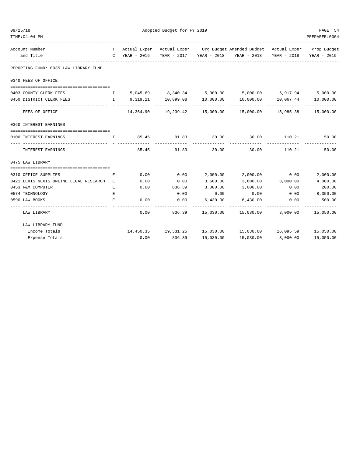| 09/25/18                                 | Adopted Budget for FY 2019 |               |                |           |                                                                                                                               |                   |             |  |  |
|------------------------------------------|----------------------------|---------------|----------------|-----------|-------------------------------------------------------------------------------------------------------------------------------|-------------------|-------------|--|--|
| TIME: 04: 04 PM                          |                            |               | PREPARER: 0004 |           |                                                                                                                               |                   |             |  |  |
| Account Number                           |                            |               |                |           | T Actual Exper Actual Exper Org Budget Amended Budget Actual Exper Prop Budget                                                |                   |             |  |  |
| and Title                                |                            | C YEAR - 2016 |                |           | YEAR - 2017 YEAR - 2018 YEAR - 2018 YEAR - 2018                                                                               |                   | YEAR - 2019 |  |  |
| REPORTING FUND: 0035 LAW LIBRARY FUND    |                            |               |                |           |                                                                                                                               |                   |             |  |  |
| 0340 FEES OF OFFICE                      |                            |               |                |           |                                                                                                                               |                   |             |  |  |
| 0403 COUNTY CLERK FEES                   |                            |               |                |           | 1 5,045.69 8,340.34 5,000.00 5,000.00 5,917.94 5,000.00                                                                       |                   |             |  |  |
| 0450 DISTRICT CLERK FEES                 |                            |               |                |           | $I$ 9,319.21 10,899.08 10,000.00 10,000.00 10,067.44 10,000.00                                                                |                   |             |  |  |
| FEES OF OFFICE                           |                            |               |                |           | $14,364.90$ $19,239.42$ $15,000.00$ $15,000.00$ $15,985.38$ $15,000.00$                                                       |                   |             |  |  |
| 0360 INTEREST EARNINGS                   |                            |               |                |           |                                                                                                                               |                   |             |  |  |
| 0100 INTEREST EARNINGS                   |                            |               |                |           | $\qquad \qquad \text{I} \qquad \qquad 85.45 \qquad \qquad 91.83 \qquad \qquad 30.00 \qquad \qquad 30.00 \qquad \qquad 110.21$ |                   | 50.00       |  |  |
| INTEREST EARNINGS                        |                            | 85.45         | 91.83          | 30.00     | 30.00                                                                                                                         | 110.21            | 50.00       |  |  |
| 0475 LAW LIBRARY                         |                            |               |                |           |                                                                                                                               |                   |             |  |  |
| 0310 OFFICE SUPPLIES                     | E.                         | 0.00          | 0.00           | 2,000.00  | 2,000.00 0.00                                                                                                                 |                   | 2,000.00    |  |  |
| 0421 LEXIS NEXIS ONLINE LEGAL RESEARCH E |                            | 0.00          | 0.00           | 3,600.00  |                                                                                                                               | 3,600.00 3,000.00 | 4,000.00    |  |  |
| 0453 R&M COMPUTER                        | Е                          | 0.00          | 836.39         | 3,000.00  | 3,000.00                                                                                                                      | 0.00              | 200.00      |  |  |
| 0574 TECHNOLOGY                          | E.                         |               | 0.00           | 0.00      | 0.00                                                                                                                          | 0.00              | 8,350.00    |  |  |
| 0590 LAW BOOKS                           | Е                          | 0.00          | 0.00           | 6,430.00  | 6,430.00                                                                                                                      | 0.00              | 500.00      |  |  |
| LAW LIBRARY                              |                            | 0.00          | 836.39         |           | 15,030.00  15,030.00  3,000.00  15,050.00                                                                                     | -------------     | ----------- |  |  |
| LAW LIBRARY FUND                         |                            |               |                |           |                                                                                                                               |                   |             |  |  |
| Income Totals                            |                            |               |                |           | 14,450.35 19,331.25 15,030.00 15,030.00 16,095.59 15,050.00                                                                   |                   |             |  |  |
| Expense Totals                           |                            |               | 0.00 836.39    | 15,030.00 | 15,030.00                                                                                                                     | 3,000.00          | 15,050.00   |  |  |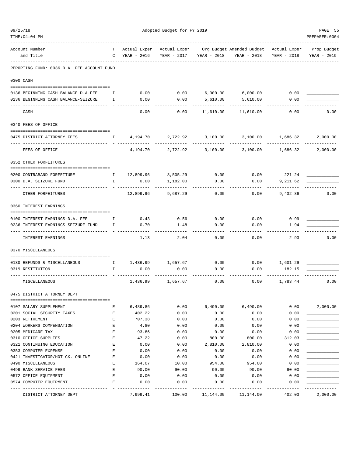| 09/25/18 | TIME: 04: 04 PM                                                        | Adopted Budget for FY 2019 |                    |                   |                  |                                        |                           |                           |  |  |  |
|----------|------------------------------------------------------------------------|----------------------------|--------------------|-------------------|------------------|----------------------------------------|---------------------------|---------------------------|--|--|--|
|          | Account Number                                                         | T                          | Actual Exper       | Actual Exper      |                  | Org Budget Amended Budget Actual Exper |                           | Prop Budget               |  |  |  |
|          | and Title                                                              | $\mathbf C$                | YEAR - 2016        | YEAR - 2017       | YEAR - 2018      | YEAR - 2018                            | YEAR - 2018               | YEAR - 2019               |  |  |  |
|          | REPORTING FUND: 0036 D.A. FEE ACCOUNT FUND                             |                            |                    |                   |                  |                                        |                           |                           |  |  |  |
|          | 0300 CASH                                                              |                            |                    |                   |                  |                                        |                           |                           |  |  |  |
|          | 0136 BEGINNING CASH BALANCE-D.A.FEE                                    | $\mathbb{I}$               | 0.00               | 0.00              |                  | $6,000.00$ $6,000.00$                  | 0.00                      |                           |  |  |  |
|          | 0236 BEGINNING CASH BALANCE-SEIZURE                                    | Ι.                         | 0.00               | 0.00              | 5,610.00         | 5,610.00                               | 0.00                      |                           |  |  |  |
|          | CASH                                                                   |                            | 0.00               | 0.00              | 11,610.00        | 11,610.00                              | 0.00                      | 0.00                      |  |  |  |
|          | 0340 FEES OF OFFICE                                                    |                            |                    |                   |                  |                                        |                           |                           |  |  |  |
|          | 0475 DISTRICT ATTORNEY FEES                                            | $\mathbf{I}$               | 4,194.70           | 2,722.92          | 3,100.00         |                                        | 3,100.00 1,686.32         | 2,000.00                  |  |  |  |
|          | FEES OF OFFICE                                                         |                            | 4,194.70           | 2,722.92          | 3,100.00         | 3,100.00                               | -------------<br>1,686.32 | -------------<br>2,000.00 |  |  |  |
|          | 0352 OTHER FORFEITURES                                                 |                            |                    |                   |                  |                                        |                           |                           |  |  |  |
|          | 0200 CONTRABAND FORFEITURE                                             | $\mathbf{I}$               | 12,899.96          | 8,505.29          | 0.00             |                                        | $0.00$ 221.24             |                           |  |  |  |
|          | 0300 D.A. SEIZURE FUND                                                 | $\mathbf{I}$               | 0.00               | 1,182.00          | 0.00             | 0.00                                   | 9,211.62                  |                           |  |  |  |
|          | OTHER FORFEITURES                                                      |                            | 12,899.96          | 9,687.29          | 0.00             | 0.00                                   | 9,432.86                  | 0.00                      |  |  |  |
|          | 0360 INTEREST EARNINGS                                                 |                            |                    |                   |                  |                                        |                           |                           |  |  |  |
|          |                                                                        |                            |                    |                   |                  |                                        |                           |                           |  |  |  |
|          | 0100 INTEREST EARNINGS-D.A. FEE<br>0236 INTEREST EARNINGS-SEIZURE FUND | $\mathbf{I}$<br>Ι.         | 0.43<br>0.70       | 0.56<br>1.48      | 0.00<br>0.00     | 0.00<br>0.00                           | 0.99<br>1.94              |                           |  |  |  |
|          |                                                                        |                            |                    |                   | $- - - -$        |                                        |                           |                           |  |  |  |
|          | INTEREST EARNINGS                                                      |                            | 1.13               | 2.04              | 0.00             | 0.00                                   | 2.93                      | 0.00                      |  |  |  |
|          | 0370 MISCELLANEOUS                                                     |                            |                    |                   |                  |                                        |                           |                           |  |  |  |
|          | 0130 REFUNDS & MISCELLANEOUS                                           | $\mathbb{I}$               |                    | 1,436.99 1,657.67 | 0.00             |                                        | $0.00$ 1,601.29           |                           |  |  |  |
|          | 0319 RESTITUTION                                                       | I.                         | 0.00               | 0.00              | 0.00             | 0.00                                   | 182.15                    |                           |  |  |  |
|          | MISCELLANEOUS                                                          |                            | 1,436.99           | 1,657.67          | 0.00             | 0.00                                   | 1,783.44                  | 0.00                      |  |  |  |
|          | 0475 DISTRICT ATTORNEY DEPT                                            |                            |                    |                   |                  |                                        |                           |                           |  |  |  |
|          |                                                                        |                            |                    |                   |                  |                                        |                           |                           |  |  |  |
|          | 0107 SALARY SUPPLEMENT<br>0201 SOCIAL SECURITY TAXES                   | Ε<br>E                     | 6,489.86<br>402.22 | 0.00<br>0.00      | 6,490.00<br>0.00 | 6,490.00<br>0.00                       | 0.00<br>0.00              | 2,000.00                  |  |  |  |
|          | 0203 RETIREMENT                                                        | E                          | 707.38             | 0.00              | 0.00             | 0.00                                   | 0.00                      |                           |  |  |  |
|          | 0204 WORKERS COMPENSATION                                              | E                          | 4.80               | 0.00              | 0.00             | 0.00                                   | 0.00                      |                           |  |  |  |
|          | 0205 MEDICARE TAX                                                      | Ε                          | 93.86              | 0.00              | 0.00             | 0.00                                   | 0.00                      |                           |  |  |  |
|          | 0310 OFFICE SUPPLIES                                                   | E                          | 47.22              | 0.00              | 800.00           | 800.00                                 | 312.03                    |                           |  |  |  |
|          | 0321 CONTINUING EDUCATION                                              | E                          | 0.00               | 0.00              | 2,810.00         | 2,810.00                               | 0.00                      |                           |  |  |  |
|          | 0353 COMPUTER EXPENSE                                                  | E                          | 0.00               | 0.00              | 0.00             | 0.00                                   | 0.00                      |                           |  |  |  |
|          | 0421 INVESTIGATOR/HOT CK. ONLINE                                       | E                          | 0.00               | 0.00              | 0.00             | 0.00                                   | 0.00                      |                           |  |  |  |
|          | 0490 MISCELLANEOUS                                                     | E                          | 164.07             | 10.00             | 954.00           | 954.00                                 | 0.00                      |                           |  |  |  |
|          | 0499 BANK SERVICE FEES                                                 | E                          | 90.00              | 90.00             | 90.00            | 90.00                                  | 90.00                     |                           |  |  |  |
|          | 0572 OFFICE EQUIPMENT                                                  | E                          | 0.00               | 0.00              | 0.00             | 0.00                                   | 0.00                      |                           |  |  |  |
|          | 0574 COMPUTER EQUIPMENT                                                | E                          | 0.00               | 0.00              | 0.00             | 0.00                                   | 0.00                      |                           |  |  |  |
|          | DISTRICT ATTORNEY DEPT                                                 |                            | 7,999.41           | 100.00            | 11,144.00        | 11,144.00                              | 402.03                    | --------<br>2,000.00      |  |  |  |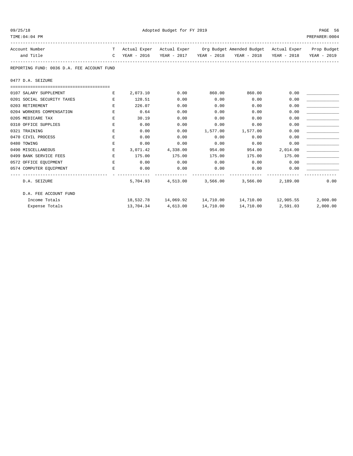| 09/25/18 |
|----------|
|----------|

Adopted Budget for FY 2019 PAGE 56

| TIME: 04: 04 PM                            |               |             |                    |                                                                                |                                    |                    | PREPARER: 0004 |
|--------------------------------------------|---------------|-------------|--------------------|--------------------------------------------------------------------------------|------------------------------------|--------------------|----------------|
| Account Number                             |               |             |                    | T Actual Exper Actual Exper Org Budget Amended Budget Actual Exper Prop Budget |                                    |                    |                |
| and Title                                  | $\mathcal{C}$ |             |                    | YEAR - 2016 YEAR - 2017 YEAR - 2018 YEAR - 2018 YEAR - 2018 YEAR - 2019        |                                    |                    |                |
| REPORTING FUND: 0036 D.A. FEE ACCOUNT FUND |               |             |                    |                                                                                |                                    |                    |                |
| 0477 D.A. SEIZURE                          |               |             |                    |                                                                                |                                    |                    |                |
|                                            |               |             |                    |                                                                                |                                    |                    |                |
| 0107 SALARY SUPPLEMENT                     | E             | 2,073.10    | 0.00               | 860.00                                                                         | 860.00                             | 0.00               |                |
| 0201 SOCIAL SECURITY TAXES                 | E.            | 128.51      | 0.00               | 0.00                                                                           | 0.00                               | 0.00               |                |
| 0203 RETIREMENT                            | Е             | 226.07      | 0.00               | 0.00                                                                           | 0.00                               | 0.00               |                |
| 0204 WORKERS COMPENSATION                  | $\mathbf{E}$  | 0.64        | 0.00               | 0.00                                                                           | 0.00                               | 0.00               |                |
| 0205 MEDICARE TAX                          | E.            | 30.19       | 0.00               | 0.00                                                                           | 0.00                               | 0.00               |                |
| 0310 OFFICE SUPPLIES                       | Е             | 0.00        | 0.00               | 0.00                                                                           | 0.00                               | 0.00               |                |
| 0321 TRAINING                              | Е             | 0.00        | 0.00               | 1,577.00                                                                       | 1,577.00                           | 0.00               |                |
| 0470 CIVIL PROCESS                         | Е             | 0.00        | 0.00               | 0.00                                                                           | 0.00                               | 0.00               |                |
| 0480 TOWING                                | E             | 0.00        | 0.00               | 0.00                                                                           | 0.00                               | 0.00               |                |
| 0490 MISCELLANEOUS                         | E             |             | 3,071.42 4,338.00  | 954.00                                                                         | 954.00                             | 2,014.00           |                |
| 0499 BANK SERVICE FEES                     | E             | 175.00      | 175.00             | 175.00                                                                         | 175.00                             | 175.00             |                |
| 0572 OFFICE EQUIPMENT                      | E             | 0.00        | 0.00               | 0.00                                                                           | 0.00                               | 0.00               |                |
| 0574 COMPUTER EQUIPMENT                    | Е             | 0.00        | 0.00               | 0.00                                                                           | 0.00                               | 0.00               |                |
| D.A. SEIZURE                               |               | ----------- | 5,704.93 4,513.00  | -------------                                                                  | -------------<br>3,566.00 3,566.00 | 2,189.00           | 0.00           |
| D.A. FEE ACCOUNT FUND                      |               |             |                    |                                                                                |                                    |                    |                |
| Income Totals                              |               |             |                    | 18,532.78 14,069.92 14,710.00 14,710.00 12,905.55                              |                                    |                    | 2,000.00       |
| Expense Totals                             |               |             | 13,704.34 4,613.00 | 14,710.00                                                                      |                                    | 14,710.00 2,591.03 | 2,000.00       |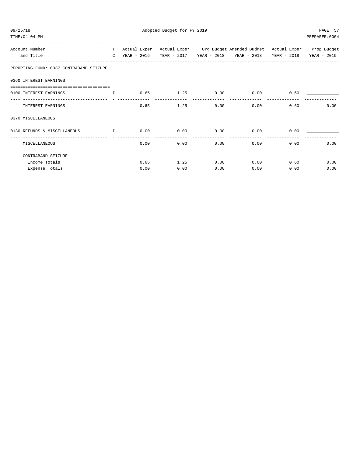| 09/25/18<br>TIME: 04:04 PM                                                                                 |      |      | Adopted Budget for FY 2019 |      |              |      |      |              | PAGE 57<br>PREPARER: 0004                                                      |
|------------------------------------------------------------------------------------------------------------|------|------|----------------------------|------|--------------|------|------|--------------|--------------------------------------------------------------------------------|
| Account Number                                                                                             |      |      |                            |      |              |      |      |              | T Actual Exper Actual Exper Org Budget Amended Budget Actual Exper Prop Budget |
| and Title                                                                                                  |      |      |                            |      |              |      |      |              | C YEAR - 2016 YEAR - 2017 YEAR - 2018 YEAR - 2018 YEAR - 2018 YEAR - 2019      |
| REPORTING FUND: 0037 CONTRABAND SEIZURE                                                                    |      |      |                            |      |              |      |      |              |                                                                                |
| 0360 INTEREST EARNINGS<br>____________________________________                                             |      |      |                            |      |              |      |      |              |                                                                                |
| 0100 INTEREST EARNINGS<br>$\mathbb{T}$ and $\mathbb{T}$ and $\mathbb{T}$ and $\mathbb{T}$ and $\mathbb{T}$ | 0.65 |      |                            |      | $1.25$ 0.00  | 0.00 |      | 0.60         |                                                                                |
| INTEREST EARNINGS                                                                                          |      | 0.65 |                            | 1.25 | 0.00         |      |      | 0.00<br>0.60 | 0.00                                                                           |
| 0370 MISCELLANEOUS                                                                                         |      |      |                            |      |              |      |      |              |                                                                                |
| ==============================<br>0130 REFUNDS & MISCELLANEOUS<br>$\mathbf{T}$                             | 0.00 |      |                            |      | 0.00<br>0.00 |      | 0.00 | 0.00         |                                                                                |
| MISCELLANEOUS                                                                                              |      | 0.00 |                            | 0.00 | 0.00         |      | 0.00 | 0.00         | 0.00                                                                           |
| CONTRABAND SEIZURE                                                                                         |      |      |                            |      |              |      |      |              |                                                                                |
| Income Totals                                                                                              |      | 0.65 |                            | 1.25 | 0.00         |      | 0.00 | 0.60         | 0.00                                                                           |
| Expense Totals                                                                                             |      | 0.00 |                            | 0.00 | 0.00         |      | 0.00 | 0.00         | 0.00                                                                           |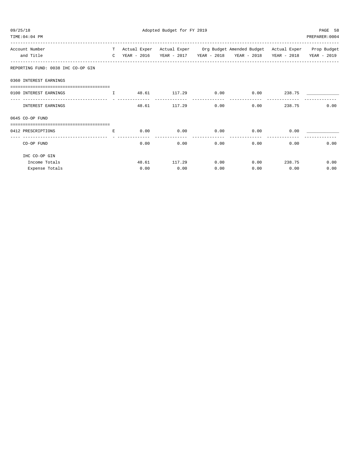| 09/25/18 | TIME: 04:04 PM                                            |               | Adopted Budget for FY 2019 |                         |      |                                                                 |             |             |  |  |
|----------|-----------------------------------------------------------|---------------|----------------------------|-------------------------|------|-----------------------------------------------------------------|-------------|-------------|--|--|
|          |                                                           |               |                            |                         |      |                                                                 |             |             |  |  |
|          | Account Number                                            | T.            | Actual Exper               |                         |      | Actual Exper Org Budget Amended Budget Actual Exper Prop Budget |             |             |  |  |
|          | and Title                                                 | $\mathcal{C}$ | YEAR - 2016                | YEAR - 2017 YEAR - 2018 |      | YEAR - 2018                                                     | YEAR - 2018 | YEAR - 2019 |  |  |
|          | REPORTING FUND: 0038 IHC CO-OP GIN                        |               |                            |                         |      |                                                                 |             |             |  |  |
|          | 0360 INTEREST EARNINGS                                    |               |                            |                         |      |                                                                 |             |             |  |  |
|          |                                                           |               |                            |                         |      |                                                                 |             |             |  |  |
|          | 0100 INTEREST EARNINGS                                    | $\mathbf{I}$  | 48.61                      | 117.29                  | 0.00 | 0.00                                                            | 238.75      |             |  |  |
|          | INTEREST EARNINGS                                         |               | 48.61                      | 117.29                  | 0.00 | 0.00                                                            | 238.75      | 0.00        |  |  |
|          | 0645 CO-OP FUND                                           |               |                            |                         |      |                                                                 |             |             |  |  |
|          | -----------------------------------<br>0412 PRESCRIPTIONS | E.            | 0.00                       | 0.00                    | 0.00 | 0.00                                                            | 0.00        |             |  |  |
|          | CO-OP FUND                                                |               | 0.00                       | 0.00                    | 0.00 | 0.00                                                            | 0.00        | 0.00        |  |  |
|          | IHC CO-OP GIN                                             |               |                            |                         |      |                                                                 |             |             |  |  |
|          | Income Totals                                             |               | 48.61                      | 117.29                  | 0.00 | 0.00                                                            | 238.75      | 0.00        |  |  |
|          | Expense Totals                                            |               | 0.00                       | 0.00                    | 0.00 | 0.00                                                            | 0.00        | 0.00        |  |  |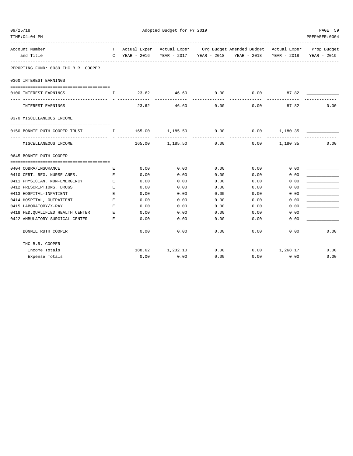| 09/25/18                                                        |                                                                 | Adopted Budget for FY 2019 |                                                |                         |                                                                                |                 |                |  |
|-----------------------------------------------------------------|-----------------------------------------------------------------|----------------------------|------------------------------------------------|-------------------------|--------------------------------------------------------------------------------|-----------------|----------------|--|
| TIME:04:04 PM                                                   |                                                                 |                            |                                                |                         |                                                                                |                 | PREPARER: 0004 |  |
| Account Number                                                  |                                                                 |                            |                                                |                         | T Actual Exper Actual Exper Org Budget Amended Budget Actual Exper Prop Budget |                 |                |  |
| and Title                                                       |                                                                 | C YEAR - 2016              |                                                | YEAR - 2017 YEAR - 2018 | YEAR - 2018 YEAR - 2018                                                        |                 | YEAR - 2019    |  |
| REPORTING FUND: 0039 IHC B.R. COOPER                            |                                                                 |                            |                                                |                         |                                                                                |                 |                |  |
| 0360 INTEREST EARNINGS                                          |                                                                 |                            |                                                |                         |                                                                                |                 |                |  |
| 0100 INTEREST EARNINGS                                          | I.                                                              |                            | 23.62 46.60                                    | 0.00                    | 0.00                                                                           | 87.82           |                |  |
| ---- --------------<br>-------------------<br>INTEREST EARNINGS |                                                                 | . <u>.</u> .<br>23.62      | -------------<br>46.60                         | 0.00                    | 0.00                                                                           | 87.82           | 0.00           |  |
| 0370 MISCELLANEOUS INCOME                                       |                                                                 |                            |                                                |                         |                                                                                |                 |                |  |
|                                                                 |                                                                 |                            |                                                |                         |                                                                                |                 |                |  |
| 0150 BONNIE RUTH COOPER TRUST                                   | $\mathbf{I}$ and $\mathbf{I}$ and $\mathbf{I}$ and $\mathbf{I}$ |                            | 165.00 1,185.50<br><u>La de de de de decem</u> | 0.00<br>-------------   | 0.00                                                                           | 1,180.35        |                |  |
| MISCELLANEOUS INCOME                                            |                                                                 |                            | 165.00 1,185.50                                | 0.00                    |                                                                                | $0.00$ 1,180.35 | 0.00           |  |
| 0645 BONNIE RUTH COOPER                                         |                                                                 |                            |                                                |                         |                                                                                |                 |                |  |
| 0404 COBRA/INSURANCE                                            | E                                                               | 0.00                       | 0.00                                           | 0.00                    | 0.00                                                                           | 0.00            |                |  |
| 0410 CERT. REG. NURSE ANES.                                     | Е                                                               | 0.00                       | 0.00                                           | 0.00                    | 0.00                                                                           | 0.00            |                |  |
| 0411 PHYSICIAN, NON-EMERGENCY                                   | E                                                               | 0.00                       | 0.00                                           | 0.00                    | 0.00                                                                           | 0.00            |                |  |
| 0412 PRESCRIPTIONS, DRUGS                                       | $\mathbf E$                                                     | 0.00                       | 0.00                                           | 0.00                    | 0.00                                                                           | 0.00            |                |  |
| 0413 HOSPITAL-INPATIENT                                         | $\mathbf E$                                                     | 0.00                       | 0.00                                           | 0.00                    | 0.00                                                                           | 0.00            |                |  |
| 0414 HOSPITAL, OUTPATIENT                                       | $\mathbf E$                                                     | 0.00                       | 0.00                                           | 0.00                    | 0.00                                                                           | 0.00            |                |  |
| 0415 LABORATORY/X-RAY                                           | $E_{\rm{L}}$                                                    | 0.00                       | 0.00                                           | 0.00                    | 0.00                                                                           | 0.00            |                |  |
| 0418 FED. QUALIFIED HEALTH CENTER                               | E                                                               | 0.00                       | 0.00                                           | 0.00                    | 0.00                                                                           | 0.00            |                |  |
| 0422 AMBULATORY SURGICAL CENTER                                 | Е                                                               | 0.00                       | 0.00                                           | 0.00                    | 0.00                                                                           | 0.00            |                |  |
| ----------------------------------<br>BONNIE RUTH COOPER        |                                                                 | 0.00                       | 0.00                                           | 0.00                    | 0.00                                                                           | -----<br>0.00   | 0.00           |  |
| IHC B.R. COOPER                                                 |                                                                 |                            |                                                |                         |                                                                                |                 |                |  |
| Income Totals                                                   |                                                                 |                            | 188.62 1,232.10                                | 0.00                    |                                                                                | $0.00$ 1,268.17 | 0.00           |  |
| Expense Totals                                                  |                                                                 | 0.00                       | 0.00                                           | 0.00                    | 0.00                                                                           | 0.00            | 0.00           |  |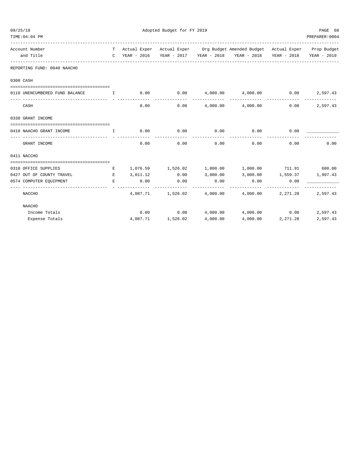| 09/25/18 | TIME: 04: 04 PM                                   |              | PAGE 60<br>PREPARER: 0004     |                            |             |                                                                                |             |             |
|----------|---------------------------------------------------|--------------|-------------------------------|----------------------------|-------------|--------------------------------------------------------------------------------|-------------|-------------|
|          | Account Number                                    |              |                               |                            |             | T Actual Exper Actual Exper Org Budget Amended Budget Actual Exper Prop Budget |             |             |
|          | and Title                                         |              |                               |                            |             | C YEAR - 2016 YEAR - 2017 YEAR - 2018 YEAR - 2018                              | YEAR - 2018 | YEAR - 2019 |
|          | REPORTING FUND: 0040 NAACHO                       |              |                               |                            |             |                                                                                |             |             |
|          | 0300 CASH                                         |              |                               |                            |             |                                                                                |             |             |
|          | 0110 UNENCUMBERED FUND BALANCE                    |              |                               |                            | ___________ | _____________                                                                  |             | 2,597.43    |
|          | CASH                                              |              | 0.00                          | 0.00                       |             | 4,000.00 4,000.00                                                              | 0.00        | 2,597.43    |
|          | 0330 GRANT INCOME                                 |              |                               |                            |             |                                                                                |             |             |
|          | 0410 NAACHO GRANT INCOME                          | $\mathbf{T}$ | 0.00                          | 0.00                       | 0.00        | 0.00                                                                           | 0.00        |             |
|          | GRANT INCOME                                      |              | 0.00                          | 0.00                       | 0.00        | 0.00                                                                           | 0.00        | 0.00        |
|          | 0411 NACCHO                                       |              |                               |                            |             |                                                                                |             |             |
|          |                                                   |              |                               |                            |             |                                                                                |             |             |
|          | 0310 OFFICE SUPPLIES<br>0427 OUT OF COUNTY TRAVEL | Е<br>E       | 1,076.59 1,526.02<br>3,011.12 | 0.00                       | 3,000.00    | 1,000.00 1,000.00 711.91 600.00<br>3,000.00 1,559.37 1,997.43                  |             |             |
|          | 0574 COMPUTER EQUIPMENT                           | E.           | 0.00                          | 0.00                       | 0.00        | 0.00                                                                           | 0.00        |             |
|          | NACCHO                                            |              |                               | 4,087.71 1,526.02 4,000.00 |             | 4,000.00                                                                       | 2,271.28    | 2,597.43    |
|          | NAACHO                                            |              |                               |                            |             |                                                                                |             |             |
|          | Income Totals                                     |              |                               | 0.00                       |             | $0.00 \qquad 4,000.00 \qquad 4,000.00$                                         | 0.00        | 2,597.43    |
|          | Expense Totals                                    |              |                               | 4,087.71 1,526.02          |             | 4,000.00  4,000.00  2,271.28                                                   |             | 2,597.43    |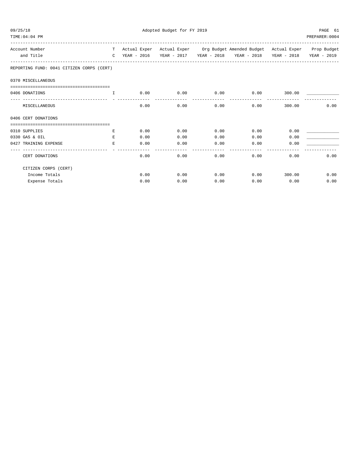| 09/25/18 | TIME: 04: 04 PM                           |              |             | Adopted Budget for FY 2019 |      |                                                                              |             | PAGE 61<br>PREPARER: 0004 |
|----------|-------------------------------------------|--------------|-------------|----------------------------|------|------------------------------------------------------------------------------|-------------|---------------------------|
|          | Account Number                            | T –          |             |                            |      | Actual Exper Actual Exper Org Budget Amended Budget Actual Exper Prop Budget |             |                           |
|          | and Title                                 | $\mathbb{C}$ | YEAR - 2016 |                            |      | YEAR - 2017 YEAR - 2018 YEAR - 2018                                          | YEAR - 2018 | YEAR - 2019               |
|          | REPORTING FUND: 0041 CITIZEN CORPS (CERT) |              |             |                            |      |                                                                              |             |                           |
|          | 0370 MISCELLANEOUS                        |              |             |                            |      |                                                                              |             |                           |
|          | ===========================               |              |             |                            |      |                                                                              |             |                           |
|          | 0406 DONATIONS                            | $\top$       | 0.00        | 0.00                       | 0.00 | 0.00                                                                         | 300.00      |                           |
|          | MISCELLANEOUS                             |              | 0.00        | 0.00                       | 0.00 | 0.00                                                                         | 300.00      | 0.00                      |
|          | 0406 CERT DONATIONS                       |              |             |                            |      |                                                                              |             |                           |
|          |                                           |              |             |                            |      |                                                                              |             |                           |
|          | 0310 SUPPLIES                             | Е            | 0.00        | 0.00                       | 0.00 | 0.00                                                                         | 0.00        |                           |
|          | 0330 GAS & OIL                            | E.           | 0.00        | 0.00                       | 0.00 | 0.00                                                                         | 0.00        |                           |
|          | 0427 TRAINING EXPENSE                     | E.           | 0.00        | 0.00                       | 0.00 | 0.00                                                                         | 0.00        |                           |
|          | CERT DONATIONS                            |              | 0.00        | 0.00                       | 0.00 | 0.00                                                                         | 0.00        | 0.00                      |
|          | CITIZEN CORPS (CERT)                      |              |             |                            |      |                                                                              |             |                           |
|          | Income Totals                             |              | 0.00        | 0.00                       | 0.00 | 0.00                                                                         | 300.00      | 0.00                      |
|          | Expense Totals                            |              | 0.00        | 0.00                       | 0.00 | 0.00                                                                         | 0.00        | 0.00                      |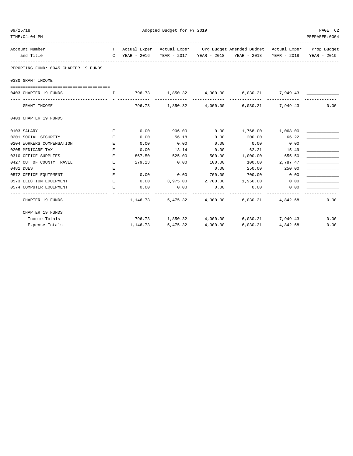| 09/25/18                              | Adopted Budget for FY 2019 |          |          |                   |                                                                                |                   |                         |
|---------------------------------------|----------------------------|----------|----------|-------------------|--------------------------------------------------------------------------------|-------------------|-------------------------|
| TIME: 04: 04 PM                       |                            |          |          |                   |                                                                                |                   | PREPARER: 0004          |
| Account Number                        |                            |          |          |                   | T Actual Exper Actual Exper Org Budget Amended Budget Actual Exper Prop Budget |                   |                         |
| and Title                             |                            |          |          |                   | C YEAR - 2016 YEAR - 2017 YEAR - 2018 YEAR - 2018                              |                   | YEAR - 2018 YEAR - 2019 |
| REPORTING FUND: 0045 CHAPTER 19 FUNDS |                            |          |          |                   |                                                                                |                   |                         |
| 0330 GRANT INCOME                     |                            |          |          |                   |                                                                                |                   |                         |
|                                       |                            |          |          |                   |                                                                                |                   |                         |
| 0403 CHAPTER 19 FUNDS                 |                            |          |          |                   | $1,850.32$ $4,000.00$ $6,030.21$ $7,949.43$                                    |                   |                         |
| GRANT INCOME                          |                            | 796.73   |          |                   | 1,850.32 4,000.00 6,030.21 7,949.43                                            |                   | 0.00                    |
| 0403 CHAPTER 19 FUNDS                 |                            |          |          |                   |                                                                                |                   |                         |
|                                       |                            |          |          |                   |                                                                                |                   |                         |
| 0103 SALARY                           | E                          | 0.00     | 906.00   | 0.00              | 1,768.00 1,068.00                                                              |                   |                         |
| 0201 SOCIAL SECURITY                  | $\mathbf E$                | 0.00     | 56.18    | 0.00              | 200.00                                                                         | 66.22             |                         |
| 0204 WORKERS COMPENSATION             | Е                          | 0.00     | 0.00     | 0.00              | 0.00                                                                           | 0.00              |                         |
| 0205 MEDICARE TAX                     | Е                          | 0.00     | 13.14    | 0.00              | 62.21                                                                          | 15.49             |                         |
| 0310 OFFICE SUPPLIES                  | $\mathbf E$                | 867.50   | 525.00   | 500.00            | 1,000.00                                                                       | 655.50            |                         |
| 0427 OUT OF COUNTY TRAVEL             | E                          | 279.23   | 0.00     | 100.00            | 100.00                                                                         | 2,787.47          |                         |
| 0481 DUES                             | Е                          |          |          | 0.00              | 250.00                                                                         | 250.00            |                         |
| 0572 OFFICE EQUIPMENT                 | E                          | 0.00     | 0.00     | 700.00            | 700.00                                                                         | 0.00              |                         |
| 0573 ELECTION EQUIPMENT               | E                          | 0.00     | 3,975.00 |                   | 2,700.00 1,950.00                                                              | 0.00              |                         |
| 0574 COMPUTER EQUIPMENT               | Е                          | 0.00     | 0.00     | 0.00              | 0.00                                                                           | 0.00              |                         |
| CHAPTER 19 FUNDS                      |                            | 1,146.73 |          | 5,475.32 4,000.00 |                                                                                | 6,030.21 4,842.68 | 0.00                    |
| CHAPTER 19 FUNDS                      |                            |          |          |                   |                                                                                |                   |                         |
| Income Totals                         |                            |          |          |                   | 796.73 1,850.32 4,000.00 6,030.21 7,949.43                                     |                   | 0.00                    |
| Expense Totals                        |                            | 1,146.73 | 5,475.32 | 4,000.00          | 6,030.21                                                                       | 4,842.68          | 0.00                    |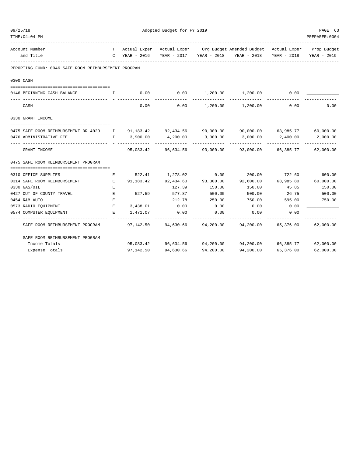| 09/25/18                                                                                                                                                                                                                                                                                                                        |    | Adopted Budget for FY 2019 |                                      |           |                                                                                |           |                |  |
|---------------------------------------------------------------------------------------------------------------------------------------------------------------------------------------------------------------------------------------------------------------------------------------------------------------------------------|----|----------------------------|--------------------------------------|-----------|--------------------------------------------------------------------------------|-----------|----------------|--|
| TIME: 04: 04 PM                                                                                                                                                                                                                                                                                                                 |    |                            |                                      |           |                                                                                |           | PREPARER: 0004 |  |
| Account Number                                                                                                                                                                                                                                                                                                                  |    |                            |                                      |           | T Actual Exper Actual Exper Org Budget Amended Budget Actual Exper Prop Budget |           |                |  |
| and Title                                                                                                                                                                                                                                                                                                                       |    |                            |                                      |           | C YEAR - 2016 YEAR - 2017 YEAR - 2018 YEAR - 2018 YEAR - 2018                  |           | YEAR - 2019    |  |
| REPORTING FUND: 0046 SAFE ROOM REIMBURSEMENT PROGRAM                                                                                                                                                                                                                                                                            |    |                            |                                      |           |                                                                                |           |                |  |
| 0300 CASH                                                                                                                                                                                                                                                                                                                       |    |                            |                                      |           |                                                                                |           |                |  |
| 0146 BEGINNING CASH BALANCE<br>$\mathbf{I}$ and $\mathbf{I}$ and $\mathbf{I}$ and $\mathbf{I}$ and $\mathbf{I}$ and $\mathbf{I}$ and $\mathbf{I}$ and $\mathbf{I}$ and $\mathbf{I}$ and $\mathbf{I}$ and $\mathbf{I}$ and $\mathbf{I}$ and $\mathbf{I}$ and $\mathbf{I}$ and $\mathbf{I}$ and $\mathbf{I}$ and $\mathbf{I}$ and |    | 0.00                       | $0.00$ $1,200.00$ $1,200.00$         |           |                                                                                | 0.00      |                |  |
| CASH                                                                                                                                                                                                                                                                                                                            |    | 0.00                       |                                      |           | $0.00$ 1, 200.00 1, 200.00 0.00                                                |           | 0.00           |  |
| 0330 GRANT INCOME                                                                                                                                                                                                                                                                                                               |    |                            |                                      |           |                                                                                |           |                |  |
|                                                                                                                                                                                                                                                                                                                                 |    |                            |                                      |           |                                                                                |           |                |  |
| 0475 SAFE ROOM REIMBURSEMENT DR-4029 I 91,183.42 92,434.56 90,000.00 90,000.00 63,985.77 60,000.00                                                                                                                                                                                                                              |    |                            |                                      |           |                                                                                |           |                |  |
| 0476 ADMINISTRATIVE FEE                                                                                                                                                                                                                                                                                                         |    |                            | $I = 3,900.00$ $4,200.00$ $3,000.00$ |           | $3,000.00$ $2,400.00$                                                          |           | 2,000.00       |  |
| GRANT INCOME                                                                                                                                                                                                                                                                                                                    |    |                            |                                      |           | 95,083.42 96,634.56 93,000.00 93,000.00 66,385.77 62,000.00                    |           |                |  |
| 0475 SAFE ROOM REIMBURSEMENT PROGRAM                                                                                                                                                                                                                                                                                            |    |                            |                                      |           |                                                                                |           |                |  |
|                                                                                                                                                                                                                                                                                                                                 |    |                            |                                      |           |                                                                                |           |                |  |
| 0310 OFFICE SUPPLIES                                                                                                                                                                                                                                                                                                            | E  |                            | 522.41 1,278.02 0.00                 |           | 200.00 722.60                                                                  |           | 600.00         |  |
| 0314 SAFE ROOM REIMBURSEMENT                                                                                                                                                                                                                                                                                                    | E  | 91,183.42                  | 92,434.60 93,300.00                  |           | 92,600.00 63,985.80                                                            |           | 60,000.00      |  |
| 0330 GAS/OIL                                                                                                                                                                                                                                                                                                                    | E  |                            | 127.39                               | 150.00    | 150.00                                                                         | 45.85     | 150.00         |  |
| 0427 OUT OF COUNTY TRAVEL                                                                                                                                                                                                                                                                                                       | E  | 527.59                     | 577.87                               | 500.00    | 500.00                                                                         | 26.75     | 500.00         |  |
| 0454 R&M AUTO                                                                                                                                                                                                                                                                                                                   | E  |                            | 212.78                               | 250.00    | 750.00                                                                         | 595.00    | 750.00         |  |
| 0573 RADIO EQUIPMENT                                                                                                                                                                                                                                                                                                            | Е  | 3,438.01                   | 0.00                                 | 0.00      | 0.00                                                                           | 0.00      |                |  |
| 0574 COMPUTER EQUIPMENT                                                                                                                                                                                                                                                                                                         | E. | 1,471.07                   | 0.00                                 | 0.00      | 0.00                                                                           | 0.00      |                |  |
| SAFE ROOM REIMBURSEMENT PROGRAM                                                                                                                                                                                                                                                                                                 |    |                            |                                      |           | $97,142.50$ $94,630.66$ $94,200.00$ $94,200.00$ $65,376.00$ $62,000.00$        |           |                |  |
| SAFE ROOM REIMBURSEMENT PROGRAM                                                                                                                                                                                                                                                                                                 |    |                            |                                      |           |                                                                                |           |                |  |
| Income Totals                                                                                                                                                                                                                                                                                                                   |    |                            |                                      |           | 95,083.42  96,634.56  94,200.00  94,200.00  66,385.77  62,000.00               |           |                |  |
| Expense Totals                                                                                                                                                                                                                                                                                                                  |    | 97,142.50                  | 94,630.66                            | 94,200.00 | 94,200.00                                                                      | 65,376.00 | 62,000.00      |  |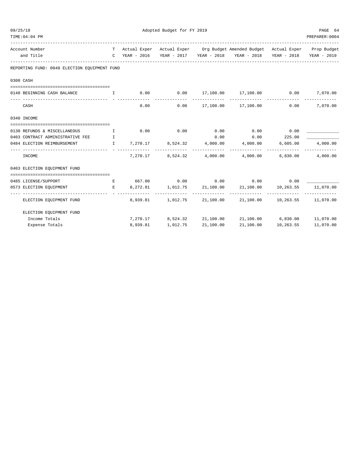| 09/25/18 |                                                                           |                                                                 |               | Adopted Budget for FY 2019 | PAGE 64       |                                                                                |                     |                           |
|----------|---------------------------------------------------------------------------|-----------------------------------------------------------------|---------------|----------------------------|---------------|--------------------------------------------------------------------------------|---------------------|---------------------------|
|          | TIME: 04: 04 PM                                                           |                                                                 |               |                            |               |                                                                                |                     | PREPARER: 0004            |
|          | Account Number                                                            |                                                                 |               |                            |               | T Actual Exper Actual Exper Org Budget Amended Budget Actual Exper Prop Budget |                     |                           |
|          | and Title                                                                 |                                                                 |               |                            |               | C YEAR - 2016 YEAR - 2017 YEAR - 2018 YEAR - 2018 YEAR - 2018 YEAR - 2019      |                     |                           |
|          | REPORTING FUND: 0048 ELECTION EQUIPMENT FUND                              |                                                                 |               |                            |               |                                                                                |                     |                           |
|          | 0300 CASH                                                                 |                                                                 |               |                            |               |                                                                                |                     |                           |
|          | 0148 BEGINNING CASH BALANCE I                                             |                                                                 |               | $0.00$ 0.00                |               | 17,100.00  17,100.00  0.00                                                     |                     | 7,070.00                  |
|          | CASH                                                                      |                                                                 | 0.00          | 0.00                       | _____________ | 17,100.00 17,100.00                                                            | 0.00                | -------------<br>7,070.00 |
|          | 0340 INCOME                                                               |                                                                 |               |                            |               |                                                                                |                     |                           |
|          | 0130 REFUNDS & MISCELLANEOUS                                              | $\mathbf{I}$ and $\mathbf{I}$ and $\mathbf{I}$ and $\mathbf{I}$ |               | $0.00$ 0.00                |               | $0.00$ $0.00$ $0.00$ $0.00$                                                    |                     |                           |
|          | 0403 CONTRACT ADMINISTRATIVE FEE T                                        |                                                                 |               |                            | 0.00          | $0.00$ 225.00                                                                  |                     |                           |
|          | 0484 ELECTION REIMBURSEMENT                                               | $\mathbf{I}$                                                    | ------------- |                            |               | $7,270.17$ $8,524.32$ $4,000.00$ $4,000.00$ $6,605.00$                         |                     | 4,000.00                  |
|          | INCOME                                                                    |                                                                 | 7,270.17      |                            |               | --------------<br>8,524.32 4,000.00 4,000.00 6,830.00                          | -------------       | 4,000.00                  |
|          | 0403 ELECTION EOUIPMENT FUND                                              |                                                                 |               |                            |               |                                                                                |                     |                           |
|          | 0485 LICENSE/SUPPORT                                                      |                                                                 |               |                            |               | $E$ 667.00 0.00 0.00 0.00 0.00 0.00                                            |                     |                           |
|          | $\mathbf{E}$ and $\mathbf{E}$ and $\mathbf{E}$<br>0573 ELECTION EOUIPMENT |                                                                 |               | 8,272.81 1,012.75          |               | 21,100.00 21,100.00 10,263.55                                                  |                     | 11,070.00                 |
|          | ELECTION EQUIPMENT FUND                                                   |                                                                 |               | 8,939.81 1,012.75          |               | 21,100.00 21,100.00 10,263.55 11,070.00                                        |                     |                           |
|          | ELECTION EQUIPMENT FUND                                                   |                                                                 |               |                            |               |                                                                                |                     |                           |
|          | Income Totals                                                             |                                                                 |               | 7,270.17 8,524.32          |               | 21,100.00 21,100.00 6,830.00 11,070.00                                         |                     |                           |
|          | Expense Totals                                                            |                                                                 | 8,939.81      | 1,012.75                   | 21,100.00     |                                                                                | 21,100.00 10,263.55 | 11,070.00                 |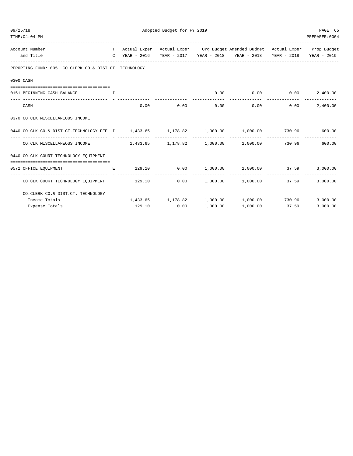| 09/25/18 |                                                                                             |  | Adopted Budget for FY 2019 |      |  |                                                                                |      |                |  |
|----------|---------------------------------------------------------------------------------------------|--|----------------------------|------|--|--------------------------------------------------------------------------------|------|----------------|--|
|          | TIME: 04: 04 PM                                                                             |  |                            |      |  |                                                                                |      | PREPARER: 0004 |  |
|          | Account Number                                                                              |  |                            |      |  | T Actual Exper Actual Exper Org Budget Amended Budget Actual Exper Prop Budget |      |                |  |
|          | and Title                                                                                   |  |                            |      |  | C YEAR - 2016 YEAR - 2017 YEAR - 2018 YEAR - 2018 YEAR - 2018 YEAR - 2019      |      |                |  |
|          | REPORTING FUND: 0051 CO.CLERK CO.& DIST.CT. TECHNOLOGY                                      |  |                            |      |  |                                                                                |      |                |  |
|          | 0300 CASH                                                                                   |  |                            |      |  |                                                                                |      |                |  |
|          |                                                                                             |  |                            |      |  |                                                                                |      |                |  |
|          | 0151 BEGINNING CASH BALANCE<br>$\mathbf{I}$ and $\mathbf{I}$                                |  |                            |      |  | $0.00$ $0.00$ $0.00$ $0.00$                                                    |      | 2,400.00       |  |
|          | CASH                                                                                        |  |                            |      |  | $0.00$ $0.00$ $0.00$ $0.00$ $0.00$ $0.00$                                      | 0.00 | 2,400.00       |  |
|          | 0370 CO.CLK.MISCELLANEOUS INCOME                                                            |  |                            |      |  |                                                                                |      |                |  |
|          | 0440 CO.CLK.CO.& DIST.CT.TECHNOLOGY FEE 1 1,433.65 1,178.82 1,000.00 1,000.00 730.96 600.00 |  |                            |      |  |                                                                                |      |                |  |
|          | CO.CLK.MISCELLANEOUS INCOME 1,433.65 1,178.82 1,000.00 1,000.00 730.96 600.00               |  |                            |      |  |                                                                                |      |                |  |
|          | 0440 CO.CLK.COURT TECHNOLOGY EQUIPMENT                                                      |  |                            |      |  |                                                                                |      |                |  |
|          | 0572 OFFICE EOUIPMENT                                                                       |  |                            |      |  | E 129.10 0.00 1,000.00 1,000.00 37.59                                          |      | 3,000.00       |  |
|          | CO.CLK.COURT TECHNOLOGY EQUIPMENT 129.10 0.00 1,000.00 1,000.00 37.59                       |  |                            |      |  |                                                                                |      | 3,000.00       |  |
|          | CO. CLERK CO.& DIST. CT. TECHNOLOGY                                                         |  |                            |      |  |                                                                                |      |                |  |
|          | Income Totals                                                                               |  |                            |      |  | $1,433.65$ $1,178.82$ $1,000.00$ $1,000.00$ 730.96                             |      | 3,000.00       |  |
|          | Expense Totals                                                                              |  | 129.10                     | 0.00 |  | 1,000.00    1,000.00    37.59                                                  |      | 3,000.00       |  |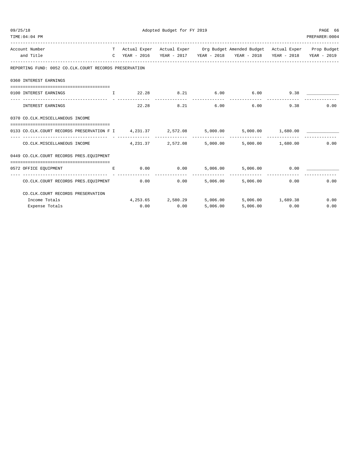| 09/25/18                                                                                |  | PAGE 66 |       |          |                                                                                |               |               |
|-----------------------------------------------------------------------------------------|--|---------|-------|----------|--------------------------------------------------------------------------------|---------------|---------------|
| TIME: 04: 04 PM                                                                         |  |         |       |          |                                                                                |               | PREPARER:0004 |
| Account Number                                                                          |  |         |       |          | T Actual Exper Actual Exper Org Budget Amended Budget Actual Exper Prop Budget |               |               |
| and Title                                                                               |  |         |       |          | C YEAR - 2016 YEAR - 2017 YEAR - 2018 YEAR - 2018 YEAR - 2018 YEAR - 2019      |               |               |
| REPORTING FUND: 0052 CO.CLK.COURT RECORDS PRESERVATION                                  |  |         |       |          |                                                                                |               |               |
| 0360 INTEREST EARNINGS                                                                  |  |         |       |          |                                                                                |               |               |
| 0100 INTEREST EARNINGS THE 22.28 8.21 6.00 6.00 9.38                                    |  |         |       |          |                                                                                |               |               |
| INTEREST EARNINGS                                                                       |  |         | 22.28 |          | 8.21 6.00 6.00                                                                 |               | 0.00<br>9.38  |
| 0370 CO.CLK.MISCELLANEOUS INCOME                                                        |  |         |       |          |                                                                                |               |               |
| 0133 CO.CLK.COURT RECORDS PRESERVATION F I 4,231.37 2,572.08 5,000.00 5,000.00 1,680.00 |  |         |       |          |                                                                                |               |               |
| $CO.CLK.MISCELLANEOUS INCOME$ $4,231.37$ $2,572.08$ $5,000.00$ $5,000.00$ $1,680.00$    |  |         |       |          |                                                                                |               | 0.00          |
| 0449 CO.CLK.COURT RECORDS PRES.EOUIPMENT                                                |  |         |       |          |                                                                                |               |               |
| 0572 OFFICE EQUIPMENT E                                                                 |  |         |       |          | $0.00$ $0.00$ $5,006.00$ $5,006.00$ $0.00$                                     |               |               |
| CO.CLK.COURT RECORDS PRES.EQUIPMENT                                                     |  |         |       |          | $0.00$ $0.00$ $5,006.00$ $5,006.00$                                            |               | 0.00<br>0.00  |
| CO. CLK. COURT RECORDS PRESERVATION                                                     |  |         |       |          |                                                                                |               |               |
| Income Totals                                                                           |  |         |       |          | $4,253.65$ $2,580.29$ $5,006.00$ $5,006.00$ $1,689.38$                         |               | 0.00          |
| Expense Totals                                                                          |  | 0.00    | 0.00  | 5.006.00 |                                                                                | 5,006.00 0.00 | 0.00          |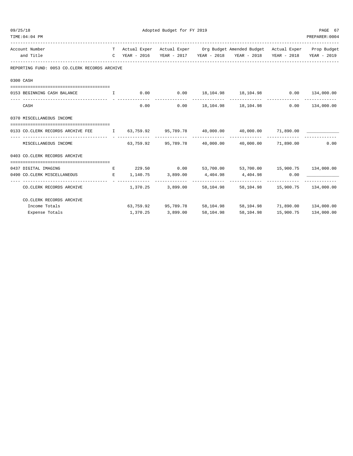| Adopted Budget for FY 2019<br>09/25/18                                                        |  |                         |                     |           |                                                                                                                                                                                                                              | PAGE 67        |                |
|-----------------------------------------------------------------------------------------------|--|-------------------------|---------------------|-----------|------------------------------------------------------------------------------------------------------------------------------------------------------------------------------------------------------------------------------|----------------|----------------|
| TIME: 04: 04 PM                                                                               |  |                         |                     |           |                                                                                                                                                                                                                              |                | PREPARER: 0004 |
| Account Number                                                                                |  |                         |                     |           | T Actual Exper Actual Exper Org Budget Amended Budget Actual Exper Prop Budget                                                                                                                                               |                |                |
| and Title                                                                                     |  |                         |                     |           | C YEAR - 2016 YEAR - 2017 YEAR - 2018 YEAR - 2018 YEAR - 2018 YEAR - 2019                                                                                                                                                    |                |                |
| REPORTING FUND: 0053 CO.CLERK RECORDS ARCHIVE                                                 |  |                         |                     |           |                                                                                                                                                                                                                              |                |                |
| 0300 CASH                                                                                     |  |                         |                     |           |                                                                                                                                                                                                                              |                |                |
|                                                                                               |  |                         |                     |           |                                                                                                                                                                                                                              |                |                |
| 0153 BEGINNING CASH BALANCE                                                                   |  |                         |                     |           | $I$ 0.00 0.00 18,104.98 18,104.98 0.00 134,000.00                                                                                                                                                                            |                | -------------  |
| CASH                                                                                          |  |                         | 0.00                |           | $0.00$ 18, 104.98 18, 104.98 0.00 134, 000.00                                                                                                                                                                                |                |                |
| 0370 MISCELLANEOUS INCOME                                                                     |  |                         |                     |           |                                                                                                                                                                                                                              |                |                |
| 0133 CO.CLERK RECORDS ARCHIVE FEE 1 63,759.92 95,789.78 40,000.00 40,000.00 71,890.00 _______ |  |                         |                     |           |                                                                                                                                                                                                                              |                |                |
| MISCELLANEOUS INCOME                                                                          |  |                         |                     |           | $63.759.92$ $95.789.78$ $40.000.00$ $40.000.00$ $71.890.00$ $0.00$                                                                                                                                                           |                |                |
| 0403 CO. CLERK RECORDS ARCHIVE                                                                |  |                         |                     |           |                                                                                                                                                                                                                              |                |                |
| 0437 DIGITAL IMAGING                                                                          |  |                         | E 229.50 0.00       |           | 53,700.00 53,700.00 15,900.75 134,000.00                                                                                                                                                                                     |                |                |
| 0490 CO.CLERK MISCELLANEOUS                                                                   |  | $E = 1,140.75$ 3,899.00 |                     |           | $4,404.98$ $4,404.98$ $0.00$ $100$ $100$ $100$ $100$ $100$ $100$ $100$ $100$ $100$ $100$ $100$ $100$ $100$ $100$ $100$ $100$ $100$ $100$ $100$ $100$ $100$ $100$ $100$ $100$ $100$ $100$ $100$ $100$ $100$ $100$ $100$ $100$ |                |                |
| CO. CLERK RECORDS ARCHIVE                                                                     |  |                         | $1,370.25$ 3,899.00 |           | --------------<br>58, 104.98 58, 104.98 15, 900.75 134, 000.00                                                                                                                                                               | -------------- |                |
| CO. CLERK RECORDS ARCHIVE                                                                     |  |                         |                     |           |                                                                                                                                                                                                                              |                |                |
| Income Totals                                                                                 |  |                         | 63,759.92 95,789.78 |           | 58, 104.98 58, 104.98 71, 890.00 134, 000.00                                                                                                                                                                                 |                |                |
| Expense Totals                                                                                |  | 1,370.25                | 3,899.00            | 58,104.98 | 58,104.98                                                                                                                                                                                                                    | 15,900.75      | 134,000.00     |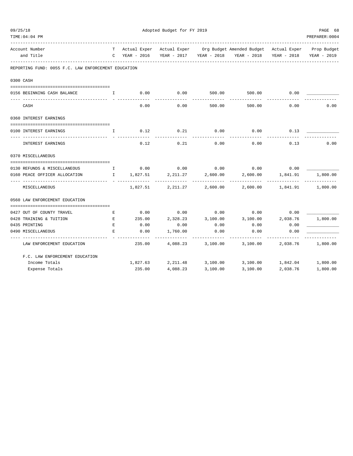| 09/25/18 |                                                     |              | PAGE 68       |                            |          |                                                                                |                            |                |
|----------|-----------------------------------------------------|--------------|---------------|----------------------------|----------|--------------------------------------------------------------------------------|----------------------------|----------------|
|          | TIME: 04: 04 PM                                     |              |               |                            |          |                                                                                |                            | PREPARER: 0004 |
|          | Account Number                                      |              |               |                            |          | T Actual Exper Actual Exper Org Budget Amended Budget Actual Exper Prop Budget |                            |                |
|          | and Title                                           |              | C YEAR - 2016 |                            |          | YEAR - 2017   YEAR - 2018   YEAR - 2018   YEAR - 2018                          |                            | YEAR - 2019    |
|          | REPORTING FUND: 0055 F.C. LAW ENFORCEMENT EDUCATION |              |               |                            |          |                                                                                |                            |                |
|          | 0300 CASH                                           |              |               |                            |          |                                                                                |                            |                |
|          | 0156 BEGINNING CASH BALANCE                         | $\mathbf{I}$ | 0.00          | 0.00                       | 500.00   | 500.00                                                                         | 0.00                       |                |
|          | CASH                                                |              | 0.00          | 0.00                       | 500.00   | 500.00                                                                         | 0.00                       | 0.00           |
|          | 0360 INTEREST EARNINGS                              |              |               |                            |          |                                                                                |                            |                |
|          | 0100 INTEREST EARNINGS                              | I.           | 0.12          | 0.21                       | 0.00     | 0.00                                                                           | 0.13                       |                |
|          | INTEREST EARNINGS                                   |              | 0.12          | 0.21                       | 0.00     | 0.00                                                                           | 0.13                       | 0.00           |
|          | 0370 MISCELLANEOUS                                  |              |               |                            |          |                                                                                |                            |                |
|          | 0130 REFUNDS & MISCELLANEOUS                        |              |               |                            |          | $I$ 0.00 0.00 0.00 0.00 0.00 0.00                                              |                            |                |
|          | 0160 PEACE OFFICER ALLOCATION                       |              | I 1,827.51    | 2,211.27                   | 2,600.00 | 2,600.00                                                                       | 1,841.91                   | 1,800.00       |
|          | MISCELLANEOUS                                       |              |               | 1,827.51 2,211.27          | 2,600.00 | -----------                                                                    | 2,600.00 1,841.91 1,800.00 | -------------  |
|          | 0560 LAW ENFORCEMENT EDUCATION                      |              |               |                            |          |                                                                                |                            |                |
|          |                                                     |              |               |                            |          |                                                                                |                            |                |
|          | 0427 OUT OF COUNTY TRAVEL                           | Е            | 0.00          | 0.00                       | 0.00     | 0.00                                                                           | 0.00                       |                |
|          | 0428 TRAINING & TUITION                             | E            | 235.00        | 2,328.23                   | 3,100.00 | 3,100.00                                                                       | 2,038.76                   | 1,800.00       |
|          | 0435 PRINTING                                       | E            | 0.00          | 0.00                       | 0.00     | 0.00                                                                           | 0.00                       |                |
|          | 0490 MISCELLANEOUS                                  | E.           | 0.00          | 1,760.00                   | 0.00     | 0.00<br>---------                                                              | 0.00                       |                |
|          | LAW ENFORCEMENT EDUCATION                           |              | 235.00        | 4,088.23                   | 3,100.00 | 3,100.00                                                                       | 2,038.76                   | 1,800.00       |
|          | F.C. LAW ENFORCEMENT EDUCATION                      |              |               |                            |          |                                                                                |                            |                |
|          | Income Totals                                       |              |               | 1,827.63 2,211.48 3,100.00 |          | 3,100.00  1,842.04  1,800.00                                                   |                            |                |
|          | Expense Totals                                      |              | 235.00        | 4,088.23                   | 3,100.00 | 3,100.00                                                                       | 2,038.76                   | 1,800.00       |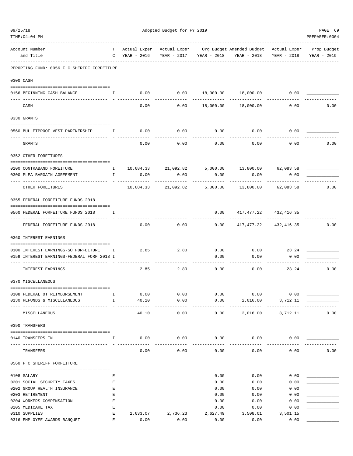| 09/25/18                                    |              |               | Adopted Budget for FY 2019 |                         |                                                                              |                           |                |  |  |  |
|---------------------------------------------|--------------|---------------|----------------------------|-------------------------|------------------------------------------------------------------------------|---------------------------|----------------|--|--|--|
| TIME: 04: 04 PM                             |              |               |                            |                         |                                                                              |                           | PREPARER: 0004 |  |  |  |
| Account Number                              | T.           |               |                            |                         | Actual Exper Actual Exper Org Budget Amended Budget Actual Exper Prop Budget |                           |                |  |  |  |
| and Title                                   |              | C YEAR - 2016 |                            | YEAR - 2017 YEAR - 2018 | YEAR - 2018 YEAR - 2018                                                      |                           | YEAR - 2019    |  |  |  |
| REPORTING FUND: 0056 F C SHERIFF FORFEITURE |              |               |                            |                         |                                                                              |                           |                |  |  |  |
| 0300 CASH                                   |              |               |                            |                         |                                                                              |                           |                |  |  |  |
| $\mathbf{I}$<br>0156 BEGINNING CASH BALANCE |              |               |                            |                         | $0.00$ $0.00$ $18,000.00$ $18,000.00$ $0.00$                                 |                           |                |  |  |  |
|                                             |              |               |                            |                         |                                                                              |                           |                |  |  |  |
| CASH                                        |              | 0.00          |                            |                         | $0.00$ 18,000.00 18,000.00                                                   | 0.00                      | 0.00           |  |  |  |
| 0330 GRANTS                                 |              |               |                            |                         |                                                                              |                           |                |  |  |  |
| 0560 BULLETPROOF VEST PARTNERSHIP 1         |              | 0.00          | 0.00                       | 0.00                    | 0.00                                                                         | 0.00                      |                |  |  |  |
| GRANTS                                      |              | 0.00          | 0.00                       | 0.00                    | 0.00                                                                         | 0.00                      | 0.00           |  |  |  |
| 0352 OTHER FOREITURES                       |              |               |                            |                         |                                                                              |                           |                |  |  |  |
| 0200 CONTRABAND FOREITURE                   | $\mathbb{I}$ |               | 10,684.33 21,092.82        |                         | 5,000.00 13,800.00 62,083.58                                                 |                           |                |  |  |  |
| 0300 PLEA BARGAIN AGREEMENT                 | $\mathbb{I}$ | 0.00          | 0.00                       | 0.00                    | 0.00                                                                         | 0.00                      |                |  |  |  |
|                                             |              | . <u>.</u>    |                            |                         | ---------                                                                    |                           |                |  |  |  |
| OTHER FOREITURES                            |              |               | 10,684.33 21,092.82        |                         | 5,000.00 13,800.00 62,083.58                                                 |                           | 0.00           |  |  |  |
| 0355 FEDERAL FORFEITURE FUNDS 2018          |              |               |                            |                         |                                                                              |                           |                |  |  |  |
| 0560 FEDERAL FORFEITURE FUNDS 2018          | Ι.           |               |                            | 0.00                    | ------------ -------                                                         | 417, 477. 22 432, 416. 35 |                |  |  |  |
| FEDERAL FORFEITURE FUNDS 2018               |              | 0.00          | 0.00                       | 0.00                    |                                                                              | 417, 477. 22 432, 416. 35 | 0.00           |  |  |  |
| 0360 INTEREST EARNINGS                      |              |               |                            |                         |                                                                              |                           |                |  |  |  |
| 0100 INTEREST EARNINGS-SO FORFEITURE I      |              | 2.85          | 2.80                       | 0.00                    | $0.00$ 23.24                                                                 |                           |                |  |  |  |
| 0159 INTEREST EARNINGS-FEDERAL FORF 2018 I  |              |               |                            | 0.00                    | 0.00                                                                         | 0.00                      |                |  |  |  |
| INTEREST EARNINGS                           |              | 2.85          | 2.80                       | 0.00                    | 0.00                                                                         | 23.24                     | 0.00           |  |  |  |
| 0370 MISCELLANEOUS                          |              |               |                            |                         |                                                                              |                           |                |  |  |  |
| 0108 FEDERAL OT REIMBURSEMENT               | Ι.           | 0.00          | 0.00                       | 0.00                    | 0.00                                                                         | 0.00                      |                |  |  |  |
| 0130 REFUNDS & MISCELLANEOUS                | $\mathbf{I}$ | 40.10         | 0.00                       | 0.00                    | 2,016.00                                                                     | 3,712.11                  |                |  |  |  |
| MISCELLANEOUS                               |              | 40.10         | .<br>0.00                  | 0.00                    | 2,016.00                                                                     | -----------<br>3,712.11   | 0.00           |  |  |  |
| 0390 TRANSFERS                              |              |               |                            |                         |                                                                              |                           |                |  |  |  |
| 0140 TRANSFERS IN                           | $\mathbf{I}$ | 0.00          | 0.00                       | 0.00                    | 0.00                                                                         | 0.00                      |                |  |  |  |
| TRANSFERS                                   |              | 0.00          | 0.00                       | 0.00                    | 0.00                                                                         | 0.00                      | 0.00           |  |  |  |
| 0560 F C SHERIFF FORFEITURE                 |              |               |                            |                         |                                                                              |                           |                |  |  |  |
|                                             |              |               |                            |                         |                                                                              |                           |                |  |  |  |
| 0108 SALARY<br>0201 SOCIAL SECURITY TAXES   | Ε<br>Ε       |               |                            | 0.00<br>0.00            | 0.00<br>0.00                                                                 | 0.00<br>0.00              |                |  |  |  |
| 0202 GROUP HEALTH INSURANCE                 | Ε            |               |                            | 0.00                    | 0.00                                                                         | 0.00                      |                |  |  |  |
| 0203 RETIREMENT                             | E            |               |                            | 0.00                    | 0.00                                                                         | 0.00                      |                |  |  |  |
| 0204 WORKERS COMPENSATION                   | Ε            |               |                            | 0.00                    | 0.00                                                                         | 0.00                      |                |  |  |  |
| 0205 MEDICARE TAX                           | Ε            |               |                            | 0.00                    | 0.00                                                                         | 0.00                      |                |  |  |  |
| 0310 SUPPLIES                               | E            | 2,633.07      | 2,736.23                   | 2,627.49                | 3,508.01                                                                     | 3,501.15                  |                |  |  |  |
| 0316 EMPLOYEE AWARDS BANQUET                | E            | 0.00          | 0.00                       | 0.00                    | 0.00                                                                         | 0.00                      |                |  |  |  |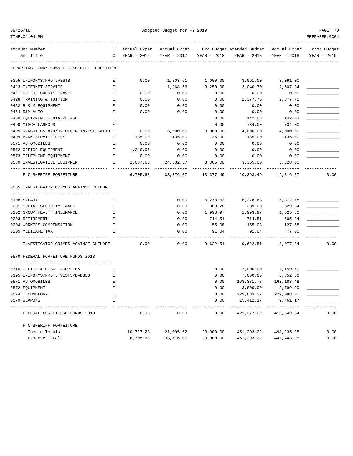TIME:04:04 PM PREPARER:0004

09/25/18 Adopted Budget for FY 2019 PAGE 70

| Account Number                              | т           | Actual Exper | Actual Exper |             | Org Budget Amended Budget | Actual Exper | Prop Budget |
|---------------------------------------------|-------------|--------------|--------------|-------------|---------------------------|--------------|-------------|
| and Title                                   | $\Gamma$    | YEAR - 2016  | YEAR - 2017  | YEAR - 2018 | YEAR - 2018               | YEAR - 2018  | YEAR - 2019 |
| REPORTING FUND: 0056 F C SHERIFF FORFEITURE |             |              |              |             |                           |              |             |
| 0395 UNIFORMS/PROT.VESTS                    | Ε           | 0.00         | 1,803.61     | 1,000.00    | 3,091.00                  | 3,091.00     |             |
| 0423 INTERNET SERVICE                       | E           |              | 1,268.66     | 3,250.00    | 3,040.70                  | 2,507.34     |             |
| 0427 OUT OF COUNTY TRAVEL                   | E           | 0.00         | 0.00         | 0.00        | 0.00                      | 0.00         |             |
| 0428 TRAINING & TUITION                     | E           | 0.00         | 0.00         | 0.00        | 2,377.75                  | 2,377.75     |             |
| 0452 R & M EQUIPMENT                        | Ε           | 0.00         | 0.00         | 0.00        | 0.00                      | 0.00         |             |
| 0454 R&M AUTO                               | E           | 0.00         | 0.00         | 0.00        | 0.00                      | 0.00         |             |
| 0460 EQUIPMENT RENTAL/LEASE                 | E           |              |              | 0.00        | 142.03                    | 142.03       |             |
| 0490 MISCELLANEOUS                          | E           |              |              | 0.00        | 734.00                    | 734.00       |             |
| 0495 NARCOTICS AND/OR OTHER INVESTIGATIO E  |             | 0.00         | 3,000.00     | 3,000.00    | 4,000.00                  | 4,000.00     |             |
| 0499 BANK SERVICE FEES                      | F.          | 135.00       | 135.00       | 135.00      | 135.00                    | 135.00       |             |
| 0571 AUTOMOBILES                            | E           | 0.00         | 0.00         | 0.00        | 0.00                      | 0.00         |             |
| 0572 OFFICE EQUIPMENT                       | E           | 1,249.96     | 0.00         | 0.00        | 0.00                      | 0.00         |             |
| 0573 TELEPHONE EQUIPMENT                    | E           | 0.00         | 0.00         | 0.00        | 0.00                      | 0.00         |             |
| 0580 INVESTIGATIVE EQUIPMENT                | E.          | 2,687.65     | 24,832.57    | 3,365.00    | 3,365.00                  | 3,328.00     |             |
| F C SHERIFF FORFEITURE                      |             | 6,705.68     | 33,776.07    | 13,377.49   | 20,393.49                 | 19,816.27    | 0.00        |
| 0565 INVESTIGATOR CRIMES AGAINST CHILDRE    |             |              |              |             |                           |              |             |
| 0108 SALARY                                 | Ε           |              | 0.00         | 6,278.63    | 6,278.63                  | 5,312.78     |             |
| 0201 SOCIAL SECURITY TAXES                  | E           |              | 0.00         | 389.28      | 389.28                    | 329.34       |             |
| 0202 GROUP HEALTH INSURANCE                 | $\mathbf E$ |              | 0.00         | 1,993.97    | 1,993.97                  | 1,625.80     |             |
| 0203 RETIREMENT                             | E           |              | 0.00         | 714.51      | 714.51                    | 605.34       |             |
| 0204 WORKERS COMPENSATION                   | E           |              | 0.00         | 155.08      | 155.08                    | 127.58       |             |
| 0205 MEDICARE TAX                           | F.          |              | 0.00         | 91.04       | 91.04                     | 77.00        |             |
| -----------                                 |             |              |              |             |                           |              |             |
| INVESTIGATOR CRIMES AGAINST CHILDRE         |             | 0.00         | 0.00         | 9,622.51    | 9,622.51                  | 8,077.84     | 0.00        |
| 0570 FEDERAL FORFEITURE FUNDS 2018          |             |              |              |             |                           |              |             |
| 0310 OFFICE & MISC. SUPPLIES                | Ε           |              |              | 0.00        | 2,000.00                  | 1,159.70     |             |
| 0395 UNIFORMS/PROT. VESTS/BADGES            | E           |              |              | 0.00        | 7,000.00                  | 6,852.50     |             |
| 0571 AUTOMOBILES                            | E           |              |              | 0.00        | 163, 381. 78              | 163, 188.48  |             |
| 0572 EQUIPMENT                              | E           |              |              | 0.00        | 3,800.00                  | 3,799.99     |             |
| 0574 TECHNOLOGY                             | E           |              |              | 0.00        | 229,683.27                | 229,088.00   |             |
| 0579 WEAPONS                                | E           |              |              | 0.00        | 15, 412.17                | 9,461.17     |             |
| FEDERAL FORFEITURE FUNDS 2018               |             | 0.00         | 0.00         | 0.00        | 421, 277.22               | 413,549.84   | 0.00        |
| F C SHERIFF FORFEITURE                      |             |              |              |             |                           |              |             |
| Income Totals                               |             | 10,727.28    | 21,095.62    | 23,000.00   | 451, 293. 22              | 498,235.28   | 0.00        |
| Expense Totals                              |             | 6,705.68     | 33,776.07    | 23,000.00   | 451, 293. 22              | 441, 443.95  | 0.00        |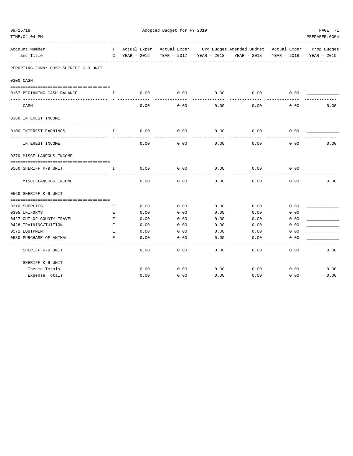| TIME:04:04 PM                                                                                  |              |      |      |      |                                                                                                                                                             |      | PREPARER: 0004 |
|------------------------------------------------------------------------------------------------|--------------|------|------|------|-------------------------------------------------------------------------------------------------------------------------------------------------------------|------|----------------|
| Account Number<br>and Title<br>------------------------------                                  |              |      |      |      | T Actual Exper Actual Exper Org Budget Amended Budget Actual Exper Prop Budget<br>C YEAR - 2016 YEAR - 2017 YEAR - 2018 YEAR - 2018 YEAR - 2018 YEAR - 2019 |      |                |
| REPORTING FUND: 0057 SHERIFF K-9 UNIT                                                          |              |      |      |      |                                                                                                                                                             |      |                |
| 0300 CASH                                                                                      |              |      |      |      |                                                                                                                                                             |      |                |
| 0157 BEGINNING CASH BALANCE<br>$\mathbf{I}$ and $\mathbf{I}$ and $\mathbf{I}$ and $\mathbf{I}$ |              | 0.00 | 0.00 | 0.00 | 0.00                                                                                                                                                        | 0.00 |                |
| CASH                                                                                           |              | 0.00 | 0.00 | 0.00 | 0.00                                                                                                                                                        | 0.00 | 0.00           |
| 0360 INTEREST INCOME                                                                           |              |      |      |      |                                                                                                                                                             |      |                |
| 0100 INTEREST EARNINGS                                                                         | $\mathbf{I}$ | 0.00 | 0.00 | 0.00 | 0.00                                                                                                                                                        | 0.00 |                |
| INTEREST INCOME                                                                                |              | 0.00 | 0.00 | 0.00 | ---------<br>0.00                                                                                                                                           | 0.00 | 0.00           |
| 0370 MISCELLANEOUS INCOME                                                                      |              |      |      |      |                                                                                                                                                             |      |                |
| 0560 SHERIFF K-9 UNIT                                                                          | $\mathbf{I}$ | 0.00 | 0.00 | 0.00 | 0.00                                                                                                                                                        | 0.00 |                |
| -------------------<br>MISCELLANEOUS INCOME                                                    |              | 0.00 | 0.00 | 0.00 | 0.00                                                                                                                                                        | 0.00 | 0.00           |
| 0560 SHERIFF K-9 UNIT                                                                          |              |      |      |      |                                                                                                                                                             |      |                |
| 0310 SUPPLIES                                                                                  | Е            | 0.00 | 0.00 | 0.00 | 0.00                                                                                                                                                        | 0.00 |                |
| 0395 UNIFORMS                                                                                  | E            | 0.00 | 0.00 | 0.00 | 0.00                                                                                                                                                        | 0.00 |                |
| 0427 OUT OF COUNTY TRAVEL                                                                      | Е            | 0.00 | 0.00 | 0.00 | 0.00                                                                                                                                                        | 0.00 |                |
| 0428 TRAINING/TUITION                                                                          | Е            | 0.00 | 0.00 | 0.00 | 0.00                                                                                                                                                        | 0.00 |                |
| 0571 EQUIPMENT                                                                                 | E            | 0.00 | 0.00 | 0.00 | 0.00                                                                                                                                                        | 0.00 |                |
| 0580 PURCHASE OF ANIMAL                                                                        | Е            | 0.00 | 0.00 | 0.00 | 0.00                                                                                                                                                        | 0.00 |                |
| SHERIFF K-9 UNIT                                                                               |              | 0.00 | 0.00 | 0.00 | 0.00                                                                                                                                                        | 0.00 | 0.00           |
| SHERIFF K-9 UNIT                                                                               |              |      |      |      |                                                                                                                                                             |      |                |
| Income Totals                                                                                  |              | 0.00 | 0.00 | 0.00 | 0.00                                                                                                                                                        | 0.00 | 0.00           |
| Expense Totals                                                                                 |              | 0.00 | 0.00 | 0.00 | 0.00                                                                                                                                                        | 0.00 | 0.00           |
|                                                                                                |              |      |      |      |                                                                                                                                                             |      |                |

09/25/18 Adopted Budget for FY 2019 PAGE 71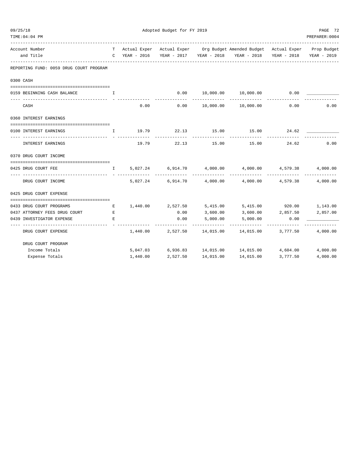| 09/25/18 |                                         |              |               | PAGE 72           |           |                                                                                |                   |                |
|----------|-----------------------------------------|--------------|---------------|-------------------|-----------|--------------------------------------------------------------------------------|-------------------|----------------|
|          | TIME: 04:04 PM                          |              |               |                   |           |                                                                                |                   | PREPARER: 0004 |
|          | Account Number                          |              |               |                   |           | T Actual Exper Actual Exper Org Budget Amended Budget Actual Exper Prop Budget |                   |                |
|          | and Title                               |              | C YEAR - 2016 |                   |           | YEAR - 2017 YEAR - 2018 YEAR - 2018 YEAR - 2018                                |                   | YEAR - 2019    |
|          | REPORTING FUND: 0059 DRUG COURT PROGRAM |              |               |                   |           |                                                                                |                   |                |
|          | 0300 CASH                               |              |               |                   |           |                                                                                |                   |                |
|          | 0159 BEGINNING CASH BALANCE             | I            |               | 0.00              |           | 10,000.00  10,000.00                                                           | 0.00              |                |
|          | CASH                                    |              | 0.00          | 0.00              | 10,000.00 | 10,000.00                                                                      | 0.00              | 0.00           |
|          | 0360 INTEREST EARNINGS                  |              |               |                   |           |                                                                                |                   |                |
|          |                                         |              |               |                   |           |                                                                                |                   |                |
|          | 0100 INTEREST EARNINGS                  | I.           | 19.79         | 22.13             | 15.00     | 15.00                                                                          | 24.62             |                |
|          | INTEREST EARNINGS                       |              | 19.79         | 22.13             | 15.00     | 15.00                                                                          | 24.62             | 0.00           |
|          | 0370 DRUG COURT INCOME                  |              |               |                   |           |                                                                                |                   |                |
|          | 0425 DRUG COURT FEE                     | $\mathbf{I}$ | 5,027.24      | 6,914.70          | 4,000.00  | 4,000.00                                                                       | 4,579.38          | 4,000.00       |
|          | DRUG COURT INCOME                       |              | 5,027.24      |                   |           | $6,914.70$ $4,000.00$ $4,000.00$ $4,579.38$                                    |                   | 4,000.00       |
|          | 0425 DRUG COURT EXPENSE                 |              |               |                   |           |                                                                                |                   |                |
|          | 0433 DRUG COURT PROGRAMS                | Е            |               | 1,440.00 2,527.50 | 5,415.00  | 5,415.00 920.00 1,143.00                                                       |                   |                |
|          | 0437 ATTORNEY FEES DRUG COURT           | Е            |               | 0.00              | 3,600.00  |                                                                                | 3,600.00 2,857.50 | 2,857.00       |
|          | 0439 INVESTIGATOR EXPENSE               | $\mathbf E$  |               | 0.00              | 5,000.00  | 5,000.00                                                                       | 0.00              |                |
|          |                                         |              |               |                   |           | .                                                                              |                   |                |
|          | DRUG COURT EXPENSE                      |              | 1,440.00      | 2,527.50          | 14,015.00 | 14,015.00                                                                      | 3,777.50          | 4,000.00       |
|          | DRUG COURT PROGRAM                      |              |               |                   |           |                                                                                |                   |                |
|          | Income Totals                           |              |               |                   |           | 5,047.03 6,936.83 14,015.00 14,015.00 4,604.00                                 |                   | 4,000.00       |
|          | Expense Totals                          |              | 1,440.00      | 2,527.50          | 14,015.00 | 14,015.00                                                                      | 3,777.50          | 4,000.00       |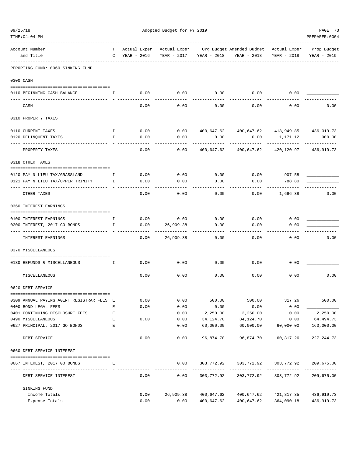| 09/25/18                                                   |              |              | Adopted Budget for FY 2019 |                             |                                                |                         | PAGE 73                   |
|------------------------------------------------------------|--------------|--------------|----------------------------|-----------------------------|------------------------------------------------|-------------------------|---------------------------|
| TIME: 04: 04 PM                                            |              |              |                            |                             |                                                |                         | PREPARER: 0004            |
| Account Number                                             | T            | Actual Exper | Actual Exper               |                             | Org Budget Amended Budget Actual Exper         |                         | Prop Budget               |
| and Title                                                  | $\mathbf C$  | YEAR - 2016  | YEAR - 2017                | YEAR - 2018                 | YEAR - 2018                                    | YEAR - 2018             | YEAR - 2019               |
| REPORTING FUND: 0060 SINKING FUND                          |              |              |                            |                             |                                                |                         |                           |
| 0300 CASH                                                  |              |              |                            |                             |                                                |                         |                           |
| 0110 BEGINNING CASH BALANCE                                | $\mathbf{I}$ | 0.00         | 0.00                       | 0.00                        | 0.00                                           | 0.00                    |                           |
| CASH                                                       |              | 0.00         | 0.00                       | 0.00                        | 0.00                                           | 0.00                    | 0.00                      |
| 0310 PROPERTY TAXES                                        |              |              |                            |                             |                                                |                         |                           |
| 0110 CURRENT TAXES                                         | Ι.           | 0.00         | 0.00                       |                             | 400,647.62  400,647.62  418,949.85  436,019.73 |                         |                           |
| 0120 DELINQUENT TAXES                                      | $\mathbf{I}$ | 0.00         | 0.00                       | 0.00                        | 0.00                                           | 1,171.12                | 900.00                    |
| PROPERTY TAXES                                             |              | 0.00         | 0.00                       | 400,647.62                  | 400,647.62                                     | 420,120.97              | 436,919.73                |
| 0318 OTHER TAXES                                           |              |              |                            |                             |                                                |                         |                           |
|                                                            |              |              |                            |                             |                                                |                         |                           |
| 0120 PAY N LIEU TAX/GRASSLAND                              | Ι.           | 0.00         | 0.00                       | 0.00                        | 0.00                                           | 907.58                  |                           |
| 0121 PAY N LIEU TAX/UPPER TRINITY                          | Ι.           | 0.00         | 0.00                       | 0.00                        | 0.00                                           | 788.80                  |                           |
| OTHER TAXES                                                |              | 0.00         | 0.00                       | 0.00                        | 0.00                                           | 1,696.38                | 0.00                      |
| 0360 INTEREST EARNINGS                                     |              |              |                            |                             |                                                |                         |                           |
| 0100 INTEREST EARNINGS                                     | Ι.           | 0.00         | 0.00                       | 0.00                        | 0.00                                           | 0.00                    |                           |
| 0200 INTEREST, 2017 GO BONDS                               | Ι.           | 0.00         | 26,909.38                  | 0.00                        | 0.00                                           | 0.00                    |                           |
| INTEREST EARNINGS                                          |              | 0.00         | 26,909.38                  | 0.00                        | 0.00                                           | 0.00                    | 0.00                      |
| 0370 MISCELLANEOUS                                         |              |              |                            |                             |                                                |                         |                           |
|                                                            |              |              |                            |                             |                                                |                         |                           |
| 0130 REFUNDS & MISCELLANEOUS                               | $\mathbf{I}$ | 0.00         | 0.00                       | 0.00                        | 0.00                                           | 0.00                    |                           |
| MISCELLANEOUS                                              |              | 0.00         | 0.00                       | 0.00                        | 0.00                                           | 0.00                    | 0.00                      |
| 0620 DEBT SERVICE                                          |              |              |                            |                             |                                                |                         |                           |
| 0309 ANNUAL PAYING AGENT REGISTRAR FEES E                  |              | 0.00         | 0.00                       | 500.00                      | 500.00                                         | 317.26                  | 500.00                    |
| 0400 BOND LEGAL FEES                                       | Е            | 0.00         | 0.00                       | 0.00                        | 0.00                                           | 0.00                    |                           |
| 0401 CONTINUING DISCLOSURE FEES                            | Ε            |              | 0.00                       | 2,250.00                    | 2,250.00                                       | 0.00                    | 2,250.00                  |
| 0490 MISCELLANEOUS                                         | Ε            | 0.00         | 0.00                       | 34, 124. 70                 | 34,124.70                                      | 0.00                    | 64, 494. 73               |
| 0627 PRINCIPAL, 2017 GO BONDS                              | E            |              | 0.00                       | 60,000.00<br>-------------- | 60,000.00<br>_____________                     | 60,000.00<br>__________ | 160,000.00<br>----------- |
| DEBT SERVICE                                               |              | 0.00         | 0.00                       | 96,874.70                   | 96,874.70                                      | 60, 317.26              | 227, 244.73               |
| 0660 DEBT SERVICE INTEREST                                 |              |              |                            |                             |                                                |                         |                           |
| 0667 INTEREST, 2017 GO BONDS                               | Ε            |              | 0.00                       | 303,772.92                  | 303,772.92                                     | 303,772.92              | 209,675.00                |
| ---------------------------------<br>DEBT SERVICE INTEREST |              | 0.00         | 0.00                       | 303,772.92                  | 303,772.92                                     | 303,772.92              | 209,675.00                |
| SINKING FUND                                               |              |              |                            |                             |                                                |                         |                           |
| Income Totals                                              |              | 0.00         | 26,909.38                  | 400,647.62                  | 400,647.62                                     | 421,817.35              | 436,919.73                |
| Expense Totals                                             |              | 0.00         | 0.00                       | 400,647.62                  | 400,647.62                                     | 364,090.18              | 436, 919.73               |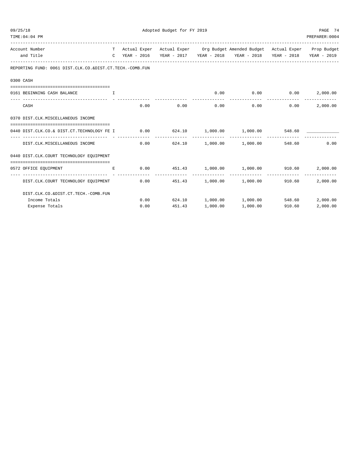| 09/25/18 | TIME: 04: 04 PM                                                                                                          |    |                        | Adopted Budget for FY 2019 |               |                                                                                                                                   |        | PAGE 74<br>PREPARER: 0004 |
|----------|--------------------------------------------------------------------------------------------------------------------------|----|------------------------|----------------------------|---------------|-----------------------------------------------------------------------------------------------------------------------------------|--------|---------------------------|
|          | Account Number<br>and Title                                                                                              |    | C YEAR - 2016          |                            |               | T Actual Exper Actual Exper Org Budget Amended Budget Actual Exper Prop Budget<br>YEAR - 2017 YEAR - 2018 YEAR - 2018 YEAR - 2018 |        | YEAR - 2019               |
|          | REPORTING FUND: 0061 DIST.CLK.CO.&DIST.CT.TECH.-COMB.FUN                                                                 |    |                        |                            |               |                                                                                                                                   |        |                           |
|          | 0300 CASH                                                                                                                |    |                        |                            |               |                                                                                                                                   |        |                           |
|          | 0161 BEGINNING CASH BALANCE                                                                                              | T. |                        |                            |               | $0.00$ 0.00 0.00 0.00 2,000.00                                                                                                    |        |                           |
|          | CASH                                                                                                                     |    | 0.00                   | 0.00                       | 0.00          | 0.00                                                                                                                              | 0.00   | 2,000.00                  |
|          | 0370 DIST.CLK.MISCELLANEOUS INCOME                                                                                       |    |                        |                            |               |                                                                                                                                   |        |                           |
|          | -------------------------------------<br>0440 DIST.CLK.CO.& DIST.CT.TECHNOLOGY FE I 0.00 624.10 1,000.00 1,000.00 548.60 |    |                        |                            |               |                                                                                                                                   |        |                           |
|          | DIST.CLK.MISCELLANEOUS INCOME                                                                                            |    | --------------<br>0.00 | --------------<br>624.10   | ------------- | -------------<br>$1,000.00$ $1,000.00$                                                                                            | 548.60 | 0.00                      |
|          | 0440 DIST.CLK.COURT TECHNOLOGY EQUIPMENT                                                                                 |    |                        |                            |               |                                                                                                                                   |        |                           |
|          | 0572 OFFICE EQUIPMENT                                                                                                    | E. | 0.00                   |                            |               | $451.43$ $1,000.00$ $1,000.00$ $910.60$ $2,000.00$                                                                                |        |                           |
|          | DIST.CLK.COURT TECHNOLOGY EQUIPMENT                                                                                      |    |                        | $0.00$ 451.43              |               | $1,000.00$ $1,000.00$                                                                                                             | 910.60 | 2,000.00                  |
|          | DIST.CLK.CO.&DIST.CT.TECH.-COMB.FUN                                                                                      |    |                        |                            |               |                                                                                                                                   |        |                           |
|          | Income Totals                                                                                                            |    |                        |                            |               | $0.00$ 624.10 1,000.00 1,000.00                                                                                                   |        | 548.60 2,000.00           |
|          | Expense Totals                                                                                                           |    | 0.00                   | 451.43                     | 1,000.00      | 1,000.00                                                                                                                          | 910.60 | 2,000.00                  |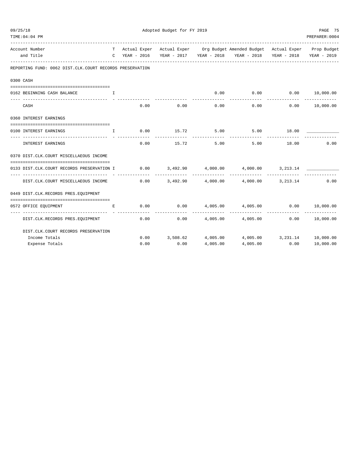| 09/25/18<br>TIME: 04: 04 PM                                  |              | Adopted Budget for FY 2019 | PAGE 75<br>PREPARER: 0004 |                            |                                                                                                                             |               |                            |
|--------------------------------------------------------------|--------------|----------------------------|---------------------------|----------------------------|-----------------------------------------------------------------------------------------------------------------------------|---------------|----------------------------|
| Account Number<br>and Title                                  |              | C YEAR - 2016              |                           |                            | T Actual Exper Actual Exper Org Budget Amended Budget Actual Exper Prop Budget                                              |               | YEAR - 2019                |
| REPORTING FUND: 0062 DIST.CLK.COURT RECORDS PRESERVATION     |              |                            |                           |                            |                                                                                                                             |               |                            |
| 0300 CASH                                                    |              |                            |                           |                            |                                                                                                                             |               |                            |
| 0162 BEGINNING CASH BALANCE                                  | Ι.           |                            |                           |                            | $0.00$ 0.00 0.00 0.00 10,000.00                                                                                             |               |                            |
| --------------------------- - -------<br>CASH                |              | 0.00                       | 0.00                      | 0.00                       | 0.00                                                                                                                        | 0.00          | -------------<br>10,000.00 |
| 0360 INTEREST EARNINGS                                       |              |                            |                           |                            |                                                                                                                             |               |                            |
| 0100 INTEREST EARNINGS                                       | $\mathbb{T}$ | 0.00                       | 15.72 5.00                |                            | $5.00$ 18.00                                                                                                                |               |                            |
| INTEREST EARNINGS                                            |              | 0.00                       | -----------               | ------------<br>15.72 5.00 | ------------<br>5.00                                                                                                        | 18.00         | 0.00                       |
| 0370 DIST.CLK.COURT MISCELLAEOUS INCOME                      |              |                            |                           |                            |                                                                                                                             |               |                            |
| 0133 DIST.CLK.COURT RECORDS PRESERVATION I                   |              |                            |                           |                            | $0.00$ $3,492.90$ $4,000.00$ $4,000.00$ $3,213.14$                                                                          |               |                            |
| DIST.CLK.COURT MISCELLAEOUS INCOME                           |              | 0.00                       |                           |                            | $3,492.90$ $4,000.00$ $4,000.00$ $3,213.14$                                                                                 |               | 0.00                       |
| 0449 DIST.CLK.RECORDS PRES.EQUIPMENT                         |              |                            |                           |                            |                                                                                                                             |               |                            |
| 0572 OFFICE EQUIPMENT<br>------------------------------- - - | E            |                            |                           |                            | $0.00$ $0.00$ $4,005.00$ $4,005.00$ $0.00$<br>---------------                                                               |               | 10,000.00<br>----------    |
| DIST.CLK.RECORDS PRES.EQUIPMENT                              |              |                            | 0.00                      |                            | $0.00$ 4,005.00 4,005.00 0.00 10,000.00                                                                                     | ------------- |                            |
| DIST. CLK. COURT RECORDS PRESERVATION                        |              |                            |                           |                            |                                                                                                                             |               |                            |
| Income Totals                                                |              |                            |                           |                            | ${\bf 0.00} \qquad {\bf 3.508.62} \qquad {\bf 4.005.00} \qquad {\bf 4.005.00} \qquad {\bf 3.231.14} \qquad {\bf 10.000.00}$ |               |                            |
| Expense Totals                                               |              | 0.00                       | 0.00                      | 4,005.00                   | 4,005.00                                                                                                                    | 0.00          | 10,000.00                  |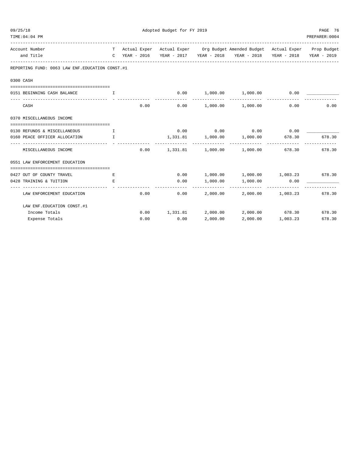| 09/25/18<br>TIME: 04: 04 PM                                                     | Adopted Budget for FY 2019 |      |      |                         |                                                                                |                   |                         |
|---------------------------------------------------------------------------------|----------------------------|------|------|-------------------------|--------------------------------------------------------------------------------|-------------------|-------------------------|
| Account Number                                                                  |                            |      |      |                         | T Actual Exper Actual Exper Org Budget Amended Budget Actual Exper Prop Budget |                   |                         |
| and Title                                                                       |                            |      |      |                         | C YEAR - 2016 YEAR - 2017 YEAR - 2018 YEAR - 2018 YEAR - 2018 YEAR - 2019      |                   |                         |
| REPORTING FUND: 0063 LAW ENF. EDUCATION CONST. #1                               |                            |      |      |                         |                                                                                |                   |                         |
| 0300 CASH                                                                       |                            |      |      |                         |                                                                                |                   |                         |
| 0151 BEGINNING CASH BALANCE                                                     | $\top$                     |      |      |                         | $0.00$ 1,000.00 1,000.00                                                       | 0.00              |                         |
| CASH                                                                            |                            | 0.00 |      |                         | $0.00$ 1,000.00 1,000.00                                                       | 0.00              | 0.00                    |
| 0370 MISCELLANEOUS INCOME                                                       |                            |      |      |                         |                                                                                |                   |                         |
|                                                                                 |                            |      |      |                         |                                                                                |                   |                         |
| 0130 REFUNDS & MISCELLANEOUS I                                                  |                            |      |      |                         | $0.00$ $0.00$ $0.00$ $0.00$ $0.00$                                             |                   |                         |
| $\mathbf{I}$ and $\mathbf{I}$ and $\mathbf{I}$<br>0160 PEACE OFFICER ALLOCATION |                            |      |      | ______________          | 1,331.81 1,000.00 1,000.00 678.30<br>-------------                             |                   | 678.30<br>------------- |
| MISCELLANEOUS INCOME                                                            |                            | 0.00 |      |                         | 1,331.81  1,000.00  1,000.00  678.30  678.30                                   |                   |                         |
| 0551 LAW ENFORCEMENT EDUCATION                                                  |                            |      |      |                         |                                                                                |                   |                         |
|                                                                                 |                            |      |      |                         |                                                                                |                   |                         |
| 0427 OUT OF COUNTY TRAVEL                                                       | Е                          |      |      |                         | $0.00$ $1,000.00$ $1,000.00$ $1,003.23$ 678.30                                 |                   |                         |
| 0428 TRAINING & TUITION<br>                                                     | E.                         |      | 0.00 | 1,000.00<br>----------- | $1,000.00$ 0.00<br>------------- --------------                                |                   |                         |
| LAW ENFORCEMENT EDUCATION                                                       |                            | 0.00 | 0.00 |                         | 2,000.00 2,000.00 1,003.23 678.30                                              |                   |                         |
| LAW ENF. EDUCATION CONST. #1                                                    |                            |      |      |                         |                                                                                |                   |                         |
| Income Totals                                                                   |                            |      |      |                         | $0.00$ 1,331.81 2,000.00 2,000.00 678.30 678.30                                |                   |                         |
| Expense Totals                                                                  |                            | 0.00 | 0.00 | 2,000.00                |                                                                                | 2,000.00 1,003.23 | 678.30                  |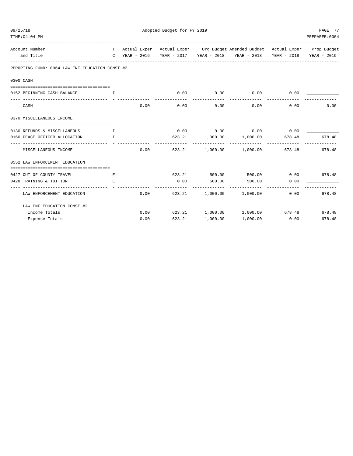| 09/25/18<br>TIME: 04: 04 PM                           |                                       |      |            | Adopted Budget for FY 2019<br>PAGE 77<br>PREPARER: 0004 |                                                                                                                                                             |                                    |        |  |  |
|-------------------------------------------------------|---------------------------------------|------|------------|---------------------------------------------------------|-------------------------------------------------------------------------------------------------------------------------------------------------------------|------------------------------------|--------|--|--|
| Account Number<br>and Title                           |                                       |      |            |                                                         | T Actual Exper Actual Exper Org Budget Amended Budget Actual Exper Prop Budget<br>C YEAR - 2016 YEAR - 2017 YEAR - 2018 YEAR - 2018 YEAR - 2018 YEAR - 2019 |                                    |        |  |  |
| REPORTING FUND: 0064 LAW ENF. EDUCATION CONST. #2     |                                       |      |            |                                                         |                                                                                                                                                             |                                    |        |  |  |
| 0300 CASH                                             |                                       |      |            |                                                         |                                                                                                                                                             |                                    |        |  |  |
| 0152 BEGINNING CASH BALANCE                           | T                                     |      | 0.00       | 0.00                                                    | 0.00                                                                                                                                                        | 0.00                               |        |  |  |
| CASH                                                  |                                       | 0.00 | 0.00       | -----------<br>0.00                                     | _____________<br>0.00                                                                                                                                       | 0.00                               | 0.00   |  |  |
| 0370 MISCELLANEOUS INCOME                             |                                       |      |            |                                                         |                                                                                                                                                             |                                    |        |  |  |
| 0130 REFUNDS & MISCELLANEOUS I                        |                                       |      |            |                                                         | $0.00$ $0.00$ $0.00$ $0.00$ $0.00$                                                                                                                          |                                    |        |  |  |
| 0160 PEACE OFFICER ALLOCATION                         | $\mathbf{I}$ . The state $\mathbf{I}$ |      |            |                                                         | $623.21$ $1,000.00$ $1,000.00$ $678.48$                                                                                                                     |                                    | 678.48 |  |  |
| MISCELLANEOUS INCOME                                  |                                       | 0.00 |            | -------------                                           | -------------<br>623.21 1,000.00 1,000.00                                                                                                                   | 678.48                             | 678.48 |  |  |
| 0552 LAW ENFORCEMENT EDUCATION                        |                                       |      |            |                                                         |                                                                                                                                                             |                                    |        |  |  |
| 0427 OUT OF COUNTY TRAVEL                             | E                                     |      |            | 623.21 500.00                                           |                                                                                                                                                             | 500.00   0.00   678.48             |        |  |  |
| 0428 TRAINING & TUITION<br>-------------------- - - - | E.                                    |      | ---------- | $0.00$ 500.00<br>------------                           | 500.00                                                                                                                                                      | 0.00<br>----------- -------------- |        |  |  |
| LAW ENFORCEMENT EDUCATION                             |                                       | 0.00 |            |                                                         | 623.21 1,000.00 1,000.00                                                                                                                                    | 0.00                               | 678.48 |  |  |
| LAW ENF. EDUCATION CONST. #2                          |                                       |      |            |                                                         |                                                                                                                                                             |                                    |        |  |  |
| Income Totals                                         |                                       |      |            |                                                         | $0.00$ 623.21 1,000.00 1,000.00 678.48                                                                                                                      |                                    | 678.48 |  |  |
| Expense Totals                                        |                                       | 0.00 | 623.21     | 1,000.00                                                | 1,000.00                                                                                                                                                    | 0.00                               | 678.48 |  |  |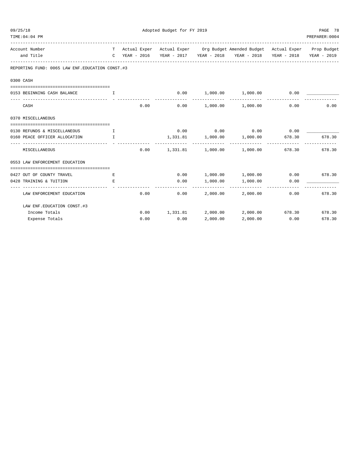| 09/25/18<br>TIME: 04: 04 PM                       |                                                | PAGE 78<br>PREPARER: 0004 |      |                          |                                                                                |                        |                         |
|---------------------------------------------------|------------------------------------------------|---------------------------|------|--------------------------|--------------------------------------------------------------------------------|------------------------|-------------------------|
|                                                   |                                                |                           |      |                          |                                                                                |                        |                         |
| Account Number                                    |                                                |                           |      |                          | T Actual Exper Actual Exper Org Budget Amended Budget Actual Exper Prop Budget |                        |                         |
| and Title                                         |                                                |                           |      |                          | C YEAR - 2016 YEAR - 2017 YEAR - 2018 YEAR - 2018 YEAR - 2018 YEAR - 2019      |                        |                         |
| REPORTING FUND: 0065 LAW ENF. EDUCATION CONST. #3 |                                                |                           |      |                          |                                                                                |                        |                         |
| 0300 CASH                                         |                                                |                           |      |                          |                                                                                |                        |                         |
| 0153 BEGINNING CASH BALANCE                       | $\top$                                         |                           |      |                          | $0.00$ 1,000.00 1,000.00 0.00                                                  |                        |                         |
| CASH                                              |                                                | 0.00                      |      | _____________            | ______________<br>$0.00$ 1,000.00 1,000.00                                     | --------------<br>0.00 | 0.00                    |
| 0370 MISCELLANEOUS                                |                                                |                           |      |                          |                                                                                |                        |                         |
|                                                   |                                                |                           |      |                          |                                                                                |                        |                         |
| 0130 REFUNDS & MISCELLANEOUS I                    |                                                |                           |      |                          | $0.00$ $0.00$ $0.00$ $0.00$ $0.00$                                             |                        |                         |
| 0160 PEACE OFFICER ALLOCATION                     | $\mathbf{I}$ and $\mathbf{I}$ and $\mathbf{I}$ |                           |      | ______________           | $1,331.81$ $1,000.00$ $1,000.00$ 678.30<br>-------------                       |                        | 678.30<br>------------- |
| MISCELLANEOUS                                     |                                                | 0.00                      |      |                          | $1,331.81$ $1,000.00$ $1,000.00$ $678.30$                                      |                        | 678.30                  |
| 0553 LAW ENFORCEMENT EDUCATION                    |                                                |                           |      |                          |                                                                                |                        |                         |
|                                                   |                                                |                           |      |                          |                                                                                |                        |                         |
| 0427 OUT OF COUNTY TRAVEL                         | Е                                              |                           |      |                          | $0.00$ $1,000.00$ $1,000.00$ $0.00$ 678.30                                     |                        |                         |
| 0428 TRAINING & TUITION                           | E                                              |                           | 0.00 | 1,000.00<br>------------ | 1,000.00<br>------------- -------------                                        | 0.00                   |                         |
| LAW ENFORCEMENT EDUCATION                         |                                                | 0.00                      | 0.00 |                          | 2,000.00 2,000.00                                                              | 0.00                   | 678.30                  |
| LAW ENF. EDUCATION CONST. #3                      |                                                |                           |      |                          |                                                                                |                        |                         |
| Income Totals                                     |                                                |                           |      |                          | $0.00$ 1,331.81 2,000.00 2,000.00 678.30 678.30                                |                        |                         |
| Expense Totals                                    |                                                | 0.00                      | 0.00 | 2,000.00                 | 2,000.00                                                                       | 0.00                   | 678.30                  |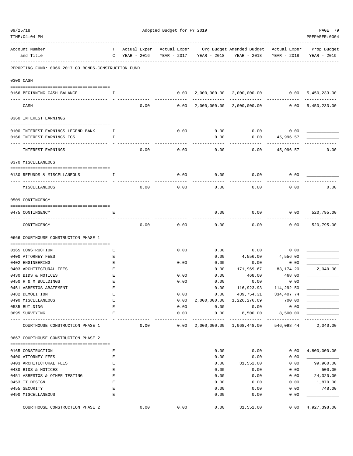| 09/25/18 | TIME: 04: 04 PM                                      | Adopted Budget for FY 2019 |                             |                             |               |              |                                                                                    |                             | PAGE 79<br>PREPARER: 0004  |
|----------|------------------------------------------------------|----------------------------|-----------------------------|-----------------------------|---------------|--------------|------------------------------------------------------------------------------------|-----------------------------|----------------------------|
|          | Account Number<br>and Title                          | T.<br>C                    | Actual Exper<br>YEAR - 2016 | Actual Exper<br>YEAR - 2017 |               | YEAR - 2018  | _________________________<br>Org Budget Amended Budget Actual Exper<br>YEAR - 2018 | YEAR - 2018                 | Prop Budget<br>YEAR - 2019 |
|          | REPORTING FUND: 0066 2017 GO BONDS-CONSTRUCTION FUND |                            |                             |                             |               |              |                                                                                    |                             |                            |
|          | 0300 CASH                                            |                            |                             |                             |               |              |                                                                                    |                             |                            |
|          | 0166 BEGINNING CASH BALANCE                          | I.                         |                             |                             | 0.00          | 2,000,000.00 | 2,000,000.00 0.00                                                                  |                             | 5,450,233.00               |
|          | CASH                                                 |                            | 0.00                        |                             | 0.00          | 2,000,000.00 | 2,000,000.00                                                                       | 0.00                        | 5,450,233.00               |
|          | 0360 INTEREST EARNINGS                               |                            |                             |                             |               |              |                                                                                    |                             |                            |
|          |                                                      |                            |                             |                             |               |              |                                                                                    |                             |                            |
|          | 0100 INTEREST EARNINGS LEGEND BANK                   | I.                         |                             |                             | 0.00          | 0.00         | 0.00                                                                               | 0.00                        |                            |
|          | 0166 INTEREST EARNINGS ICS                           | I                          |                             |                             |               | 0.00         | 0.00                                                                               | 45,996.57                   |                            |
|          | INTEREST EARNINGS                                    |                            | 0.00                        |                             | 0.00          | 0.00         | 0.00                                                                               | 45,996.57                   | 0.00                       |
|          | 0370 MISCELLANEOUS                                   |                            |                             |                             |               |              |                                                                                    |                             |                            |
|          |                                                      |                            |                             |                             |               |              |                                                                                    |                             |                            |
|          | 0130 REFUNDS & MISCELLANEOUS                         | I                          |                             |                             | 0.00          | 0.00         | 0.00                                                                               | 0.00                        |                            |
|          | MISCELLANEOUS                                        |                            | 0.00                        |                             | 0.00          | 0.00         | 0.00                                                                               | 0.00                        | 0.00                       |
|          | 0509 CONTINGENCY                                     |                            |                             |                             |               |              |                                                                                    |                             |                            |
|          | 0475 CONTINGENCY                                     | Ε                          |                             |                             |               | 0.00         | 0.00                                                                               | 0.00                        | 520,795.00                 |
|          | CONTINGENCY                                          |                            | 0.00                        |                             | 0.00          | 0.00         | 0.00                                                                               | 0.00                        | 520,795.00                 |
|          | 0666 COURTHOUSE CONSTRUCTION PHASE 1                 |                            |                             |                             |               |              |                                                                                    |                             |                            |
|          | 0165 CONSTRUCTION                                    | Ε                          |                             |                             | 0.00          | 0.00         | 0.00                                                                               | 0.00                        |                            |
|          | 0400 ATTORNEY FEES                                   | Ε                          |                             |                             |               | 0.00         | 4,556.00                                                                           | 4,556.00                    |                            |
|          | 0402 ENGINEERING                                     | Ε                          |                             |                             | 0.00          | 0.00         | 0.00                                                                               | 0.00                        |                            |
|          | 0403 ARCHITECTURAL FEES                              | Ε                          |                             |                             |               | 0.00         | 171,969.67                                                                         | 83, 174. 20                 | 2,040.00                   |
|          | 0430 BIDS & NOTICES                                  | E                          |                             |                             | 0.00          | 0.00         | 468.00                                                                             | 468.00                      |                            |
|          | 0450 R & M BUILDINGS                                 | E                          |                             |                             | 0.00          | 0.00         | 0.00                                                                               | 0.00                        |                            |
|          | 0451 ASBESTOS ABATEMENT                              | Ε                          |                             |                             |               | 0.00         | 116,923.93                                                                         | 114,292.50                  |                            |
|          | 0482 DEMOLITION                                      | Ε                          |                             |                             | 0.00          | 0.00         | 439,754.31                                                                         | 334,407.74                  |                            |
|          | 0490 MISCELLANEOUS                                   | E                          |                             |                             | 0.00          | 2,000,000.00 | 1,226,276.09                                                                       | 700.00                      |                            |
|          | 0535 BUILDING                                        | E                          |                             |                             | 0.00          | 0.00         | 0.00                                                                               | 0.00                        |                            |
|          | 0695 SURVEYING                                       | E                          |                             |                             | 0.00          | 0.00         | 8,500.00                                                                           | 8,500.00                    |                            |
|          | COURTHOUSE CONSTRUCTION PHASE 1                      |                            | 0.00                        |                             | -----<br>0.00 | -----------  | -------------<br>2,000,000.00 1,968,448.00                                         | -------------<br>546,098.44 | ----------<br>2,040.00     |
|          | 0667 COURTHOUSE CONSTRUCTION PHASE 2                 |                            |                             |                             |               |              |                                                                                    |                             |                            |
|          |                                                      |                            |                             |                             |               |              |                                                                                    |                             |                            |
|          | 0165 CONSTRUCTION                                    | Ε                          |                             |                             |               | 0.00         | 0.00                                                                               | 0.00                        | 4,800,000.00               |
|          | 0400 ATTORNEY FEES<br>0403 ARCHITECTURAL FEES        | Ε<br>Ε                     |                             |                             |               | 0.00<br>0.00 | 0.00<br>31,552.00                                                                  | 0.00<br>0.00                | 99,960.00                  |
|          | 0430 BIDS & NOTICES                                  | Ε                          |                             |                             |               | 0.00         | 0.00                                                                               | 0.00                        | 500.00                     |
|          | 0451 ASBESTOS & OTHER TESTING                        | Ε                          |                             |                             |               | 0.00         | 0.00                                                                               | 0.00                        | 24,320.00                  |
|          | 0453 IT DESIGN                                       | E                          |                             |                             |               | 0.00         | 0.00                                                                               | 0.00                        | 1,870.00                   |
|          | 0455 SECURITY                                        | E                          |                             |                             |               | 0.00         | 0.00                                                                               | 0.00                        | 748.00                     |
|          | 0490 MISCELLANEOUS                                   | E                          |                             |                             |               | 0.00         | 0.00                                                                               | 0.00                        |                            |
|          |                                                      |                            |                             |                             |               |              |                                                                                    |                             |                            |
|          | COURTHOUSE CONSTRUCTION PHASE 2                      |                            | 0.00                        |                             | 0.00          | 0.00         | 31,552.00                                                                          | 0.00                        | 4,927,398.00               |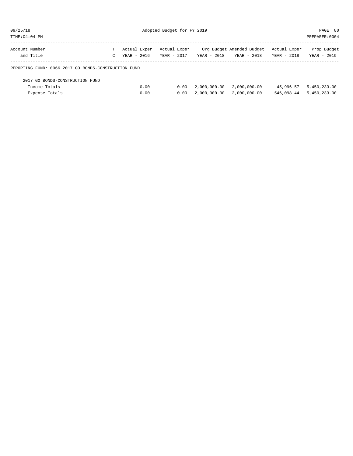| 09/25/1 |  |
|---------|--|
|---------|--|

Adopted Budget for FY 2019 PAGE 80

| TIME:04:04 PM                                        |              |              |               |               |                           |              | PREPARER: 0004 |
|------------------------------------------------------|--------------|--------------|---------------|---------------|---------------------------|--------------|----------------|
| Account Number                                       | T.           | Actual Exper | Actual Exper  |               | Org Budget Amended Budget | Actual Exper | Prop Budget    |
| and Title                                            | $\mathbb{C}$ | YEAR - 2016  | $YEAR - 2017$ | $YEAR - 2018$ | YEAR - 2018               | YEAR - 2018  | YEAR - 2019    |
| REPORTING FUND: 0066 2017 GO BONDS-CONSTRUCTION FUND |              |              |               |               |                           |              |                |
| 2017 GO BONDS-CONSTRUCTION FUND                      |              |              |               |               |                           |              |                |
| Income Totals                                        |              | 0.00         | 0.00          | 2,000,000.00  | 2,000,000.00              | 45,996.57    | 5,450,233.00   |
| Expense Totals                                       |              | 0.00         | 0.00          | 2,000,000.00  | 2,000,000.00              | 546,098.44   | 5,450,233.00   |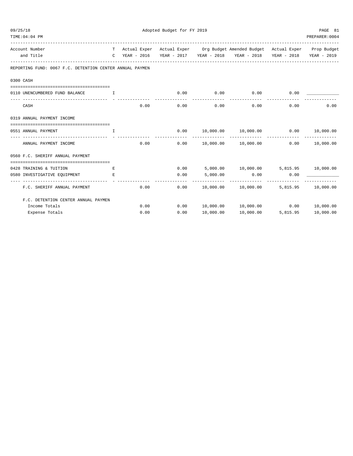| 09/25/18<br>TIME: 04: 04 PM                              | Adopted Budget for FY 2019   |      |                     |                      |                                                                                |                               |                         |  |
|----------------------------------------------------------|------------------------------|------|---------------------|----------------------|--------------------------------------------------------------------------------|-------------------------------|-------------------------|--|
|                                                          |                              |      |                     |                      |                                                                                |                               | PREPARER: 0004          |  |
| Account Number                                           |                              |      |                     |                      | T Actual Exper Actual Exper Org Budget Amended Budget Actual Exper Prop Budget |                               |                         |  |
| and Title                                                |                              |      |                     |                      | C YEAR - 2016 YEAR - 2017 YEAR - 2018 YEAR - 2018                              |                               | YEAR - 2018 YEAR - 2019 |  |
| REPORTING FUND: 0067 F.C. DETENTION CENTER ANNUAL PAYMEN |                              |      |                     |                      |                                                                                |                               |                         |  |
| 0300 CASH                                                |                              |      |                     |                      |                                                                                |                               |                         |  |
| 0110 UNENCUMBERED FUND BALANCE                           | <b>The Contract The Time</b> |      | 0.00                | 0.00<br>------------ | 0.00<br>--------------                                                         | 0.00                          |                         |  |
| CASH                                                     |                              | 0.00 | 0.00                | 0.00                 |                                                                                | -------------<br>0.00<br>0.00 | 0.00                    |  |
| 0319 ANNUAL PAYMENT INCOME                               |                              |      |                     |                      |                                                                                |                               |                         |  |
| 0551 ANNUAL PAYMENT                                      | T.                           |      | 0.00                |                      | $10,000.00$ $10,000.00$ $0.00$ $10,000.00$                                     |                               |                         |  |
| ----------------<br>ANNUAL PAYMENT INCOME                |                              | 0.00 | 0.00                | ----------           | 10,000.00    10,000.00                                                         |                               | 0.00 10,000.00          |  |
| 0560 F.C. SHERIFF ANNUAL PAYMENT                         |                              |      |                     |                      |                                                                                |                               |                         |  |
| 0428 TRAINING & TUITION                                  | E.                           |      |                     |                      | $0.00$ 5,000.00 10,000.00 5,815.95 10,000.00                                   |                               |                         |  |
| 0580 INVESTIGATIVE EQUIPMENT                             | E.                           |      | 0.00                | 5,000.00             | 0.00                                                                           | 0.00                          |                         |  |
| F.C. SHERIFF ANNUAL PAYMENT                              |                              | 0.00 | $- - - - -$<br>0.00 |                      | ------------<br>$10,000.00$ $10,000.00$                                        |                               | 5,815.95 10,000.00      |  |
| F.C. DETENTION CENTER ANNUAL PAYMEN                      |                              |      |                     |                      |                                                                                |                               |                         |  |
| Income Totals                                            |                              | 0.00 | 0.00                |                      | 10,000.00    10,000.00                                                         |                               | 0.00 10,000.00          |  |
| Expense Totals                                           |                              | 0.00 | 0.00                | 10,000.00            | 10,000.00                                                                      | 5,815.95                      | 10,000.00               |  |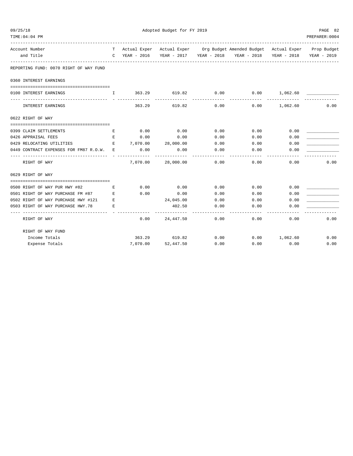| TIME: 04: 04 PM                                                                                                                                        |   |                            |                    |      |                                                                                |          | PREPARER: 0004 |
|--------------------------------------------------------------------------------------------------------------------------------------------------------|---|----------------------------|--------------------|------|--------------------------------------------------------------------------------|----------|----------------|
| Account Number                                                                                                                                         |   |                            |                    |      | T Actual Exper Actual Exper Org Budget Amended Budget Actual Exper Prop Budget |          |                |
| and Title                                                                                                                                              |   | C YEAR - 2016              |                    |      | YEAR - 2017 YEAR - 2018 YEAR - 2018 YEAR - 2018 YEAR - 2019                    |          |                |
| REPORTING FUND: 0070 RIGHT OF WAY FUND                                                                                                                 |   |                            |                    |      |                                                                                |          |                |
| 0360 INTEREST EARNINGS                                                                                                                                 |   |                            |                    |      |                                                                                |          |                |
|                                                                                                                                                        |   |                            |                    |      |                                                                                |          |                |
| 0100 INTEREST EARNINGS                                                                                                                                 |   |                            |                    |      | $\,$ I $\,$ 363.29 $\,$ 619.82 $\,$ 0.00 $\,$ 0.00 $\,$ 1,062.60 $\,$          |          |                |
| INTEREST EARNINGS                                                                                                                                      |   | 363.29                     | 619.82             | 0.00 | 0.00                                                                           | 1,062.60 | 0.00           |
| 0622 RIGHT OF WAY                                                                                                                                      |   |                            |                    |      |                                                                                |          |                |
| 0399 CLAIM SETTLEMENTS                                                                                                                                 | Е | 0.00                       | 0.00               | 0.00 | 0.00                                                                           | 0.00     |                |
| 0426 APPRAISAL FEES                                                                                                                                    | Е | 0.00                       | 0.00               | 0.00 | 0.00                                                                           | 0.00     |                |
| 0429 RELOCATING UTILITIES                                                                                                                              |   | $E = 7,070.00 = 28,000.00$ |                    | 0.00 | 0.00                                                                           | 0.00     |                |
| 0449 CONTRACT EXPENSES FOR FM87 R.O.W. E                                                                                                               |   | 0.00                       | 0.00               | 0.00 | 0.00                                                                           | 0.00     |                |
| RIGHT OF WAY                                                                                                                                           |   |                            | 7,070.00 28,000.00 | 0.00 | 0.00                                                                           | 0.00     | 0.00           |
| 0629 RIGHT OF WAY                                                                                                                                      |   |                            |                    |      |                                                                                |          |                |
|                                                                                                                                                        |   |                            |                    |      |                                                                                |          |                |
| 0500 RIGHT OF WAY PUR HWY #82<br><b>Experience of Excellent Excellent Excellent Excellent Excellent Excellent Excellent Excellent Excellent Excell</b> |   | 0.00                       | 0.00               | 0.00 | 0.00                                                                           | 0.00     |                |
| 0501 RIGHT OF WAY PURCHASE FM #87 E                                                                                                                    |   | 0.00                       | 0.00               | 0.00 | 0.00                                                                           | 0.00     |                |
| 0502 RIGHT OF WAY PURCHASE HWY #121 E                                                                                                                  |   |                            | 24,045.00          | 0.00 | 0.00                                                                           | 0.00     |                |
| 0503 RIGHT OF WAY PURCHASE HWY.78<br>$\mathbf{E}$ and $\mathbf{E}$                                                                                     |   |                            | 402.50             | 0.00 | 0.00                                                                           | 0.00     |                |
| RIGHT OF WAY                                                                                                                                           |   | 0.00                       | 24,447.50          | 0.00 | 0.00                                                                           | 0.00     | 0.00           |
| RIGHT OF WAY FUND                                                                                                                                      |   |                            |                    |      |                                                                                |          |                |
| Income Totals                                                                                                                                          |   |                            | 363.29 619.82      | 0.00 | 0.00 1,062.60                                                                  |          | 0.00           |
| Expense Totals                                                                                                                                         |   |                            | 7,070.00 52,447.50 | 0.00 | 0.00                                                                           | 0.00     | 0.00           |

09/25/18 PAGE 82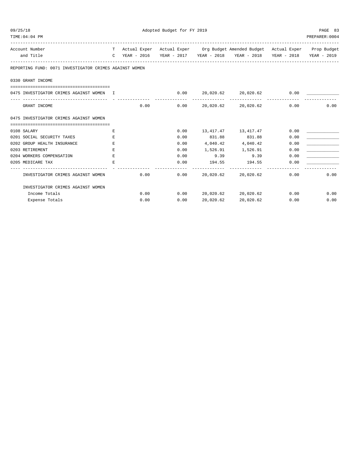| 09/25/18 |                                                        | Adopted Budget for FY 2019 |      |      |           |                                                                                |      |                           |  |
|----------|--------------------------------------------------------|----------------------------|------|------|-----------|--------------------------------------------------------------------------------|------|---------------------------|--|
|          | TIME: 04: 04 PM                                        |                            |      |      |           |                                                                                |      | PREPARER: 0004            |  |
|          | Account Number                                         |                            |      |      |           | T Actual Exper Actual Exper Org Budget Amended Budget Actual Exper Prop Budget |      |                           |  |
|          | and Title                                              |                            |      |      |           | C YEAR - 2016 YEAR - 2017 YEAR - 2018 YEAR - 2018 YEAR - 2018 YEAR - 2019      |      |                           |  |
|          | REPORTING FUND: 0071 INVESTIGATOR CRIMES AGAINST WOMEN |                            |      |      |           |                                                                                |      |                           |  |
|          | 0330 GRANT INCOME                                      |                            |      |      |           |                                                                                |      |                           |  |
|          | 0475 INVESTIGATOR CRIMES AGAINST WOMEN I               |                            |      |      |           | $0.00$ $20,020.62$ $20,020.62$ $0.00$ $\_$                                     |      |                           |  |
|          | GRANT INCOME                                           |                            |      | 0.00 |           | $0.00$ 20,020.62 20,020.62                                                     | 0.00 | 0.00                      |  |
|          | 0475 INVESTIGATOR CRIMES AGAINST WOMEN                 |                            |      |      |           |                                                                                |      |                           |  |
|          | 0108 SALARY                                            | E.                         |      |      |           |                                                                                | 0.00 |                           |  |
|          | 0201 SOCIAL SECURITY TAXES                             | E.                         |      | 0.00 |           | $0.00$ 13, 417. 47 13, 417. 47<br>831.88 831.88                                | 0.00 |                           |  |
|          | 0202 GROUP HEALTH INSURANCE                            | E                          |      | 0.00 |           | 4,040.42 4,040.42                                                              | 0.00 |                           |  |
|          | 0203 RETIREMENT                                        | Е                          |      | 0.00 |           | 1,526.91 1,526.91                                                              | 0.00 |                           |  |
|          | 0204 WORKERS COMPENSATION                              | E.                         |      | 0.00 |           | 9.39 9.39                                                                      | 0.00 |                           |  |
|          | 0205 MEDICARE TAX                                      | E.                         |      | 0.00 |           | 194.55 194.55                                                                  | 0.00 |                           |  |
|          | INVESTIGATOR CRIMES AGAINST WOMEN                      |                            | 0.00 | 0.00 |           | 20,020.62 20,020.62                                                            | 0.00 | 0.00                      |  |
|          | INVESTIGATOR CRIMES AGAINST WOMEN                      |                            |      |      |           |                                                                                |      |                           |  |
|          | Income Totals                                          |                            |      | 0.00 |           | $0.00$ 20,020.62 20,020.62                                                     |      | $0.00$ and $0.00$<br>0.00 |  |
|          | Expense Totals                                         |                            | 0.00 | 0.00 | 20,020.62 | 20,020.62                                                                      | 0.00 | 0.00                      |  |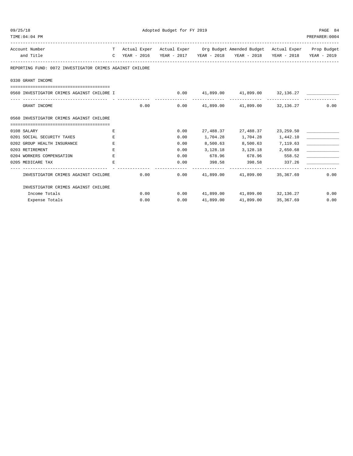| 09/25/18 |                                                                                       | Adopted Budget for FY 2019 |      |      |           |                                                                                |                     |                |  |
|----------|---------------------------------------------------------------------------------------|----------------------------|------|------|-----------|--------------------------------------------------------------------------------|---------------------|----------------|--|
|          | TIME: 04: 04 PM                                                                       |                            |      |      |           |                                                                                |                     | PREPARER: 0004 |  |
|          | Account Number                                                                        |                            |      |      |           | T Actual Exper Actual Exper Org Budget Amended Budget Actual Exper Prop Budget |                     |                |  |
|          | and Title                                                                             |                            |      |      |           | C YEAR - 2016 YEAR - 2017 YEAR - 2018 YEAR - 2018 YEAR - 2018 YEAR - 2019      |                     |                |  |
|          | REPORTING FUND: 0072 INVESTIGATOR CRIMES AGAINST CHILDRE                              |                            |      |      |           |                                                                                |                     |                |  |
|          | 0330 GRANT INCOME                                                                     |                            |      |      |           |                                                                                |                     |                |  |
|          |                                                                                       |                            |      |      |           |                                                                                |                     |                |  |
|          | 0560 INVESTIGATOR CRIMES AGAINST CHILDRE I                                            |                            |      |      |           | $0.00$ 41,899.00 41,899.00 32,136.27                                           |                     |                |  |
|          | GRANT INCOME                                                                          |                            |      |      |           | $0.00$ $0.00$ $41,899.00$ $41,899.00$ $32,136.27$                              |                     | 0.00           |  |
|          | 0560 INVESTIGATOR CRIMES AGAINST CHILDRE                                              |                            |      |      |           |                                                                                |                     |                |  |
|          |                                                                                       |                            |      |      |           |                                                                                |                     |                |  |
|          | 0108 SALARY                                                                           | E                          |      | 0.00 |           | 27,488.37 27,488.37 23,259.50                                                  |                     |                |  |
|          | 0201 SOCIAL SECURITY TAXES                                                            | E.                         |      | 0.00 |           | 1,704.28 1,704.28 1,442.10                                                     |                     |                |  |
|          | 0202 GROUP HEALTH INSURANCE                                                           | E                          |      | 0.00 |           | 8,500.63 8,500.63 7,119.63                                                     |                     |                |  |
|          | 0203 RETIREMENT                                                                       | E.                         |      | 0.00 |           | 3, 128. 18 3, 128. 18 2, 650. 68                                               |                     |                |  |
|          | 0204 WORKERS COMPENSATION                                                             | E                          |      | 0.00 |           | 678.96 678.96 558.52                                                           |                     |                |  |
|          | 0205 MEDICARE TAX                                                                     | E.                         |      | 0.00 |           | 398.58 398.58 337.26                                                           |                     |                |  |
|          | INVESTIGATOR CRIMES AGAINST CHILDRE $0.00$ $0.00$ $41,899.00$ $41,899.00$ $35,367.69$ |                            |      |      |           |                                                                                |                     | 0.00           |  |
|          | INVESTIGATOR CRIMES AGAINST CHILDRE                                                   |                            |      |      |           |                                                                                |                     |                |  |
|          | Income Totals                                                                         |                            |      | 0.00 |           | $0.00$ $41,899.00$ $41,899.00$ $32,136.27$                                     |                     | 0.00           |  |
|          | Expense Totals                                                                        |                            | 0.00 | 0.00 | 41,899.00 |                                                                                | 41,899.00 35,367.69 | 0.00           |  |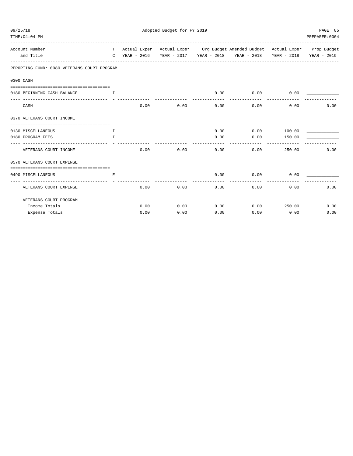| 09/25/18<br>TIME: 04: 04 PM                 |              |      | Adopted Budget for FY 2019 |      |                                                                                                                                                             |        | PAGE 85<br>PREPARER: 0004 |
|---------------------------------------------|--------------|------|----------------------------|------|-------------------------------------------------------------------------------------------------------------------------------------------------------------|--------|---------------------------|
| Account Number<br>and Title                 |              |      |                            |      | T Actual Exper Actual Exper Org Budget Amended Budget Actual Exper Prop Budget<br>C YEAR - 2016 YEAR - 2017 YEAR - 2018 YEAR - 2018 YEAR - 2018 YEAR - 2019 |        |                           |
| REPORTING FUND: 0080 VETERANS COURT PROGRAM |              |      |                            |      |                                                                                                                                                             |        |                           |
| 0300 CASH                                   |              |      |                            |      |                                                                                                                                                             |        |                           |
| 0180 BEGINNING CASH BALANCE                 | $\mathbf{I}$ |      |                            | 0.00 | $0.00$ 0.00                                                                                                                                                 |        |                           |
| CASH                                        |              | 0.00 | 0.00                       | 0.00 | 0.00                                                                                                                                                        | 0.00   | 0.00                      |
| 0370 VETERANS COURT INCOME                  |              |      |                            |      |                                                                                                                                                             |        |                           |
|                                             |              |      |                            |      |                                                                                                                                                             |        |                           |
| 0130 MISCELLANEOUS                          | $\mathbb{T}$ |      |                            | 0.00 | 0.00                                                                                                                                                        | 100.00 |                           |
| 0180 PROGRAM FEES<br>------------------     | T.           |      |                            | 0.00 | 0.00                                                                                                                                                        | 150.00 |                           |
| VETERANS COURT INCOME                       |              | 0.00 | 0.00                       | 0.00 | 0.00                                                                                                                                                        | 250.00 | 0.00                      |
| 0570 VETERANS COURT EXPENSE                 |              |      |                            |      |                                                                                                                                                             |        |                           |
| 0490 MISCELLANEOUS                          | E.           |      |                            | 0.00 | 0.00                                                                                                                                                        | 0.00   |                           |
| VETERANS COURT EXPENSE                      |              | 0.00 | 0.00                       | 0.00 | 0.00                                                                                                                                                        | 0.00   | 0.00                      |
| VETERANS COURT PROGRAM                      |              |      |                            |      |                                                                                                                                                             |        |                           |
| Income Totals                               |              | 0.00 | 0.00                       | 0.00 | 0.00                                                                                                                                                        | 250.00 | 0.00                      |
| Expense Totals                              |              | 0.00 | 0.00                       | 0.00 | 0.00                                                                                                                                                        | 0.00   | 0.00                      |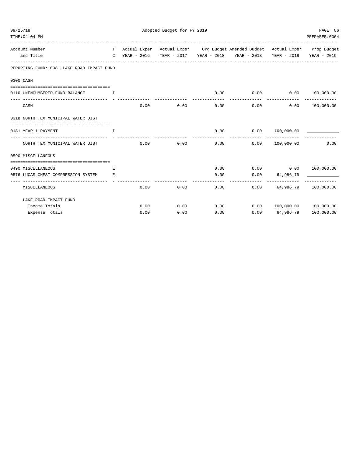| 09/25/18<br>TIME: 04: 04 PM                     |              |      | Adopted Budget for FY 2019 |      |                                                                                |                | PAGE 86<br>PREPARER: 0004 |
|-------------------------------------------------|--------------|------|----------------------------|------|--------------------------------------------------------------------------------|----------------|---------------------------|
| -----------------------------<br>Account Number |              |      |                            |      | T Actual Exper Actual Exper Org Budget Amended Budget Actual Exper Prop Budget |                |                           |
| and Title                                       |              |      |                            |      | C YEAR - 2016 YEAR - 2017 YEAR - 2018 YEAR - 2018 YEAR - 2018 YEAR - 2019      |                |                           |
| REPORTING FUND: 0081 LAKE ROAD IMPACT FUND      |              |      |                            |      |                                                                                |                |                           |
| 0300 CASH                                       |              |      |                            |      |                                                                                |                |                           |
| 0110 UNENCUMBERED FUND BALANCE                  | $\mathbf{I}$ |      |                            | 0.00 | 0.00                                                                           |                | 0.00 100,000.00           |
|                                                 |              |      |                            |      | ------------                                                                   | -------------  |                           |
| CASH                                            |              | 0.00 | 0.00                       | 0.00 |                                                                                | 0.00           | 0.00 100,000.00           |
| 0318 NORTH TEX MUNICIPAL WATER DIST             |              |      |                            |      |                                                                                |                |                           |
|                                                 |              |      |                            |      |                                                                                |                |                           |
| 0181 YEAR 1 PAYMENT                             | $\mathbb{T}$ |      |                            | 0.00 | 0.00 100,000.00                                                                |                |                           |
| NORTH TEX MUNICIPAL WATER DIST                  |              | 0.00 | 0.00                       | 0.00 | 0.00                                                                           | 100,000.00     | 0.00                      |
| 0590 MISCELLANEOUS                              |              |      |                            |      |                                                                                |                |                           |
|                                                 |              |      |                            |      |                                                                                |                |                           |
| 0490 MISCELLANEOUS                              | E.           |      |                            | 0.00 | $0.00$ $0.00$ $100,000.00$                                                     |                |                           |
| 0576 LUCAS CHEST COMPRESSION SYSTEM             | E.           |      |                            | 0.00 | 0.00                                                                           | 64,986.79      |                           |
| MISCELLANEOUS                                   |              | 0.00 | 0.00                       | 0.00 | 0.00                                                                           |                | 64,986.79 100,000.00      |
| LAKE ROAD IMPACT FUND                           |              |      |                            |      |                                                                                |                |                           |
| Income Totals                                   |              | 0.00 | 0.00                       | 0.00 | 0.00                                                                           |                | 100,000.00 100,000.00     |
| Expense Totals                                  |              | 0.00 | 0.00                       | 0.00 |                                                                                | 0.00 64,986.79 | 100,000.00                |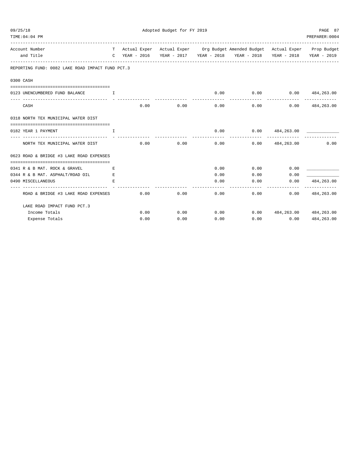| 09/25/18<br>TIME: 04: 04 PM                      |                                                                 |      | Adopted Budget for FY 2019 |      |                                                                                |                                | PAGE 87<br>PREPARER: 0004           |
|--------------------------------------------------|-----------------------------------------------------------------|------|----------------------------|------|--------------------------------------------------------------------------------|--------------------------------|-------------------------------------|
| Account Number                                   | ----------------------------                                    |      |                            |      | T Actual Exper Actual Exper Org Budget Amended Budget Actual Exper Prop Budget |                                |                                     |
| and Title                                        | $\mathbb{C}$                                                    |      |                            |      | YEAR - 2016 YEAR - 2017 YEAR - 2018 YEAR - 2018                                |                                | YEAR - 2018 YEAR - 2019             |
| REPORTING FUND: 0082 LAKE ROAD IMPACT FUND PCT.3 |                                                                 |      |                            |      |                                                                                |                                |                                     |
| 0300 CASH                                        |                                                                 |      |                            |      |                                                                                |                                |                                     |
| 0123 UNENCUMBERED FUND BALANCE                   | $\mathbf{I}$ and $\mathbf{I}$ and $\mathbf{I}$ and $\mathbf{I}$ |      |                            | 0.00 | $0.00$ $0.00$ $484,263.00$                                                     |                                |                                     |
| CASH                                             |                                                                 | 0.00 | 0.00                       | 0.00 | 0.00                                                                           |                                | -------------<br>$0.00$ 484,263.00  |
| 0318 NORTH TEX MUNICIPAL WATER DIST              |                                                                 |      |                            |      |                                                                                |                                |                                     |
| 0182 YEAR 1 PAYMENT                              | I.                                                              |      |                            | 0.00 |                                                                                | $0.00$ 484,263.00              |                                     |
| NORTH TEX MUNICIPAL WATER DIST                   |                                                                 | 0.00 | 0.00                       | 0.00 |                                                                                | $0.00$ 484,263.00              | 0.00                                |
| 0623 ROAD & BRIDGE #3 LAKE ROAD EXPENSES         |                                                                 |      |                            |      |                                                                                |                                |                                     |
| 0341 R & B MAT. ROCK & GRAVEL                    | Е                                                               |      |                            | 0.00 |                                                                                | 0.00<br>0.00                   |                                     |
| 0344 R & B MAT. ASPHALT/ROAD OIL                 | Е                                                               |      |                            | 0.00 | 0.00                                                                           | 0.00                           |                                     |
| 0490 MISCELLANEOUS                               | E.                                                              |      |                            | 0.00 | 0.00                                                                           | 0.00                           | 484,263.00<br>. _ _ _ _ _ _ _ _ _ _ |
| ROAD & BRIDGE #3 LAKE ROAD EXPENSES              |                                                                 | 0.00 | 0.00                       | 0.00 | 0.00                                                                           | 0.00                           | 484,263.00                          |
| LAKE ROAD IMPACT FUND PCT.3                      |                                                                 |      |                            |      |                                                                                |                                |                                     |
| Income Totals                                    |                                                                 | 0.00 | 0.00                       | 0.00 |                                                                                | $0.00$ 484, 263.00 484, 263.00 |                                     |
| Expense Totals                                   |                                                                 | 0.00 | 0.00                       | 0.00 | 0.00                                                                           | 0.00                           | 484,263.00                          |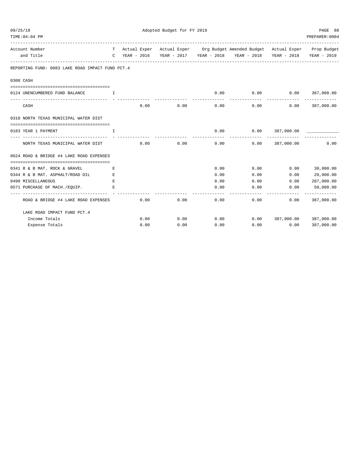| 09/25/18<br>TIME: 04: 04 PM |                                                     |                  |      | Adopted Budget for FY 2019 |              |                                                                                |                   | PAGE 88<br>PREPARER: 0004 |
|-----------------------------|-----------------------------------------------------|------------------|------|----------------------------|--------------|--------------------------------------------------------------------------------|-------------------|---------------------------|
|                             | Account Number                                      |                  |      |                            |              | T Actual Exper Actual Exper Org Budget Amended Budget Actual Exper Prop Budget |                   |                           |
|                             | and Title                                           |                  |      |                            |              | C YEAR - 2016 YEAR - 2017 YEAR - 2018 YEAR - 2018                              |                   | YEAR - 2018 YEAR - 2019   |
|                             | REPORTING FUND: 0083 LAKE ROAD IMPACT FUND PCT. 4   |                  |      |                            |              |                                                                                |                   |                           |
| 0300 CASH                   |                                                     |                  |      |                            |              |                                                                                |                   |                           |
|                             | 0124 UNENCUMBERED FUND BALANCE                      | $\mathbf{T}$     |      |                            | 0.00         | $0.00$ $0.00$ $387,000.00$                                                     |                   |                           |
|                             | CASH                                                |                  | 0.00 | 0.00                       | 0.00         | 0.00                                                                           | 0.00              | 387,000.00                |
|                             | 0318 NORTH TEXAS MUNICIPAL WATER DIST               |                  |      |                            |              |                                                                                |                   |                           |
|                             | 0183 YEAR 1 PAYMENT                                 | T.               |      |                            | 0.00         | 0.00                                                                           | 387,000.00        |                           |
|                             | NORTH TEXAS MUNICIPAL WATER DIST                    |                  | 0.00 | 0.00                       | 0.00         |                                                                                | $0.00$ 387,000.00 | 0.00                      |
|                             | 0624 ROAD & BRIDGE #4 LAKE ROAD EXPENSES            |                  |      |                            |              |                                                                                |                   |                           |
|                             |                                                     |                  |      |                            |              |                                                                                |                   |                           |
|                             | 0341 R & B MAT. ROCK & GRAVEL                       | E                |      |                            | 0.00         | 0.00                                                                           | 0.00              | 30,000.00                 |
|                             | 0344 R & B MAT. ASPHALT/ROAD OIL                    | E                |      |                            | 0.00         | 0.00                                                                           | 0.00              | 20,000.00                 |
|                             | 0490 MISCELLANEOUS<br>0571 PURCHASE OF MACH./EQUIP. | E<br>$F_{\rm c}$ |      |                            | 0.00<br>0.00 | 0.00<br>0.00                                                                   | 0.00<br>0.00      | 287,000.00<br>50,000.00   |
|                             | ROAD & BRIDGE #4 LAKE ROAD EXPENSES                 |                  | 0.00 | 0.00                       | 0.00         | 0.00                                                                           | 0.00              | 387,000.00                |
|                             | LAKE ROAD IMPACT FUND PCT. 4                        |                  |      |                            |              |                                                                                |                   |                           |
|                             | Income Totals                                       |                  | 0.00 | 0.00                       | 0.00         | 0.00                                                                           |                   | 387,000.00 387,000.00     |
|                             | Expense Totals                                      |                  | 0.00 | 0.00                       | 0.00         | 0.00                                                                           | 0.00              | 387,000.00                |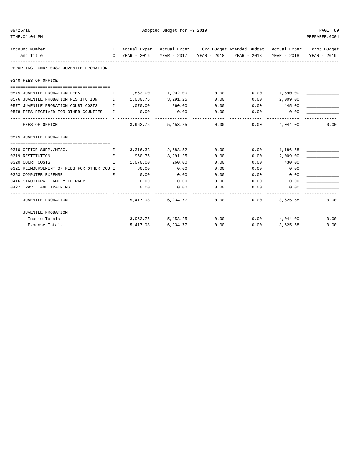| TIME: 04: 04 PM                                                |             |                     |                   |      |                                                                                |                 | PREPARER: 0004          |
|----------------------------------------------------------------|-------------|---------------------|-------------------|------|--------------------------------------------------------------------------------|-----------------|-------------------------|
| Account Number                                                 |             |                     |                   |      | T Actual Exper Actual Exper Org Budget Amended Budget Actual Exper Prop Budget |                 |                         |
| and Title                                                      |             |                     |                   |      | C YEAR - 2016 YEAR - 2017 YEAR - 2018 YEAR - 2018                              |                 | YEAR - 2018 YEAR - 2019 |
| REPORTING FUND: 0087 JUVENILE PROBATION                        |             |                     |                   |      |                                                                                |                 |                         |
| 0340 FEES OF OFFICE                                            |             |                     |                   |      |                                                                                |                 |                         |
|                                                                |             |                     |                   |      |                                                                                |                 |                         |
| 0575 JUVENILE PROBATION FEES                                   |             | $1,863.00$ 1,902.00 |                   | 0.00 | $0.00$ 1,590.00                                                                |                 |                         |
| 0576 JUVENILE PROBATION RESTITUTION I                          |             | 1,030.75 3,291.25   |                   | 0.00 |                                                                                | $0.00$ 2,009.00 |                         |
| 0577 JUVENILE PROBATION COURT COSTS I                          |             | 1,070.00 260.00     |                   | 0.00 | $0.00$ 445.00                                                                  |                 |                         |
| 0578 FEES RECEIVED FOR OTHER COUNTIES I                        |             | 0.00                | 0.00              | 0.00 | 0.00                                                                           | 0.00            |                         |
| FEES OF OFFICE                                                 |             |                     | 3,963.75 5,453.25 | 0.00 | 0.00                                                                           | 4,044.00        | 0.00                    |
| 0575 JUVENILE PROBATION                                        |             |                     |                   |      |                                                                                |                 |                         |
|                                                                |             |                     |                   |      |                                                                                |                 |                         |
| 0310 OFFICE SUPP./MISC.<br><b>Experience of the Experience</b> |             | 3, 316. 33          | 2,683.52          | 0.00 | $0.00$ 1,186.58                                                                |                 |                         |
| 0319 RESTITUTION                                               | $E_{\rm c}$ |                     | 950.75 3,291.25   | 0.00 | 0.00                                                                           | 2,009.00        |                         |
| 0320 COURT COSTS                                               | E.          | 1,070.00 260.00     |                   | 0.00 | 0.00                                                                           | 430.00          |                         |
| 0321 REIMBURSEMENT OF FEES FOR OTHER COU E                     |             | 80.00               | 0.00              | 0.00 | 0.00                                                                           | 0.00            |                         |
| 0353 COMPUTER EXPENSE                                          | E.          | 0.00                | 0.00              | 0.00 | 0.00                                                                           | 0.00            |                         |
| 0416 STRUCTURAL FAMILY THERAPY E                               |             | 0.00                | 0.00              | 0.00 | 0.00                                                                           | 0.00            |                         |
| 0427 TRAVEL AND TRAINING                                       | E           | 0.00                | 0.00              | 0.00 | 0.00                                                                           | 0.00            |                         |
| JUVENILE PROBATION                                             |             |                     | 5,417.08 6,234.77 | 0.00 | 0.00                                                                           | 3,625.58        | 0.00                    |
| JUVENILE PROBATION                                             |             |                     |                   |      |                                                                                |                 |                         |
| Income Totals                                                  |             |                     | 3,963.75 5,453.25 |      | $0.00$ $0.00$ $4,044.00$                                                       |                 | 0.00                    |
| Expense Totals                                                 |             |                     | 5,417.08 6,234.77 | 0.00 | 0.00                                                                           | 3,625.58        | 0.00                    |

09/25/18 Adopted Budget for FY 2019 PAGE 89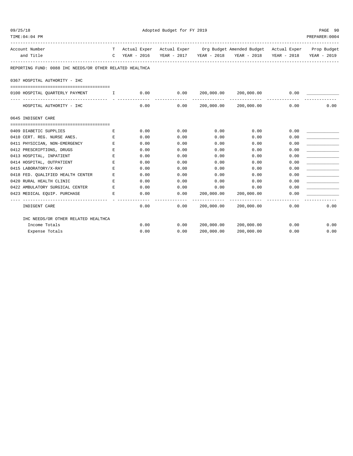| 09/25/18<br>Adopted Budget for FY 2019<br>TIME: 04: 04 PM |                                                          |                                                |               |      |                 | PAGE 90<br>PREPARER: 0004                                                    |      |             |
|-----------------------------------------------------------|----------------------------------------------------------|------------------------------------------------|---------------|------|-----------------|------------------------------------------------------------------------------|------|-------------|
| Account Number                                            |                                                          | T –                                            |               |      |                 | Actual Exper Actual Exper Org Budget Amended Budget Actual Exper Prop Budget |      |             |
| and Title                                                 |                                                          |                                                | C YEAR - 2016 |      |                 |                                                                              |      | YEAR - 2019 |
|                                                           | REPORTING FUND: 0088 IHC NEEDS/OR OTHER RELATED HEALTHCA |                                                |               |      |                 |                                                                              |      |             |
|                                                           | 0367 HOSPITAL AUTHORITY - IHC                            |                                                |               |      |                 |                                                                              |      |             |
|                                                           |                                                          |                                                |               |      |                 |                                                                              |      |             |
|                                                           | 0100 HOSPITAL QUARTERLY PAYMENT                          | $\mathbf{I}$ and $\mathbf{I}$ and $\mathbf{I}$ | 0.00          |      | 0.00 200,000.00 | 200,000.00                                                                   | 0.00 |             |
|                                                           | HOSPITAL AUTHORITY - IHC                                 |                                                | 0.00          |      |                 | $0.00$ $200,000.00$ $200,000.00$                                             | 0.00 | 0.00        |
| 0645 INDIGENT CARE                                        |                                                          |                                                |               |      |                 |                                                                              |      |             |
|                                                           |                                                          |                                                |               |      |                 |                                                                              |      |             |
| 0409 DIABETIC SUPPLIES                                    |                                                          | Е                                              | 0.00          | 0.00 | 0.00            | 0.00                                                                         | 0.00 |             |
|                                                           | 0410 CERT. REG. NURSE ANES.                              | $\mathbf E$                                    | 0.00          | 0.00 | 0.00            | 0.00                                                                         | 0.00 |             |
|                                                           | 0411 PHYSICIAN, NON-EMERGENCY                            | E                                              | 0.00          | 0.00 | 0.00            | 0.00                                                                         | 0.00 |             |
| 0412 PRESCRIPTIONS, DRUGS                                 |                                                          | E.                                             | 0.00          | 0.00 | 0.00            | 0.00                                                                         | 0.00 |             |
| 0413 HOSPITAL, INPATIENT                                  |                                                          | E                                              | 0.00          | 0.00 | 0.00            | 0.00                                                                         | 0.00 |             |
| 0414 HOSPITAL, OUTPATIENT                                 |                                                          | E                                              | 0.00          | 0.00 | 0.00            | 0.00                                                                         | 0.00 |             |
| 0415 LABORATORY/X-RAY                                     |                                                          | Е                                              | 0.00          | 0.00 | 0.00            | 0.00                                                                         | 0.00 |             |
|                                                           | 0418 FED. QUALIFIED HEALTH CENTER                        | Е                                              | 0.00          | 0.00 | 0.00            | 0.00                                                                         | 0.00 |             |
| 0420 RURAL HEALTH CLINIC                                  |                                                          | E                                              | 0.00          | 0.00 | 0.00            | 0.00                                                                         | 0.00 |             |
|                                                           | 0422 AMBULATORY SURGICAL CENTER                          | E                                              | 0.00          | 0.00 | 0.00            | 0.00                                                                         | 0.00 |             |
|                                                           | 0423 MEDICAL EQUIP. PURCHASE                             | E                                              | 0.00          | 0.00 | 200,000.00      | 200,000.00                                                                   | 0.00 |             |
| INDIGENT CARE                                             |                                                          |                                                | 0.00          | 0.00 | 200,000.00      | 200,000.00                                                                   | 0.00 | 0.00        |
|                                                           | IHC NEEDS/OR OTHER RELATED HEALTHCA                      |                                                |               |      |                 |                                                                              |      |             |
|                                                           | Income Totals                                            |                                                | 0.00          | 0.00 | 200,000.00      | 200,000.00                                                                   | 0.00 | 0.00        |
|                                                           | Expense Totals                                           |                                                | 0.00          | 0.00 | 200,000.00      | 200,000.00                                                                   | 0.00 | 0.00        |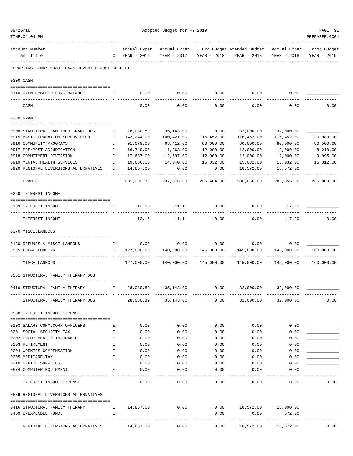| 09/25/18 |                                                                      |                                                                                                | Adopted Budget for FY 2019 |                   |                       |                                        |                             |                       |  |  |
|----------|----------------------------------------------------------------------|------------------------------------------------------------------------------------------------|----------------------------|-------------------|-----------------------|----------------------------------------|-----------------------------|-----------------------|--|--|
|          | TIME: 04: 04 PM                                                      |                                                                                                |                            |                   |                       |                                        |                             | PREPARER: 0004        |  |  |
|          | Account Number                                                       | T.                                                                                             | Actual Exper               | Actual Exper      |                       | Org Budget Amended Budget Actual Exper |                             | Prop Budget           |  |  |
|          | and Title                                                            | $\mathsf{C}$                                                                                   | YEAR - 2016                | YEAR - 2017       | YEAR - 2018           | YEAR - 2018                            | YEAR - 2018                 | YEAR - 2019           |  |  |
|          | REPORTING FUND: 0089 TEXAS JUVENILE JUSTICE DEPT.                    |                                                                                                |                            |                   |                       |                                        |                             |                       |  |  |
|          | 0300 CASH                                                            |                                                                                                |                            |                   |                       |                                        |                             |                       |  |  |
|          | 0110 UNENCUMBERED FUND BALANCE                                       | I.                                                                                             | 0.00                       | 0.00              | 0.00                  | 0.00                                   | 0.00                        |                       |  |  |
|          | CASH                                                                 |                                                                                                | 0.00                       | 0.00              | 0.00                  | 0.00                                   | 0.00                        | 0.00                  |  |  |
|          | 0330 GRANTS                                                          |                                                                                                |                            |                   |                       |                                        |                             |                       |  |  |
|          |                                                                      |                                                                                                |                            |                   |                       |                                        |                             |                       |  |  |
|          | 0908 STRUCTURAL FAM. THER. GRANT OOG                                 | Ι.                                                                                             | 28,080.89                  | 35,143.00         | 0.00                  | 32,000.00                              | 32,000.00                   |                       |  |  |
|          | 0915 BASIC PROBATION SUPERVISION                                     | Ι.                                                                                             | 143, 244.00                | 100,421.00        | 116,452.00            | 116,452.00                             | 116,452.00                  | 120,983.00            |  |  |
|          | 0916 COMMUNITY PROGRAMS<br>0917 PRE/POST ADJUDICATION                | Ι.                                                                                             | 91,079.00                  | 63,412.00         | 80,000.00             | 80,000.00                              | 80,000.00                   | 80,500.00<br>8,210.00 |  |  |
|          | 0918 COMMITMENT DIVERSION                                            | Ι.                                                                                             | 16,749.00                  | 11,963.00         | 12,000.00             | 12,000.00<br>12,000.00                 | 12,000.00                   | 9,995.00              |  |  |
|          |                                                                      | $\mathbf{I}$                                                                                   | 17,637.00                  | 12,597.00         | 12,000.00             |                                        | 12,000.00                   |                       |  |  |
|          | 0919 MENTAL HEALTH SERVICES<br>0920 REGIONAL DIVERSIONS ALTERNATIVES | $\mathbf{I}$<br>I.                                                                             | 19,656.00<br>14,857.00     | 14,040.00<br>0.00 | 15,032.00<br>0.00     | 15,032.00<br>18,572.00                 | 15,032.00<br>18,572.00      | 15,312.00             |  |  |
|          | GRANTS                                                               |                                                                                                | 331,302.89                 | 237,576.00        | 235,484.00            | 286,056.00                             | 286,056.00                  | 235,000.00            |  |  |
|          | 0360 INTEREST INCOME                                                 |                                                                                                |                            |                   |                       |                                        |                             |                       |  |  |
|          |                                                                      |                                                                                                |                            |                   |                       |                                        |                             |                       |  |  |
|          | 0189 INTEREST INCOME                                                 | $\mathbf{I}$                                                                                   | 13.16                      | 11.11             | 0.00                  | 0.00                                   | 17.29                       |                       |  |  |
|          | INTEREST INCOME                                                      |                                                                                                | 13.16                      | 11.11             | 0.00                  | 0.00                                   | 17.29                       | 0.00                  |  |  |
|          | 0370 MISCELLANEOUS                                                   |                                                                                                |                            |                   |                       |                                        |                             |                       |  |  |
|          | 0130 REFUNDS & MISCELLANEOUS                                         | $\mathbf{I}$                                                                                   | 0.00                       | 0.00              |                       | $0.00$ 0.00                            | 0.00                        |                       |  |  |
|          | 0995 LOCAL FUNDING                                                   | I.                                                                                             | 127,000.00                 |                   | 140,000.00 145,000.00 | 145,000.00                             | 145,000.00                  | 160,000.00            |  |  |
|          | MISCELLANEOUS                                                        |                                                                                                | 127,000.00                 |                   | -------------         | ------------<br>145,000.00             | -------------<br>145,000.00 | 160,000.00            |  |  |
|          | 0581 STRUCTURAL FAMILY THERAPY OOG                                   |                                                                                                |                            |                   |                       |                                        |                             |                       |  |  |
|          | $\mathbf{E}$<br>0416 STRUCTURAL FAMILY THERAPY                       |                                                                                                | 28,080.89                  | 35, 143.00        | 0.00                  | 32,000.00                              | 32,000.00                   |                       |  |  |
|          | STRUCTURAL FAMILY THERAPY OOG                                        |                                                                                                | 28,080.89 35,143.00        |                   | 0.00                  |                                        | 32,000.00 32,000.00         | 0.00                  |  |  |
|          | 0588 INTEREST INCOME EXPENSE                                         |                                                                                                |                            |                   |                       |                                        |                             |                       |  |  |
|          |                                                                      |                                                                                                |                            |                   |                       |                                        |                             |                       |  |  |
|          | 0103 SALARY COMM.CORR.OFFICERS                                       | Е                                                                                              | 0.00                       | 0.00              | 0.00                  | 0.00                                   | 0.00                        |                       |  |  |
|          | 0201 SOCIAL SECURITY TAX                                             | Е                                                                                              | 0.00                       | 0.00              | 0.00                  | 0.00                                   | 0.00                        |                       |  |  |
|          | 0202 GROUP HEALTH INSURANCE                                          | $\mathbf{E}% _{t}\left  \mathbf{1}\right\rangle =\mathbf{1}_{t}\left  \mathbf{1}\right\rangle$ | 0.00                       | 0.00              | 0.00                  | 0.00                                   | 0.00                        |                       |  |  |
|          | 0203 RETIREMENT                                                      | $\mathbf{E}% _{t}\left  \mathbf{1}\right\rangle =\mathbf{1}_{t}\left  \mathbf{1}\right\rangle$ | 0.00                       | 0.00              | 0.00                  | 0.00                                   | 0.00                        |                       |  |  |
|          | 0204 WORKERS COMPENSATION                                            | $\mathbf{E}% _{t}\left  \mathbf{1}\right\rangle =\mathbf{1}_{t}\left  \mathbf{1}\right\rangle$ | 0.00                       | 0.00              | 0.00                  | 0.00                                   | 0.00                        |                       |  |  |
|          | 0205 MEDICARE TAX                                                    | E                                                                                              | 0.00                       | 0.00              | 0.00                  | 0.00                                   | 0.00                        |                       |  |  |
|          | 0310 OFFICE SUPPLIES                                                 | Е                                                                                              | 0.00                       | 0.00              | 0.00                  | 0.00                                   | 0.00                        |                       |  |  |
|          | 0574 COMPUTER EQUIPMENT                                              | Е                                                                                              | 0.00                       | 0.00              | 0.00                  | 0.00<br>$- - - - -$                    | 0.00                        |                       |  |  |
|          | INTEREST INCOME EXPENSE                                              |                                                                                                | 0.00                       | 0.00              | 0.00                  | 0.00                                   | 0.00                        | 0.00                  |  |  |
|          | 0589 REGIONAL DIVERSIONS ALTERNATIVES                                |                                                                                                |                            |                   |                       |                                        |                             |                       |  |  |
|          | 0416 STRUCTURAL FAMILY THERAPY<br>$\mathbf{E}$ and $\mathbf{E}$      |                                                                                                | 14,857.00                  | 0.00              |                       | $0.00$ 18,572.00 18,000.00             |                             |                       |  |  |
|          | 0469 UNEXPENDED FUNDS                                                | Е                                                                                              |                            |                   | 0.00                  | 0.00                                   | 572.00                      |                       |  |  |
|          |                                                                      |                                                                                                |                            |                   |                       | ---------                              |                             |                       |  |  |
|          | REGIONAL DIVERSIONS ALTERNATIVES 14,857.00                           |                                                                                                |                            |                   |                       | $0.00$ $0.00$ $18,572.00$ $18,572.00$  |                             | 0.00                  |  |  |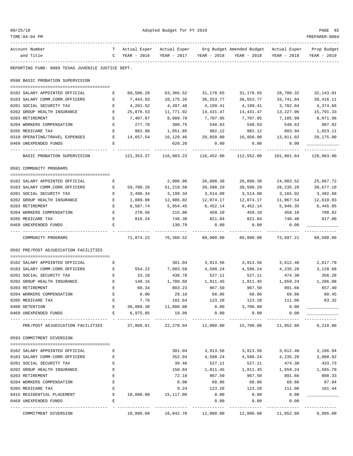| 09/25/18<br>TIME: 04: 04 PM                       |                                                                                                | Adopted Budget for FY 2019 |                                 |                       |                                                             |                     |                      |  |  |
|---------------------------------------------------|------------------------------------------------------------------------------------------------|----------------------------|---------------------------------|-----------------------|-------------------------------------------------------------|---------------------|----------------------|--|--|
| Account Number                                    |                                                                                                | T Actual Exper             | Actual Exper                    |                       | Org Budget Amended Budget Actual Exper                      |                     | Prop Budget          |  |  |
| and Title                                         |                                                                                                | C YEAR - 2016              | YEAR - 2017                     | YEAR - 2018           | YEAR - 2018                                                 | YEAR - 2018         | YEAR - 2019          |  |  |
| REPORTING FUND: 0089 TEXAS JUVENILE JUSTICE DEPT. |                                                                                                |                            |                                 |                       |                                                             |                     |                      |  |  |
| 0590 BASIC PROBATION SUPERVISION                  |                                                                                                |                            |                                 |                       |                                                             |                     |                      |  |  |
| 0102 SALARY APPOINTED OFFICIAL                    | Е                                                                                              | 60,506.28                  | 63,366.52                       | 31,178.65             | 31,178.65                                                   | 28,780.32           | 32,143.01            |  |  |
| 0103 SALARY COMM.CORR.OFFICERS                    | Е                                                                                              | 7,443.93                   | 10,175.26                       | 36,553.77             | 36,553.77                                                   | 33,741.84           | 38,416.11            |  |  |
| 0201 SOCIAL SECURITY TAX                          | $\mathbf{E}% _{t}\left  \mathbf{1}\right\rangle =\mathbf{1}_{t}\left  \mathbf{1}\right\rangle$ | 4,201.52                   | 4,497.48                        | 4,199.41              | 4,199.41                                                    | 3,782.84            | 4,374.66             |  |  |
| 0202 GROUP HEALTH INSURANCE                       | E                                                                                              | 25,876.53                  | 11,771.92                       | 14,431.47             | 14,431.47                                                   | 13,227.06           | 15,791.33            |  |  |
| 0203 RETIREMENT                                   | Е                                                                                              | 7,407.07                   | 8,089.79                        | 7,707.95              | 7,707.95                                                    | 7,105.99            | 8,071.96             |  |  |
| 0204 WORKERS COMPENSATION                         | Е                                                                                              | 277.70                     | 300.75                          | 548.63                | 548.63                                                      | 548.63              | 987.82               |  |  |
| 0205 MEDICARE TAX                                 | Е                                                                                              | 982.80                     | 1,051.85                        | 982.12                | 982.12                                                      | 883.94              | 1,023.11             |  |  |
| 0310 OPERATING/TRAVEL EXPENSES                    | E                                                                                              | 14,657.54                  | 16,129.46                       | 20,850.00             | 16,950.00                                                   | 13,811.02           | 20,175.00            |  |  |
| 0469 UNEXPENDED FUNDS                             | E                                                                                              |                            | 620.20<br>-----------           | 0.00<br>-----------   | 0.00<br>-----------                                         | 0.00<br>---------   | ----------           |  |  |
| BASIC PROBATION SUPERVISION                       |                                                                                                | 121,353.37                 | 116,003.23                      | 116,452.00            | 112,552.00                                                  | 101,881.64          | 120,983.00           |  |  |
| 0591 COMMUNITY PROGRAMS                           |                                                                                                |                            |                                 |                       |                                                             |                     |                      |  |  |
|                                                   |                                                                                                |                            |                                 |                       |                                                             |                     |                      |  |  |
| 0102 SALARY APPOINTED OFFICIAL                    | Е                                                                                              |                            | 2,006.96                        | 26,090.38             | 26,090.38                                                   | 24,083.52           | 25,667.72            |  |  |
| 0103 SALARY COMM.CORR.OFFICERS                    | <b>Expanding Expanding Expanding Expanding</b>                                                 | 59,700.26                  | 51,219.58                       | 30,588.29             | 30,588.29                                                   | 28, 235. 28         | 30,677.10            |  |  |
| 0201 SOCIAL SECURITY TAX                          | Е                                                                                              | 3,490.34                   | 3,199.34                        | 3,514.08              | 3,514.08                                                    | 3,165.02            | 3,492.68             |  |  |
| 0202 GROUP HEALTH INSURANCE                       | Е                                                                                              | 1,089.08                   | 12,986.02                       | 12,074.17             | 12,074.17                                                   | 11,067.54           | 12,610.83            |  |  |
| 0203 RETIREMENT                                   | $\mathbf E$                                                                                    | 6,507.74                   | 5,854.45                        | 6,452.14              | 6,452.14                                                    | 5,946.35            | 6,445.85             |  |  |
| 0204 WORKERS COMPENSATION                         | Е                                                                                              | 270.56                     | 215.08                          | 459.10                | 459.10                                                      | 459.10              | 788.82               |  |  |
| 0205 MEDICARE TAX                                 | Е                                                                                              | 816.24                     | 748.30                          | 821.84                | 821.84                                                      | 740.40              | 817.00               |  |  |
| 0469 UNEXPENDED FUNDS                             | E                                                                                              |                            | 130.79                          | 0.00                  | 0.00                                                        | 0.00                |                      |  |  |
| COMMUNITY PROGRAMS                                |                                                                                                | 71,874.22                  | 76,360.52                       | 80,000.00             | 80,000.00                                                   | 73,697.21           | 80,500.00            |  |  |
| 0592 PRE/POST ADJUDICATION FACILITIES             |                                                                                                |                            |                                 |                       |                                                             |                     |                      |  |  |
| 0102 SALARY APPOINTED OFFICIAL                    | Е                                                                                              |                            | 301.04                          | 3,913.56              | 3,913.56                                                    | 3,612.48            | 2,617.79             |  |  |
| 0103 SALARY COMM.CORR.OFFICERS                    | Е                                                                                              | 554.22                     | 7,003.58                        | 4,588.24              | 4,588.24                                                    | 4,235.28            | 3,128.68             |  |  |
| 0201 SOCIAL SECURITY TAX                          | Е                                                                                              | 33.18                      | 438.78                          | 527.11                | 527.11                                                      | 474.30              | 356.28               |  |  |
| 0202 GROUP HEALTH INSURANCE                       | E                                                                                              | 148.16                     | 1,780.60                        | 1,811.45              | 1,811.45                                                    | 1,659.24            | 1,286.08             |  |  |
| 0203 RETIREMENT                                   | Е                                                                                              | 60.34                      | 803.23                          | 967.50                | 967.50                                                      | 891.66              | 657.40               |  |  |
| 0204 WORKERS COMPENSATION                         | E                                                                                              | 0.00                       | 29.18                           | 68.86                 | 68.86                                                       | 68.86               | 80.45                |  |  |
| 0205 MEDICARE TAX                                 | E                                                                                              | 7.76                       | 102.64                          | 123.28                | 123.28                                                      | 111.06              | 83.32                |  |  |
| 0408 DETENTION                                    | E                                                                                              | 30,089.30                  | 11,800.00                       | 0.00                  | 3,700.00                                                    | 0.00                |                      |  |  |
| 0469 UNEXPENDED FUNDS                             | E                                                                                              | 6,975.05                   | 18.99                           | 0.00                  | 0.00                                                        | 0.00                |                      |  |  |
| PRE/POST ADJUDICATION FACILITIES                  |                                                                                                |                            | 37,868.01  22,278.04  12,000.00 |                       | ----------                                                  | 15,700.00 11,052.88 | --------<br>8,210.00 |  |  |
| 0593 COMMITMENT DIVERSION                         |                                                                                                |                            |                                 |                       |                                                             |                     |                      |  |  |
|                                                   |                                                                                                |                            |                                 |                       |                                                             |                     |                      |  |  |
| 0102 SALARY APPOINTED OFFICIAL                    | Е                                                                                              |                            | 301.04                          | 3,913.56              | 3,913.56                                                    | 3,612.48            | 3,186.94             |  |  |
| 0103 SALARY COMM.CORR.OFFICERS                    | Е                                                                                              |                            | 352.94                          | 4,588.24              | 4,588.24                                                    | 4,235.28            | 3,808.92             |  |  |
| 0201 SOCIAL SECURITY TAX                          | Ε                                                                                              |                            | 39.46                           | 527.11                | 527.11                                                      | 474.30              | 433.73               |  |  |
| 0202 GROUP HEALTH INSURANCE                       | Е                                                                                              |                            | 150.84                          | 1,811.45              |                                                             | 1,811.45 1,659.24   | 1,565.70             |  |  |
| 0203 RETIREMENT                                   | Е                                                                                              |                            | 72.18                           | 967.50                | 967.50                                                      | 891.66              | 800.33               |  |  |
| 0204 WORKERS COMPENSATION                         | E                                                                                              |                            | 0.00                            | 68.86                 | 68.86                                                       | 68.86               | 97.94                |  |  |
| 0205 MEDICARE TAX                                 | Е                                                                                              |                            | 9.24                            | 123.28                | 123.28                                                      | 111.06              | 101.44               |  |  |
| 0415 RESIDENTIAL PLACEMENT                        | E                                                                                              |                            | 10,080.00 15,117.00             | 0.00                  | 0.00                                                        | 0.00                |                      |  |  |
| 0469 UNEXPENDED FUNDS                             | Е                                                                                              |                            |                                 | 0.00<br>------------- | 0.00                                                        | 0.00                |                      |  |  |
| COMMITMENT DIVERSION                              |                                                                                                |                            |                                 |                       | $10,080.00$ $16,042.70$ $12,000.00$ $12,000.00$ $11,052.88$ |                     | 9,995.00             |  |  |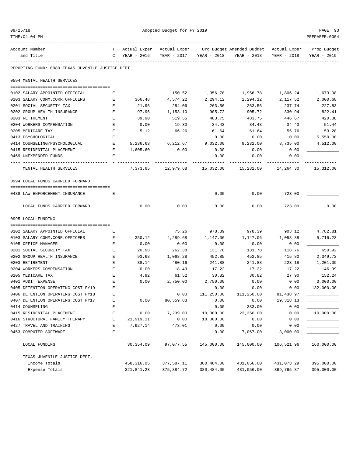| 09/25/18<br>Adopted Budget for FY 2019<br>TIME: 04: 04 PM |         |             |                                          |             | PAGE 93<br>PREPARER: 0004                             |             |                            |
|-----------------------------------------------------------|---------|-------------|------------------------------------------|-------------|-------------------------------------------------------|-------------|----------------------------|
| Account Number<br>and Title                               | T.<br>C | YEAR - 2016 | Actual Exper Actual Exper<br>YEAR - 2017 | YEAR - 2018 | Org Budget Amended Budget Actual Exper<br>YEAR - 2018 | YEAR - 2018 | Prop Budget<br>YEAR - 2019 |
| REPORTING FUND: 0089 TEXAS JUVENILE JUSTICE DEPT.         |         |             |                                          |             |                                                       |             |                            |
| 0594 MENTAL HEALTH SERVICES                               |         |             |                                          |             |                                                       |             |                            |
| 0102 SALARY APPOINTED OFFICIAL                            | Е       |             | 150.52                                   | 1,956.78    | 1,956.78                                              | 1,806.24    | 1,673.98                   |
| 0103 SALARY COMM.CORR.OFFICERS                            | Е       | 366.48      | 4,574.22                                 | 2,294.12    | 2,294.12                                              | 2,117.52    | 2,000.68                   |
| 0201 SOCIAL SECURITY TAX                                  | Е       | 21.96       | 284.06                                   | 263.56      | 263.56                                                | 237.74      | 227.83                     |
| 0202 GROUP HEALTH INSURANCE                               | E       | 97.96       | 1,153.10                                 | 905.72      | 905.72                                                | 830.94      | 822.41                     |
| 0203 RETIREMENT                                           | Е       | 39.90       | 519.55                                   | 483.75      | 483.75                                                | 446.67      | 420.38                     |
| 0204 WORKERS COMPENSATION                                 | Ε       | 0.00        | 19.30                                    | 34.43       | 34.43                                                 | 34.43       | 51.44                      |
| 0205 MEDICARE TAX                                         | Е       | 5.12        | 66.26                                    | 61.64       | 61.64                                                 | 55.76       | 53.28                      |
| 0413 PSYCHOLOGICAL                                        | E       |             |                                          | 0.00        | 0.00                                                  | 0.00        | 5,550.00                   |
| 0414 COUNSELING/PSYCHOLOGICAL                             | Е       | 5,236.63    | 6,212.67                                 | 9,032.00    | 9.232.00                                              | 8,735.00    | 4,512.00                   |
| 0415 RESIDENTIAL PLACEMENT                                | Е       | 1,605.60    | 0.00                                     | 0.00        | 0.00                                                  | 0.00        |                            |
| 0469 UNEXPENDED FUNDS                                     | E.      |             |                                          | 0.00        | 0.00                                                  | 0.00        |                            |
|                                                           |         |             |                                          |             |                                                       |             |                            |
| MENTAL HEALTH SERVICES                                    |         | 7,373.65    | 12,979.68                                |             | 15,032.00 15,232.00                                   | 14,264.30   | 15,312.00                  |
| 0994 LOCAL FUNDS CARRIED FORWARD                          |         |             |                                          |             |                                                       |             |                            |
| 0488 LAW ENFORCEMENT INSURANCE                            | Е       |             |                                          | 0.00        | 0.00                                                  | 723.00      |                            |
| LOCAL FUNDS CARRIED FORWARD                               |         | 0.00        | 0.00                                     | 0.00        | 0.00                                                  | 723.00      | 0.00                       |
|                                                           |         |             |                                          |             |                                                       |             |                            |
| 0995 LOCAL FUNDING                                        |         |             |                                          |             |                                                       |             |                            |
| 0102 SALARY APPOINTED OFFICIAL                            | Е       |             | 75.26                                    | 978.39      | 978.39                                                | 903.12      | 4,782.81                   |
| 0103 SALARY COMM.CORR.OFFICERS                            | Е       | 350.12      | 4,289.68                                 | 1,147.06    | 1,147.06                                              | 1,058.88    | 5,716.23                   |
| 0105 OFFICE MANAGER                                       | Е       | 0.00        | 0.00                                     | 0.00        | 0.00                                                  | 0.00        |                            |
| 0201 SOCIAL SECURITY TAX                                  | Е       | 20.98       | 262.38                                   | 131.78      | 131.78                                                | 118.76      | 650.92                     |
| 0202 GROUP HEALTH INSURANCE                               | Е       | 93.68       | 1,068.28                                 | 452.85      | 452.85                                                | 415.80      | 2,349.72                   |
| 0203 RETIREMENT                                           | Ε       | 38.14       | 480.16                                   | 241.88      | 241.88                                                | 223.18      | 1,201.09                   |
| 0204 WORKERS COMPENSATION                                 | Е       | 0.00        | 18.43                                    | 17.22       | 17.22                                                 | 17.22       | 146.99                     |
| 0205 MEDICARE TAX                                         | E       | 4.92        | 61.52                                    | 30.82       | 30.82                                                 | 27.90       | 152.24                     |
| 0401 AUDIT EXPENSE                                        | Ε       | 0.00        | 2,750.00                                 | 2,750.00    | 0.00                                                  | 0.00        | 3,000.00                   |
| 0405 DETENTION OPERATING COST FY19                        | Е       |             |                                          | 0.00        | 0.00                                                  | 0.00        | 132,000.00                 |
| 0406 DETENTION OPERATING COST FY18                        | Е       |             | 0.00                                     | 111,250.00  | 111,250.00                                            | 81,438.97   |                            |
| 0407 DETENTION OPERATING COST FY17                        | E       | 0.00        | 80,359.83                                | 0.00        | 0.00                                                  | 19,318.13   |                            |
| 0414 COUNSELING                                           | Ε       |             |                                          | 0.00        | 333.00                                                | 0.00        |                            |
| 0415 RESIDENTIAL PLACEMENT                                | Ε       | 0.00        | 7,239.00                                 | 10,000.00   | 23,350.00                                             | 0.00        | 10,000.00                  |
| 0416 STRUCTURAL FAMILY THERAPY                            | Е       | 21,919.11   | 0.00                                     | 18,000.00   | 0.00                                                  | 0.00        |                            |
| 0427 TRAVEL AND TRAINING                                  | Ε       | 7,927.14    | 473.01                                   | 0.00        | 0.00                                                  | 0.00        |                            |
| 0453 COMPUTER SOFTWARE                                    | E       |             |                                          | 0.00        | 7,067.00<br>-----------                               | 3,000.00    |                            |
| LOCAL FUNDING                                             |         |             | 30,354.09 97,077.55                      |             | 145,000.00  145,000.00  106,521.96                    |             | 160,000.00                 |
| TEXAS JUVENILE JUSTICE DEPT.                              |         |             |                                          |             |                                                       |             |                            |
| Income Totals                                             |         | 458,316.05  | 377,587.11                               | 380,484.00  | 431,056.00                                            | 431,073.29  | 395,000.00                 |

Expense Totals 321,841.23 375,884.72 380,484.00 431,056.00 369,765.87 395,000.00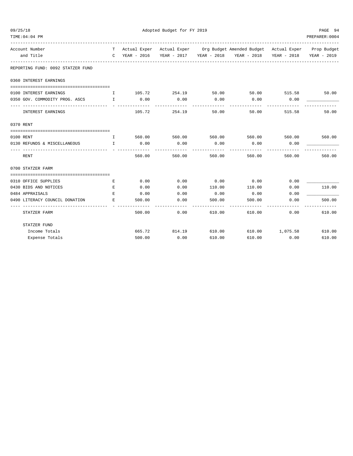| 09/25/18                          |                                   | Adopted Budget for FY 2019 |               |        |                                                                                |                    |                   |  |  |
|-----------------------------------|-----------------------------------|----------------------------|---------------|--------|--------------------------------------------------------------------------------|--------------------|-------------------|--|--|
| TIME: 04: 04 PM                   |                                   |                            |               |        |                                                                                |                    | PREPARER: 0004    |  |  |
| Account Number                    |                                   |                            |               |        | T Actual Exper Actual Exper Org Budget Amended Budget Actual Exper Prop Budget |                    |                   |  |  |
| and Title                         |                                   |                            |               |        | C YEAR - 2016 YEAR - 2017 YEAR - 2018 YEAR - 2018 YEAR - 2018                  |                    | YEAR - 2019       |  |  |
| REPORTING FUND: 0092 STATZER FUND |                                   |                            |               |        |                                                                                |                    |                   |  |  |
| 0360 INTEREST EARNINGS            |                                   |                            |               |        |                                                                                |                    |                   |  |  |
| 0100 INTEREST EARNINGS            | $\mathbf{I}$                      |                            | 105.72 254.19 | 50.00  | 50.00 515.58                                                                   |                    | 50.00             |  |  |
| 0350 GOV. COMMODITY PROG. ASCS I  |                                   | 0.00                       | 0.00          | 0.00   | 0.00                                                                           | 0.00               |                   |  |  |
| INTEREST EARNINGS                 | -----------------------------     | 105.72                     | 254.19        | 50.00  | 50.00                                                                          | 515.58             | 50.00             |  |  |
| 0370 RENT                         |                                   |                            |               |        |                                                                                |                    |                   |  |  |
|                                   |                                   |                            |               |        |                                                                                |                    |                   |  |  |
| 0100 RENT                         | and the state of the state of the |                            |               |        | 560.00 560.00 560.00 560.00 560.00 560.00 560.00                               |                    |                   |  |  |
| 0130 REFUNDS & MISCELLANEOUS I    |                                   | 0.00                       | 0.00          | 0.00   | 0.00                                                                           | 0.00               |                   |  |  |
| RENT                              |                                   | 560.00                     | 560.00        | 560.00 | 560.00                                                                         | 560.00             | 560.00            |  |  |
| 0700 STATZER FARM                 |                                   |                            |               |        |                                                                                |                    |                   |  |  |
|                                   |                                   |                            |               |        |                                                                                |                    |                   |  |  |
| 0310 OFFICE SUPPLIES              | Е                                 | 0.00                       | 0.00          | 0.00   | 0.00                                                                           | 0.00               |                   |  |  |
| 0430 BIDS AND NOTICES             | Е                                 | 0.00                       | 0.00          | 110.00 | 110.00                                                                         | 0.00               | 110.00            |  |  |
| 0484 APPRAISALS                   | E.                                | 0.00                       | 0.00          | 0.00   | 0.00                                                                           | 0.00               |                   |  |  |
| 0490 LITERACY COUNCIL DONATION    | E.                                | 500.00                     | 0.00          | 500.00 | 500.00                                                                         | 0.00               | 500.00            |  |  |
| STATZER FARM                      |                                   | 500.00                     | 0.00          | 610.00 | -------<br>610.00                                                              | ----------<br>0.00 | -------<br>610.00 |  |  |
| STATZER FUND                      |                                   |                            |               |        |                                                                                |                    |                   |  |  |
| Income Totals                     |                                   | 665.72                     | 814.19 610.00 |        |                                                                                | 610.00 1,075.58    | 610.00            |  |  |
| Expense Totals                    |                                   | 500.00                     | 0.00          | 610.00 | 610.00                                                                         | 0.00               | 610.00            |  |  |